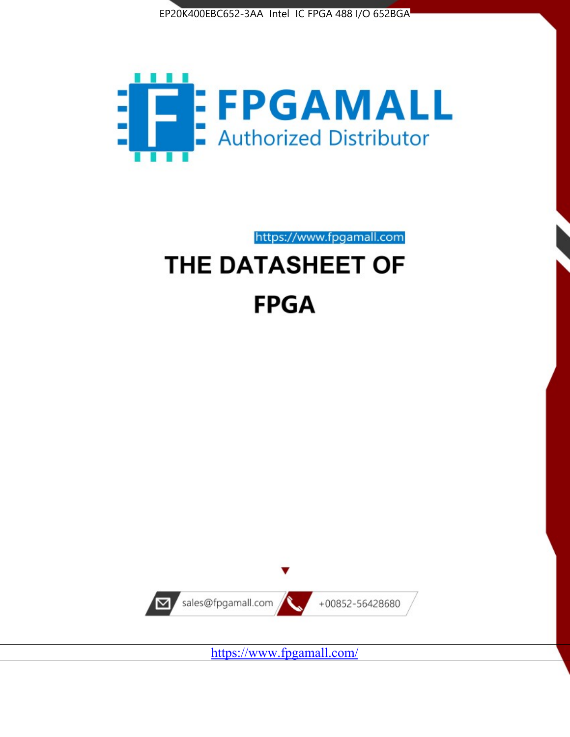



https://www.fpgamall.com THE DATASHEET OF

# **FPGA**



<https://www.fpgamall.com/>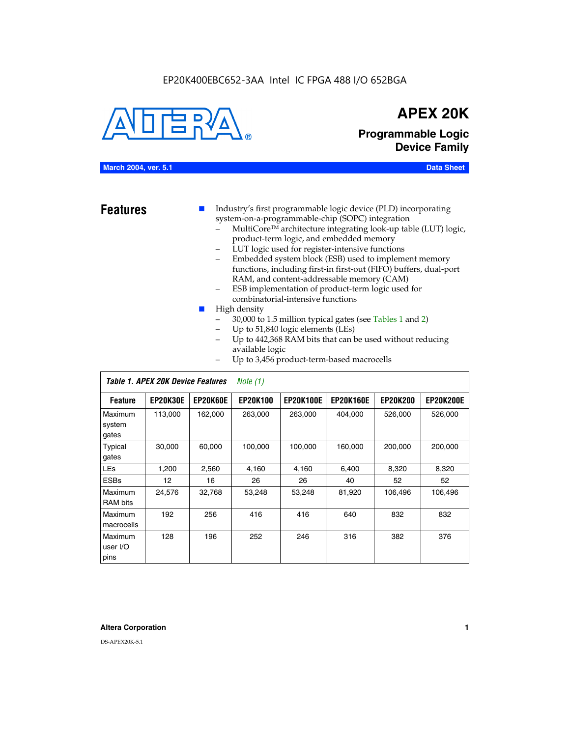#### EP20K400EBC652-3AA Intel IC FPGA 488 I/O 652BGA



## **APEX 20K**

**Programmable Logic Device Family**

#### **March 2004, ver. 5.1 Data Sheet**

**Features ■** Industry's first programmable logic device (PLD) incorporating system-on-a-programmable-chip (SOPC) integration

- MultiCore™ architecture integrating look-up table (LUT) logic, product-term logic, and embedded memory
- LUT logic used for register-intensive functions
- Embedded system block (ESB) used to implement memory functions, including first-in first-out (FIFO) buffers, dual-port RAM, and content-addressable memory (CAM)
- ESB implementation of product-term logic used for combinatorial-intensive functions
- High density
	- 30,000 to 1.5 million typical gates (see Tables 1 and 2)
	- Up to 51,840 logic elements (LEs)
	- Up to 442,368 RAM bits that can be used without reducing available logic
	- Up to 3,456 product-term-based macrocells

|                             | Table 1. APEX 20K Device Features<br>Note $(1)$ |                 |                 |                  |                  |                 |                  |  |
|-----------------------------|-------------------------------------------------|-----------------|-----------------|------------------|------------------|-----------------|------------------|--|
| <b>Feature</b>              | <b>EP20K30E</b>                                 | <b>EP20K60E</b> | <b>EP20K100</b> | <b>EP20K100E</b> | <b>EP20K160E</b> | <b>EP20K200</b> | <b>EP20K200E</b> |  |
| Maximum<br>system<br>gates  | 113,000                                         | 162,000         | 263.000         | 263,000          | 404.000          | 526,000         | 526,000          |  |
| Typical<br>gates            | 30,000                                          | 60,000          | 100,000         | 100,000          | 160,000          | 200,000         | 200,000          |  |
| <b>LEs</b>                  | 1,200                                           | 2,560           | 4,160           | 4,160            | 6.400            | 8,320           | 8,320            |  |
| <b>ESBs</b>                 | $12 \overline{ }$                               | 16              | 26              | 26               | 40               | 52              | 52               |  |
| Maximum<br><b>RAM</b> bits  | 24,576                                          | 32,768          | 53,248          | 53,248           | 81,920           | 106,496         | 106,496          |  |
| Maximum<br>macrocells       | 192                                             | 256             | 416             | 416              | 640              | 832             | 832              |  |
| Maximum<br>user I/O<br>pins | 128                                             | 196             | 252             | 246              | 316              | 382             | 376              |  |

#### **Altera Corporation 1**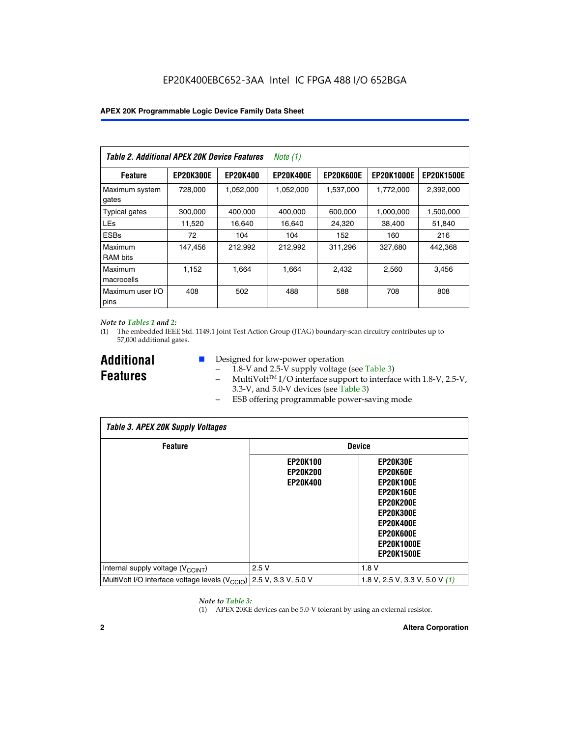| Table 2. Additional APEX 20K Device Features |                  |                 | Note (1)         |                  |                   |                   |
|----------------------------------------------|------------------|-----------------|------------------|------------------|-------------------|-------------------|
| <b>Feature</b>                               | <b>EP20K300E</b> | <b>EP20K400</b> | <b>EP20K400E</b> | <b>EP20K600E</b> | <b>EP20K1000E</b> | <b>EP20K1500E</b> |
| Maximum system<br>gates                      | 728.000          | 1,052,000       | 1,052,000        | 1,537,000        | 1,772,000         | 2,392,000         |
| <b>Typical gates</b>                         | 300,000          | 400,000         | 400,000          | 600,000          | 1,000,000         | 1,500,000         |
| <b>LEs</b>                                   | 11,520           | 16,640          | 16,640           | 24,320           | 38,400            | 51,840            |
| <b>ESBs</b>                                  | 72               | 104             | 104              | 152              | 160               | 216               |
| Maximum<br><b>RAM</b> bits                   | 147,456          | 212,992         | 212,992          | 311,296          | 327,680           | 442,368           |
| Maximum<br>macrocells                        | 1.152            | 1.664           | 1,664            | 2.432            | 2,560             | 3,456             |
| Maximum user I/O<br>pins                     | 408              | 502             | 488              | 588              | 708               | 808               |

#### *Note to Tables 1 and 2:*

(1) The embedded IEEE Std. 1149.1 Joint Test Action Group (JTAG) boundary-scan circuitry contributes up to 57,000 additional gates.

**Additional Features**

- Designed for low-power operation
	- 1.8-V and 2.5-V supply voltage (see Table 3)
	- $-$  MultiVolt<sup>TM</sup> I/O interface support to interface with 1.8-V, 2.5-V, 3.3-V, and 5.0-V devices (see Table 3)
	- ESB offering programmable power-saving mode

| <b>Table 3. APEX 20K Supply Voltages</b>                                       |                                                       |                                                                                                                                                                          |  |  |  |  |  |
|--------------------------------------------------------------------------------|-------------------------------------------------------|--------------------------------------------------------------------------------------------------------------------------------------------------------------------------|--|--|--|--|--|
| <b>Feature</b>                                                                 | <b>Device</b>                                         |                                                                                                                                                                          |  |  |  |  |  |
|                                                                                | <b>EP20K100</b><br><b>EP20K200</b><br><b>EP20K400</b> | EP20K30E<br>EP20K60E<br><b>EP20K100E</b><br><b>EP20K160E</b><br>EP20K200E<br><b>EP20K300E</b><br><b>EP20K400E</b><br>EP20K600E<br><b>EP20K1000E</b><br><b>EP20K1500E</b> |  |  |  |  |  |
| Internal supply voltage (V <sub>CCINT</sub> )                                  | 2.5V                                                  | 1.8V                                                                                                                                                                     |  |  |  |  |  |
| MultiVolt I/O interface voltage levels $(V_{\text{CCIO}})$ 2.5 V, 3.3 V, 5.0 V |                                                       | 1.8 V, 2.5 V, 3.3 V, 5.0 V $(1)$                                                                                                                                         |  |  |  |  |  |

#### *Note to Table 3:*

(1) APEX 20KE devices can be 5.0-V tolerant by using an external resistor.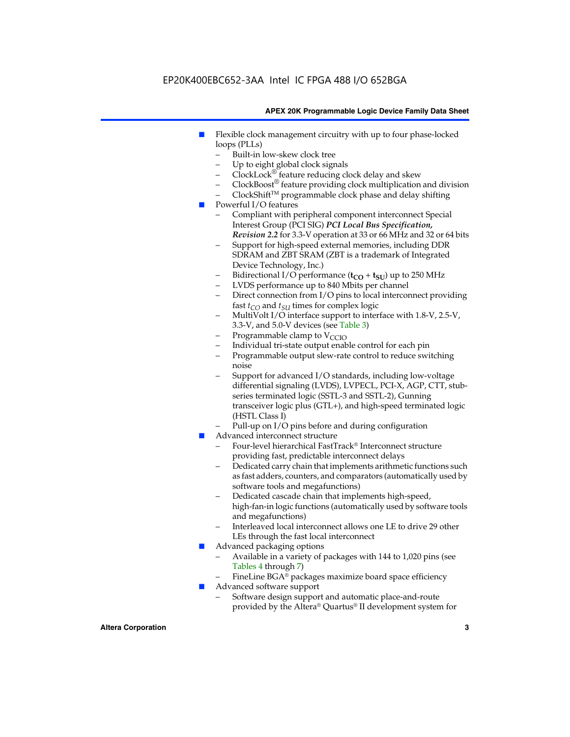### EP20K400EBC652-3AA Intel IC FPGA 488 I/O 652BGA

#### **APEX 20K Programmable Logic Device Family Data Sheet**

- Flexible clock management circuitry with up to four phase-locked loops (PLLs)
	- Built-in low-skew clock tree
	- Up to eight global clock signals
	- $ClockLock^{\circledR}$  feature reducing clock delay and skew
	- $ClockBoost^{\circledR}$  feature providing clock multiplication and division
	- ClockShiftTM programmable clock phase and delay shifting
- Powerful I/O features
	- Compliant with peripheral component interconnect Special Interest Group (PCI SIG) *PCI Local Bus Specification, Revision 2.2* for 3.3-V operation at 33 or 66 MHz and 32 or 64 bits
	- Support for high-speed external memories, including DDR SDRAM and ZBT SRAM (ZBT is a trademark of Integrated Device Technology, Inc.)
	- Bidirectional I/O performance  $(t_{CO} + t_{SU})$  up to 250 MHz
	- LVDS performance up to 840 Mbits per channel
	- Direct connection from I/O pins to local interconnect providing fast  $t_{CO}$  and  $t_{SU}$  times for complex logic
	- MultiVolt I/O interface support to interface with 1.8-V, 2.5-V, 3.3-V, and 5.0-V devices (see Table 3)
	- Programmable clamp to  $V_{\text{C}CD}$
	- Individual tri-state output enable control for each pin
	- Programmable output slew-rate control to reduce switching noise
	- Support for advanced I/O standards, including low-voltage differential signaling (LVDS), LVPECL, PCI-X, AGP, CTT, stubseries terminated logic (SSTL-3 and SSTL-2), Gunning transceiver logic plus (GTL+), and high-speed terminated logic (HSTL Class I)
	- Pull-up on I/O pins before and during configuration
- Advanced interconnect structure
	- Four-level hierarchical FastTrack® Interconnect structure providing fast, predictable interconnect delays
	- Dedicated carry chain that implements arithmetic functions such as fast adders, counters, and comparators (automatically used by software tools and megafunctions)
	- Dedicated cascade chain that implements high-speed, high-fan-in logic functions (automatically used by software tools and megafunctions)
	- Interleaved local interconnect allows one LE to drive 29 other LEs through the fast local interconnect
- Advanced packaging options
	- Available in a variety of packages with 144 to 1,020 pins (see Tables 4 through 7)
	- FineLine BGA® packages maximize board space efficiency
- Advanced software support
	- Software design support and automatic place-and-route provided by the Altera® Quartus® II development system for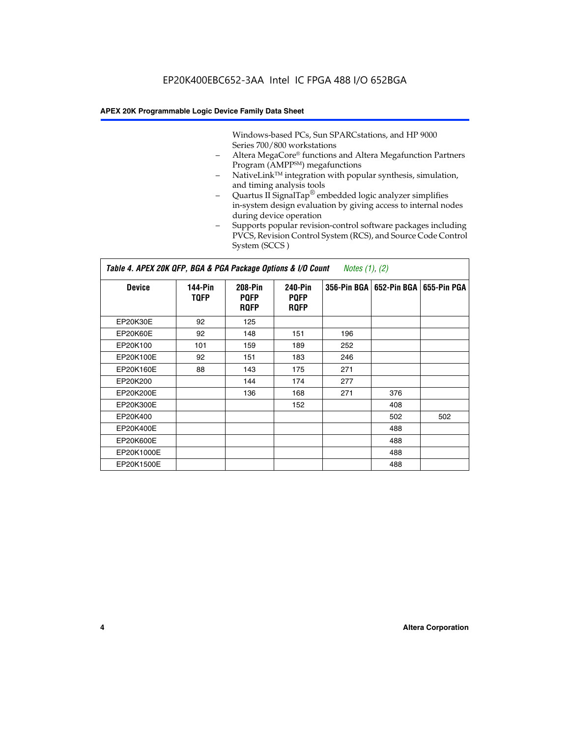Windows-based PCs, Sun SPARCstations, and HP 9000 Series 700/800 workstations

- Altera MegaCore® functions and Altera Megafunction Partners Program (AMPP<sup>SM</sup>) megafunctions
- NativeLink™ integration with popular synthesis, simulation, and timing analysis tools
- Quartus II SignalTap® embedded logic analyzer simplifies in-system design evaluation by giving access to internal nodes during device operation
- Supports popular revision-control software packages including PVCS, Revision Control System (RCS), and Source Code Control System (SCCS )

#### *Table 4. APEX 20K QFP, BGA & PGA Package Options & I/O Count Notes (1), (2)*

| <b>Device</b>   | 144-Pin<br><b>TQFP</b> | 208-Pin<br><b>PQFP</b><br><b>ROFP</b> | 240-Pin<br><b>PQFP</b><br><b>ROFP</b> |     | 356-Pin BGA   652-Pin BGA | 655-Pin PGA |
|-----------------|------------------------|---------------------------------------|---------------------------------------|-----|---------------------------|-------------|
| EP20K30E        | 92                     | 125                                   |                                       |     |                           |             |
| <b>EP20K60E</b> | 92                     | 148                                   | 151                                   | 196 |                           |             |
| EP20K100        | 101                    | 159                                   | 189                                   | 252 |                           |             |
| EP20K100E       | 92                     | 151                                   | 183                                   | 246 |                           |             |
| EP20K160E       | 88                     | 143                                   | 175                                   | 271 |                           |             |
| EP20K200        |                        | 144                                   | 174                                   | 277 |                           |             |
| EP20K200E       |                        | 136                                   | 168                                   | 271 | 376                       |             |
| EP20K300E       |                        |                                       | 152                                   |     | 408                       |             |
| EP20K400        |                        |                                       |                                       |     | 502                       | 502         |
| EP20K400E       |                        |                                       |                                       |     | 488                       |             |
| EP20K600E       |                        |                                       |                                       |     | 488                       |             |
| EP20K1000E      |                        |                                       |                                       |     | 488                       |             |
| EP20K1500E      |                        |                                       |                                       |     | 488                       |             |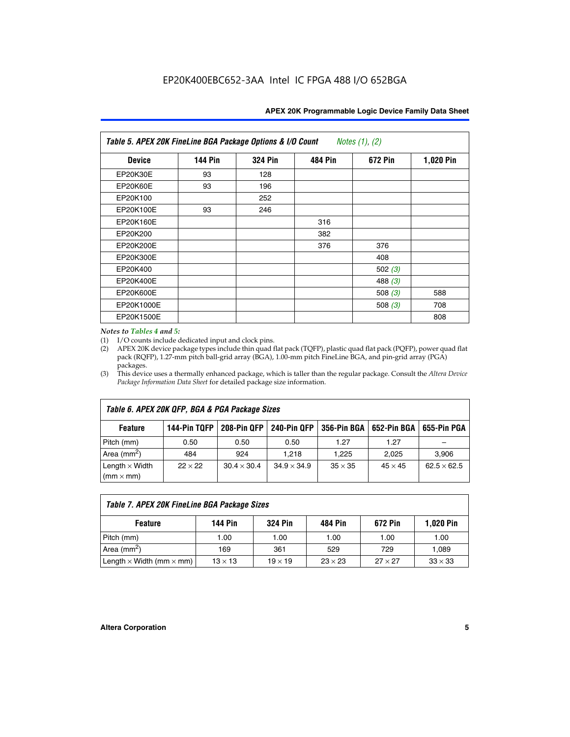| APEX 20K Programmable Logic Device Family Data Sheet |  |  |
|------------------------------------------------------|--|--|
|------------------------------------------------------|--|--|

| Table 5. APEX 20K FineLine BGA Package Options & I/O Count<br>Notes $(1)$ , $(2)$ |                |                |                |           |           |  |  |  |
|-----------------------------------------------------------------------------------|----------------|----------------|----------------|-----------|-----------|--|--|--|
| <b>Device</b>                                                                     | <b>144 Pin</b> | <b>324 Pin</b> | <b>484 Pin</b> | 672 Pin   | 1,020 Pin |  |  |  |
| EP20K30E                                                                          | 93             | 128            |                |           |           |  |  |  |
| <b>EP20K60E</b>                                                                   | 93             | 196            |                |           |           |  |  |  |
| EP20K100                                                                          |                | 252            |                |           |           |  |  |  |
| EP20K100E                                                                         | 93             | 246            |                |           |           |  |  |  |
| EP20K160E                                                                         |                |                | 316            |           |           |  |  |  |
| EP20K200                                                                          |                |                | 382            |           |           |  |  |  |
| EP20K200E                                                                         |                |                | 376            | 376       |           |  |  |  |
| EP20K300E                                                                         |                |                |                | 408       |           |  |  |  |
| EP20K400                                                                          |                |                |                | 502 $(3)$ |           |  |  |  |
| EP20K400E                                                                         |                |                |                | 488 $(3)$ |           |  |  |  |
| EP20K600E                                                                         |                |                |                | 508 $(3)$ | 588       |  |  |  |
| EP20K1000E                                                                        |                |                |                | 508 $(3)$ | 708       |  |  |  |
| EP20K1500E                                                                        |                |                |                |           | 808       |  |  |  |

#### *Notes to Tables 4 and 5:*

(1) I/O counts include dedicated input and clock pins.

(2) APEX 20K device package types include thin quad flat pack (TQFP), plastic quad flat pack (PQFP), power quad flat pack (RQFP), 1.27-mm pitch ball-grid array (BGA), 1.00-mm pitch FineLine BGA, and pin-grid array (PGA) packages.

(3) This device uses a thermally enhanced package, which is taller than the regular package. Consult the *Altera Device Package Information Data Sheet* for detailed package size information.

| Table 6. APEX 20K QFP, BGA & PGA Package Sizes                                                            |                |                    |                    |                |                |                    |  |  |
|-----------------------------------------------------------------------------------------------------------|----------------|--------------------|--------------------|----------------|----------------|--------------------|--|--|
| 208-Pin QFP<br>240-Pin QFP<br>652-Pin BGA<br>144-Pin TQFP<br>356-Pin BGA<br>655-Pin PGA<br><b>Feature</b> |                |                    |                    |                |                |                    |  |  |
| Pitch (mm)                                                                                                | 0.50           | 0.50               | 0.50               | 1.27           | 1.27           |                    |  |  |
| Area ( $mm2$ )                                                                                            | 484            | 924                | 1.218              | 1.225          | 2.025          | 3,906              |  |  |
| Length $\times$ Width<br>$(mm \times mm)$                                                                 | $22 \times 22$ | $30.4 \times 30.4$ | $34.9 \times 34.9$ | $35 \times 35$ | $45 \times 45$ | $62.5 \times 62.5$ |  |  |

| Table 7. APEX 20K FineLine BGA Package Sizes |                |                |                |                |                  |  |  |  |
|----------------------------------------------|----------------|----------------|----------------|----------------|------------------|--|--|--|
| <b>Feature</b>                               | 144 Pin        | <b>324 Pin</b> | 484 Pin        | 672 Pin        | <b>1,020 Pin</b> |  |  |  |
| Pitch (mm)                                   | 1.00           | 1.00           | 1.00           | 1.00           | 1.00             |  |  |  |
| Area ( $mm2$ )                               | 169            | 361            | 529            | 729            | 1,089            |  |  |  |
| Length $\times$ Width (mm $\times$ mm)       | $13 \times 13$ | $19 \times 19$ | $23 \times 23$ | $27 \times 27$ | $33 \times 33$   |  |  |  |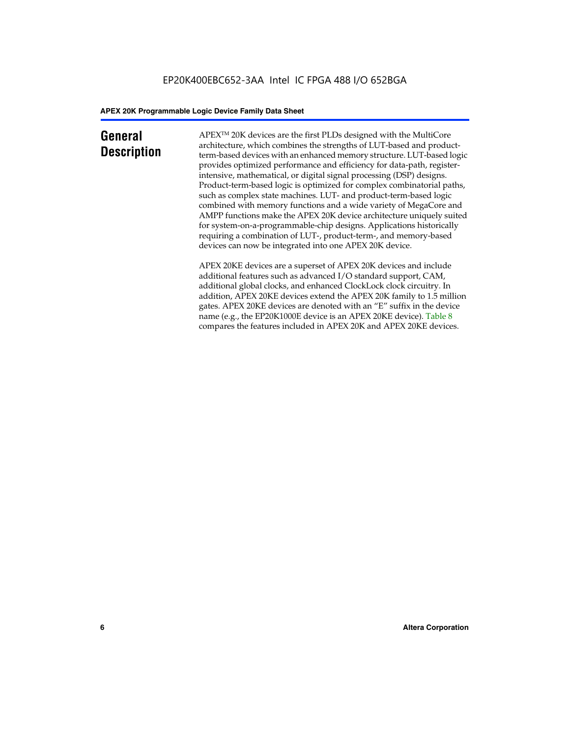## **General Description**

APEXTM 20K devices are the first PLDs designed with the MultiCore architecture, which combines the strengths of LUT-based and productterm-based devices with an enhanced memory structure. LUT-based logic provides optimized performance and efficiency for data-path, registerintensive, mathematical, or digital signal processing (DSP) designs. Product-term-based logic is optimized for complex combinatorial paths, such as complex state machines. LUT- and product-term-based logic combined with memory functions and a wide variety of MegaCore and AMPP functions make the APEX 20K device architecture uniquely suited for system-on-a-programmable-chip designs. Applications historically requiring a combination of LUT-, product-term-, and memory-based devices can now be integrated into one APEX 20K device.

APEX 20KE devices are a superset of APEX 20K devices and include additional features such as advanced I/O standard support, CAM, additional global clocks, and enhanced ClockLock clock circuitry. In addition, APEX 20KE devices extend the APEX 20K family to 1.5 million gates. APEX 20KE devices are denoted with an "E" suffix in the device name (e.g., the EP20K1000E device is an APEX 20KE device). Table 8 compares the features included in APEX 20K and APEX 20KE devices.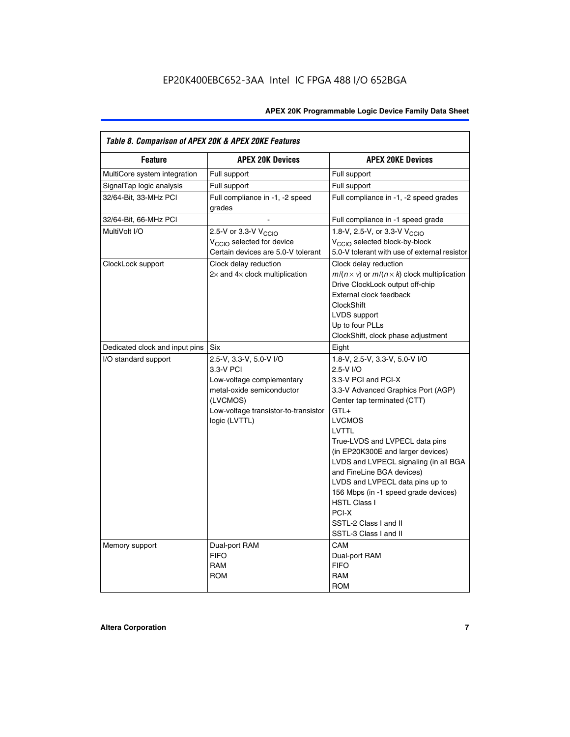| Table 8. Comparison of APEX 20K & APEX 20KE Features |                                                                                                                                                                     |                                                                                                                                                                                                                                                                                                                                                                                                                                                                                       |  |  |  |  |
|------------------------------------------------------|---------------------------------------------------------------------------------------------------------------------------------------------------------------------|---------------------------------------------------------------------------------------------------------------------------------------------------------------------------------------------------------------------------------------------------------------------------------------------------------------------------------------------------------------------------------------------------------------------------------------------------------------------------------------|--|--|--|--|
| <b>Feature</b>                                       | <b>APEX 20K Devices</b>                                                                                                                                             | <b>APEX 20KE Devices</b>                                                                                                                                                                                                                                                                                                                                                                                                                                                              |  |  |  |  |
| MultiCore system integration                         | Full support                                                                                                                                                        | Full support                                                                                                                                                                                                                                                                                                                                                                                                                                                                          |  |  |  |  |
| SignalTap logic analysis                             | Full support                                                                                                                                                        | Full support                                                                                                                                                                                                                                                                                                                                                                                                                                                                          |  |  |  |  |
| 32/64-Bit, 33-MHz PCI                                | Full compliance in -1, -2 speed<br>grades                                                                                                                           | Full compliance in -1, -2 speed grades                                                                                                                                                                                                                                                                                                                                                                                                                                                |  |  |  |  |
| 32/64-Bit, 66-MHz PCI                                |                                                                                                                                                                     | Full compliance in -1 speed grade                                                                                                                                                                                                                                                                                                                                                                                                                                                     |  |  |  |  |
| MultiVolt I/O                                        | 2.5-V or 3.3-V V <sub>CCIO</sub><br>V <sub>CCIO</sub> selected for device<br>Certain devices are 5.0-V tolerant                                                     | 1.8-V, 2.5-V, or 3.3-V V <sub>CCIO</sub><br>V <sub>CCIO</sub> selected block-by-block<br>5.0-V tolerant with use of external resistor                                                                                                                                                                                                                                                                                                                                                 |  |  |  |  |
| ClockLock support                                    | Clock delay reduction<br>$2\times$ and $4\times$ clock multiplication                                                                                               | Clock delay reduction<br>$m/(n \times v)$ or $m/(n \times k)$ clock multiplication<br>Drive ClockLock output off-chip<br>External clock feedback<br><b>ClockShift</b><br>LVDS support<br>Up to four PLLs<br>ClockShift, clock phase adjustment                                                                                                                                                                                                                                        |  |  |  |  |
| Dedicated clock and input pins                       | <b>Six</b>                                                                                                                                                          | Eight                                                                                                                                                                                                                                                                                                                                                                                                                                                                                 |  |  |  |  |
| I/O standard support                                 | 2.5-V, 3.3-V, 5.0-V I/O<br>3.3-V PCI<br>Low-voltage complementary<br>metal-oxide semiconductor<br>(LVCMOS)<br>Low-voltage transistor-to-transistor<br>logic (LVTTL) | 1.8-V, 2.5-V, 3.3-V, 5.0-V I/O<br>2.5-V I/O<br>3.3-V PCI and PCI-X<br>3.3-V Advanced Graphics Port (AGP)<br>Center tap terminated (CTT)<br>$GTL+$<br><b>LVCMOS</b><br>LVTTL<br>True-LVDS and LVPECL data pins<br>(in EP20K300E and larger devices)<br>LVDS and LVPECL signaling (in all BGA<br>and FineLine BGA devices)<br>LVDS and LVPECL data pins up to<br>156 Mbps (in -1 speed grade devices)<br><b>HSTL Class I</b><br>PCI-X<br>SSTL-2 Class I and II<br>SSTL-3 Class I and II |  |  |  |  |
| Memory support                                       | Dual-port RAM<br><b>FIFO</b><br><b>RAM</b><br><b>ROM</b>                                                                                                            | CAM<br>Dual-port RAM<br><b>FIFO</b><br>RAM<br><b>ROM</b>                                                                                                                                                                                                                                                                                                                                                                                                                              |  |  |  |  |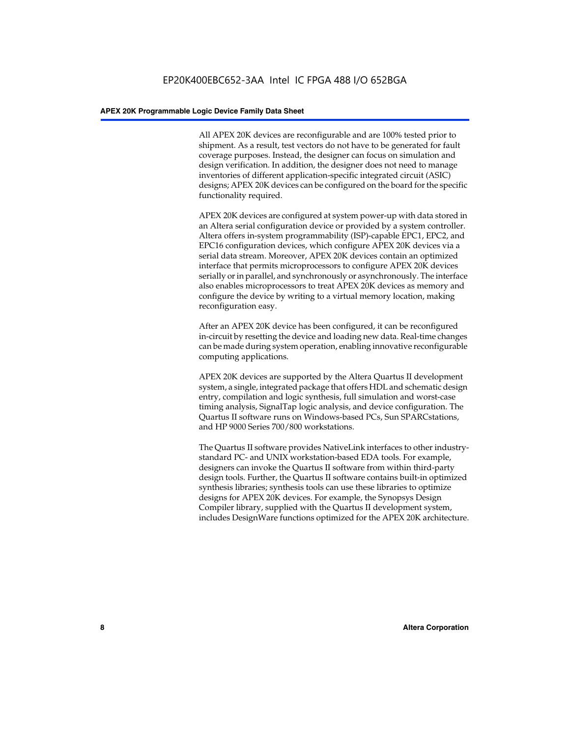All APEX 20K devices are reconfigurable and are 100% tested prior to shipment. As a result, test vectors do not have to be generated for fault coverage purposes. Instead, the designer can focus on simulation and design verification. In addition, the designer does not need to manage inventories of different application-specific integrated circuit (ASIC) designs; APEX 20K devices can be configured on the board for the specific functionality required.

APEX 20K devices are configured at system power-up with data stored in an Altera serial configuration device or provided by a system controller. Altera offers in-system programmability (ISP)-capable EPC1, EPC2, and EPC16 configuration devices, which configure APEX 20K devices via a serial data stream. Moreover, APEX 20K devices contain an optimized interface that permits microprocessors to configure APEX 20K devices serially or in parallel, and synchronously or asynchronously. The interface also enables microprocessors to treat APEX 20K devices as memory and configure the device by writing to a virtual memory location, making reconfiguration easy.

After an APEX 20K device has been configured, it can be reconfigured in-circuit by resetting the device and loading new data. Real-time changes can be made during system operation, enabling innovative reconfigurable computing applications.

APEX 20K devices are supported by the Altera Quartus II development system, a single, integrated package that offers HDL and schematic design entry, compilation and logic synthesis, full simulation and worst-case timing analysis, SignalTap logic analysis, and device configuration. The Quartus II software runs on Windows-based PCs, Sun SPARCstations, and HP 9000 Series 700/800 workstations.

The Quartus II software provides NativeLink interfaces to other industrystandard PC- and UNIX workstation-based EDA tools. For example, designers can invoke the Quartus II software from within third-party design tools. Further, the Quartus II software contains built-in optimized synthesis libraries; synthesis tools can use these libraries to optimize designs for APEX 20K devices. For example, the Synopsys Design Compiler library, supplied with the Quartus II development system, includes DesignWare functions optimized for the APEX 20K architecture.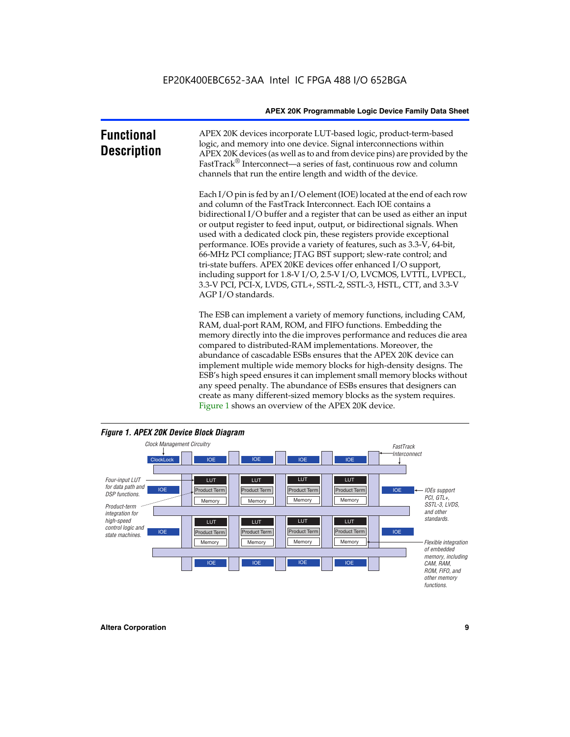| <b>Functional</b><br><b>Description</b> | APEX 20K devices incorporate LUT-based logic, product-term-based<br>logic, and memory into one device. Signal interconnections within<br>APEX 20K devices (as well as to and from device pins) are provided by the<br>FastTrack <sup>®</sup> Interconnect—a series of fast, continuous row and column<br>channels that run the entire length and width of the device.                                                                                                                                                                                                                                                                                                                                                                                              |
|-----------------------------------------|--------------------------------------------------------------------------------------------------------------------------------------------------------------------------------------------------------------------------------------------------------------------------------------------------------------------------------------------------------------------------------------------------------------------------------------------------------------------------------------------------------------------------------------------------------------------------------------------------------------------------------------------------------------------------------------------------------------------------------------------------------------------|
|                                         | Each I/O pin is fed by an I/O element (IOE) located at the end of each row<br>and column of the FastTrack Interconnect. Each IOE contains a<br>bidirectional I/O buffer and a register that can be used as either an input<br>or output register to feed input, output, or bidirectional signals. When<br>used with a dedicated clock pin, these registers provide exceptional<br>performance. IOEs provide a variety of features, such as 3.3-V, 64-bit,<br>66-MHz PCI compliance; JTAG BST support; slew-rate control; and<br>tri-state buffers. APEX 20KE devices offer enhanced I/O support,<br>including support for 1.8-V I/O, 2.5-V I/O, LVCMOS, LVTTL, LVPECL,<br>3.3-V PCI, PCI-X, LVDS, GTL+, SSTL-2, SSTL-3, HSTL, CTT, and 3.3-V<br>AGP I/O standards. |
|                                         | The ESB can implement a variety of memory functions, including CAM,<br>RAM, dual-port RAM, ROM, and FIFO functions. Embedding the<br>memory directly into the die improves performance and reduces die area<br>compared to distributed-RAM implementations. Moreover, the<br>abundance of cascadable ESBs ensures that the APEX 20K device can<br>implement multiple wide memory blocks for high-density designs. The<br>ESB's high speed ensures it can implement small memory blocks without<br>any speed penalty. The abundance of ESBs ensures that designers can                                                                                                                                                                                              |



create as many different-sized memory blocks as the system requires.

Figure 1 shows an overview of the APEX 20K device.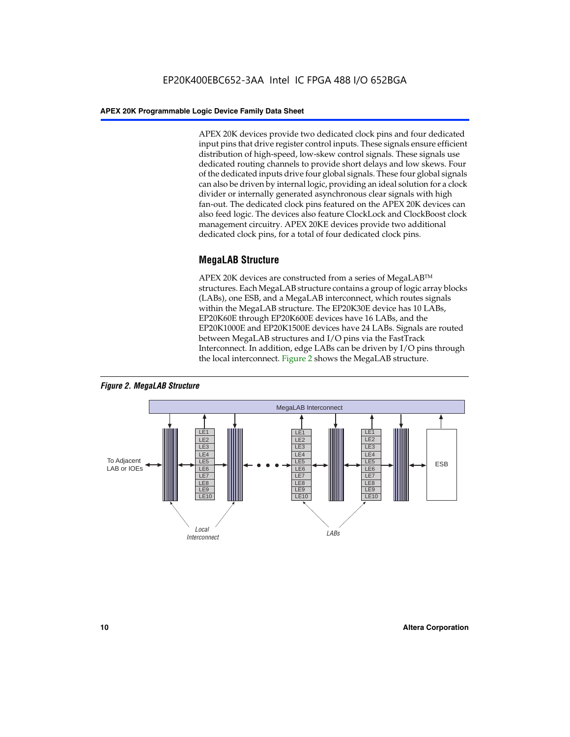APEX 20K devices provide two dedicated clock pins and four dedicated input pins that drive register control inputs. These signals ensure efficient distribution of high-speed, low-skew control signals. These signals use dedicated routing channels to provide short delays and low skews. Four of the dedicated inputs drive four global signals. These four global signals can also be driven by internal logic, providing an ideal solution for a clock divider or internally generated asynchronous clear signals with high fan-out. The dedicated clock pins featured on the APEX 20K devices can also feed logic. The devices also feature ClockLock and ClockBoost clock management circuitry. APEX 20KE devices provide two additional dedicated clock pins, for a total of four dedicated clock pins.

#### **MegaLAB Structure**

APEX 20K devices are constructed from a series of MegaLAB<sup>™</sup> structures. Each MegaLAB structure contains a group of logic array blocks (LABs), one ESB, and a MegaLAB interconnect, which routes signals within the MegaLAB structure. The EP20K30E device has 10 LABs, EP20K60E through EP20K600E devices have 16 LABs, and the EP20K1000E and EP20K1500E devices have 24 LABs. Signals are routed between MegaLAB structures and I/O pins via the FastTrack Interconnect. In addition, edge LABs can be driven by I/O pins through the local interconnect. Figure 2 shows the MegaLAB structure.



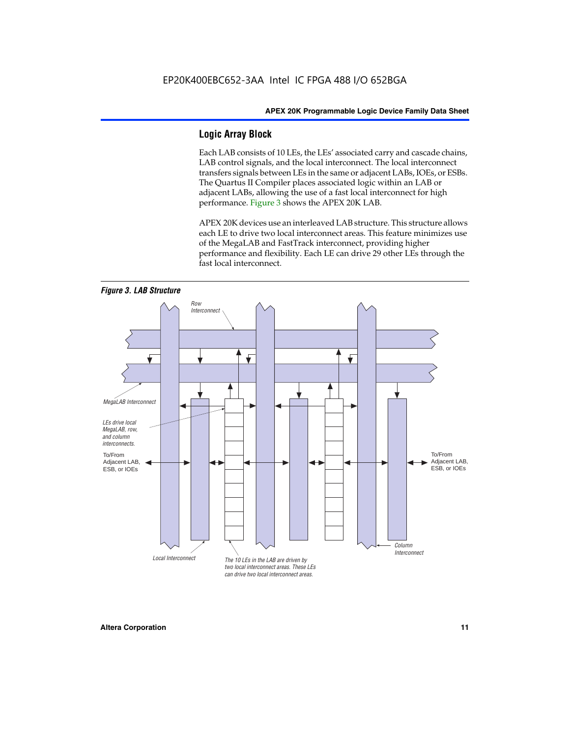#### **Logic Array Block**

Each LAB consists of 10 LEs, the LEs' associated carry and cascade chains, LAB control signals, and the local interconnect. The local interconnect transfers signals between LEs in the same or adjacent LABs, IOEs, or ESBs. The Quartus II Compiler places associated logic within an LAB or adjacent LABs, allowing the use of a fast local interconnect for high performance. Figure 3 shows the APEX 20K LAB.

APEX 20K devices use an interleaved LAB structure. This structure allows each LE to drive two local interconnect areas. This feature minimizes use of the MegaLAB and FastTrack interconnect, providing higher performance and flexibility. Each LE can drive 29 other LEs through the fast local interconnect.

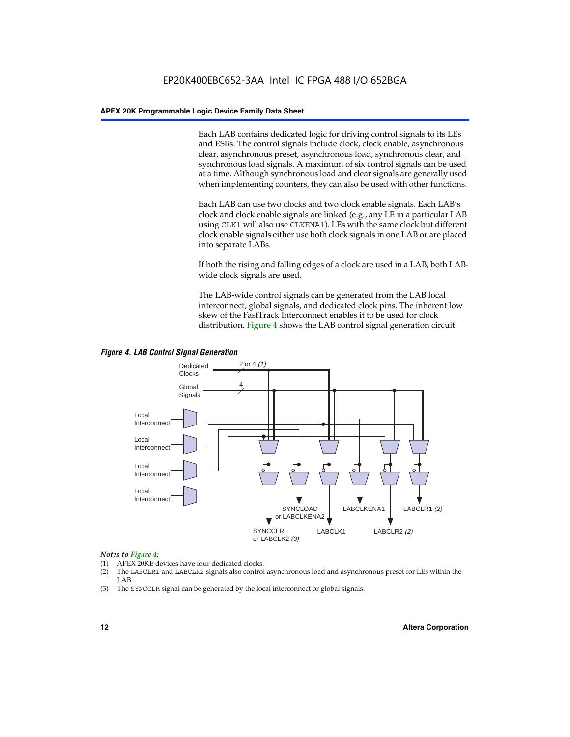Each LAB contains dedicated logic for driving control signals to its LEs and ESBs. The control signals include clock, clock enable, asynchronous clear, asynchronous preset, asynchronous load, synchronous clear, and synchronous load signals. A maximum of six control signals can be used at a time. Although synchronous load and clear signals are generally used when implementing counters, they can also be used with other functions.

Each LAB can use two clocks and two clock enable signals. Each LAB's clock and clock enable signals are linked (e.g., any LE in a particular LAB using CLK1 will also use CLKENA1). LEs with the same clock but different clock enable signals either use both clock signals in one LAB or are placed into separate LABs.

If both the rising and falling edges of a clock are used in a LAB, both LABwide clock signals are used.

The LAB-wide control signals can be generated from the LAB local interconnect, global signals, and dedicated clock pins. The inherent low skew of the FastTrack Interconnect enables it to be used for clock distribution. Figure 4 shows the LAB control signal generation circuit.



#### *Figure 4. LAB Control Signal Generation*

#### *Notes to Figure 4:*

- (1) APEX 20KE devices have four dedicated clocks.
- (2) The LABCLR1 and LABCLR2 signals also control asynchronous load and asynchronous preset for LEs within the LAB.
- (3) The SYNCCLR signal can be generated by the local interconnect or global signals.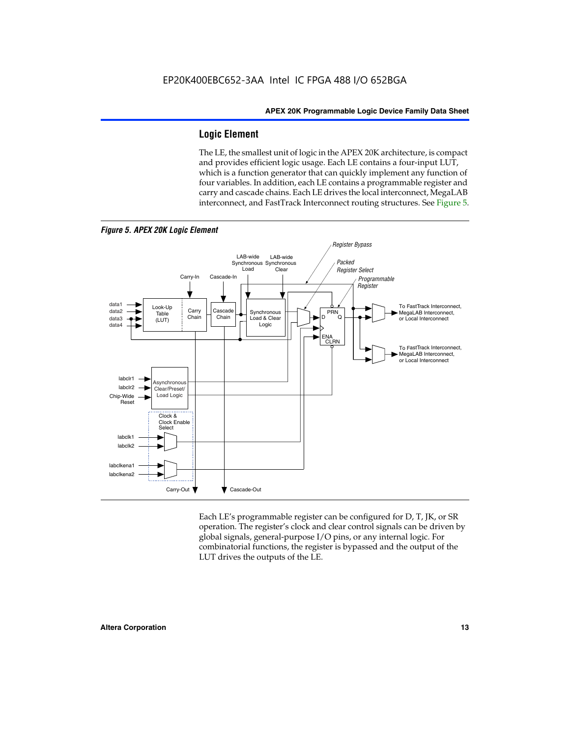#### **Logic Element**

The LE, the smallest unit of logic in the APEX 20K architecture, is compact and provides efficient logic usage. Each LE contains a four-input LUT, which is a function generator that can quickly implement any function of four variables. In addition, each LE contains a programmable register and carry and cascade chains. Each LE drives the local interconnect, MegaLAB interconnect, and FastTrack Interconnect routing structures. See Figure 5.



*Figure 5. APEX 20K Logic Element*

Each LE's programmable register can be configured for D, T, JK, or SR operation. The register's clock and clear control signals can be driven by global signals, general-purpose I/O pins, or any internal logic. For combinatorial functions, the register is bypassed and the output of the LUT drives the outputs of the LE.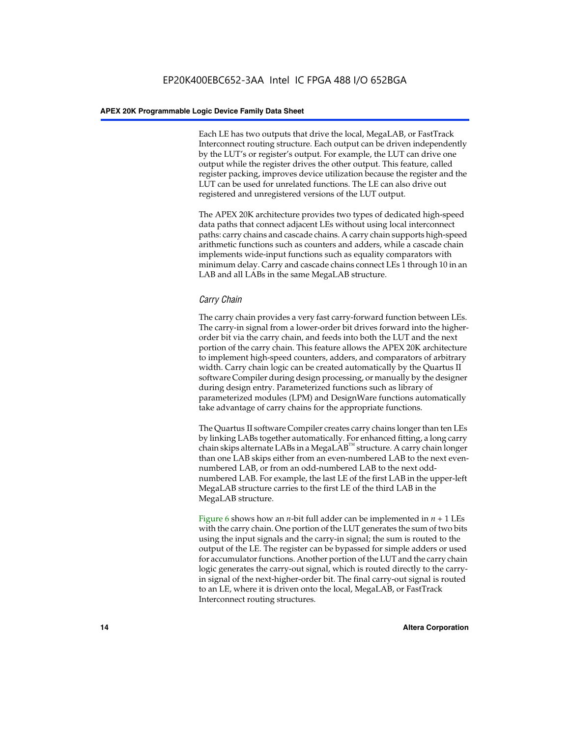Each LE has two outputs that drive the local, MegaLAB, or FastTrack Interconnect routing structure. Each output can be driven independently by the LUT's or register's output. For example, the LUT can drive one output while the register drives the other output. This feature, called register packing, improves device utilization because the register and the LUT can be used for unrelated functions. The LE can also drive out registered and unregistered versions of the LUT output.

The APEX 20K architecture provides two types of dedicated high-speed data paths that connect adjacent LEs without using local interconnect paths: carry chains and cascade chains. A carry chain supports high-speed arithmetic functions such as counters and adders, while a cascade chain implements wide-input functions such as equality comparators with minimum delay. Carry and cascade chains connect LEs 1 through 10 in an LAB and all LABs in the same MegaLAB structure.

#### *Carry Chain*

The carry chain provides a very fast carry-forward function between LEs. The carry-in signal from a lower-order bit drives forward into the higherorder bit via the carry chain, and feeds into both the LUT and the next portion of the carry chain. This feature allows the APEX 20K architecture to implement high-speed counters, adders, and comparators of arbitrary width. Carry chain logic can be created automatically by the Quartus II software Compiler during design processing, or manually by the designer during design entry. Parameterized functions such as library of parameterized modules (LPM) and DesignWare functions automatically take advantage of carry chains for the appropriate functions.

The Quartus II software Compiler creates carry chains longer than ten LEs by linking LABs together automatically. For enhanced fitting, a long carry chain skips alternate LABs in a MegaLAB<sup>™</sup> structure. A carry chain longer than one LAB skips either from an even-numbered LAB to the next evennumbered LAB, or from an odd-numbered LAB to the next oddnumbered LAB. For example, the last LE of the first LAB in the upper-left MegaLAB structure carries to the first LE of the third LAB in the MegaLAB structure.

Figure 6 shows how an *n*-bit full adder can be implemented in *n* + 1 LEs with the carry chain. One portion of the LUT generates the sum of two bits using the input signals and the carry-in signal; the sum is routed to the output of the LE. The register can be bypassed for simple adders or used for accumulator functions. Another portion of the LUT and the carry chain logic generates the carry-out signal, which is routed directly to the carryin signal of the next-higher-order bit. The final carry-out signal is routed to an LE, where it is driven onto the local, MegaLAB, or FastTrack Interconnect routing structures.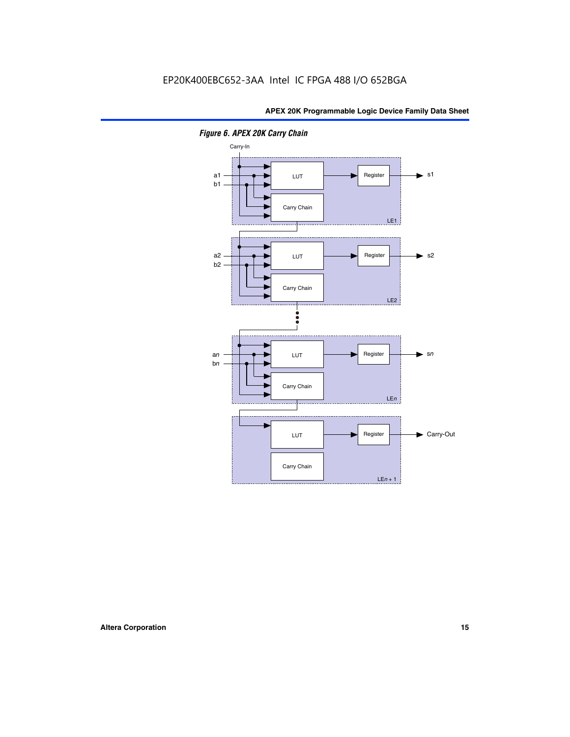

*Figure 6. APEX 20K Carry Chain*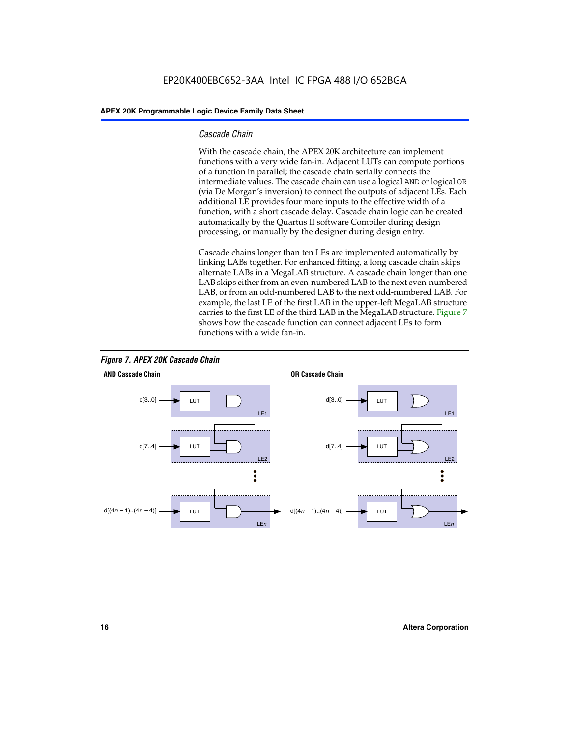#### *Cascade Chain*

With the cascade chain, the APEX 20K architecture can implement functions with a very wide fan-in. Adjacent LUTs can compute portions of a function in parallel; the cascade chain serially connects the intermediate values. The cascade chain can use a logical AND or logical OR (via De Morgan's inversion) to connect the outputs of adjacent LEs. Each additional LE provides four more inputs to the effective width of a function, with a short cascade delay. Cascade chain logic can be created automatically by the Quartus II software Compiler during design processing, or manually by the designer during design entry.

Cascade chains longer than ten LEs are implemented automatically by linking LABs together. For enhanced fitting, a long cascade chain skips alternate LABs in a MegaLAB structure. A cascade chain longer than one LAB skips either from an even-numbered LAB to the next even-numbered LAB, or from an odd-numbered LAB to the next odd-numbered LAB. For example, the last LE of the first LAB in the upper-left MegaLAB structure carries to the first LE of the third LAB in the MegaLAB structure. Figure 7 shows how the cascade function can connect adjacent LEs to form functions with a wide fan-in.



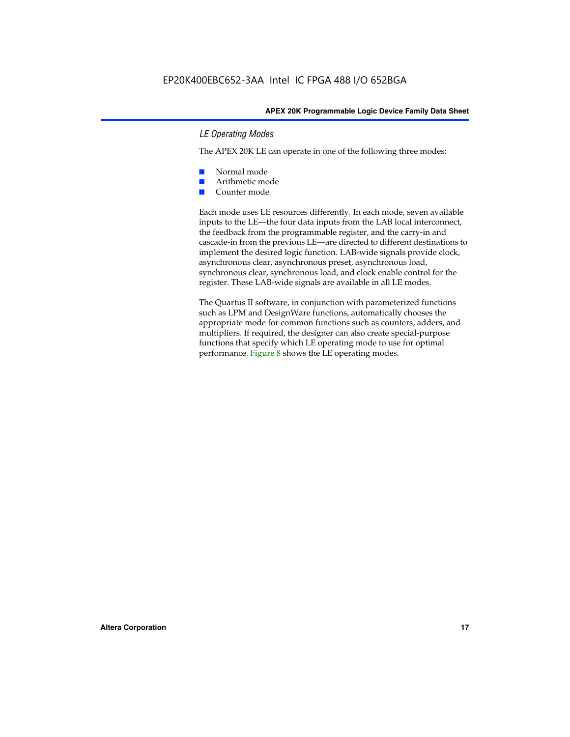#### *LE Operating Modes*

The APEX 20K LE can operate in one of the following three modes:

- Normal mode
- Arithmetic mode
- Counter mode

Each mode uses LE resources differently. In each mode, seven available inputs to the LE—the four data inputs from the LAB local interconnect, the feedback from the programmable register, and the carry-in and cascade-in from the previous LE—are directed to different destinations to implement the desired logic function. LAB-wide signals provide clock, asynchronous clear, asynchronous preset, asynchronous load, synchronous clear, synchronous load, and clock enable control for the register. These LAB-wide signals are available in all LE modes.

The Quartus II software, in conjunction with parameterized functions such as LPM and DesignWare functions, automatically chooses the appropriate mode for common functions such as counters, adders, and multipliers. If required, the designer can also create special-purpose functions that specify which LE operating mode to use for optimal performance. Figure 8 shows the LE operating modes.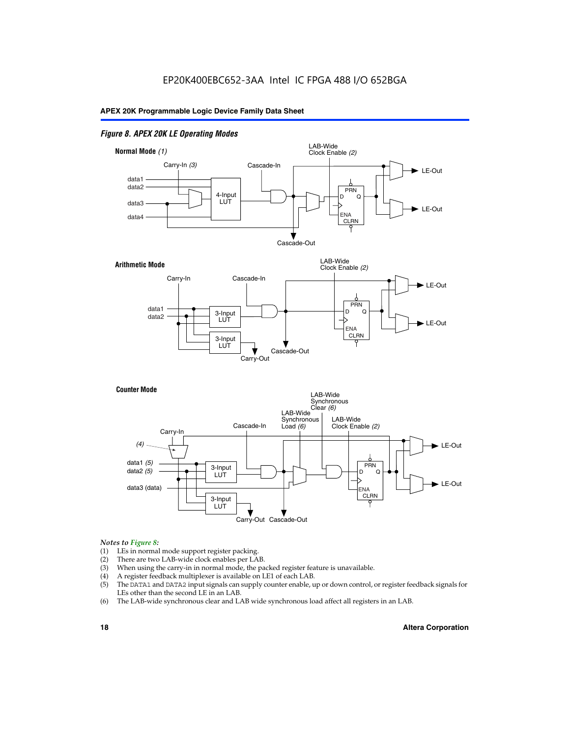#### *Figure 8. APEX 20K LE Operating Modes*



#### *Notes to Figure 8:*

- (1) LEs in normal mode support register packing.
- (2) There are two LAB-wide clock enables per LAB.
- (3) When using the carry-in in normal mode, the packed register feature is unavailable.
- (4) A register feedback multiplexer is available on LE1 of each LAB.
- (5) The DATA1 and DATA2 input signals can supply counter enable, up or down control, or register feedback signals for LEs other than the second LE in an LAB.
- (6) The LAB-wide synchronous clear and LAB wide synchronous load affect all registers in an LAB.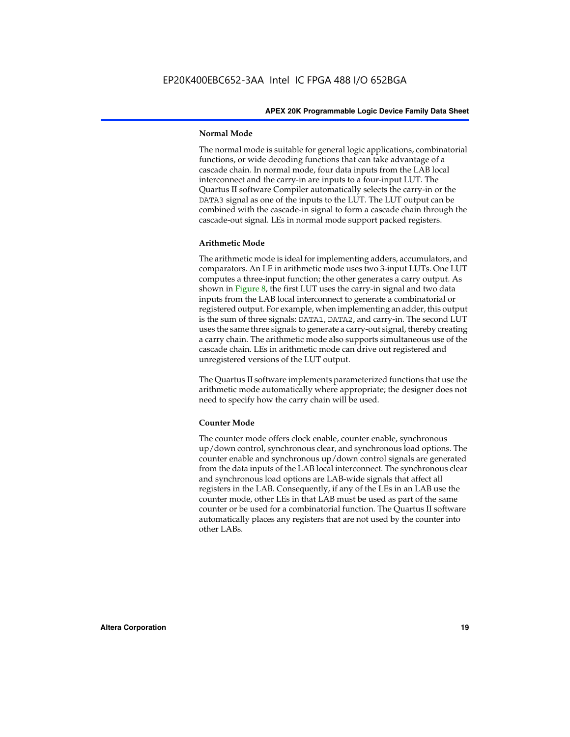#### **Normal Mode**

The normal mode is suitable for general logic applications, combinatorial functions, or wide decoding functions that can take advantage of a cascade chain. In normal mode, four data inputs from the LAB local interconnect and the carry-in are inputs to a four-input LUT. The Quartus II software Compiler automatically selects the carry-in or the DATA3 signal as one of the inputs to the LUT. The LUT output can be combined with the cascade-in signal to form a cascade chain through the cascade-out signal. LEs in normal mode support packed registers.

#### **Arithmetic Mode**

The arithmetic mode is ideal for implementing adders, accumulators, and comparators. An LE in arithmetic mode uses two 3-input LUTs. One LUT computes a three-input function; the other generates a carry output. As shown in Figure 8, the first LUT uses the carry-in signal and two data inputs from the LAB local interconnect to generate a combinatorial or registered output. For example, when implementing an adder, this output is the sum of three signals: DATA1, DATA2, and carry-in. The second LUT uses the same three signals to generate a carry-out signal, thereby creating a carry chain. The arithmetic mode also supports simultaneous use of the cascade chain. LEs in arithmetic mode can drive out registered and unregistered versions of the LUT output.

The Quartus II software implements parameterized functions that use the arithmetic mode automatically where appropriate; the designer does not need to specify how the carry chain will be used.

#### **Counter Mode**

The counter mode offers clock enable, counter enable, synchronous up/down control, synchronous clear, and synchronous load options. The counter enable and synchronous up/down control signals are generated from the data inputs of the LAB local interconnect. The synchronous clear and synchronous load options are LAB-wide signals that affect all registers in the LAB. Consequently, if any of the LEs in an LAB use the counter mode, other LEs in that LAB must be used as part of the same counter or be used for a combinatorial function. The Quartus II software automatically places any registers that are not used by the counter into other LABs.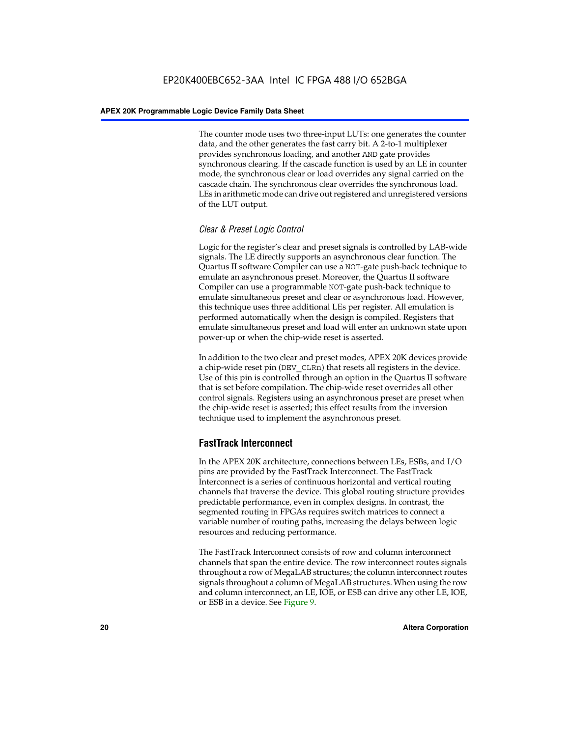The counter mode uses two three-input LUTs: one generates the counter data, and the other generates the fast carry bit. A 2-to-1 multiplexer provides synchronous loading, and another AND gate provides synchronous clearing. If the cascade function is used by an LE in counter mode, the synchronous clear or load overrides any signal carried on the cascade chain. The synchronous clear overrides the synchronous load. LEs in arithmetic mode can drive out registered and unregistered versions of the LUT output.

#### *Clear & Preset Logic Control*

Logic for the register's clear and preset signals is controlled by LAB-wide signals. The LE directly supports an asynchronous clear function. The Quartus II software Compiler can use a NOT-gate push-back technique to emulate an asynchronous preset. Moreover, the Quartus II software Compiler can use a programmable NOT-gate push-back technique to emulate simultaneous preset and clear or asynchronous load. However, this technique uses three additional LEs per register. All emulation is performed automatically when the design is compiled. Registers that emulate simultaneous preset and load will enter an unknown state upon power-up or when the chip-wide reset is asserted.

In addition to the two clear and preset modes, APEX 20K devices provide a chip-wide reset pin (DEV\_CLRn) that resets all registers in the device. Use of this pin is controlled through an option in the Quartus II software that is set before compilation. The chip-wide reset overrides all other control signals. Registers using an asynchronous preset are preset when the chip-wide reset is asserted; this effect results from the inversion technique used to implement the asynchronous preset.

### **FastTrack Interconnect**

In the APEX 20K architecture, connections between LEs, ESBs, and I/O pins are provided by the FastTrack Interconnect. The FastTrack Interconnect is a series of continuous horizontal and vertical routing channels that traverse the device. This global routing structure provides predictable performance, even in complex designs. In contrast, the segmented routing in FPGAs requires switch matrices to connect a variable number of routing paths, increasing the delays between logic resources and reducing performance.

The FastTrack Interconnect consists of row and column interconnect channels that span the entire device. The row interconnect routes signals throughout a row of MegaLAB structures; the column interconnect routes signals throughout a column of MegaLAB structures. When using the row and column interconnect, an LE, IOE, or ESB can drive any other LE, IOE, or ESB in a device. See Figure 9.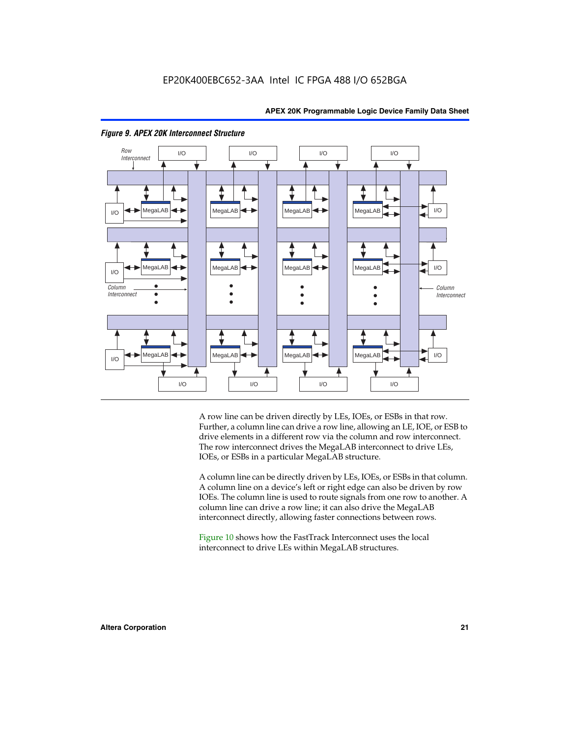



#### *Figure 9. APEX 20K Interconnect Structure*

A row line can be driven directly by LEs, IOEs, or ESBs in that row. Further, a column line can drive a row line, allowing an LE, IOE, or ESB to drive elements in a different row via the column and row interconnect. The row interconnect drives the MegaLAB interconnect to drive LEs, IOEs, or ESBs in a particular MegaLAB structure.

A column line can be directly driven by LEs, IOEs, or ESBs in that column. A column line on a device's left or right edge can also be driven by row IOEs. The column line is used to route signals from one row to another. A column line can drive a row line; it can also drive the MegaLAB interconnect directly, allowing faster connections between rows.

Figure 10 shows how the FastTrack Interconnect uses the local interconnect to drive LEs within MegaLAB structures.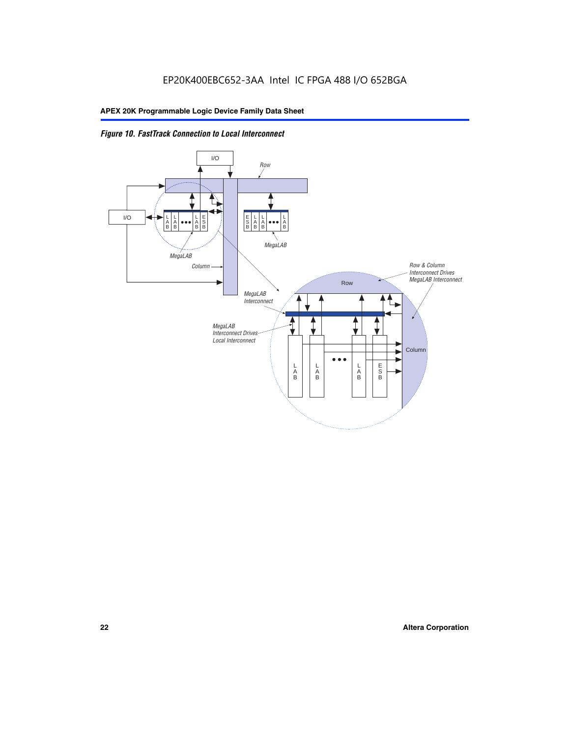

*Figure 10. FastTrack Connection to Local Interconnect*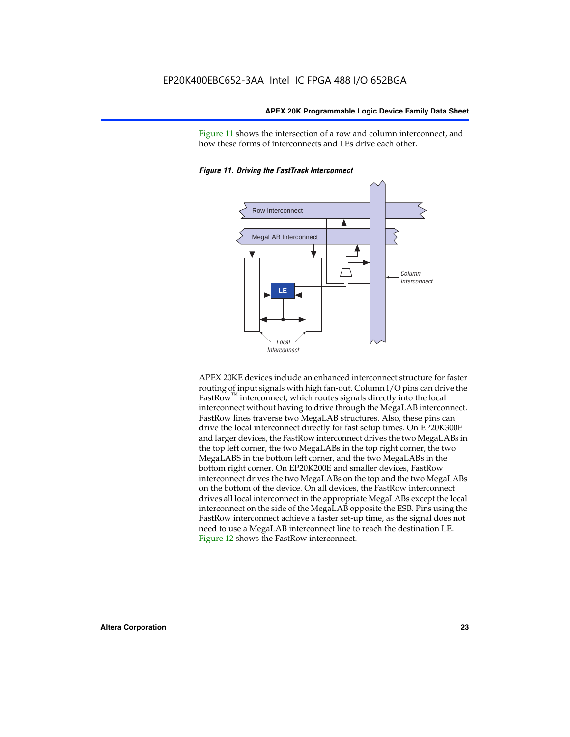Figure 11 shows the intersection of a row and column interconnect, and how these forms of interconnects and LEs drive each other.



*Figure 11. Driving the FastTrack Interconnect*

APEX 20KE devices include an enhanced interconnect structure for faster routing of input signals with high fan-out. Column I/O pins can drive the FastRow<sup>™</sup> interconnect, which routes signals directly into the local interconnect without having to drive through the MegaLAB interconnect. FastRow lines traverse two MegaLAB structures. Also, these pins can drive the local interconnect directly for fast setup times. On EP20K300E and larger devices, the FastRow interconnect drives the two MegaLABs in the top left corner, the two MegaLABs in the top right corner, the two MegaLABS in the bottom left corner, and the two MegaLABs in the bottom right corner. On EP20K200E and smaller devices, FastRow interconnect drives the two MegaLABs on the top and the two MegaLABs on the bottom of the device. On all devices, the FastRow interconnect drives all local interconnect in the appropriate MegaLABs except the local interconnect on the side of the MegaLAB opposite the ESB. Pins using the FastRow interconnect achieve a faster set-up time, as the signal does not need to use a MegaLAB interconnect line to reach the destination LE. Figure 12 shows the FastRow interconnect.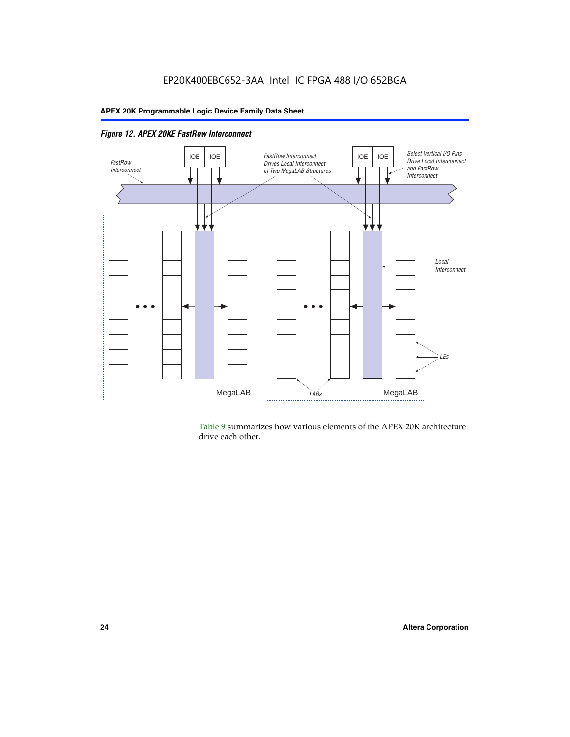

*Figure 12. APEX 20KE FastRow Interconnect*

Table 9 summarizes how various elements of the APEX 20K architecture drive each other.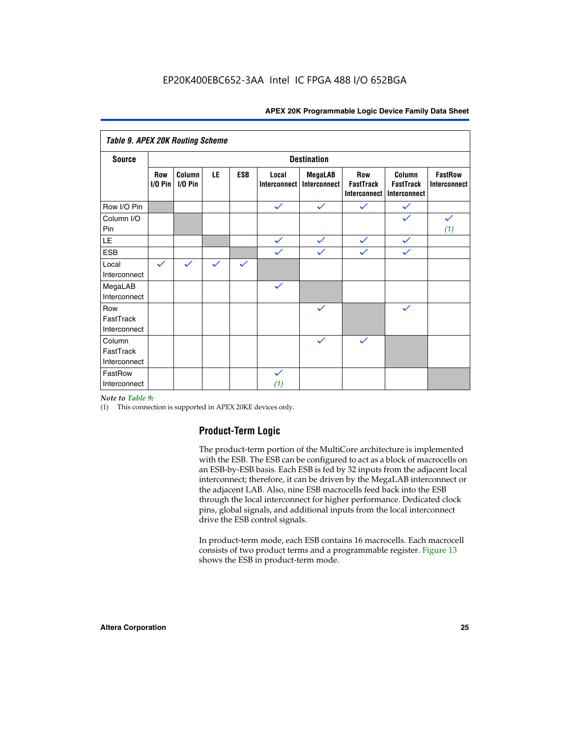| <b>Table 9. APEX 20K Routing Scheme</b> |                  |                      |              |              |                              |                                |                                                |                                            |                                |
|-----------------------------------------|------------------|----------------------|--------------|--------------|------------------------------|--------------------------------|------------------------------------------------|--------------------------------------------|--------------------------------|
| <b>Source</b>                           |                  |                      |              |              |                              | <b>Destination</b>             |                                                |                                            |                                |
|                                         | Row<br>$1/0$ Pin | Column<br>$I/O P$ in | LE           | <b>ESB</b>   | Local<br><b>Interconnect</b> | <b>MegaLAB</b><br>Interconnect | Row<br><b>FastTrack</b><br><b>Interconnect</b> | Column<br><b>FastTrack</b><br>Interconnect | <b>FastRow</b><br>Interconnect |
| Row I/O Pin                             |                  |                      |              |              | $\checkmark$                 | $\checkmark$                   | $\checkmark$                                   | $\checkmark$                               |                                |
| Column I/O<br>Pin                       |                  |                      |              |              |                              |                                |                                                | $\checkmark$                               | $\checkmark$<br>(1)            |
| LE                                      |                  |                      |              |              | $\checkmark$                 | $\checkmark$                   | $\checkmark$                                   | $\checkmark$                               |                                |
| <b>ESB</b>                              |                  |                      |              |              | $\checkmark$                 | $\checkmark$                   | $\checkmark$                                   | $\checkmark$                               |                                |
| Local<br>Interconnect                   | $\checkmark$     | $\checkmark$         | $\checkmark$ | $\checkmark$ |                              |                                |                                                |                                            |                                |
| MegaLAB<br>Interconnect                 |                  |                      |              |              | $\checkmark$                 |                                |                                                |                                            |                                |
| Row<br>FastTrack<br>Interconnect        |                  |                      |              |              |                              | $\checkmark$                   |                                                | $\checkmark$                               |                                |
| Column<br>FastTrack<br>Interconnect     |                  |                      |              |              |                              | $\checkmark$                   | $\checkmark$                                   |                                            |                                |
| FastRow<br>Interconnect                 |                  |                      |              |              | $\checkmark$<br>(1)          |                                |                                                |                                            |                                |

#### *Note to Table 9:*

(1) This connection is supported in APEX 20KE devices only.

### **Product-Term Logic**

The product-term portion of the MultiCore architecture is implemented with the ESB. The ESB can be configured to act as a block of macrocells on an ESB-by-ESB basis. Each ESB is fed by 32 inputs from the adjacent local interconnect; therefore, it can be driven by the MegaLAB interconnect or the adjacent LAB. Also, nine ESB macrocells feed back into the ESB through the local interconnect for higher performance. Dedicated clock pins, global signals, and additional inputs from the local interconnect drive the ESB control signals.

In product-term mode, each ESB contains 16 macrocells. Each macrocell consists of two product terms and a programmable register. Figure 13 shows the ESB in product-term mode.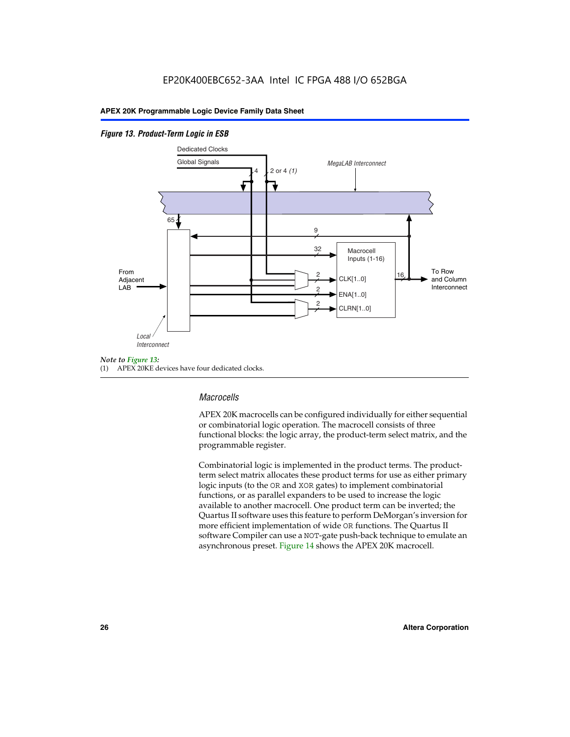#### *Figure 13. Product-Term Logic in ESB*



(1) APEX 20KE devices have four dedicated clocks.

#### *Macrocells*

APEX 20K macrocells can be configured individually for either sequential or combinatorial logic operation. The macrocell consists of three functional blocks: the logic array, the product-term select matrix, and the programmable register.

Combinatorial logic is implemented in the product terms. The productterm select matrix allocates these product terms for use as either primary logic inputs (to the OR and XOR gates) to implement combinatorial functions, or as parallel expanders to be used to increase the logic available to another macrocell. One product term can be inverted; the Quartus II software uses this feature to perform DeMorgan's inversion for more efficient implementation of wide OR functions. The Quartus II software Compiler can use a NOT-gate push-back technique to emulate an asynchronous preset. Figure 14 shows the APEX 20K macrocell.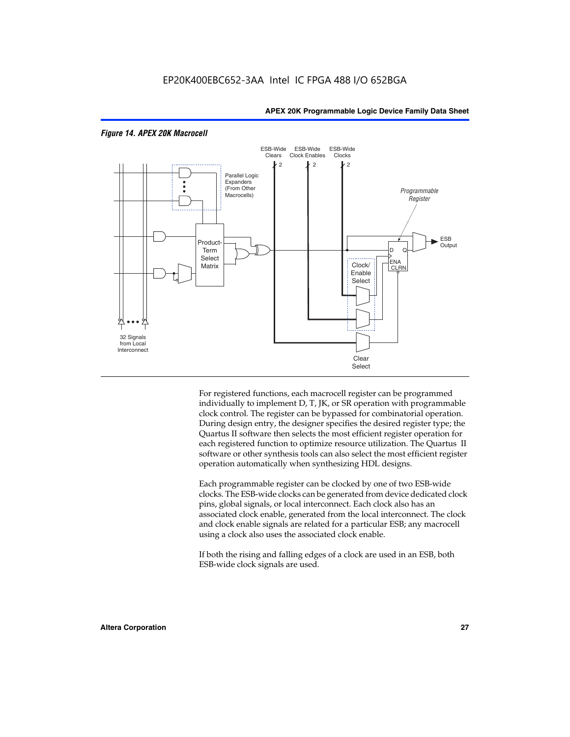

#### *Figure 14. APEX 20K Macrocell*

For registered functions, each macrocell register can be programmed individually to implement D, T, JK, or SR operation with programmable clock control. The register can be bypassed for combinatorial operation. During design entry, the designer specifies the desired register type; the Quartus II software then selects the most efficient register operation for each registered function to optimize resource utilization. The Quartus II software or other synthesis tools can also select the most efficient register operation automatically when synthesizing HDL designs.

Each programmable register can be clocked by one of two ESB-wide clocks. The ESB-wide clocks can be generated from device dedicated clock pins, global signals, or local interconnect. Each clock also has an associated clock enable, generated from the local interconnect. The clock and clock enable signals are related for a particular ESB; any macrocell using a clock also uses the associated clock enable.

If both the rising and falling edges of a clock are used in an ESB, both ESB-wide clock signals are used.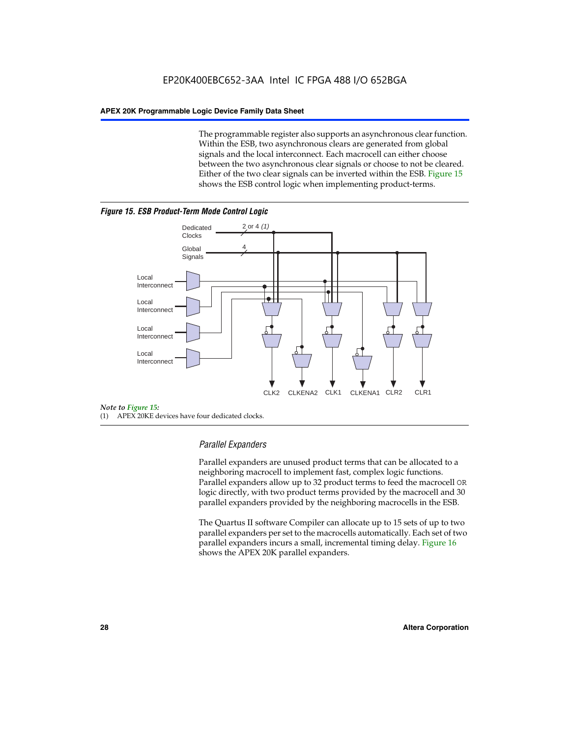The programmable register also supports an asynchronous clear function. Within the ESB, two asynchronous clears are generated from global signals and the local interconnect. Each macrocell can either choose between the two asynchronous clear signals or choose to not be cleared. Either of the two clear signals can be inverted within the ESB. Figure 15 shows the ESB control logic when implementing product-terms.





(1) APEX 20KE devices have four dedicated clocks.

#### *Parallel Expanders*

Parallel expanders are unused product terms that can be allocated to a neighboring macrocell to implement fast, complex logic functions. Parallel expanders allow up to 32 product terms to feed the macrocell OR logic directly, with two product terms provided by the macrocell and 30 parallel expanders provided by the neighboring macrocells in the ESB.

The Quartus II software Compiler can allocate up to 15 sets of up to two parallel expanders per set to the macrocells automatically. Each set of two parallel expanders incurs a small, incremental timing delay. Figure 16 shows the APEX 20K parallel expanders.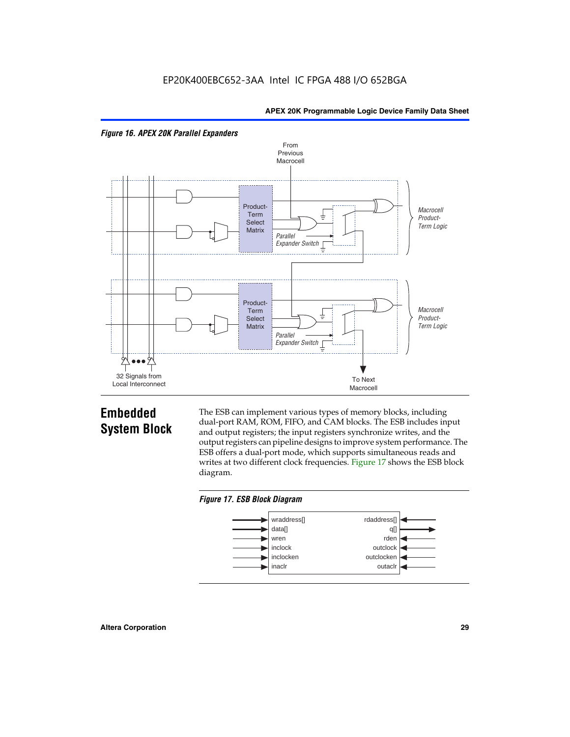



## **Embedded System Block**

The ESB can implement various types of memory blocks, including dual-port RAM, ROM, FIFO, and CAM blocks. The ESB includes input and output registers; the input registers synchronize writes, and the output registers can pipeline designs to improve system performance. The ESB offers a dual-port mode, which supports simultaneous reads and writes at two different clock frequencies. Figure 17 shows the ESB block diagram.



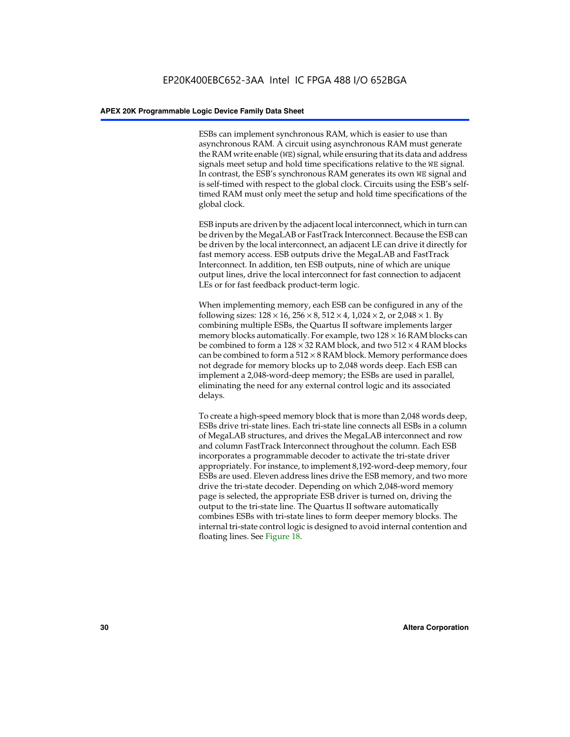ESBs can implement synchronous RAM, which is easier to use than asynchronous RAM. A circuit using asynchronous RAM must generate the RAM write enable (WE) signal, while ensuring that its data and address signals meet setup and hold time specifications relative to the WE signal. In contrast, the ESB's synchronous RAM generates its own WE signal and is self-timed with respect to the global clock. Circuits using the ESB's selftimed RAM must only meet the setup and hold time specifications of the global clock.

ESB inputs are driven by the adjacent local interconnect, which in turn can be driven by the MegaLAB or FastTrack Interconnect. Because the ESB can be driven by the local interconnect, an adjacent LE can drive it directly for fast memory access. ESB outputs drive the MegaLAB and FastTrack Interconnect. In addition, ten ESB outputs, nine of which are unique output lines, drive the local interconnect for fast connection to adjacent LEs or for fast feedback product-term logic.

When implementing memory, each ESB can be configured in any of the following sizes:  $128 \times 16$ ,  $256 \times 8$ ,  $512 \times 4$ ,  $1,024 \times 2$ , or  $2,048 \times 1$ . By combining multiple ESBs, the Quartus II software implements larger memory blocks automatically. For example, two  $128 \times 16$  RAM blocks can be combined to form a  $128 \times 32$  RAM block, and two  $512 \times 4$  RAM blocks can be combined to form a  $512 \times 8$  RAM block. Memory performance does not degrade for memory blocks up to 2,048 words deep. Each ESB can implement a 2,048-word-deep memory; the ESBs are used in parallel, eliminating the need for any external control logic and its associated delays.

To create a high-speed memory block that is more than 2,048 words deep, ESBs drive tri-state lines. Each tri-state line connects all ESBs in a column of MegaLAB structures, and drives the MegaLAB interconnect and row and column FastTrack Interconnect throughout the column. Each ESB incorporates a programmable decoder to activate the tri-state driver appropriately. For instance, to implement 8,192-word-deep memory, four ESBs are used. Eleven address lines drive the ESB memory, and two more drive the tri-state decoder. Depending on which 2,048-word memory page is selected, the appropriate ESB driver is turned on, driving the output to the tri-state line. The Quartus II software automatically combines ESBs with tri-state lines to form deeper memory blocks. The internal tri-state control logic is designed to avoid internal contention and floating lines. See Figure 18.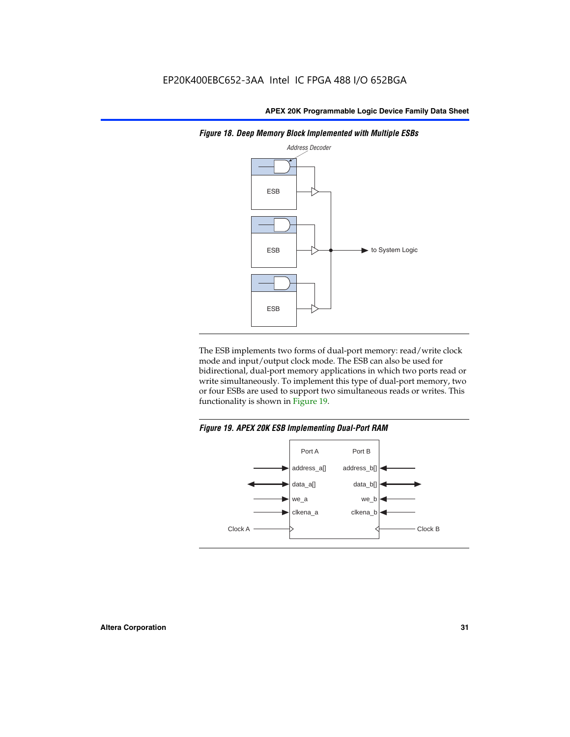

*Figure 18. Deep Memory Block Implemented with Multiple ESBs*

The ESB implements two forms of dual-port memory: read/write clock mode and input/output clock mode. The ESB can also be used for bidirectional, dual-port memory applications in which two ports read or write simultaneously. To implement this type of dual-port memory, two or four ESBs are used to support two simultaneous reads or writes. This functionality is shown in Figure 19.

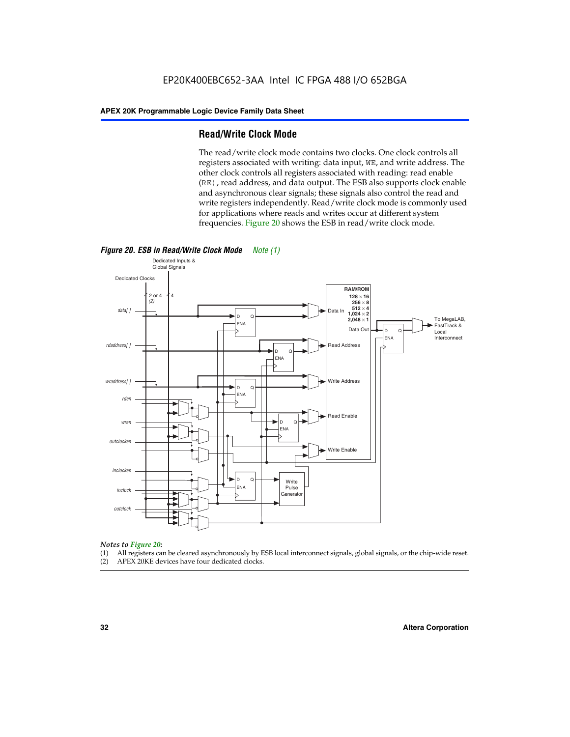#### **Read/Write Clock Mode**

The read/write clock mode contains two clocks. One clock controls all registers associated with writing: data input, WE, and write address. The other clock controls all registers associated with reading: read enable (RE), read address, and data output. The ESB also supports clock enable and asynchronous clear signals; these signals also control the read and write registers independently. Read/write clock mode is commonly used for applications where reads and writes occur at different system frequencies. Figure 20 shows the ESB in read/write clock mode.



- *Notes to Figure 20:* (1) All registers can be cleared asynchronously by ESB local interconnect signals, global signals, or the chip-wide reset.
- (2) APEX 20KE devices have four dedicated clocks.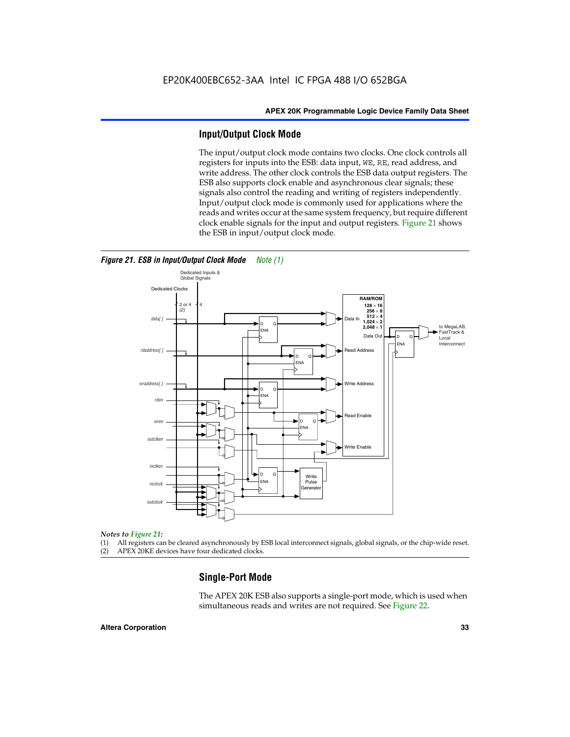#### **Input/Output Clock Mode**

The input/output clock mode contains two clocks. One clock controls all registers for inputs into the ESB: data input, WE, RE, read address, and write address. The other clock controls the ESB data output registers. The ESB also supports clock enable and asynchronous clear signals; these signals also control the reading and writing of registers independently. Input/output clock mode is commonly used for applications where the reads and writes occur at the same system frequency, but require different clock enable signals for the input and output registers. Figure 21 shows the ESB in input/output clock mode.



#### *Figure 21. ESB in Input/Output Clock Mode Note (1)*

#### *Notes to Figure 21:*

(1) All registers can be cleared asynchronously by ESB local interconnect signals, global signals, or the chip-wide reset.

(2) APEX 20KE devices have four dedicated clocks.

#### **Single-Port Mode**

The APEX 20K ESB also supports a single-port mode, which is used when simultaneous reads and writes are not required. See Figure 22.

#### **Altera Corporation 33**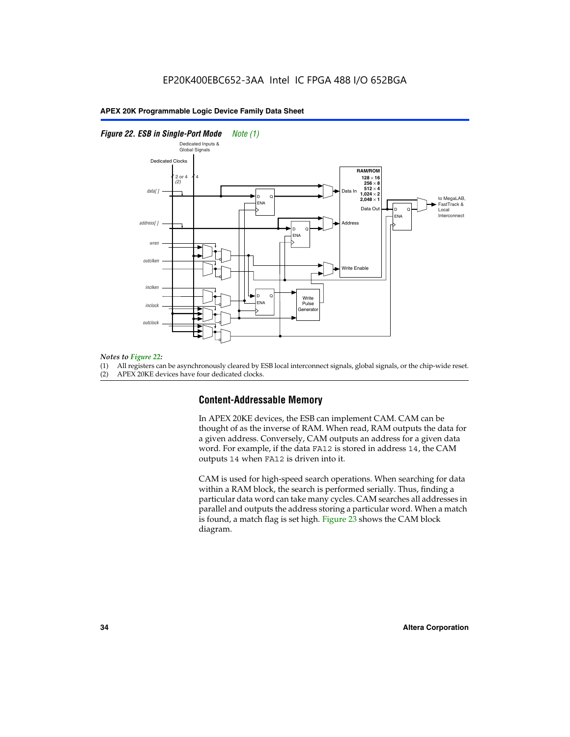#### *Figure 22. ESB in Single-Port Mode Note (1)*



#### *Notes to Figure 22:*

(1) All registers can be asynchronously cleared by ESB local interconnect signals, global signals, or the chip-wide reset.

(2) APEX 20KE devices have four dedicated clocks.

#### **Content-Addressable Memory**

In APEX 20KE devices, the ESB can implement CAM. CAM can be thought of as the inverse of RAM. When read, RAM outputs the data for a given address. Conversely, CAM outputs an address for a given data word. For example, if the data FA12 is stored in address 14, the CAM outputs 14 when FA12 is driven into it.

CAM is used for high-speed search operations. When searching for data within a RAM block, the search is performed serially. Thus, finding a particular data word can take many cycles. CAM searches all addresses in parallel and outputs the address storing a particular word. When a match is found, a match flag is set high. Figure 23 shows the CAM block diagram.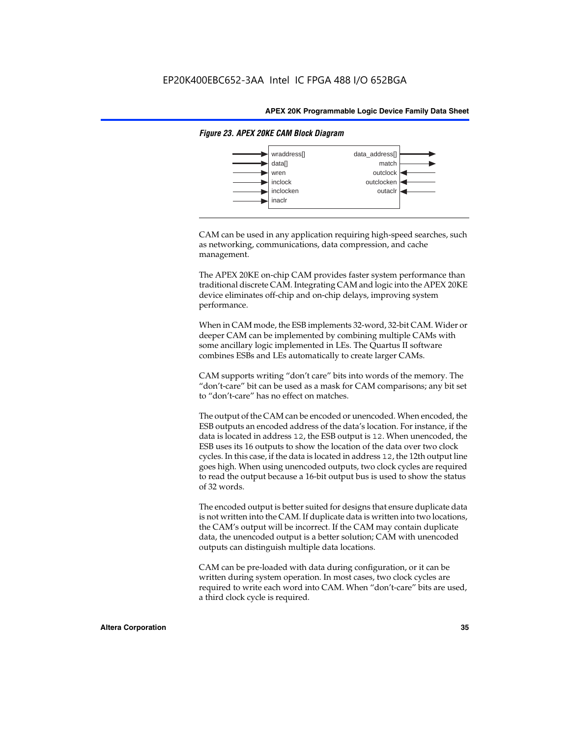

#### *Figure 23. APEX 20KE CAM Block Diagram*

CAM can be used in any application requiring high-speed searches, such as networking, communications, data compression, and cache management.

The APEX 20KE on-chip CAM provides faster system performance than traditional discrete CAM. Integrating CAM and logic into the APEX 20KE device eliminates off-chip and on-chip delays, improving system performance.

When in CAM mode, the ESB implements 32-word, 32-bit CAM. Wider or deeper CAM can be implemented by combining multiple CAMs with some ancillary logic implemented in LEs. The Quartus II software combines ESBs and LEs automatically to create larger CAMs.

CAM supports writing "don't care" bits into words of the memory. The "don't-care" bit can be used as a mask for CAM comparisons; any bit set to "don't-care" has no effect on matches.

The output of the CAM can be encoded or unencoded. When encoded, the ESB outputs an encoded address of the data's location. For instance, if the data is located in address 12, the ESB output is 12. When unencoded, the ESB uses its 16 outputs to show the location of the data over two clock cycles. In this case, if the data is located in address 12, the 12th output line goes high. When using unencoded outputs, two clock cycles are required to read the output because a 16-bit output bus is used to show the status of 32 words.

The encoded output is better suited for designs that ensure duplicate data is not written into the CAM. If duplicate data is written into two locations, the CAM's output will be incorrect. If the CAM may contain duplicate data, the unencoded output is a better solution; CAM with unencoded outputs can distinguish multiple data locations.

CAM can be pre-loaded with data during configuration, or it can be written during system operation. In most cases, two clock cycles are required to write each word into CAM. When "don't-care" bits are used, a third clock cycle is required.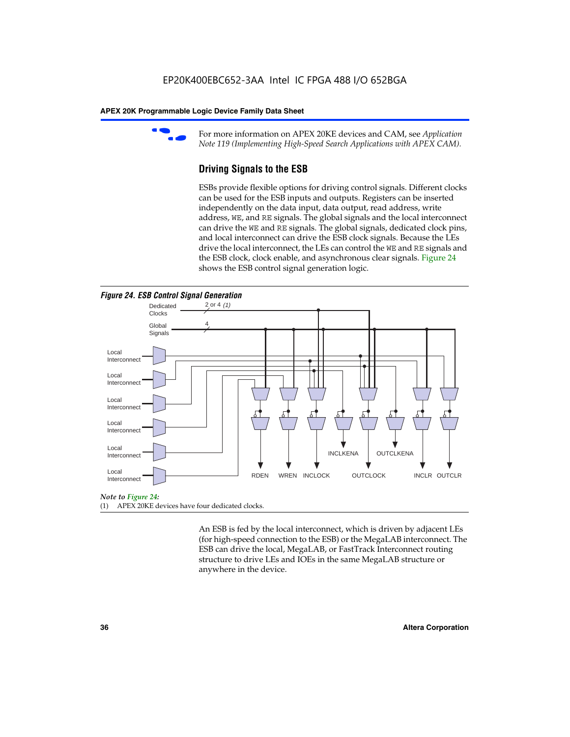

For more information on APEX 20KE devices and CAM, see *Application Note 119 (Implementing High-Speed Search Applications with APEX CAM).*

# **Driving Signals to the ESB**

ESBs provide flexible options for driving control signals. Different clocks can be used for the ESB inputs and outputs. Registers can be inserted independently on the data input, data output, read address, write address, WE, and RE signals. The global signals and the local interconnect can drive the WE and RE signals. The global signals, dedicated clock pins, and local interconnect can drive the ESB clock signals. Because the LEs drive the local interconnect, the LEs can control the WE and RE signals and the ESB clock, clock enable, and asynchronous clear signals. Figure 24 shows the ESB control signal generation logic.





#### *Note to Figure 24:*

(1) APEX 20KE devices have four dedicated clocks.

An ESB is fed by the local interconnect, which is driven by adjacent LEs (for high-speed connection to the ESB) or the MegaLAB interconnect. The ESB can drive the local, MegaLAB, or FastTrack Interconnect routing structure to drive LEs and IOEs in the same MegaLAB structure or anywhere in the device.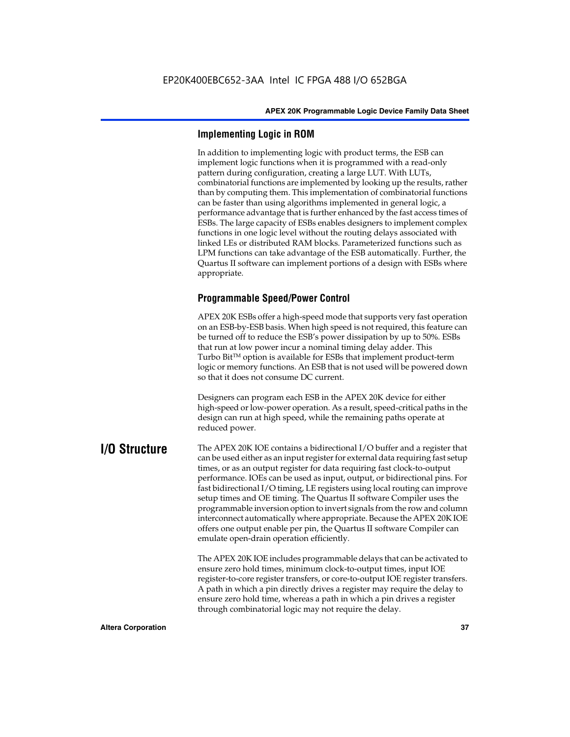# **Implementing Logic in ROM**

In addition to implementing logic with product terms, the ESB can implement logic functions when it is programmed with a read-only pattern during configuration, creating a large LUT. With LUTs, combinatorial functions are implemented by looking up the results, rather than by computing them. This implementation of combinatorial functions can be faster than using algorithms implemented in general logic, a performance advantage that is further enhanced by the fast access times of ESBs. The large capacity of ESBs enables designers to implement complex functions in one logic level without the routing delays associated with linked LEs or distributed RAM blocks. Parameterized functions such as LPM functions can take advantage of the ESB automatically. Further, the Quartus II software can implement portions of a design with ESBs where appropriate.

# **Programmable Speed/Power Control**

APEX 20K ESBs offer a high-speed mode that supports very fast operation on an ESB-by-ESB basis. When high speed is not required, this feature can be turned off to reduce the ESB's power dissipation by up to 50%. ESBs that run at low power incur a nominal timing delay adder. This Turbo  $Bit^{TM}$  option is available for ESBs that implement product-term logic or memory functions. An ESB that is not used will be powered down so that it does not consume DC current.

Designers can program each ESB in the APEX 20K device for either high-speed or low-power operation. As a result, speed-critical paths in the design can run at high speed, while the remaining paths operate at reduced power.

**I/O Structure** The APEX 20K IOE contains a bidirectional I/O buffer and a register that can be used either as an input register for external data requiring fast setup times, or as an output register for data requiring fast clock-to-output performance. IOEs can be used as input, output, or bidirectional pins. For fast bidirectional I/O timing, LE registers using local routing can improve setup times and OE timing. The Quartus II software Compiler uses the programmable inversion option to invert signals from the row and column interconnect automatically where appropriate. Because the APEX 20K IOE offers one output enable per pin, the Quartus II software Compiler can emulate open-drain operation efficiently.

> The APEX 20K IOE includes programmable delays that can be activated to ensure zero hold times, minimum clock-to-output times, input IOE register-to-core register transfers, or core-to-output IOE register transfers. A path in which a pin directly drives a register may require the delay to ensure zero hold time, whereas a path in which a pin drives a register through combinatorial logic may not require the delay.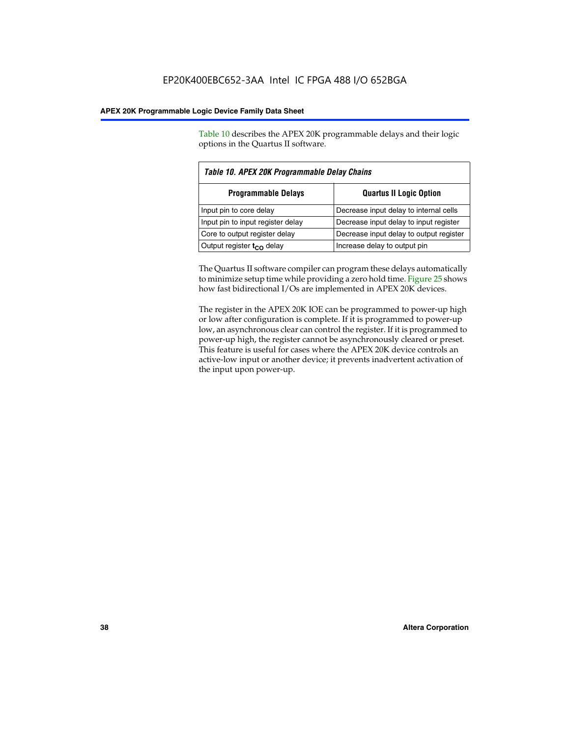Table 10 describes the APEX 20K programmable delays and their logic options in the Quartus II software.

| Table 10. APEX 20K Programmable Delay Chains                 |                                         |  |  |  |  |
|--------------------------------------------------------------|-----------------------------------------|--|--|--|--|
| <b>Quartus II Logic Option</b><br><b>Programmable Delays</b> |                                         |  |  |  |  |
| Input pin to core delay                                      | Decrease input delay to internal cells  |  |  |  |  |
| Input pin to input register delay                            | Decrease input delay to input register  |  |  |  |  |
| Core to output register delay                                | Decrease input delay to output register |  |  |  |  |
| Output register $t_{\rm CO}$ delay                           | Increase delay to output pin            |  |  |  |  |

The Quartus II software compiler can program these delays automatically to minimize setup time while providing a zero hold time. Figure 25 shows how fast bidirectional I/Os are implemented in APEX 20K devices.

The register in the APEX 20K IOE can be programmed to power-up high or low after configuration is complete. If it is programmed to power-up low, an asynchronous clear can control the register. If it is programmed to power-up high, the register cannot be asynchronously cleared or preset. This feature is useful for cases where the APEX 20K device controls an active-low input or another device; it prevents inadvertent activation of the input upon power-up.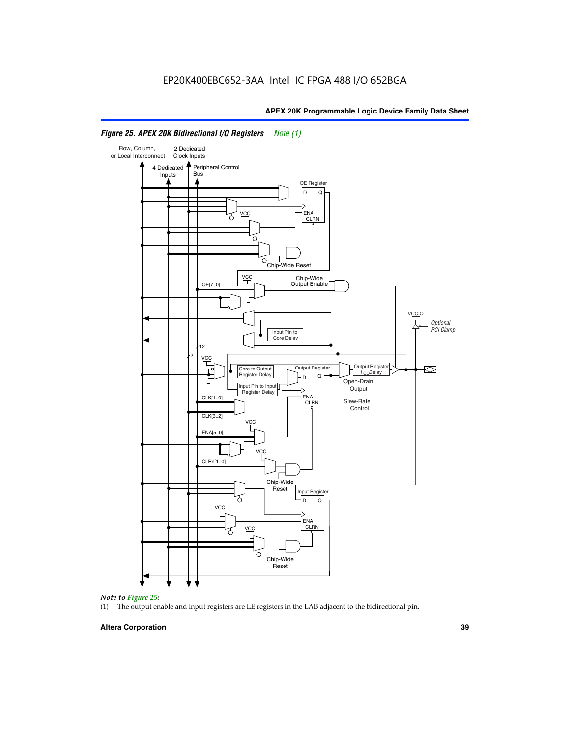

# *Figure 25. APEX 20K Bidirectional I/O Registers Note (1)*



#### **Altera Corporation 39**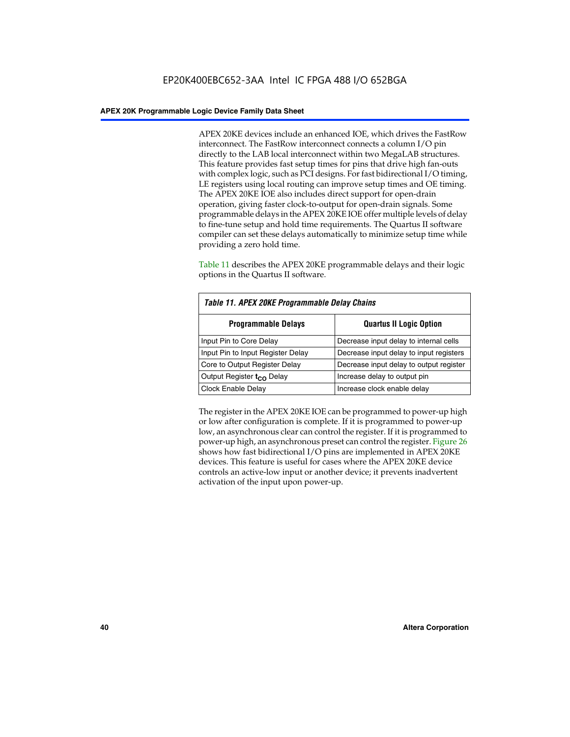APEX 20KE devices include an enhanced IOE, which drives the FastRow interconnect. The FastRow interconnect connects a column I/O pin directly to the LAB local interconnect within two MegaLAB structures. This feature provides fast setup times for pins that drive high fan-outs with complex logic, such as PCI designs. For fast bidirectional I/O timing, LE registers using local routing can improve setup times and OE timing. The APEX 20KE IOE also includes direct support for open-drain operation, giving faster clock-to-output for open-drain signals. Some programmable delays in the APEX 20KE IOE offer multiple levels of delay to fine-tune setup and hold time requirements. The Quartus II software compiler can set these delays automatically to minimize setup time while providing a zero hold time.

Table 11 describes the APEX 20KE programmable delays and their logic options in the Quartus II software.

| Table 11. APEX 20KE Programmable Delay Chains |                                         |  |  |  |
|-----------------------------------------------|-----------------------------------------|--|--|--|
| <b>Programmable Delays</b>                    | <b>Quartus II Logic Option</b>          |  |  |  |
| Input Pin to Core Delay                       | Decrease input delay to internal cells  |  |  |  |
| Input Pin to Input Register Delay             | Decrease input delay to input registers |  |  |  |
| Core to Output Register Delay                 | Decrease input delay to output register |  |  |  |
| Output Register t <sub>CO</sub> Delay         | Increase delay to output pin            |  |  |  |
| Clock Enable Delay                            | Increase clock enable delay             |  |  |  |

The register in the APEX 20KE IOE can be programmed to power-up high or low after configuration is complete. If it is programmed to power-up low, an asynchronous clear can control the register. If it is programmed to power-up high, an asynchronous preset can control the register. Figure 26 shows how fast bidirectional I/O pins are implemented in APEX 20KE devices. This feature is useful for cases where the APEX 20KE device controls an active-low input or another device; it prevents inadvertent activation of the input upon power-up.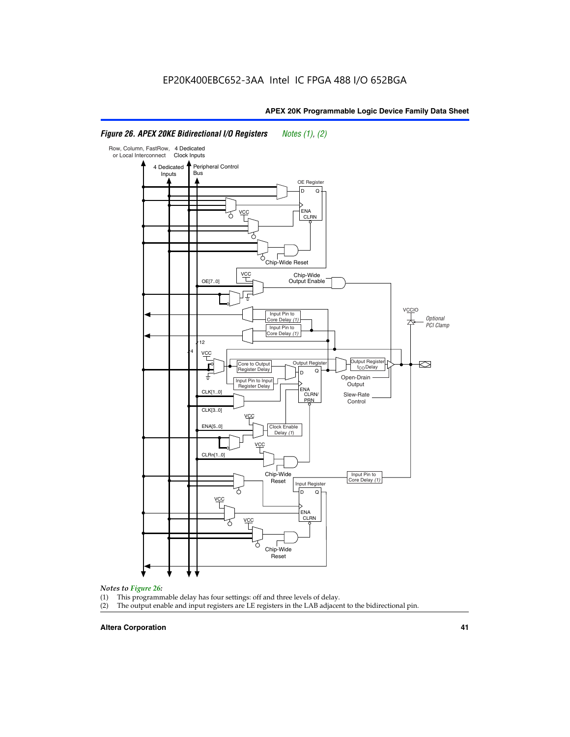# *Figure 26. APEX 20KE Bidirectional I/O Registers Notes (1), (2)*



#### *Notes to Figure 26:*

- 
- (1) This programmable delay has four settings: off and three levels of delay.<br>(2) The output enable and input registers are LE registers in the LAB adjacer The output enable and input registers are LE registers in the LAB adjacent to the bidirectional pin.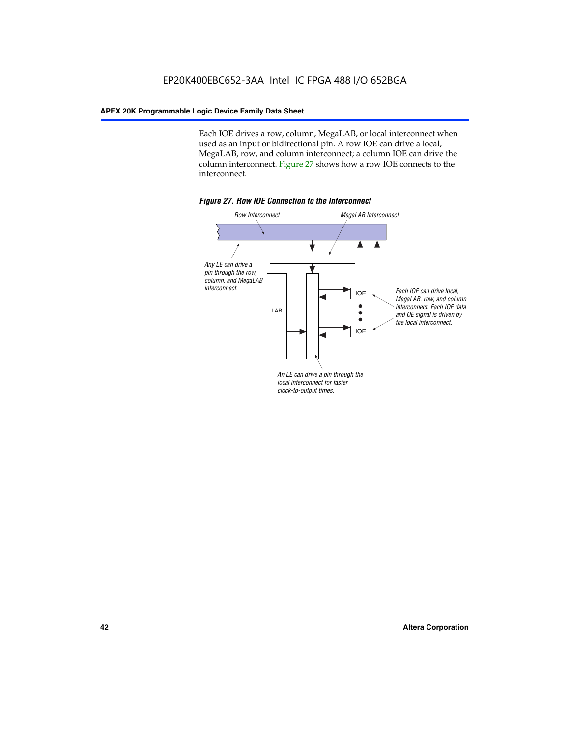Each IOE drives a row, column, MegaLAB, or local interconnect when used as an input or bidirectional pin. A row IOE can drive a local, MegaLAB, row, and column interconnect; a column IOE can drive the column interconnect. Figure 27 shows how a row IOE connects to the interconnect.

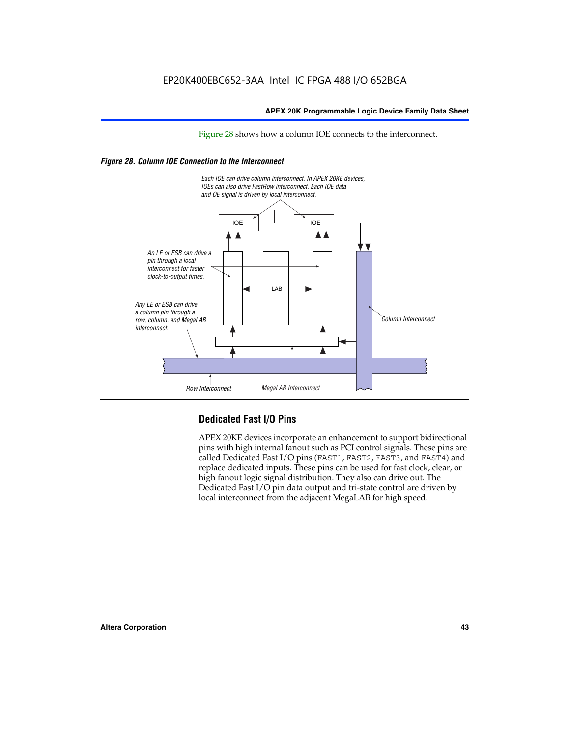Figure 28 shows how a column IOE connects to the interconnect.

# *Figure 28. Column IOE Connection to the Interconnect*



# **Dedicated Fast I/O Pins**

APEX 20KE devices incorporate an enhancement to support bidirectional pins with high internal fanout such as PCI control signals. These pins are called Dedicated Fast I/O pins (FAST1, FAST2, FAST3, and FAST4) and replace dedicated inputs. These pins can be used for fast clock, clear, or high fanout logic signal distribution. They also can drive out. The Dedicated Fast I/O pin data output and tri-state control are driven by local interconnect from the adjacent MegaLAB for high speed.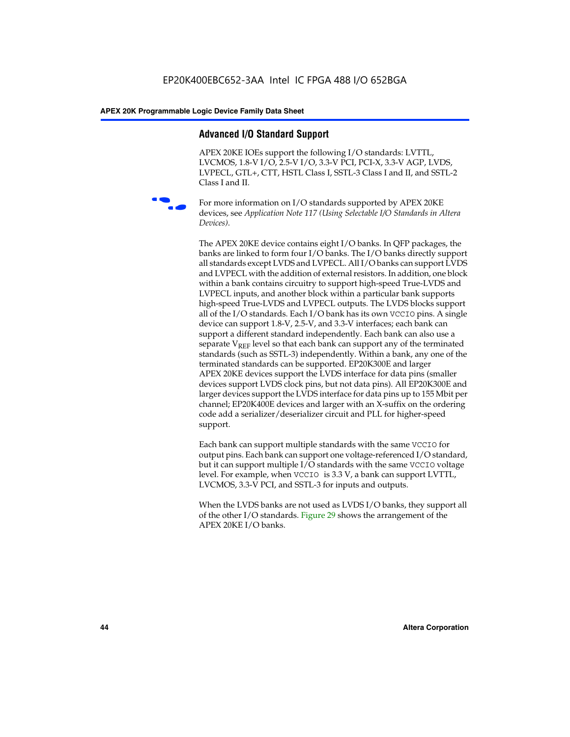# **Advanced I/O Standard Support**

APEX 20KE IOEs support the following I/O standards: LVTTL, LVCMOS, 1.8-V I/O, 2.5-V I/O, 3.3-V PCI, PCI-X, 3.3-V AGP, LVDS, LVPECL, GTL+, CTT, HSTL Class I, SSTL-3 Class I and II, and SSTL-2 Class I and II.



For more information on I/O standards supported by APEX 20KE devices, see *Application Note 117 (Using Selectable I/O Standards in Altera Devices)*.

The APEX 20KE device contains eight I/O banks. In QFP packages, the banks are linked to form four I/O banks. The I/O banks directly support all standards except LVDS and LVPECL. All I/O banks can support LVDS and LVPECL with the addition of external resistors. In addition, one block within a bank contains circuitry to support high-speed True-LVDS and LVPECL inputs, and another block within a particular bank supports high-speed True-LVDS and LVPECL outputs. The LVDS blocks support all of the I/O standards. Each I/O bank has its own VCCIO pins. A single device can support 1.8-V, 2.5-V, and 3.3-V interfaces; each bank can support a different standard independently. Each bank can also use a separate  $V_{\text{REF}}$  level so that each bank can support any of the terminated standards (such as SSTL-3) independently. Within a bank, any one of the terminated standards can be supported. EP20K300E and larger APEX 20KE devices support the LVDS interface for data pins (smaller devices support LVDS clock pins, but not data pins). All EP20K300E and larger devices support the LVDS interface for data pins up to 155 Mbit per channel; EP20K400E devices and larger with an X-suffix on the ordering code add a serializer/deserializer circuit and PLL for higher-speed support.

Each bank can support multiple standards with the same VCCIO for output pins. Each bank can support one voltage-referenced I/O standard, but it can support multiple I/O standards with the same VCCIO voltage level. For example, when VCCIO is 3.3 V, a bank can support LVTTL, LVCMOS, 3.3-V PCI, and SSTL-3 for inputs and outputs.

When the LVDS banks are not used as LVDS I/O banks, they support all of the other I/O standards. Figure 29 shows the arrangement of the APEX 20KE I/O banks.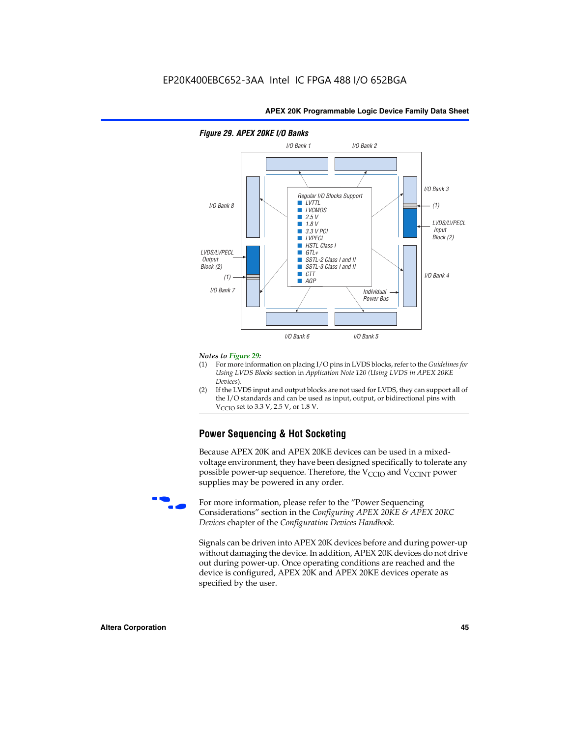

## *Figure 29. APEX 20KE I/O Banks*

#### *Notes to Figure 29:*

- (1) For more information on placing I/O pins in LVDS blocks, refer to the *Guidelines for Using LVDS Blocks* section in *Application Note 120 (Using LVDS in APEX 20KE Devices*).
- (2) If the LVDS input and output blocks are not used for LVDS, they can support all of the I/O standards and can be used as input, output, or bidirectional pins with  $V_{\text{C} \cap \text{O}}$  set to 3.3 V, 2.5 V, or 1.8 V.

# **Power Sequencing & Hot Socketing**

Because APEX 20K and APEX 20KE devices can be used in a mixedvoltage environment, they have been designed specifically to tolerate any possible power-up sequence. Therefore, the  $V_{\text{CCIO}}$  and  $V_{\text{CCINT}}$  power supplies may be powered in any order.

For more information, please refer to the "Power Sequencing Considerations" section in the *Configuring APEX 20KE & APEX 20KC Devices* chapter of the *Configuration Devices Handbook*.

Signals can be driven into APEX 20K devices before and during power-up without damaging the device. In addition, APEX 20K devices do not drive out during power-up. Once operating conditions are reached and the device is configured, APEX 20K and APEX 20KE devices operate as specified by the user.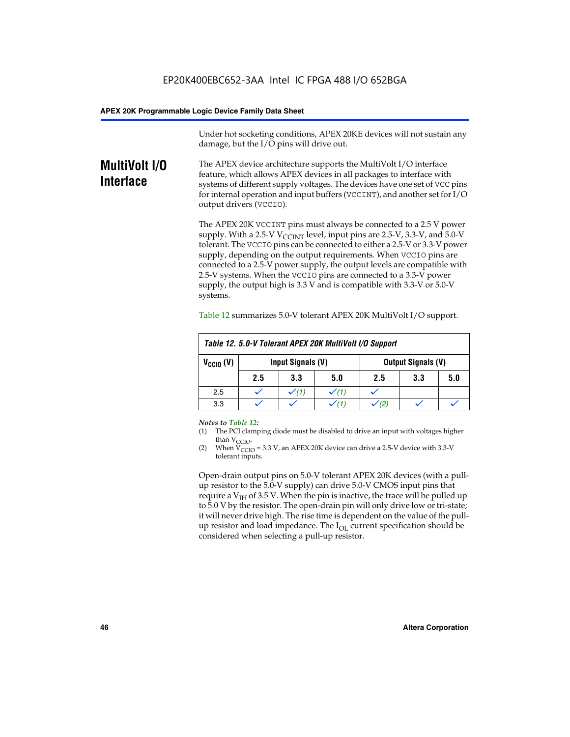Under hot socketing conditions, APEX 20KE devices will not sustain any damage, but the I/O pins will drive out.

# **MultiVolt I/O Interface**

The APEX device architecture supports the MultiVolt I/O interface feature, which allows APEX devices in all packages to interface with systems of different supply voltages. The devices have one set of VCC pins for internal operation and input buffers (VCCINT), and another set for I/O output drivers (VCCIO).

The APEX 20K VCCINT pins must always be connected to a 2.5 V power supply. With a 2.5-V  $V_{\text{CCMT}}$  level, input pins are 2.5-V, 3.3-V, and 5.0-V tolerant. The VCCIO pins can be connected to either a 2.5-V or 3.3-V power supply, depending on the output requirements. When VCCIO pins are connected to a 2.5-V power supply, the output levels are compatible with 2.5-V systems. When the VCCIO pins are connected to a 3.3-V power supply, the output high is 3.3 V and is compatible with 3.3-V or 5.0-V systems.

| Table 12. 5.0-V Tolerant APEX 20K MultiVolt I/O Support |                                                |                  |     |     |     |     |  |
|---------------------------------------------------------|------------------------------------------------|------------------|-----|-----|-----|-----|--|
| $V_{\text{CCIO}}(V)$                                    | Input Signals (V)<br><b>Output Signals (V)</b> |                  |     |     |     |     |  |
|                                                         | 2.5                                            | 3.3              | 5.0 | 2.5 | 3.3 | 5.0 |  |
| 2.5                                                     |                                                | $\checkmark$ (1) |     |     |     |     |  |
| 3.3                                                     |                                                |                  |     |     |     |     |  |

Table 12 summarizes 5.0-V tolerant APEX 20K MultiVolt I/O support.

#### *Notes to Table 12:*

- (1) The PCI clamping diode must be disabled to drive an input with voltages higher than  $V_{CCIO}$ .
- (2) When  $V_{CCIO} = 3.3 V$ , an APEX 20K device can drive a 2.5-V device with 3.3-V tolerant inputs.

Open-drain output pins on 5.0-V tolerant APEX 20K devices (with a pullup resistor to the 5.0-V supply) can drive 5.0-V CMOS input pins that require a  $V_{IH}$  of 3.5 V. When the pin is inactive, the trace will be pulled up to 5.0 V by the resistor. The open-drain pin will only drive low or tri-state; it will never drive high. The rise time is dependent on the value of the pullup resistor and load impedance. The  $I_{OI}$  current specification should be considered when selecting a pull-up resistor.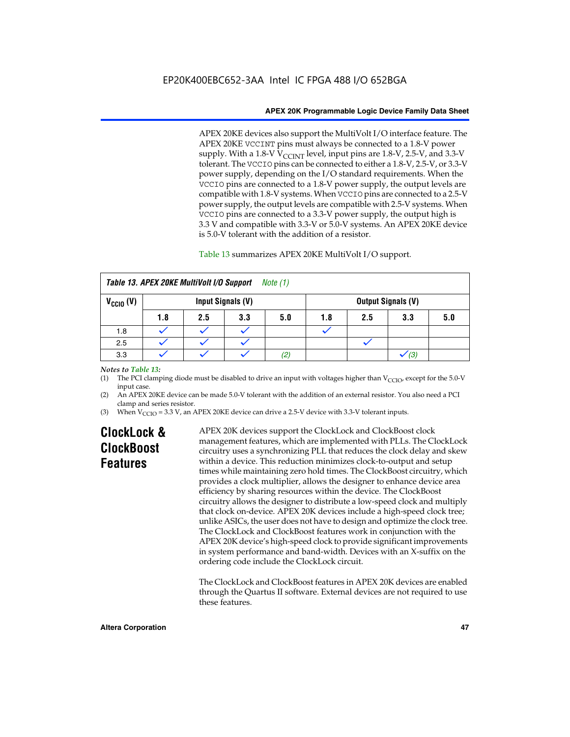APEX 20KE devices also support the MultiVolt I/O interface feature. The APEX 20KE VCCINT pins must always be connected to a 1.8-V power supply. With a 1.8-V  $V_{\text{CCINT}}$  level, input pins are 1.8-V, 2.5-V, and 3.3-V tolerant. The VCCIO pins can be connected to either a 1.8-V, 2.5-V, or 3.3-V power supply, depending on the I/O standard requirements. When the VCCIO pins are connected to a 1.8-V power supply, the output levels are compatible with 1.8-V systems. When VCCIO pins are connected to a 2.5-V power supply, the output levels are compatible with 2.5-V systems. When VCCIO pins are connected to a 3.3-V power supply, the output high is 3.3 V and compatible with 3.3-V or 5.0-V systems. An APEX 20KE device is 5.0-V tolerant with the addition of a resistor.

# Table 13 summarizes APEX 20KE MultiVolt I/O support.

| Table 13. APEX 20KE MultiVolt I/O Support<br>Note (1) |                                                |     |     |     |     |     |     |     |
|-------------------------------------------------------|------------------------------------------------|-----|-----|-----|-----|-----|-----|-----|
| $V_{\text{CCIO}}(V)$                                  | Input Signals (V)<br><b>Output Signals (V)</b> |     |     |     |     |     |     |     |
|                                                       | 1.8                                            | 2.5 | 3.3 | 5.0 | 1.8 | 2.5 | 3.3 | 5.0 |
| 1.8                                                   |                                                |     |     |     |     |     |     |     |
| 2.5                                                   |                                                |     |     |     |     |     |     |     |
| 3.3                                                   |                                                |     |     | (2) |     |     | (3) |     |

# *Notes to Table 13:*

(1) The PCI clamping diode must be disabled to drive an input with voltages higher than  $V_{CCIO}$ , except for the 5.0-V input case.

(2) An APEX 20KE device can be made 5.0-V tolerant with the addition of an external resistor. You also need a PCI clamp and series resistor.

(3) When  $V_{\text{CCIO}} = 3.3$  V, an APEX 20KE device can drive a 2.5-V device with 3.3-V tolerant inputs.

# **ClockLock & ClockBoost Features**

APEX 20K devices support the ClockLock and ClockBoost clock management features, which are implemented with PLLs. The ClockLock circuitry uses a synchronizing PLL that reduces the clock delay and skew within a device. This reduction minimizes clock-to-output and setup times while maintaining zero hold times. The ClockBoost circuitry, which provides a clock multiplier, allows the designer to enhance device area efficiency by sharing resources within the device. The ClockBoost circuitry allows the designer to distribute a low-speed clock and multiply that clock on-device. APEX 20K devices include a high-speed clock tree; unlike ASICs, the user does not have to design and optimize the clock tree. The ClockLock and ClockBoost features work in conjunction with the APEX 20K device's high-speed clock to provide significant improvements in system performance and band-width. Devices with an X-suffix on the ordering code include the ClockLock circuit.

The ClockLock and ClockBoost features in APEX 20K devices are enabled through the Quartus II software. External devices are not required to use these features.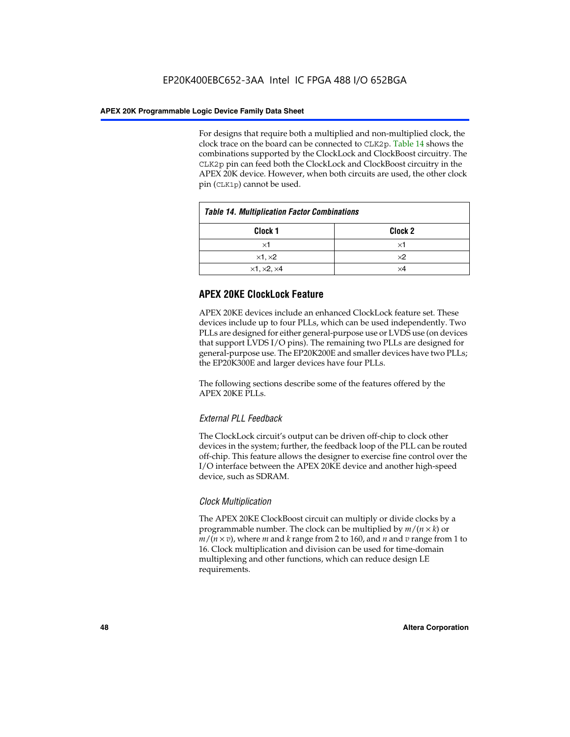For designs that require both a multiplied and non-multiplied clock, the clock trace on the board can be connected to CLK2p. Table 14 shows the combinations supported by the ClockLock and ClockBoost circuitry. The CLK2p pin can feed both the ClockLock and ClockBoost circuitry in the APEX 20K device. However, when both circuits are used, the other clock pin (CLK1p) cannot be used.

| <b>Table 14. Multiplication Factor Combinations</b> |            |  |  |  |
|-----------------------------------------------------|------------|--|--|--|
| Clock <sub>1</sub><br>Clock <sub>2</sub>            |            |  |  |  |
| ×1                                                  | ×1         |  |  |  |
| $\times$ 1, $\times$ 2                              | $\times 2$ |  |  |  |
| $\times$ 1, $\times$ 2, $\times$ 4                  | ×4         |  |  |  |

# **APEX 20KE ClockLock Feature**

APEX 20KE devices include an enhanced ClockLock feature set. These devices include up to four PLLs, which can be used independently. Two PLLs are designed for either general-purpose use or LVDS use (on devices that support LVDS I/O pins). The remaining two PLLs are designed for general-purpose use. The EP20K200E and smaller devices have two PLLs; the EP20K300E and larger devices have four PLLs.

The following sections describe some of the features offered by the APEX 20KE PLLs.

# *External PLL Feedback*

The ClockLock circuit's output can be driven off-chip to clock other devices in the system; further, the feedback loop of the PLL can be routed off-chip. This feature allows the designer to exercise fine control over the I/O interface between the APEX 20KE device and another high-speed device, such as SDRAM.

# *Clock Multiplication*

The APEX 20KE ClockBoost circuit can multiply or divide clocks by a programmable number. The clock can be multiplied by *m*/(*n* × *k*) or  $m/(n \times v)$ , where *m* and *k* range from 2 to 160, and *n* and *v* range from 1 to 16. Clock multiplication and division can be used for time-domain multiplexing and other functions, which can reduce design LE requirements.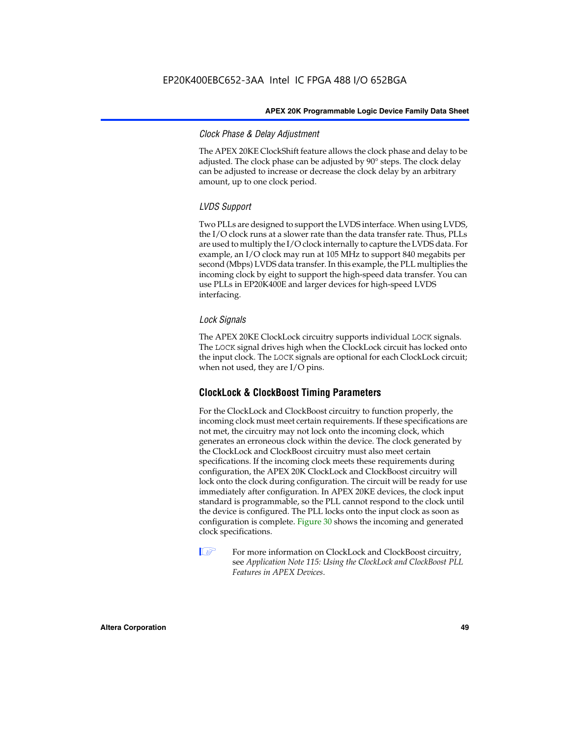# *Clock Phase & Delay Adjustment*

The APEX 20KE ClockShift feature allows the clock phase and delay to be adjusted. The clock phase can be adjusted by 90° steps. The clock delay can be adjusted to increase or decrease the clock delay by an arbitrary amount, up to one clock period.

# *LVDS Support*

Two PLLs are designed to support the LVDS interface. When using LVDS, the I/O clock runs at a slower rate than the data transfer rate. Thus, PLLs are used to multiply the I/O clock internally to capture the LVDS data. For example, an I/O clock may run at 105 MHz to support 840 megabits per second (Mbps) LVDS data transfer. In this example, the PLL multiplies the incoming clock by eight to support the high-speed data transfer. You can use PLLs in EP20K400E and larger devices for high-speed LVDS interfacing.

# *Lock Signals*

The APEX 20KE ClockLock circuitry supports individual LOCK signals. The LOCK signal drives high when the ClockLock circuit has locked onto the input clock. The LOCK signals are optional for each ClockLock circuit; when not used, they are I/O pins.

# **ClockLock & ClockBoost Timing Parameters**

For the ClockLock and ClockBoost circuitry to function properly, the incoming clock must meet certain requirements. If these specifications are not met, the circuitry may not lock onto the incoming clock, which generates an erroneous clock within the device. The clock generated by the ClockLock and ClockBoost circuitry must also meet certain specifications. If the incoming clock meets these requirements during configuration, the APEX 20K ClockLock and ClockBoost circuitry will lock onto the clock during configuration. The circuit will be ready for use immediately after configuration. In APEX 20KE devices, the clock input standard is programmable, so the PLL cannot respond to the clock until the device is configured. The PLL locks onto the input clock as soon as configuration is complete. Figure 30 shows the incoming and generated clock specifications.

 $\mathbb{I} \mathcal{F}$  For more information on ClockLock and ClockBoost circuitry, see *Application Note 115: Using the ClockLock and ClockBoost PLL Features in APEX Devices*.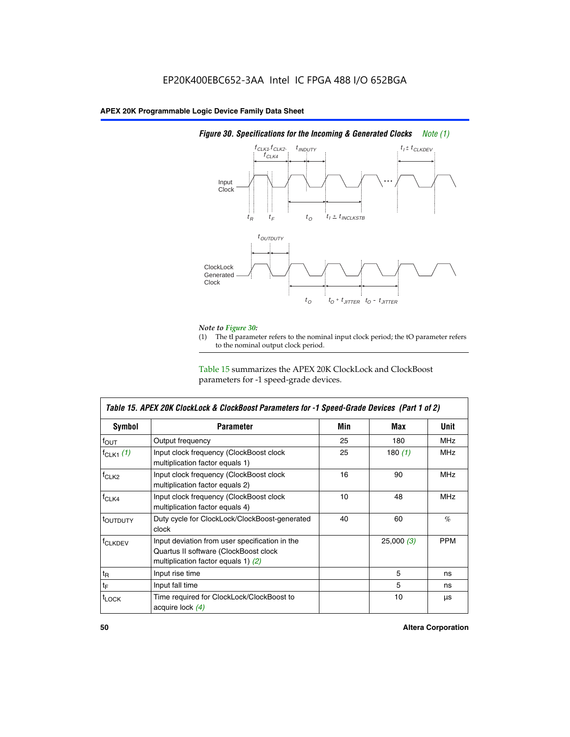

# *Figure 30. Specifications for the Incoming & Generated Clocks Note (1)*

# *Note to Figure 30:*

The tI parameter refers to the nominal input clock period; the tO parameter refers to the nominal output clock period.

Table 15 summarizes the APEX 20K ClockLock and ClockBoost parameters for -1 speed-grade devices.

| <b>Symbol</b>     | <b>Parameter</b>                                                                                                                 | Min | Max       | <b>Unit</b> |
|-------------------|----------------------------------------------------------------------------------------------------------------------------------|-----|-----------|-------------|
| $f_{OUT}$         | Output frequency                                                                                                                 | 25  | 180       | MHz         |
| $f_{CLK1}$ $(1)$  | Input clock frequency (ClockBoost clock<br>25<br>multiplication factor equals 1)                                                 |     | 180 $(1)$ | <b>MHz</b>  |
| $f_{CLK2}$        | Input clock frequency (ClockBoost clock<br>multiplication factor equals 2)                                                       | 16  | 90        | <b>MHz</b>  |
| $f_{CLK4}$        | 10<br>Input clock frequency (ClockBoost clock<br>multiplication factor equals 4)                                                 |     | 48        | <b>MHz</b>  |
| toutputy          | Duty cycle for ClockLock/ClockBoost-generated<br>clock                                                                           | 40  | 60        | %           |
| <b>f</b> CLKDEV   | Input deviation from user specification in the<br>Quartus II software (ClockBoost clock<br>multiplication factor equals 1) $(2)$ |     | 25,000(3) | <b>PPM</b>  |
| $t_{\mathsf{R}}$  | Input rise time                                                                                                                  |     | 5         | ns          |
| $t_{\mathsf{F}}$  | Input fall time                                                                                                                  |     | 5         | ns          |
| <sup>t</sup> LOCK | Time required for ClockLock/ClockBoost to<br>acquire lock (4)                                                                    |     | 10        | μs          |

 $\mathsf I$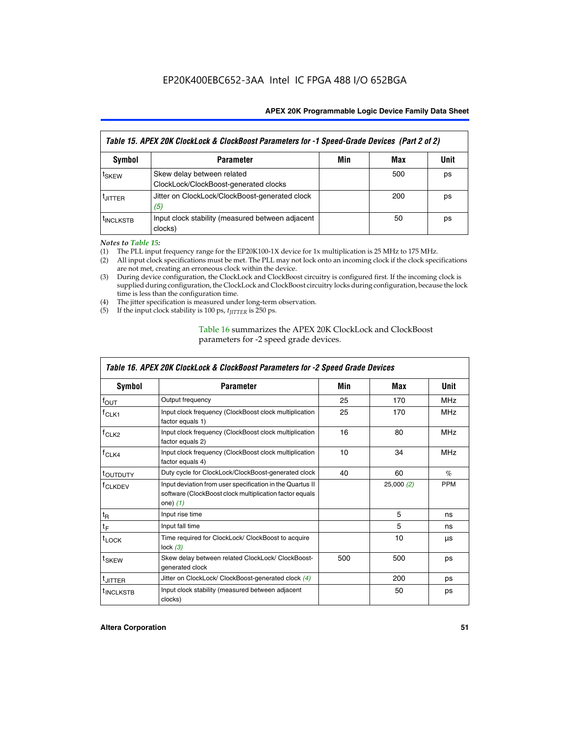| Table 15. APEX 20K ClockLock & ClockBoost Parameters for -1 Speed-Grade Devices (Part 2 of 2) |                                                                     |     |     |      |  |  |
|-----------------------------------------------------------------------------------------------|---------------------------------------------------------------------|-----|-----|------|--|--|
| <b>Symbol</b>                                                                                 | <b>Parameter</b>                                                    | Min | Max | Unit |  |  |
| t <sub>SKEW</sub>                                                                             | Skew delay between related<br>ClockLock/ClockBoost-generated clocks |     | 500 | ps   |  |  |
| <b>UITTER</b>                                                                                 | Jitter on ClockLock/ClockBoost-generated clock<br>(5)               |     | 200 | ps   |  |  |
| <b>INCLKSTB</b>                                                                               | Input clock stability (measured between adjacent<br>clocks)         |     | 50  | ps   |  |  |

*Notes to Table 15:*

- (1) The PLL input frequency range for the EP20K100-1X device for 1x multiplication is 25 MHz to 175 MHz.
- (2) All input clock specifications must be met. The PLL may not lock onto an incoming clock if the clock specifications are not met, creating an erroneous clock within the device.
- (3) During device configuration, the ClockLock and ClockBoost circuitry is configured first. If the incoming clock is supplied during configuration, the ClockLock and ClockBoost circuitry locks during configuration, because the lock time is less than the configuration time.
- (4) The jitter specification is measured under long-term observation.
- (5) If the input clock stability is 100 ps,  $t_{\text{JITTER}}$  is 250 ps.

# Table 16 summarizes the APEX 20K ClockLock and ClockBoost parameters for -2 speed grade devices.

| Symbol                | <b>Parameter</b>                                                                                                                   | Min        | Max       | Unit       |
|-----------------------|------------------------------------------------------------------------------------------------------------------------------------|------------|-----------|------------|
| $f_{\text{OUT}}$      | Output frequency                                                                                                                   | 25         | 170       | <b>MHz</b> |
| <sup>T</sup> CLK1     | Input clock frequency (ClockBoost clock multiplication<br>factor equals 1)                                                         | 25         | 170       | <b>MHz</b> |
| f <sub>CLK2</sub>     | Input clock frequency (ClockBoost clock multiplication<br>factor equals 2)                                                         | 16<br>80   |           | <b>MHz</b> |
| $f_{CLK4}$            | Input clock frequency (ClockBoost clock multiplication<br>factor equals 4)                                                         | 10         | 34        | <b>MHz</b> |
| <sup>t</sup> OUTDUTY  | Duty cycle for ClockLock/ClockBoost-generated clock                                                                                | 40         | 60        | $\%$       |
| <sup>T</sup> CLKDEV   | Input deviation from user specification in the Quartus II<br>software (ClockBoost clock multiplication factor equals<br>one) $(1)$ |            | 25,000(2) | <b>PPM</b> |
| $t_{\mathsf{R}}$      | Input rise time                                                                                                                    |            | 5         | ns         |
| $t_F$                 | Input fall time                                                                                                                    |            | 5         | ns         |
| $t_{\text{LOCK}}$     | Time required for ClockLock/ ClockBoost to acquire<br>lock $(3)$                                                                   |            | 10        | μs         |
| t <sub>SKEW</sub>     | Skew delay between related ClockLock/ ClockBoost-<br>generated clock                                                               | 500<br>500 |           | ps         |
| <sup>t</sup> JITTER   | Jitter on ClockLock/ ClockBoost-generated clock (4)                                                                                |            | 200       | ps         |
| <sup>I</sup> INCLKSTB | Input clock stability (measured between adjacent<br>clocks)                                                                        |            | 50        | ps         |

# *Table 16. APEX 20K ClockLock & ClockBoost Parameters for -2 Speed Grade Devices*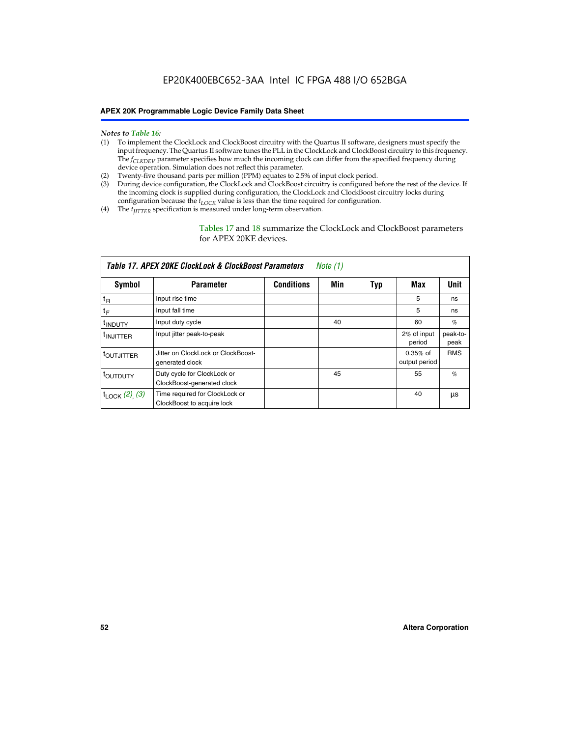- *Notes to Table 16:* (1) To implement the ClockLock and ClockBoost circuitry with the Quartus II software, designers must specify the input frequency. The Quartus II software tunes the PLL in the ClockLock and ClockBoost circuitry to this frequency. The *f<sub>CLKDEV</sub>* parameter specifies how much the incoming clock can differ from the specified frequency during device operation. Simulation does not reflect this parameter.
- (2) Twenty-five thousand parts per million (PPM) equates to 2.5% of input clock period.
- (3) During device configuration, the ClockLock and ClockBoost circuitry is configured before the rest of the device. If the incoming clock is supplied during configuration, the ClockLock and ClockBoost circuitry locks during configuration because the  $t_{LOCK}$  value is less than the time required for configuration.
- (4) The  $t_{\text{ITTTER}}$  specification is measured under long-term observation.

Tables 17 and 18 summarize the ClockLock and ClockBoost parameters for APEX 20KE devices.

| Table 17. APEX 20KE ClockLock & ClockBoost Parameters<br>Note (1) |                                                              |                   |     |     |                             |                  |  |  |
|-------------------------------------------------------------------|--------------------------------------------------------------|-------------------|-----|-----|-----------------------------|------------------|--|--|
| Symbol                                                            | <b>Parameter</b>                                             | <b>Conditions</b> | Min | Typ | Max                         | <b>Unit</b>      |  |  |
| $t_{R}$                                                           | Input rise time                                              |                   |     |     | 5                           | ns               |  |  |
| tF                                                                | Input fall time                                              |                   |     |     | 5                           | ns               |  |  |
| <sup>t</sup> INDUTY                                               | Input duty cycle                                             |                   | 40  |     | 60                          | %                |  |  |
| <sup>t</sup> INJITTER                                             | Input jitter peak-to-peak                                    |                   |     |     | 2% of input<br>period       | peak-to-<br>peak |  |  |
| <sup>t</sup> OUTJITTER                                            | Jitter on ClockLock or ClockBoost-<br>generated clock        |                   |     |     | $0.35%$ of<br>output period | <b>RMS</b>       |  |  |
| toutbuty                                                          | Duty cycle for ClockLock or<br>ClockBoost-generated clock    |                   | 45  |     | 55                          | $\%$             |  |  |
| $t_{\text{LOCK}}$ (2), (3)                                        | Time required for ClockLock or<br>ClockBoost to acquire lock |                   |     |     | 40                          | μs               |  |  |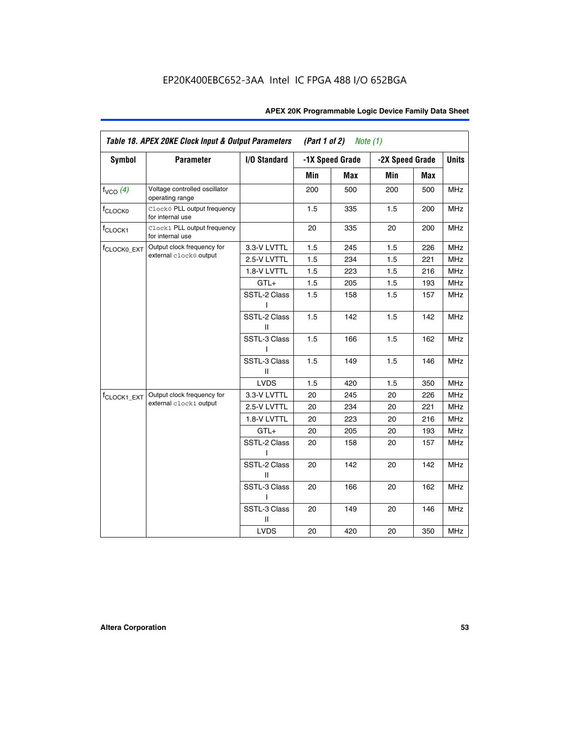| APEX 20K Programmable Logic Device Family Data Sheet |  |  |  |
|------------------------------------------------------|--|--|--|
|------------------------------------------------------|--|--|--|

|                         | Table 18. APEX 20KE Clock Input & Output Parameters |                   | (Part 1 of 2) | Note $(1)$      |                 |     |              |
|-------------------------|-----------------------------------------------------|-------------------|---------------|-----------------|-----------------|-----|--------------|
| <b>Symbol</b>           | <b>Parameter</b>                                    | I/O Standard      |               | -1X Speed Grade | -2X Speed Grade |     | <b>Units</b> |
|                         |                                                     |                   | Min           | Max             | Min             | Max |              |
| $f_{VCO}$ (4)           | Voltage controlled oscillator<br>operating range    |                   | 200           | 500             | 200             | 500 | <b>MHz</b>   |
| f <sub>CLOCK0</sub>     | Clock0 PLL output frequency<br>for internal use     |                   | 1.5           | 335             | 1.5             | 200 | <b>MHz</b>   |
| f <sub>CLOCK1</sub>     | Clock1 PLL output frequency<br>for internal use     |                   | 20            | 335             | 20              | 200 | <b>MHz</b>   |
| f <sub>CLOCK0_EXT</sub> | Output clock frequency for                          | 3.3-V LVTTL       | 1.5           | 245             | 1.5             | 226 | <b>MHz</b>   |
|                         | external clock0 output                              | 2.5-V LVTTL       | 1.5           | 234             | 1.5             | 221 | <b>MHz</b>   |
|                         |                                                     | 1.8-V LVTTL       | 1.5           | 223             | 1.5             | 216 | MHz          |
|                         |                                                     | $GTL+$            | 1.5           | 205             | 1.5             | 193 | <b>MHz</b>   |
|                         |                                                     | SSTL-2 Class      | 1.5           | 158             | 1.5             | 157 | MHz          |
|                         |                                                     | SSTL-2 Class<br>Ш | 1.5           | 142             | 1.5             | 142 | MHz          |
|                         |                                                     | SSTL-3 Class      | 1.5           | 166             | 1.5             | 162 | <b>MHz</b>   |
|                         |                                                     | SSTL-3 Class<br>Ш | 1.5           | 149             | 1.5             | 146 | <b>MHz</b>   |
|                         |                                                     | <b>LVDS</b>       | 1.5           | 420             | 1.5             | 350 | <b>MHz</b>   |
| f <sub>CLOCK1_EXT</sub> | Output clock frequency for                          | 3.3-V LVTTL       | 20            | 245             | 20              | 226 | <b>MHz</b>   |
|                         | external clock1 output                              | 2.5-V LVTTL       | 20            | 234             | 20              | 221 | <b>MHz</b>   |
|                         |                                                     | 1.8-V LVTTL       | 20            | 223             | 20              | 216 | <b>MHz</b>   |
|                         |                                                     | $GTL+$            | 20            | 205             | 20              | 193 | <b>MHz</b>   |
|                         |                                                     | SSTL-2 Class      | 20            | 158             | 20              | 157 | MHz          |
|                         |                                                     | SSTL-2 Class<br>Ш | 20            | 142             | 20              | 142 | <b>MHz</b>   |
|                         |                                                     | SSTL-3 Class<br>L | 20            | 166             | 20              | 162 | <b>MHz</b>   |
|                         |                                                     | SSTL-3 Class<br>Ш | 20            | 149             | 20              | 146 | MHz          |
|                         |                                                     | <b>LVDS</b>       | 20            | 420             | 20              | 350 | <b>MHz</b>   |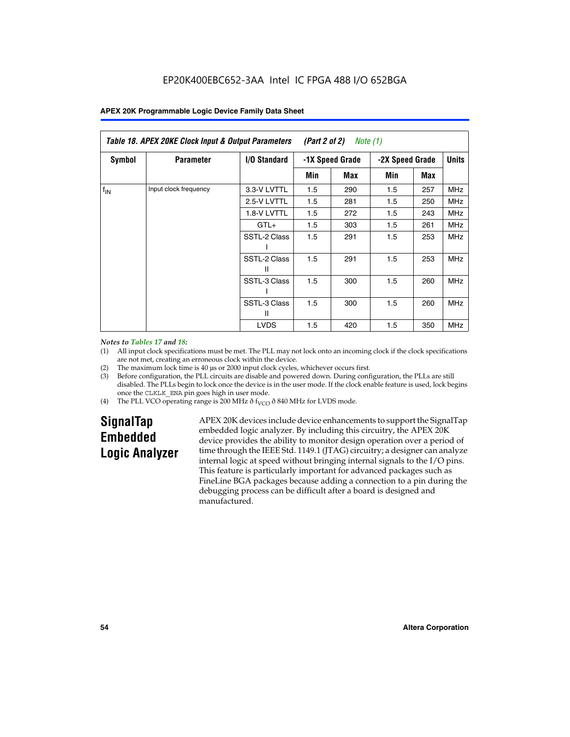|               | Table 18. APEX 20KE Clock Input & Output Parameters<br>(Part 2 of 2)<br>Note (1) |                     |                 |     |                 |     |              |  |  |  |
|---------------|----------------------------------------------------------------------------------|---------------------|-----------------|-----|-----------------|-----|--------------|--|--|--|
| <b>Symbol</b> | <b>Parameter</b>                                                                 | <b>I/O Standard</b> | -1X Speed Grade |     | -2X Speed Grade |     | <b>Units</b> |  |  |  |
|               |                                                                                  |                     | Min             | Max | Min             | Max |              |  |  |  |
| $f_{IN}$      | Input clock frequency                                                            | 3.3-V LVTTL         | 1.5             | 290 | 1.5             | 257 | <b>MHz</b>   |  |  |  |
|               |                                                                                  | 2.5-V LVTTL         | 1.5             | 281 | 1.5             | 250 | <b>MHz</b>   |  |  |  |
|               |                                                                                  | 1.8-V LVTTL         | 1.5             | 272 | 1.5             | 243 | <b>MHz</b>   |  |  |  |
|               |                                                                                  | $GTL+$              | 1.5             | 303 | 1.5             | 261 | <b>MHz</b>   |  |  |  |
|               |                                                                                  | SSTL-2 Class        | 1.5             | 291 | 1.5             | 253 | <b>MHz</b>   |  |  |  |
|               |                                                                                  | SSTL-2 Class<br>Ш   | 1.5             | 291 | 1.5             | 253 | <b>MHz</b>   |  |  |  |
|               |                                                                                  | SSTL-3 Class        | 1.5             | 300 | 1.5             | 260 | <b>MHz</b>   |  |  |  |
|               |                                                                                  | SSTL-3 Class<br>Ш   | 1.5             | 300 | 1.5             | 260 | <b>MHz</b>   |  |  |  |
|               |                                                                                  | <b>LVDS</b>         | 1.5             | 420 | 1.5             | 350 | <b>MHz</b>   |  |  |  |

### *Notes to Tables 17 and 18:*

(1) All input clock specifications must be met. The PLL may not lock onto an incoming clock if the clock specifications are not met, creating an erroneous clock within the device.

- (2) The maximum lock time is 40 µs or 2000 input clock cycles, whichever occurs first.
- (3) Before configuration, the PLL circuits are disable and powered down. During configuration, the PLLs are still disabled. The PLLs begin to lock once the device is in the user mode. If the clock enable feature is used, lock begins once the CLKLK\_ENA pin goes high in user mode.
- (4) The PLL VCO operating range is 200 MHz  $\eth$  f<sub>VCO</sub>  $\eth$  840 MHz for LVDS mode.

# **SignalTap Embedded Logic Analyzer**

APEX 20K devices include device enhancements to support the SignalTap embedded logic analyzer. By including this circuitry, the APEX 20K device provides the ability to monitor design operation over a period of time through the IEEE Std. 1149.1 (JTAG) circuitry; a designer can analyze internal logic at speed without bringing internal signals to the I/O pins. This feature is particularly important for advanced packages such as FineLine BGA packages because adding a connection to a pin during the debugging process can be difficult after a board is designed and manufactured.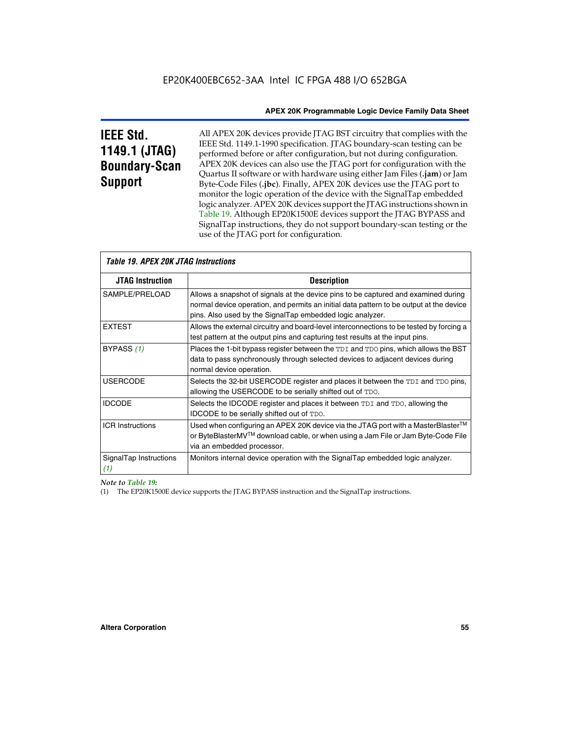# **IEEE Std. 1149.1 (JTAG) Boundary-Scan Support**

All APEX 20K devices provide JTAG BST circuitry that complies with the IEEE Std. 1149.1-1990 specification. JTAG boundary-scan testing can be performed before or after configuration, but not during configuration. APEX 20K devices can also use the JTAG port for configuration with the Quartus II software or with hardware using either Jam Files (**.jam**) or Jam Byte-Code Files (**.jbc**). Finally, APEX 20K devices use the JTAG port to monitor the logic operation of the device with the SignalTap embedded logic analyzer. APEX 20K devices support the JTAG instructions shown in Table 19. Although EP20K1500E devices support the JTAG BYPASS and SignalTap instructions, they do not support boundary-scan testing or the use of the JTAG port for configuration.

| <i><b>Table 19. APEX 20K JTAG Instructions</b></i> |                                                                                                                                                                                                                                            |  |  |
|----------------------------------------------------|--------------------------------------------------------------------------------------------------------------------------------------------------------------------------------------------------------------------------------------------|--|--|
| <b>JTAG Instruction</b>                            | <b>Description</b>                                                                                                                                                                                                                         |  |  |
| SAMPLE/PRELOAD                                     | Allows a snapshot of signals at the device pins to be captured and examined during<br>normal device operation, and permits an initial data pattern to be output at the device<br>pins. Also used by the SignalTap embedded logic analyzer. |  |  |
| <b>EXTEST</b>                                      | Allows the external circuitry and board-level interconnections to be tested by forcing a<br>test pattern at the output pins and capturing test results at the input pins.                                                                  |  |  |
| BYPASS (1)                                         | Places the 1-bit bypass register between the TDI and TDO pins, which allows the BST<br>data to pass synchronously through selected devices to adjacent devices during<br>normal device operation.                                          |  |  |
| <b>USERCODE</b>                                    | Selects the 32-bit USERCODE register and places it between the TDI and TDO pins,<br>allowing the USERCODE to be serially shifted out of TDO.                                                                                               |  |  |
| <b>IDCODE</b>                                      | Selects the IDCODE register and places it between TDI and TDO, allowing the<br>IDCODE to be serially shifted out of TDO.                                                                                                                   |  |  |
| <b>ICR Instructions</b>                            | Used when configuring an APEX 20K device via the JTAG port with a MasterBlaster™<br>or ByteBlasterMV™ download cable, or when using a Jam File or Jam Byte-Code File<br>via an embedded processor.                                         |  |  |
| SignalTap Instructions<br>(1)                      | Monitors internal device operation with the SignalTap embedded logic analyzer.                                                                                                                                                             |  |  |

 $\overline{\phantom{a}}$ 

# *Note to Table 19:*

(1) The EP20K1500E device supports the JTAG BYPASS instruction and the SignalTap instructions.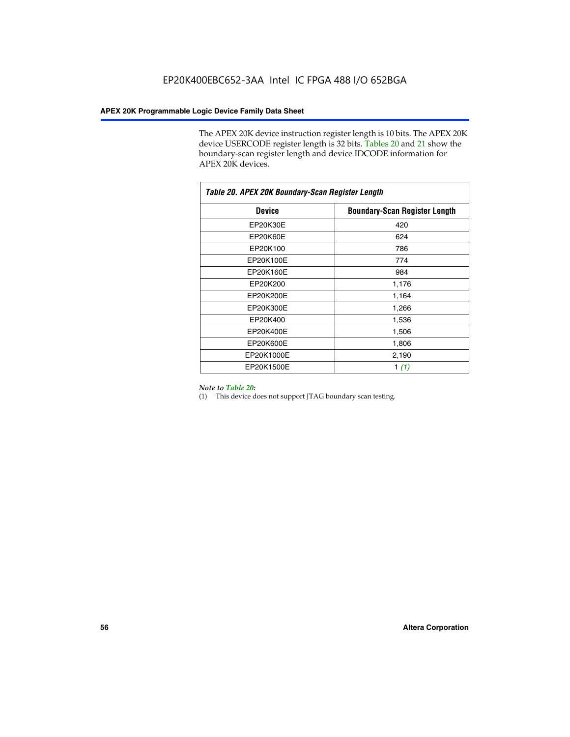The APEX 20K device instruction register length is 10 bits. The APEX 20K device USERCODE register length is 32 bits. Tables 20 and 21 show the boundary-scan register length and device IDCODE information for APEX 20K devices.

| Table 20. APEX 20K Boundary-Scan Register Length |                                      |  |  |  |
|--------------------------------------------------|--------------------------------------|--|--|--|
| <b>Device</b>                                    | <b>Boundary-Scan Register Length</b> |  |  |  |
| EP20K30E                                         | 420                                  |  |  |  |
| <b>EP20K60E</b>                                  | 624                                  |  |  |  |
| EP20K100                                         | 786                                  |  |  |  |
| EP20K100E                                        | 774                                  |  |  |  |
| EP20K160E                                        | 984                                  |  |  |  |
| EP20K200                                         | 1,176                                |  |  |  |
| EP20K200E                                        | 1,164                                |  |  |  |
| EP20K300E                                        | 1,266                                |  |  |  |
| EP20K400                                         | 1,536                                |  |  |  |
| EP20K400E                                        | 1,506                                |  |  |  |
| EP20K600E                                        | 1,806                                |  |  |  |
| EP20K1000E                                       | 2,190                                |  |  |  |
| EP20K1500E                                       | 1 $(1)$                              |  |  |  |

#### *Note to Table 20:*

(1) This device does not support JTAG boundary scan testing.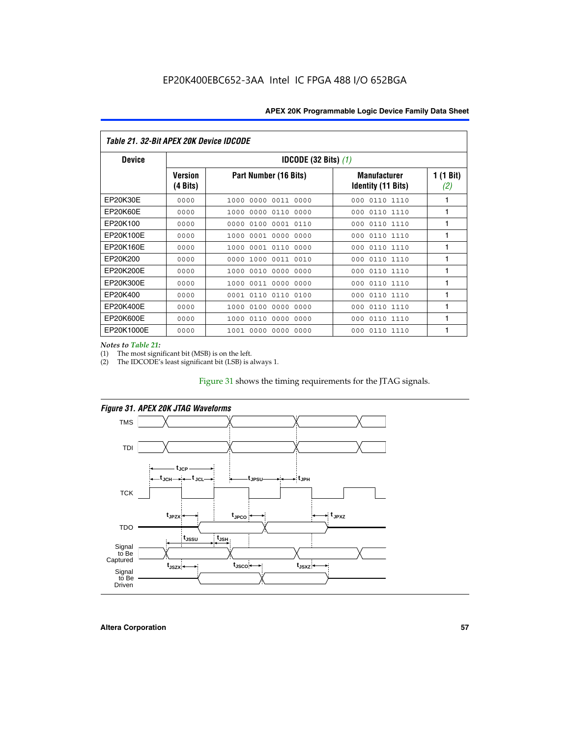| Table 21. 32-Bit APEX 20K Device IDCODE |                            |                                          |                                           |                  |  |  |
|-----------------------------------------|----------------------------|------------------------------------------|-------------------------------------------|------------------|--|--|
| <b>Device</b>                           |                            | <b>IDCODE (32 Bits) <math>(1)</math></b> |                                           |                  |  |  |
|                                         | <b>Version</b><br>(4 Bits) | Part Number (16 Bits)                    | <b>Manufacturer</b><br>Identity (11 Bits) | 1 (1 Bit)<br>(2) |  |  |
| EP20K30E                                | 0000                       | 0000 0011 0000<br>1000                   | 0110 1110<br>000                          | 1                |  |  |
| EP20K60E                                | 0000                       | 0000<br>0110<br>0000<br>1000             | 0110 1110<br>000                          | 1                |  |  |
| EP20K100                                | 0000                       | 0000<br>0100<br>0001 0110                | 000<br>0110 1110                          | 1                |  |  |
| EP20K100E                               | 0000                       | 0001 0000<br>0000<br>1000                | 0110 1110<br>000                          | 1                |  |  |
| EP20K160E                               | 0000                       | 0001 0110<br>0000<br>1000                | 0110 1110<br>000                          | 1                |  |  |
| EP20K200                                | 0000                       | 0000<br>1000<br>0011 0010                | 0110 1110<br>000                          | 1                |  |  |
| EP20K200E                               | 0000                       | 0010<br>0000<br>0000<br>1000             | 0110 1110<br>000                          | 1                |  |  |
| EP20K300E                               | 0000                       | 0011 0000 0000<br>1000                   | 0110 1110<br>000                          | 1                |  |  |
| EP20K400                                | 0000                       | 0110<br>0110<br>0100<br>0001             | 0110 1110<br>000                          | 1                |  |  |
| EP20K400E                               | 0000                       | 0100<br>0000<br>0000<br>1000             | 0110 1110<br>000                          | 1                |  |  |
| EP20K600E                               | 0000                       | 0110<br>0000<br>0000<br>1000             | 0110 1110<br>000                          | 1                |  |  |
| EP20K1000E                              | 0000                       | 0000<br>0000<br>0000<br>1001             | 000<br>0110 1110                          | 1                |  |  |

*Notes to Table 21:*

The most significant bit (MSB) is on the left.

(2) The IDCODE's least significant bit (LSB) is always 1.

# Figure 31 shows the timing requirements for the JTAG signals.



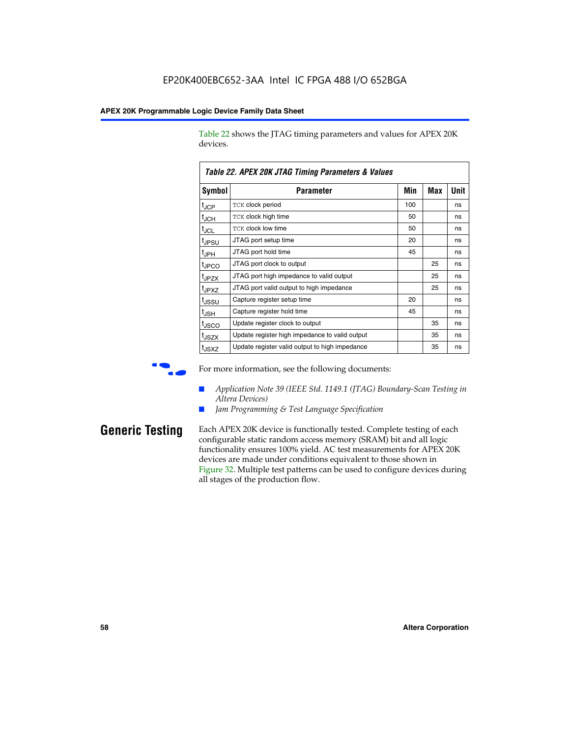Table 22 shows the JTAG timing parameters and values for APEX 20K devices.

|                   | TADIG LL. AF LA LUN JTAU THIIHIY FAIAHIGIGIS & VAIUGS |     |     |      |
|-------------------|-------------------------------------------------------|-----|-----|------|
| Symbol            | Parameter                                             | Min | Max | Unit |
| $t_{JCP}$         | <b>TCK clock period</b>                               | 100 |     | ns   |
| $t_{\text{JCH}}$  | TCK clock high time                                   | 50  |     | ns   |
| $t_{JCL}$         | TCK clock low time                                    | 50  |     | ns   |
| t <sub>JPSU</sub> | JTAG port setup time                                  | 20  |     | ns   |
| $t_{\rm JPH}$     | JTAG port hold time                                   | 45  |     | ns   |
| <sup>t</sup> JPCO | JTAG port clock to output                             |     | 25  | ns   |
| t <sub>JPZX</sub> | JTAG port high impedance to valid output              |     | 25  | ns   |
| t <sub>JPXZ</sub> | JTAG port valid output to high impedance              |     | 25  | ns   |
| tussu             | Capture register setup time                           | 20  |     | ns   |
| $t_{\rm JSH}$     | Capture register hold time                            | 45  |     | ns   |
| t <sub>JSCO</sub> | Update register clock to output                       |     | 35  | ns   |
| t <sub>JSZX</sub> | Update register high impedance to valid output        |     | 35  | ns   |
| t <sub>JSXZ</sub> | Update register valid output to high impedance        |     | 35  | ns   |

*Table 22. APEX 20K JTAG Timing Parameters & Values*

For more information, see the following documents:

- *Application Note 39 (IEEE Std. 1149.1 (JTAG) Boundary-Scan Testing in Altera Devices)*
- Jam Programming & Test Language Specification

**Generic Testing** Each APEX 20K device is functionally tested. Complete testing of each configurable static random access memory (SRAM) bit and all logic functionality ensures 100% yield. AC test measurements for APEX 20K devices are made under conditions equivalent to those shown in Figure 32. Multiple test patterns can be used to configure devices during all stages of the production flow.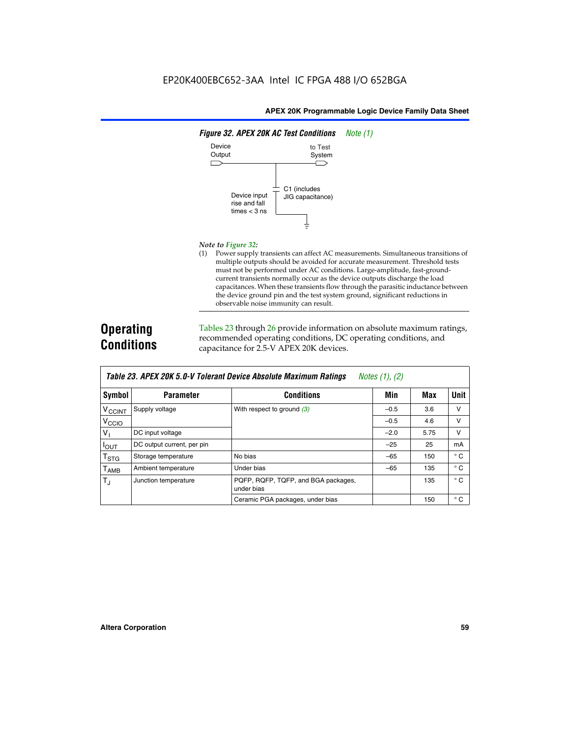

#### *Note to Figure 32:*

(1) Power supply transients can affect AC measurements. Simultaneous transitions of multiple outputs should be avoided for accurate measurement. Threshold tests must not be performed under AC conditions. Large-amplitude, fast-groundcurrent transients normally occur as the device outputs discharge the load capacitances. When these transients flow through the parasitic inductance between the device ground pin and the test system ground, significant reductions in observable noise immunity can result.

# **Operating Conditions**

Tables 23 through 26 provide information on absolute maximum ratings, recommended operating conditions, DC operating conditions, and capacitance for 2.5-V APEX 20K devices.

|                           | TUDIO LO: TH LA LOR 0.0 T TUIUIUM DUTIUU HUUUMIU MUAMMUM HUUMIYU<br>$110100 + 11, 141$ |                                                   |        |      |              |  |  |  |
|---------------------------|----------------------------------------------------------------------------------------|---------------------------------------------------|--------|------|--------------|--|--|--|
| Symbol                    | <b>Parameter</b>                                                                       | <b>Conditions</b>                                 | Min    | Max  | <b>Unit</b>  |  |  |  |
| <b>V<sub>CCINT</sub></b>  | Supply voltage                                                                         | With respect to ground $(3)$                      | $-0.5$ | 3.6  | v            |  |  |  |
| V <sub>CCIO</sub>         |                                                                                        |                                                   | $-0.5$ | 4.6  | $\vee$       |  |  |  |
| $V_{1}$                   | DC input voltage                                                                       |                                                   | $-2.0$ | 5.75 | v            |  |  |  |
| $I_{\text{OUT}}$          | DC output current, per pin                                                             |                                                   | $-25$  | 25   | mA           |  |  |  |
| $\mathsf{T}_{\text{STG}}$ | Storage temperature                                                                    | No bias                                           | $-65$  | 150  | $^{\circ}$ C |  |  |  |
| Т <sub>АМВ</sub>          | Ambient temperature                                                                    | Under bias                                        | $-65$  | 135  | $^{\circ}$ C |  |  |  |
| $T_{\rm J}$               | Junction temperature                                                                   | PQFP, RQFP, TQFP, and BGA packages,<br>under bias |        | 135  | $^{\circ}$ C |  |  |  |
|                           |                                                                                        | Ceramic PGA packages, under bias                  |        | 150  | $^{\circ}$ C |  |  |  |

| Table 23. APEX 20K 5.0-V Tolerant Device Absolute Maximum Ratings $Notes (1), (2)$ |  |  |
|------------------------------------------------------------------------------------|--|--|
|------------------------------------------------------------------------------------|--|--|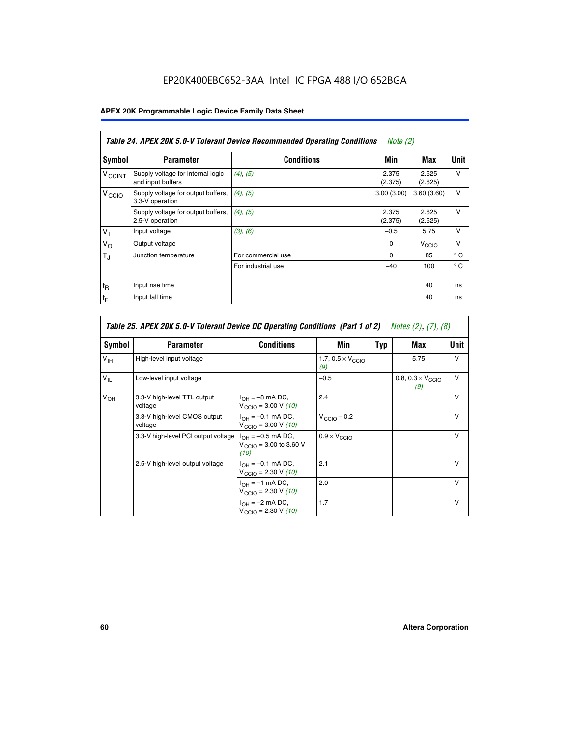# EP20K400EBC652-3AA Intel IC FPGA 488 I/O 652BGA

# **APEX 20K Programmable Logic Device Family Data Sheet**

| Table 24. APEX 20K 5.0-V Tolerant Device Recommended Operating Conditions<br><i>Note</i> $(2)$ |                                                        |                    |                  |                  |              |
|------------------------------------------------------------------------------------------------|--------------------------------------------------------|--------------------|------------------|------------------|--------------|
| Symbol                                                                                         | <b>Parameter</b>                                       | <b>Conditions</b>  | Min              | Max              | <b>Unit</b>  |
| <b>V<sub>CCINT</sub></b>                                                                       | Supply voltage for internal logic<br>and input buffers | $(4)$ , $(5)$      | 2.375<br>(2.375) | 2.625<br>(2.625) | $\vee$       |
| V <sub>CCIO</sub>                                                                              | Supply voltage for output buffers,<br>3.3-V operation  | (4), (5)           | 3.00(3.00)       | 3.60(3.60)       | $\vee$       |
|                                                                                                | Supply voltage for output buffers,<br>2.5-V operation  | (4), (5)           | 2.375<br>(2.375) | 2.625<br>(2.625) | $\vee$       |
| $V_1$                                                                                          | Input voltage                                          | (3), (6)           | $-0.5$           | 5.75             | $\vee$       |
| $V_{\rm O}$                                                                                    | Output voltage                                         |                    | $\Omega$         | V <sub>CCO</sub> | $\vee$       |
| $T_{\rm J}$                                                                                    | Junction temperature                                   | For commercial use | 0                | 85               | $^{\circ}$ C |
|                                                                                                |                                                        | For industrial use | $-40$            | 100              | $^{\circ}$ C |
| $t_{R}$                                                                                        | Input rise time                                        |                    |                  | 40               | ns           |
| $t_{\mathsf{F}}$                                                                               | Input fall time                                        |                    |                  | 40               | ns           |

|                 | Table 25. APEX 20K 5.0-V Tolerant Device DC Operating Conditions (Part 1 of 2) Notes (2), (7), (8) |                                                                      |                                          |     |                                          |              |  |  |
|-----------------|----------------------------------------------------------------------------------------------------|----------------------------------------------------------------------|------------------------------------------|-----|------------------------------------------|--------------|--|--|
| Symbol          | <b>Parameter</b>                                                                                   | <b>Conditions</b>                                                    | Min                                      | Typ | Max                                      | Unit         |  |  |
| $V_{\text{IH}}$ | High-level input voltage                                                                           |                                                                      | 1.7, $0.5 \times V_{\text{CCIO}}$<br>(9) |     | 5.75                                     | $\vee$       |  |  |
| $V_{IL}$        | Low-level input voltage                                                                            |                                                                      | $-0.5$                                   |     | 0.8, $0.3 \times V_{\text{CCIO}}$<br>(9) | v            |  |  |
| $V_{OH}$        | 3.3-V high-level TTL output<br>voltage                                                             | $I_{OH} = -8$ mA DC,<br>$V_{\text{CCIO}} = 3.00 V (10)$              | 2.4                                      |     |                                          | $\mathsf{v}$ |  |  |
|                 | 3.3-V high-level CMOS output<br>voltage                                                            | $I_{OH} = -0.1$ mA DC,<br>$V_{\text{CCIO}} = 3.00 V (10)$            | $V_{\text{CCIO}} - 0.2$                  |     |                                          | $\mathsf{V}$ |  |  |
|                 | 3.3-V high-level PCI output voltage                                                                | $I_{OH} = -0.5$ mA DC,<br>$V_{\text{CCIO}} = 3.00$ to 3.60 V<br>(10) | $0.9 \times V_{\text{CCIO}}$             |     |                                          | v            |  |  |
|                 | 2.5-V high-level output voltage                                                                    | $I_{OH} = -0.1$ mA DC,<br>$V_{\text{CCIO}} = 2.30 V (10)$            | 2.1                                      |     |                                          | $\mathsf{V}$ |  |  |
|                 |                                                                                                    | $I_{OH} = -1$ mA DC,<br>$V_{\text{CCIO}} = 2.30 V (10)$              | 2.0                                      |     |                                          | $\vee$       |  |  |
|                 |                                                                                                    | $I_{OH} = -2$ mA DC,<br>$V_{\text{CCIO}} = 2.30 V (10)$              | 1.7                                      |     |                                          | $\mathsf{V}$ |  |  |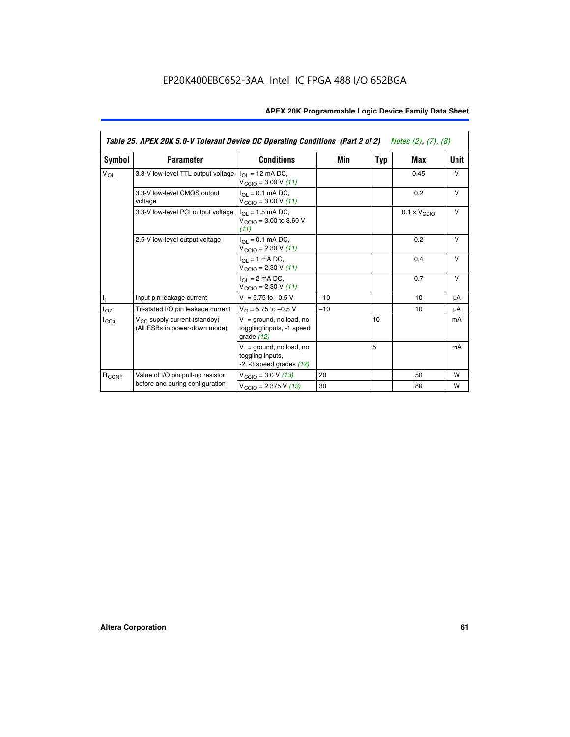|                                             | Table 25. APEX 20K 5.0-V Tolerant Device DC Operating Conditions (Part 2 of 2) Notes (2), (7), (8) |                                                                                    |       |     |                              |        |  |  |
|---------------------------------------------|----------------------------------------------------------------------------------------------------|------------------------------------------------------------------------------------|-------|-----|------------------------------|--------|--|--|
| Symbol                                      | <b>Parameter</b>                                                                                   | <b>Conditions</b>                                                                  | Min   | Typ | Max                          | Unit   |  |  |
| $V_{OL}$                                    | 3.3-V low-level TTL output voltage                                                                 | $I_{\Omega}$ = 12 mA DC,<br>$V_{\text{CCIO}} = 3.00 V (11)$                        |       |     | 0.45                         | $\vee$ |  |  |
|                                             | 3.3-V low-level CMOS output<br>voltage                                                             | $I_{\Omega I} = 0.1$ mA DC,<br>$V_{\text{CCIO}} = 3.00 V (11)$                     |       |     | 0.2                          | $\vee$ |  |  |
|                                             | 3.3-V low-level PCI output voltage                                                                 | $I_{\Omega}$ = 1.5 mA DC,<br>$V_{\text{CCIO}} = 3.00$ to 3.60 V<br>(11)            |       |     | $0.1 \times V_{\text{CCLO}}$ | $\vee$ |  |  |
|                                             | 2.5-V low-level output voltage                                                                     | $I_{\Omega I} = 0.1$ mA DC,<br>$V_{\text{CCIO}} = 2.30 V (11)$                     |       |     | 0.2<br>0.4                   | v      |  |  |
| h,<br>$I_{OZ}$<br>ICCO<br>R <sub>CONF</sub> |                                                                                                    | $I_{\Omega}$ = 1 mA DC,<br>$V_{\text{CCIO}} = 2.30 V (11)$                         |       |     |                              | $\vee$ |  |  |
|                                             |                                                                                                    | $I_{\Omega}$ = 2 mA DC,<br>$V_{\text{CCIO}} = 2.30 V (11)$                         |       |     | 0.7                          | $\vee$ |  |  |
|                                             | Input pin leakage current                                                                          | $V_1 = 5.75$ to $-0.5$ V                                                           | $-10$ |     | 10                           | μA     |  |  |
|                                             | Tri-stated I/O pin leakage current                                                                 | $V_O = 5.75$ to $-0.5$ V                                                           | $-10$ |     | 10                           | μA     |  |  |
|                                             | $V_{CC}$ supply current (standby)<br>(All ESBs in power-down mode)                                 | $V_1$ = ground, no load, no<br>toggling inputs, -1 speed<br>grade $(12)$           |       | 10  |                              | mA     |  |  |
|                                             |                                                                                                    | $V_1$ = ground, no load, no<br>toggling inputs,<br>$-2$ , $-3$ speed grades $(12)$ |       | 5   |                              | mA     |  |  |
|                                             | Value of I/O pin pull-up resistor                                                                  | $V_{\text{CCIO}} = 3.0 V (13)$                                                     | 20    |     | 50                           | W      |  |  |
|                                             | before and during configuration                                                                    | $V_{\text{CCIO}} = 2.375 \text{ V} (13)$                                           | 30    |     | 80                           | W      |  |  |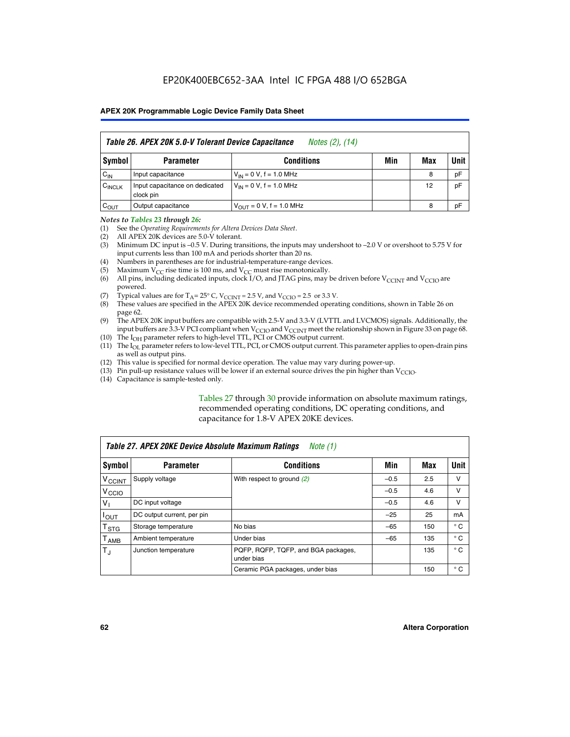| Table 26. APEX 20K 5.0-V Tolerant Device Capacitance<br>Notes (2), (14) |                                             |                                      |     |     |      |  |
|-------------------------------------------------------------------------|---------------------------------------------|--------------------------------------|-----|-----|------|--|
| Symbol                                                                  | <b>Parameter</b>                            | <b>Conditions</b>                    | Min | Max | Unit |  |
| $C_{IN}$                                                                | Input capacitance                           | $V_{IN} = 0 V$ , f = 1.0 MHz         |     | 8   | pF   |  |
| $C_{\text{INCLK}}$                                                      | Input capacitance on dedicated<br>clock pin | $V_{IN} = 0 V$ , f = 1.0 MHz         |     | 12  | pF   |  |
| $C_{OUT}$                                                               | Output capacitance                          | $V_{\text{OUT}} = 0 V$ , f = 1.0 MHz |     | 8   | рF   |  |

#### *Notes to Tables 23 through 26:*

- (1) See the *Operating Requirements for Altera Devices Data Sheet*.
- (2) All APEX 20K devices are 5.0-V tolerant.
- (3) Minimum DC input is –0.5 V. During transitions, the inputs may undershoot to –2.0 V or overshoot to 5.75 V for input currents less than 100 mA and periods shorter than 20 ns.
- (4) Numbers in parentheses are for industrial-temperature-range devices.
- (5) Maximum  $V_{CC}$  rise time is 100 ms, and  $V_{CC}$  must rise monotonically.<br>(6) All pins, including dedicated inputs, clock I/O, and JTAG pins, may b
- All pins, including dedicated inputs, clock I/O, and JTAG pins, may be driven before  $V_{\text{CCINT}}$  and  $V_{\text{CCIO}}$  are powered.
- (7) Typical values are for  $T_A = 25^\circ$  C, V<sub>CCINT</sub> = 2.5 V, and V<sub>CCIO</sub> = 2.5 or 3.3 V.<br>(8) These values are specified in the APEX 20K device recommended operat
- These values are specified in the APEX 20K device recommended operating conditions, shown in Table 26 on page 62.
- (9) The APEX 20K input buffers are compatible with 2.5-V and 3.3-V (LVTTL and LVCMOS) signals. Additionally, the input buffers are 3.3-V PCI compliant when  $V_{\text{CCIO}}$  and  $V_{\text{CCINI}}$  meet the relationship shown in Figure 33 on page 68.
- (10) The  $I<sub>OH</sub>$  parameter refers to high-level TTL, PCI or CMOS output current.
- (11) The I<sub>OL</sub> parameter refers to low-level TTL, PCI, or CMOS output current. This parameter applies to open-drain pins as well as output pins.
- (12) This value is specified for normal device operation. The value may vary during power-up.
- (13) Pin pull-up resistance values will be lower if an external source drives the pin higher than  $V_{\text{CCIO}}$ .
- (14) Capacitance is sample-tested only.

Tables 27 through 30 provide information on absolute maximum ratings, recommended operating conditions, DC operating conditions, and capacitance for 1.8-V APEX 20KE devices.

|                             | Table 27. APEX 20KE Device Absolute Maximum Ratings<br>Note (1) |                                                   |        |     |              |  |  |
|-----------------------------|-----------------------------------------------------------------|---------------------------------------------------|--------|-----|--------------|--|--|
| Symbol                      | <b>Parameter</b>                                                | <b>Conditions</b>                                 | Min    | Max | Unit         |  |  |
| $V_{\text{CCINT}}$          | Supply voltage                                                  | With respect to ground (2)                        | $-0.5$ | 2.5 | v            |  |  |
| V <sub>CCIO</sub>           |                                                                 |                                                   | $-0.5$ | 4.6 | v            |  |  |
| $V_{1}$                     | DC input voltage                                                |                                                   | $-0.5$ | 4.6 | $\vee$       |  |  |
| $I_{OUT}$                   | DC output current, per pin                                      |                                                   | $-25$  | 25  | mA           |  |  |
| $\mathsf{T}_{\texttt{STG}}$ | Storage temperature                                             | No bias                                           | $-65$  | 150 | $^{\circ}$ C |  |  |
| Т <sub>АМВ</sub>            | Ambient temperature                                             | Under bias                                        | $-65$  | 135 | $^{\circ}$ C |  |  |
| $\mathsf{T}_{\text{d}}$     | Junction temperature                                            | PQFP, RQFP, TQFP, and BGA packages,<br>under bias |        | 135 | $^{\circ}$ C |  |  |
|                             |                                                                 | Ceramic PGA packages, under bias                  |        | 150 | $^{\circ}$ C |  |  |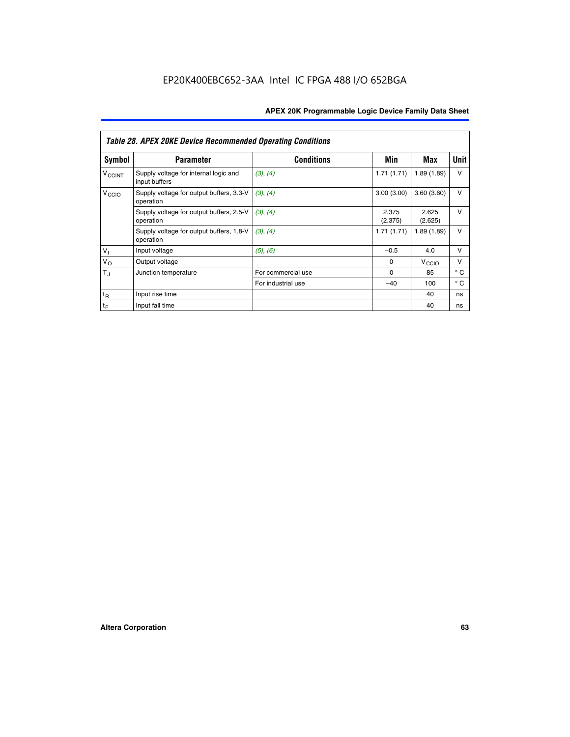|                             | <b>Table 28. APEX 20KE Device Recommended Operating Conditions</b> |                    |                  |                   |              |
|-----------------------------|--------------------------------------------------------------------|--------------------|------------------|-------------------|--------------|
| <b>Symbol</b>               | <b>Parameter</b>                                                   | <b>Conditions</b>  | Min              | Max               | <b>Unit</b>  |
| <b>V<sub>CCINT</sub></b>    | Supply voltage for internal logic and<br>input buffers             | (3), (4)           | 1.71(1.71)       | 1.89(1.89)        | $\vee$       |
| V <sub>CCIO</sub>           | Supply voltage for output buffers, 3.3-V<br>operation              | (3), (4)           | 3.00(3.00)       | 3.60(3.60)        | $\vee$       |
|                             | Supply voltage for output buffers, 2.5-V<br>operation              | (3), (4)           | 2.375<br>(2.375) | 2.625<br>(2.625)  | $\vee$       |
|                             | Supply voltage for output buffers, 1.8-V<br>operation              | (3), (4)           | 1.71(1.71)       | 1.89(1.89)        | $\vee$       |
| $V_1$                       | Input voltage                                                      | (5), (6)           | $-0.5$           | 4.0               | $\vee$       |
| $V_{\rm O}$                 | Output voltage                                                     |                    | $\Omega$         | V <sub>CCIO</sub> | v            |
| $T_{\rm J}$                 | Junction temperature                                               | For commercial use | $\Omega$         | 85                | $^{\circ}$ C |
|                             |                                                                    | For industrial use | $-40$            | 100               | $^{\circ}$ C |
| $t_{R}$                     | Input rise time                                                    |                    |                  | 40                | ns           |
| $\mathfrak{t}_{\mathsf{F}}$ | Input fall time                                                    |                    |                  | 40                | ns           |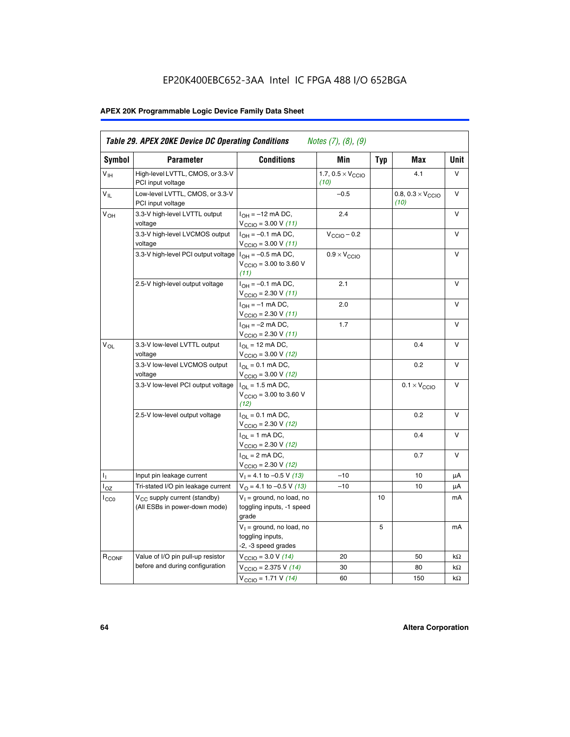# EP20K400EBC652-3AA Intel IC FPGA 488 I/O 652BGA

# **APEX 20K Programmable Logic Device Family Data Sheet**

| Symbol                     | <b>Parameter</b>                                                   | <b>Conditions</b>                                                         | Min                                       | <b>Typ</b> | Max                                       | Unit      |
|----------------------------|--------------------------------------------------------------------|---------------------------------------------------------------------------|-------------------------------------------|------------|-------------------------------------------|-----------|
| $V_{\text{IH}}$            | High-level LVTTL, CMOS, or 3.3-V<br>PCI input voltage              |                                                                           | 1.7, $0.5 \times V_{\text{CCIO}}$<br>(10) |            | 4.1                                       | V         |
| $\mathsf{V}_{\mathsf{IL}}$ | Low-level LVTTL, CMOS, or 3.3-V<br>PCI input voltage               |                                                                           | $-0.5$                                    |            | 0.8, $0.3 \times V_{\text{CCIO}}$<br>(10) | $\vee$    |
| $V_{OH}$                   | 3.3-V high-level LVTTL output<br>voltage                           | $I_{OH} = -12$ mA DC,<br>$V_{\text{CCIO}} = 3.00 V (11)$                  | 2.4                                       |            |                                           | v         |
|                            | 3.3-V high-level LVCMOS output<br>voltage                          | $I_{OH} = -0.1$ mA DC,<br>$V_{\text{CCIO}} = 3.00 \text{ V} (11)$         | $V_{\text{CCIO}} - 0.2$                   |            |                                           | v         |
|                            | 3.3-V high-level PCI output voltage $ I_{OH} = -0.5$ mA DC,        | $V_{\text{CGIO}} = 3.00$ to 3.60 V<br>(11)                                | $0.9 \times V_{\text{CCIO}}$              |            |                                           | v         |
|                            | 2.5-V high-level output voltage                                    | $I_{OH} = -0.1$ mA DC,<br>$V_{\text{CCIO}} = 2.30 V (11)$                 | 2.1                                       |            |                                           | ν         |
|                            |                                                                    | $I_{OH} = -1$ mA DC,<br>$V_{\text{CCIO}} = 2.30 V (11)$                   | 2.0                                       |            |                                           | V         |
|                            |                                                                    | $I_{OH} = -2$ mA DC,<br>$V_{\text{CCIO}} = 2.30 V (11)$                   | 1.7                                       |            |                                           | v         |
| $V_{\Omega}$               | 3.3-V low-level LVTTL output<br>voltage                            | $I_{OL}$ = 12 mA DC,<br>$V_{\text{CCIO}} = 3.00 \text{ V} (12)$           |                                           |            | 0.4                                       | v         |
|                            | 3.3-V low-level LVCMOS output<br>voltage                           | $I_{\Omega} = 0.1$ mA DC,<br>$V_{\text{CCIO}} = 3.00 V (12)$              |                                           |            | 0.2                                       | $\vee$    |
|                            | 3.3-V low-level PCI output voltage                                 | $I_{\Omega I}$ = 1.5 mA DC,<br>$V_{\text{CGIO}} = 3.00$ to 3.60 V<br>(12) |                                           |            | $0.1 \times V_{\text{CCIO}}$              | v         |
|                            | 2.5-V low-level output voltage                                     | $I_{\Omega} = 0.1$ mA DC,<br>$V_{\text{CCIO}}$ = 2.30 V (12)              |                                           |            | 0.2                                       | v         |
|                            |                                                                    | $I_{\Omega}$ = 1 mA DC,<br>$V_{\text{CCIO}}$ = 2.30 V (12)                |                                           |            | 0.4                                       | $\vee$    |
|                            |                                                                    | $I_{\Omega}$ = 2 mA DC,<br>$V_{\text{CCIO}} = 2.30 V (12)$                |                                           |            | 0.7                                       | $\vee$    |
| ъ,                         | Input pin leakage current                                          | $V_1 = 4.1$ to -0.5 V (13)                                                | $-10$                                     |            | 10                                        | μA        |
| $I_{OZ}$                   | Tri-stated I/O pin leakage current                                 | $V_{\Omega}$ = 4.1 to -0.5 V (13)                                         | $-10$                                     |            | 10                                        | μA        |
| $I_{CC0}$                  | $V_{CC}$ supply current (standby)<br>(All ESBs in power-down mode) | $V_1$ = ground, no load, no<br>toggling inputs, -1 speed<br>grade         |                                           | 10         |                                           | mA        |
|                            |                                                                    | $V_1$ = ground, no load, no<br>toggling inputs,<br>-2, -3 speed grades    |                                           | 5          |                                           | mA        |
| R <sub>CONF</sub>          | Value of I/O pin pull-up resistor                                  | $V_{\text{CCIO}} = 3.0 V (14)$                                            | 20                                        |            | 50                                        | $k\Omega$ |
|                            | before and during configuration                                    | $V_{\text{CGIO}} = 2.375 V (14)$                                          | 30                                        |            | 80                                        | kΩ        |
|                            |                                                                    | $V_{\text{CCIO}} = 1.71 V (14)$                                           | 60                                        |            | 150                                       | $k\Omega$ |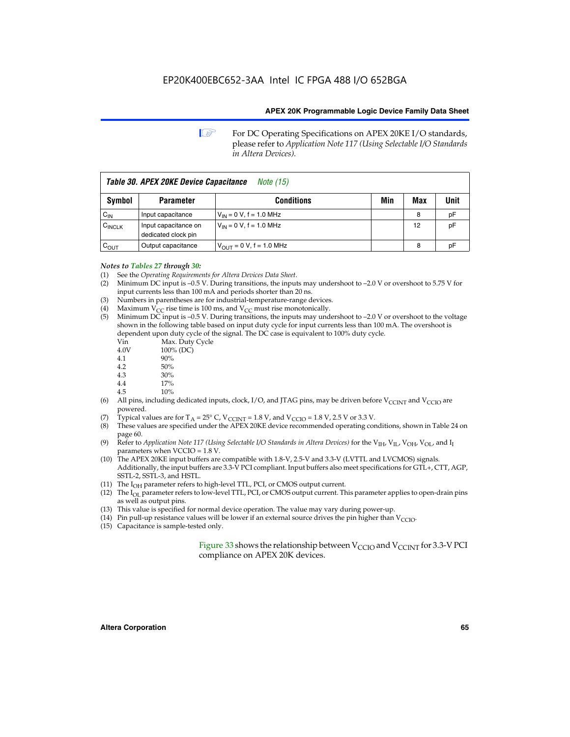**1 For DC Operating Specifications on APEX 20KE I/O standards,** please refer to *Application Note 117 (Using Selectable I/O Standards in Altera Devices).*

| Table 30. APEX 20KE Device Capacitance<br><i>Note</i> (15) |                                             |                               |     |     |      |  |  |
|------------------------------------------------------------|---------------------------------------------|-------------------------------|-----|-----|------|--|--|
| Symbol                                                     | <b>Parameter</b>                            | <b>Conditions</b>             | Min | Max | Unit |  |  |
| $C_{IN}$                                                   | Input capacitance                           | $V_{IN} = 0 V$ , f = 1.0 MHz  |     | 8   | pF   |  |  |
| $C_{\text{INCLK}}$                                         | Input capacitance on<br>dedicated clock pin | $V_{IN} = 0 V$ , f = 1.0 MHz  |     | 12  | pF   |  |  |
| $C_{\text{OUT}}$                                           | Output capacitance                          | $V_{OUT} = 0 V$ , f = 1.0 MHz |     | 8   | рF   |  |  |

- *Notes to Tables 27 through 30:* (1) See the *Operating Requirements for Altera Devices Data Sheet*.
- (2) Minimum DC input is –0.5 V. During transitions, the inputs may undershoot to –2.0 V or overshoot to 5.75 V for input currents less than 100 mA and periods shorter than 20 ns.
- (3) Numbers in parentheses are for industrial-temperature-range devices.
- (4) Maximum  $V_{CC}$  rise time is 100 ms, and  $V_{CC}$  must rise monotonically.<br>(5) Minimum DC input is -0.5 V. During transitions, the inputs may und
- Minimum DC input is  $-0.5$  V. During transitions, the inputs may undershoot to  $-2.0$  V or overshoot to the voltage shown in the following table based on input duty cycle for input currents less than 100 mA. The overshoot is dependent upon duty cycle of the signal. The DC case is equivalent to 100% duty cycle.

| Vin  | Max. Duty Cycle |
|------|-----------------|
| 4.0V | 100% (DC)       |
| 4.1  | 90%             |
| 4.2  | 50%             |
| 4.3  | 30%             |
|      |                 |

- 4.4  $17\%$ <br>4.5  $10\%$
- 10%
- (6) All pins, including dedicated inputs, clock, I/O, and JTAG pins, may be driven before  $V_{\text{CCINT}}$  and  $V_{\text{CCIO}}$  are powered.
- (7) Typical values are for  $T_A = 25^\circ$  C, V<sub>CCINT</sub> = 1.8 V, and V<sub>CCIO</sub> = 1.8 V, 2.5 V or 3.3 V.
- (8) These values are specified under the APEX 20KE device recommended operating conditions, shown in Table 24 on page 60.
- (9) Refer to *Application Note 117 (Using Selectable I/O Standards in Altera Devices)* for the V<sub>IH</sub>, V<sub>IL</sub>, V<sub>OH</sub>, V<sub>OL</sub>, and I<sub>I</sub> parameters when VCCIO = 1.8 V.
- (10) The APEX 20KE input buffers are compatible with 1.8-V, 2.5-V and 3.3-V (LVTTL and LVCMOS) signals. Additionally, the input buffers are 3.3-V PCI compliant. Input buffers also meet specifications for GTL+, CTT, AGP, SSTL-2, SSTL-3, and HSTL.
- (11) The  $I_{OH}$  parameter refers to high-level TTL, PCI, or CMOS output current.
- (12) The I<sub>OL</sub> parameter refers to low-level TTL, PCI, or CMOS output current. This parameter applies to open-drain pins as well as output pins.
- (13) This value is specified for normal device operation. The value may vary during power-up.
- (14) Pin pull-up resistance values will be lower if an external source drives the pin higher than  $V_{CCIO}$ .
- (15) Capacitance is sample-tested only.

Figure 33 shows the relationship between  $V_{\text{CCIO}}$  and  $V_{\text{CCINT}}$  for 3.3-V PCI compliance on APEX 20K devices.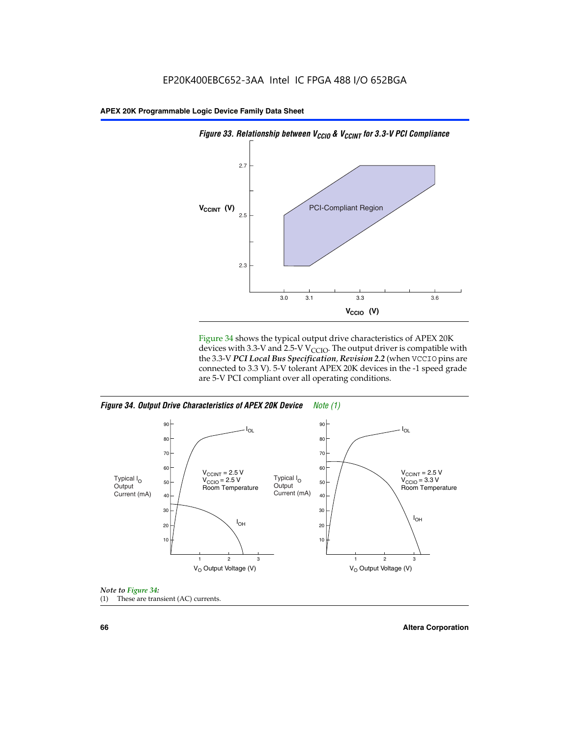

Figure 34 shows the typical output drive characteristics of APEX 20K devices with 3.3-V and 2.5-V V<sub>CCIO</sub>. The output driver is compatible with the 3.3-V *PCI Local Bus Specification, Revision 2.2* (when VCCIO pins are connected to 3.3 V). 5-V tolerant APEX 20K devices in the -1 speed grade are 5-V PCI compliant over all operating conditions.







**66 Altera Corporation**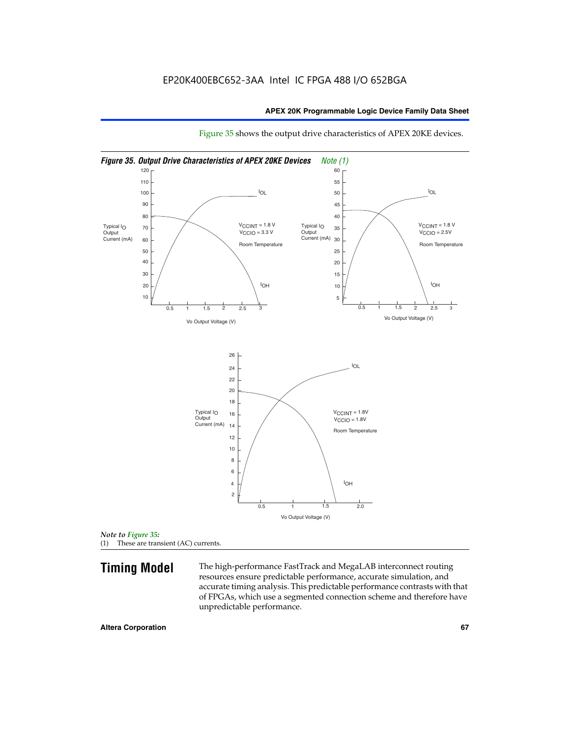

Figure 35 shows the output drive characteristics of APEX 20KE devices.

*Note to Figure 35:* (1) These are transient (AC) currents.

**Timing Model** The high-performance FastTrack and MegaLAB interconnect routing resources ensure predictable performance, accurate simulation, and accurate timing analysis. This predictable performance contrasts with that of FPGAs, which use a segmented connection scheme and therefore have unpredictable performance.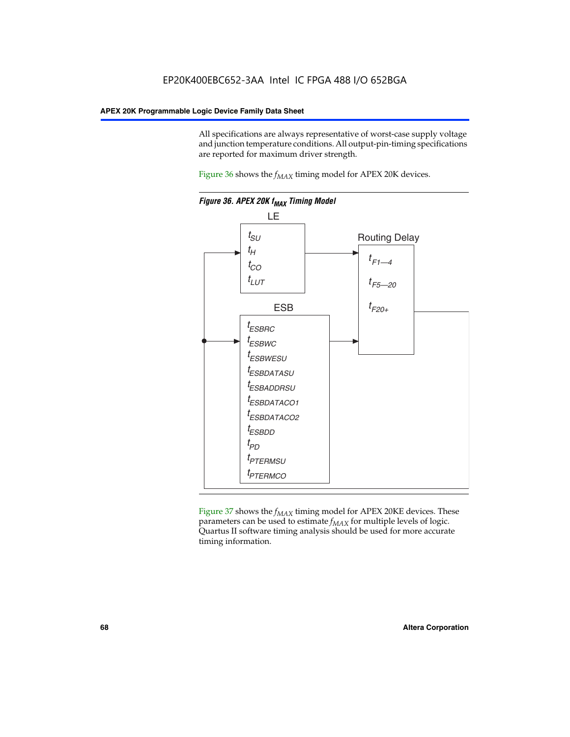All specifications are always representative of worst-case supply voltage and junction temperature conditions. All output-pin-timing specifications are reported for maximum driver strength.

Figure  $36$  shows the  $f_{MAX}$  timing model for APEX 20K devices.



Figure 37 shows the  $f_{MAX}$  timing model for APEX 20KE devices. These parameters can be used to estimate  $f_{MAX}$  for multiple levels of logic. Quartus II software timing analysis should be used for more accurate timing information.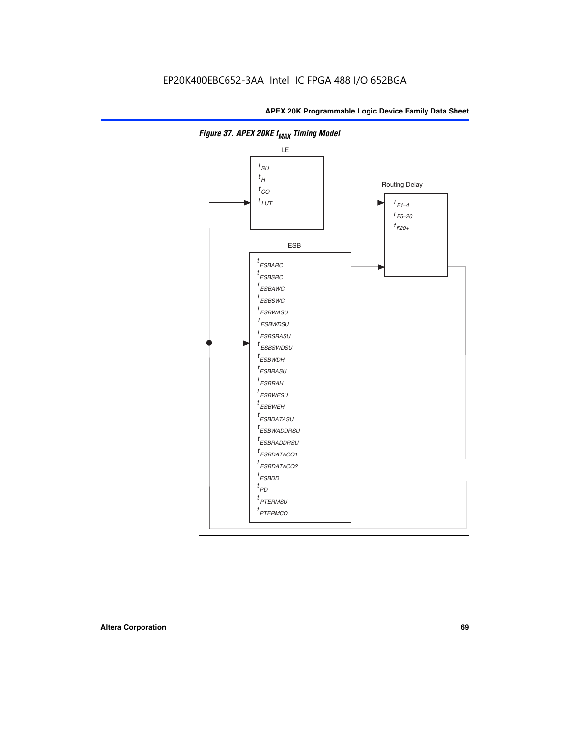

**Figure 37. APEX 20KE f<sub>MAX</sub> Timing Model**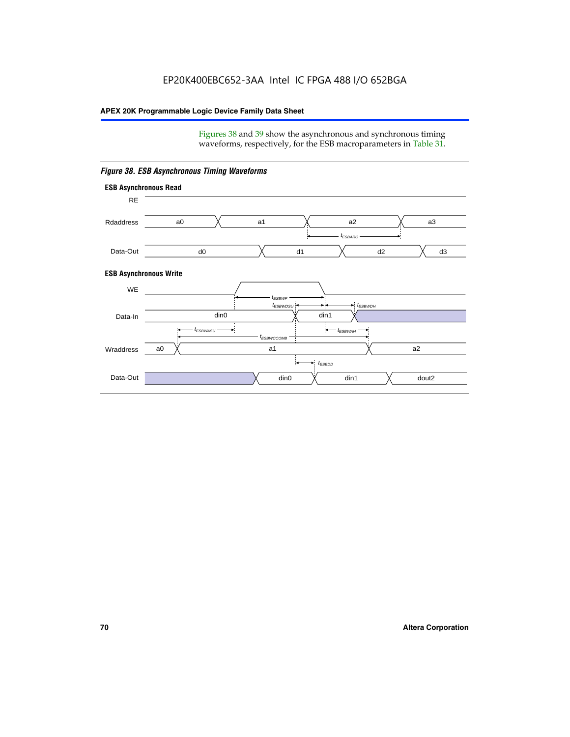Figures 38 and 39 show the asynchronous and synchronous timing waveforms, respectively, for the ESB macroparameters in Table 31.



*Figure 38. ESB Asynchronous Timing Waveforms*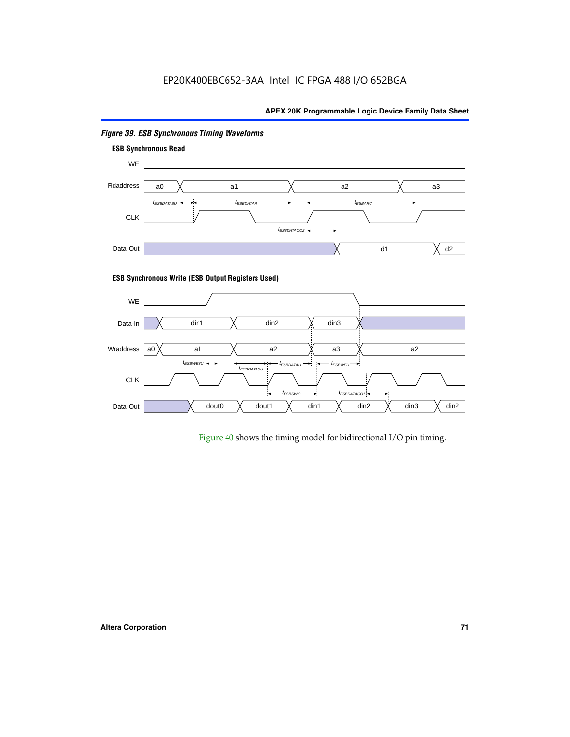

# *Figure 39. ESB Synchronous Timing Waveforms*

# **ESB Synchronous Write (ESB Output Registers Used)**



Figure 40 shows the timing model for bidirectional I/O pin timing.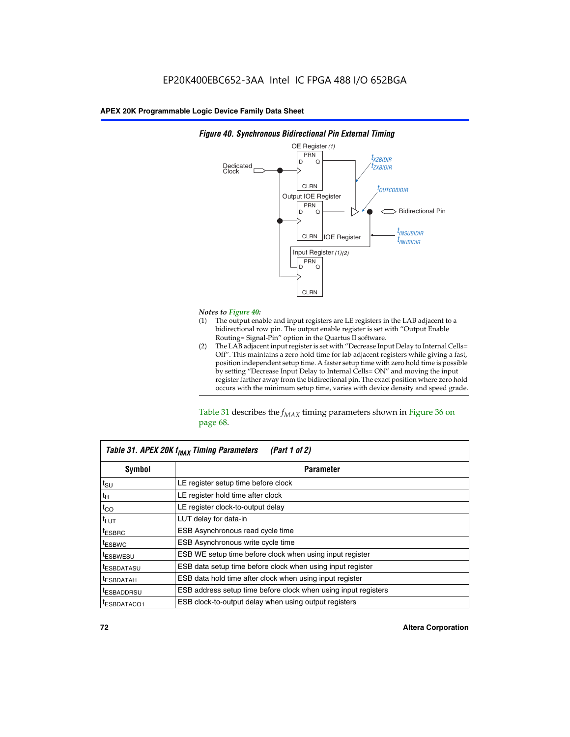

### *Figure 40. Synchronous Bidirectional Pin External Timing*

# *Notes to Figure 40:*

- The output enable and input registers are LE registers in the LAB adjacent to a bidirectional row pin. The output enable register is set with "Output Enable Routing= Signal-Pin" option in the Quartus II software.
- (2) The LAB adjacent input register is set with "Decrease Input Delay to Internal Cells= Off". This maintains a zero hold time for lab adjacent registers while giving a fast, position independent setup time. A faster setup time with zero hold time is possible by setting "Decrease Input Delay to Internal Cells= ON" and moving the input register farther away from the bidirectional pin. The exact position where zero hold occurs with the minimum setup time, varies with device density and speed grade.

Table 31 describes the  $f_{MAX}$  timing parameters shown in Figure 36 on page 68.

| Table 31. APEX 20K f <sub>MAX</sub> Timing Parameters<br>(Part 1 of 2) |                                                                |  |  |  |  |
|------------------------------------------------------------------------|----------------------------------------------------------------|--|--|--|--|
| Symbol                                                                 | <b>Parameter</b>                                               |  |  |  |  |
| $t_{\text{SU}}$                                                        | LE register setup time before clock                            |  |  |  |  |
| $t_H$                                                                  | LE register hold time after clock                              |  |  |  |  |
| $t_{CO}$                                                               | LE register clock-to-output delay                              |  |  |  |  |
| t <sub>LUT</sub>                                                       | LUT delay for data-in                                          |  |  |  |  |
| <sup>t</sup> ESBRC                                                     | ESB Asynchronous read cycle time                               |  |  |  |  |
| <sup>t</sup> ESBWC                                                     | ESB Asynchronous write cycle time                              |  |  |  |  |
| <sup>t</sup> ESBWESU                                                   | ESB WE setup time before clock when using input register       |  |  |  |  |
| <sup>t</sup> ESBDATASU                                                 | ESB data setup time before clock when using input register     |  |  |  |  |
| <sup>t</sup> ESBDATAH                                                  | ESB data hold time after clock when using input register       |  |  |  |  |
| <sup>t</sup> ESBADDRSU                                                 | ESB address setup time before clock when using input registers |  |  |  |  |
| ESBDATACO1                                                             | ESB clock-to-output delay when using output registers          |  |  |  |  |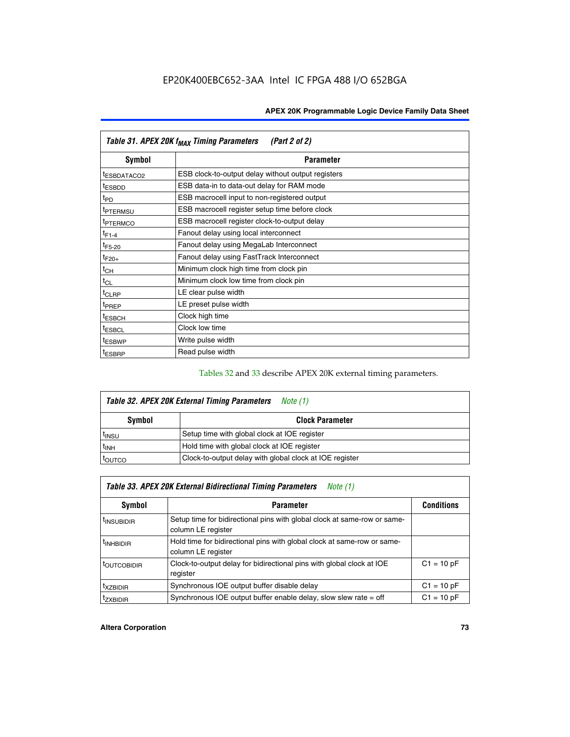| Table 31. APEX 20K f <sub>MAX</sub> Timing Parameters<br>(Part 2 of 2) |                                                    |  |  |  |  |
|------------------------------------------------------------------------|----------------------------------------------------|--|--|--|--|
| Symbol                                                                 | <b>Parameter</b>                                   |  |  |  |  |
| <sup>t</sup> ESBDATACO2                                                | ESB clock-to-output delay without output registers |  |  |  |  |
| <sup>t</sup> ESBDD                                                     | ESB data-in to data-out delay for RAM mode         |  |  |  |  |
| t <sub>PD</sub>                                                        | ESB macrocell input to non-registered output       |  |  |  |  |
| <sup>t</sup> PTERMSU                                                   | ESB macrocell register setup time before clock     |  |  |  |  |
| <sup>t</sup> PTERMCO                                                   | ESB macrocell register clock-to-output delay       |  |  |  |  |
| $t_{F1-4}$                                                             | Fanout delay using local interconnect              |  |  |  |  |
| $t_{F5-20}$                                                            | Fanout delay using MegaLab Interconnect            |  |  |  |  |
| $t_{F20+}$                                                             | Fanout delay using FastTrack Interconnect          |  |  |  |  |
| $t_{CH}$                                                               | Minimum clock high time from clock pin             |  |  |  |  |
| $t_{CL}$                                                               | Minimum clock low time from clock pin              |  |  |  |  |
| $t_{CLRP}$                                                             | LE clear pulse width                               |  |  |  |  |
| t <sub>PREP</sub>                                                      | LE preset pulse width                              |  |  |  |  |
| <sup>t</sup> ESBCH                                                     | Clock high time                                    |  |  |  |  |
| <sup>t</sup> ESBCL                                                     | Clock low time                                     |  |  |  |  |
| <sup>t</sup> ESBWP                                                     | Write pulse width                                  |  |  |  |  |
| <sup>t</sup> ESBRP                                                     | Read pulse width                                   |  |  |  |  |

## Tables 32 and 33 describe APEX 20K external timing parameters.

| Table 32. APEX 20K External Timing Parameters<br>Note (1) |                                                         |  |  |  |  |
|-----------------------------------------------------------|---------------------------------------------------------|--|--|--|--|
| Symbol                                                    | <b>Clock Parameter</b>                                  |  |  |  |  |
| <sup>t</sup> insu                                         | Setup time with global clock at IOE register            |  |  |  |  |
| $t_{\mathsf{INH}}$                                        | Hold time with global clock at IOE register             |  |  |  |  |
| toutco                                                    | Clock-to-output delay with global clock at IOE register |  |  |  |  |

| Table 33. APEX 20K External Bidirectional Timing Parameters<br>Note (1) |                                                                                                |              |  |  |  |  |
|-------------------------------------------------------------------------|------------------------------------------------------------------------------------------------|--------------|--|--|--|--|
| Symbol                                                                  | <b>Parameter</b>                                                                               |              |  |  |  |  |
| <sup>I</sup> INSUBIDIR                                                  | Setup time for bidirectional pins with global clock at same-row or same-<br>column LE register |              |  |  |  |  |
| <sup>t</sup> INHBIDIR                                                   | Hold time for bidirectional pins with global clock at same-row or same-<br>column LE register  |              |  |  |  |  |
| <sup>t</sup> OUTCOBIDIR                                                 | Clock-to-output delay for bidirectional pins with global clock at IOE<br>register              | $C1 = 10 pF$ |  |  |  |  |
| <sup>T</sup> XZBIDIR                                                    | Synchronous IOE output buffer disable delay                                                    | $C1 = 10 pF$ |  |  |  |  |
| <sup>I</sup> ZXBIDIR                                                    | Synchronous IOE output buffer enable delay, slow slew rate $=$ off                             | $C1 = 10 pF$ |  |  |  |  |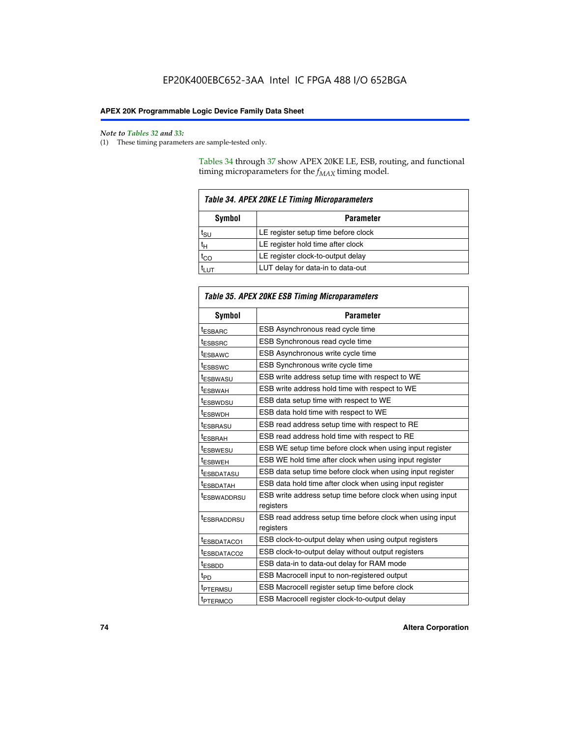$\mathbf{r}$ 

#### *Note to Tables 32 and 33:*

(1) These timing parameters are sample-tested only.

Tables 34 through 37 show APEX 20KE LE, ESB, routing, and functional timing microparameters for the  $f_{MAX}$  timing model.

| Table 34. APEX 20KE LE Timing Microparameters |                                     |  |  |  |  |
|-----------------------------------------------|-------------------------------------|--|--|--|--|
| Symbol<br><b>Parameter</b>                    |                                     |  |  |  |  |
| t <sub>SU</sub>                               | LE register setup time before clock |  |  |  |  |
| tн                                            | LE register hold time after clock   |  |  |  |  |
| $t_{CO}$                                      | LE register clock-to-output delay   |  |  |  |  |
| t <sub>LUT</sub>                              | LUT delay for data-in to data-out   |  |  |  |  |

| Table 35. APEX 20KE ESB Timing Microparameters |                                                                        |  |  |  |
|------------------------------------------------|------------------------------------------------------------------------|--|--|--|
| Symbol                                         | <b>Parameter</b>                                                       |  |  |  |
| t <sub>ESBARC</sub>                            | ESB Asynchronous read cycle time                                       |  |  |  |
| <sup>t</sup> ESBSRC                            | <b>ESB Synchronous read cycle time</b>                                 |  |  |  |
| t <sub>ESBAWC</sub>                            | ESB Asynchronous write cycle time                                      |  |  |  |
| t <sub>ESBSWC</sub>                            | ESB Synchronous write cycle time                                       |  |  |  |
| tESBWASU                                       | ESB write address setup time with respect to WE                        |  |  |  |
| <sup>t</sup> ESBWAH                            | ESB write address hold time with respect to WE                         |  |  |  |
| t <sub>ESBWDSU</sub>                           | ESB data setup time with respect to WE                                 |  |  |  |
| <sup>t</sup> ESBWDH                            | ESB data hold time with respect to WE                                  |  |  |  |
| tESBRASU                                       | ESB read address setup time with respect to RE                         |  |  |  |
| t <sub>ESBRAH</sub>                            | ESB read address hold time with respect to RE                          |  |  |  |
| <sup>t</sup> ESBWESU                           | ESB WE setup time before clock when using input register               |  |  |  |
| <sup>t</sup> ESBWEH                            | ESB WE hold time after clock when using input register                 |  |  |  |
| <sup>t</sup> ESBDATASU                         | ESB data setup time before clock when using input register             |  |  |  |
| t <sub>ESBDATAH</sub>                          | ESB data hold time after clock when using input register               |  |  |  |
| <sup>t</sup> ESBWADDRSU                        | ESB write address setup time before clock when using input             |  |  |  |
|                                                | registers                                                              |  |  |  |
| tESBRADDRSU                                    | ESB read address setup time before clock when using input<br>registers |  |  |  |
| t <sub>ESBDATACO1</sub>                        | ESB clock-to-output delay when using output registers                  |  |  |  |
| t <sub>ESBDATACO2</sub>                        | ESB clock-to-output delay without output registers                     |  |  |  |
| $t_{ESBDD}$                                    | ESB data-in to data-out delay for RAM mode                             |  |  |  |
| $t_{PD}$                                       | ESB Macrocell input to non-registered output                           |  |  |  |
| t <sub>PTERMSU</sub>                           | ESB Macrocell register setup time before clock                         |  |  |  |
| t <sub>PTERMCO</sub>                           | ESB Macrocell register clock-to-output delay                           |  |  |  |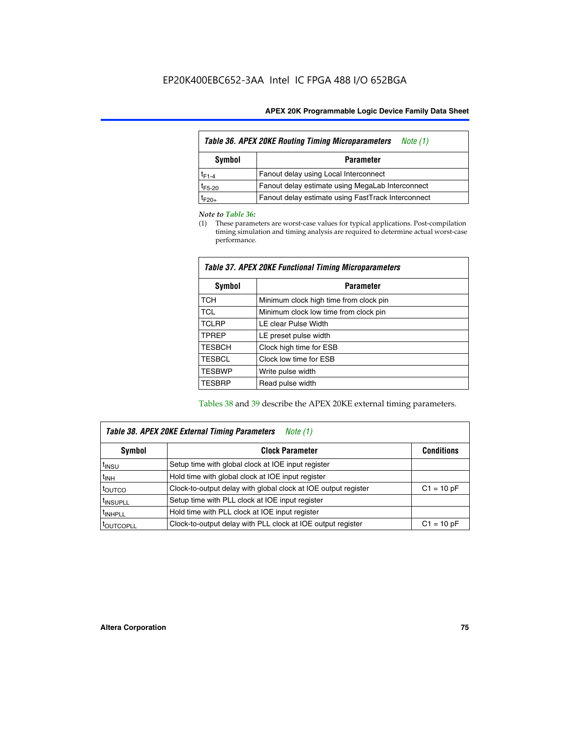| <b>Table 36. APEX 20KE Routing Timing Microparameters</b><br>Note (1) |                                                    |  |  |  |  |
|-----------------------------------------------------------------------|----------------------------------------------------|--|--|--|--|
| Symbol<br><b>Parameter</b>                                            |                                                    |  |  |  |  |
| $t_{F1-4}$                                                            | Fanout delay using Local Interconnect              |  |  |  |  |
| $t_{F5-20}$                                                           | Fanout delay estimate using MegaLab Interconnect   |  |  |  |  |
| $t_{F20+}$                                                            | Fanout delay estimate using FastTrack Interconnect |  |  |  |  |

#### *Note to Table 36:*

(1) These parameters are worst-case values for typical applications. Post-compilation timing simulation and timing analysis are required to determine actual worst-case performance.

| Symbol        | <b>Parameter</b>                       |
|---------------|----------------------------------------|
| <b>TCH</b>    | Minimum clock high time from clock pin |
| <b>TCL</b>    | Minimum clock low time from clock pin  |
| <b>TCLRP</b>  | LE clear Pulse Width                   |
| <b>TPREP</b>  | LE preset pulse width                  |
| <b>TESBCH</b> | Clock high time for ESB                |
| <b>TESBCL</b> | Clock low time for ESB                 |
| <b>TESBWP</b> | Write pulse width                      |
| <b>TESBRP</b> | Read pulse width                       |

## *Table 37. APEX 20KE Functional Timing Microparameters*

Tables 38 and 39 describe the APEX 20KE external timing parameters.

| Table 38. APEX 20KE External Timing Parameters<br>Note (1) |                                                                                |              |  |  |  |  |
|------------------------------------------------------------|--------------------------------------------------------------------------------|--------------|--|--|--|--|
| <b>Clock Parameter</b><br>Symbol<br><b>Conditions</b>      |                                                                                |              |  |  |  |  |
| <sup>t</sup> insu                                          | Setup time with global clock at IOE input register                             |              |  |  |  |  |
| $t_{\text{INH}}$                                           | Hold time with global clock at IOE input register                              |              |  |  |  |  |
| t <sub>outco</sub>                                         | Clock-to-output delay with global clock at IOE output register<br>$C1 = 10 pF$ |              |  |  |  |  |
| <sup>t</sup> INSUPLL                                       | Setup time with PLL clock at IOE input register                                |              |  |  |  |  |
| <sup>t</sup> INHPLL                                        | Hold time with PLL clock at IOE input register                                 |              |  |  |  |  |
| <b><i>LOUTCOPLL</i></b>                                    | Clock-to-output delay with PLL clock at IOE output register                    | $C1 = 10 pF$ |  |  |  |  |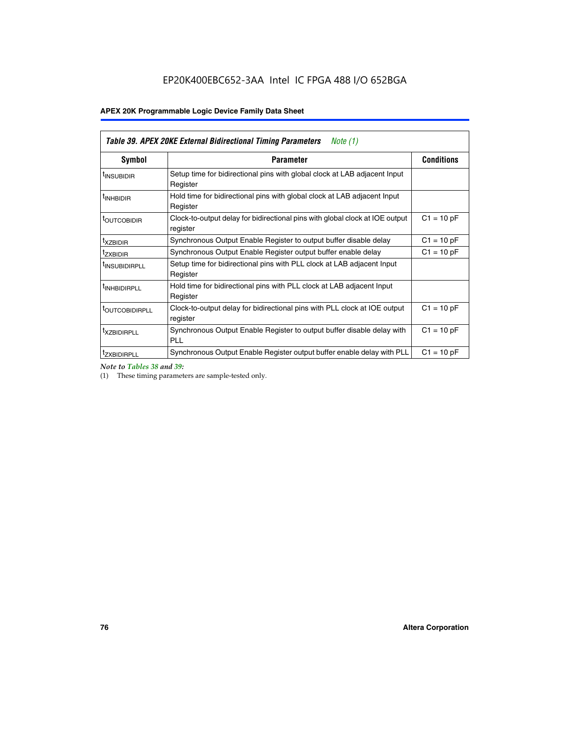| <b>Table 39. APEX 20KE External Bidirectional Timing Parameters</b><br>Note (1) |                                                                                                          |                   |  |  |  |  |
|---------------------------------------------------------------------------------|----------------------------------------------------------------------------------------------------------|-------------------|--|--|--|--|
| Symbol                                                                          | <b>Parameter</b>                                                                                         | <b>Conditions</b> |  |  |  |  |
| <sup>t</sup> INSUBIDIR                                                          | Setup time for bidirectional pins with global clock at LAB adjacent Input<br>Register                    |                   |  |  |  |  |
| <sup>t</sup> INHBIDIR                                                           | Hold time for bidirectional pins with global clock at LAB adjacent Input<br>Register                     |                   |  |  |  |  |
| <sup>t</sup> OUTCOBIDIR                                                         | $C1 = 10 pF$<br>Clock-to-output delay for bidirectional pins with global clock at IOE output<br>register |                   |  |  |  |  |
| <sup>t</sup> xzbidir                                                            | $C1 = 10 pF$<br>Synchronous Output Enable Register to output buffer disable delay                        |                   |  |  |  |  |
| <sup>t</sup> zxbidir                                                            | Synchronous Output Enable Register output buffer enable delay                                            | $C1 = 10 pF$      |  |  |  |  |
| <sup>I</sup> INSUBIDIRPLL                                                       | Setup time for bidirectional pins with PLL clock at LAB adjacent Input<br>Register                       |                   |  |  |  |  |
| <sup>t</sup> INHBIDIRPLL                                                        | Hold time for bidirectional pins with PLL clock at LAB adjacent Input<br>Register                        |                   |  |  |  |  |
| <sup>t</sup> OUTCOBIDIRPLL                                                      | Clock-to-output delay for bidirectional pins with PLL clock at IOE output<br>register                    | $C1 = 10 pF$      |  |  |  |  |
| <sup>t</sup> XZBIDIRPLL                                                         | Synchronous Output Enable Register to output buffer disable delay with<br><b>PLL</b>                     | $C1 = 10 pF$      |  |  |  |  |
| <sup>I</sup> ZXBIDIRPLL                                                         | Synchronous Output Enable Register output buffer enable delay with PLL                                   | $C1 = 10 pF$      |  |  |  |  |

*Note to Tables 38 and 39:*

(1) These timing parameters are sample-tested only.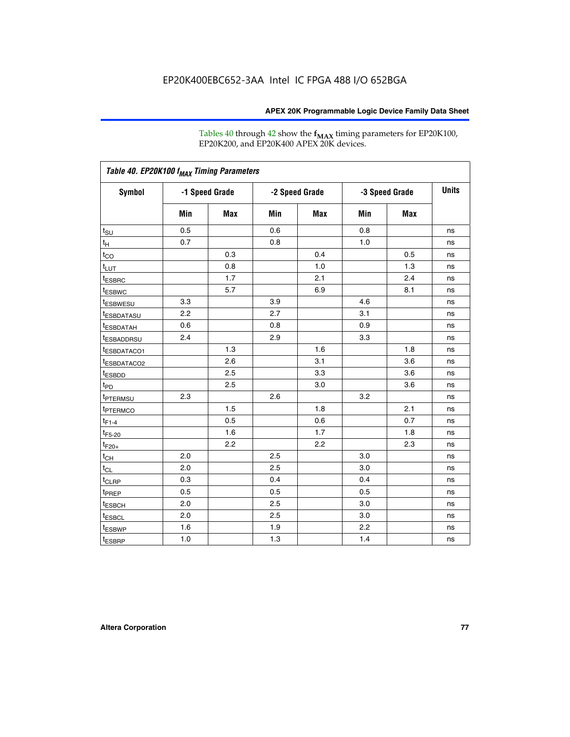Tables 40 through 42 show the **f<sub>MAX</sub>** timing parameters for EP20K100, EP20K200, and EP20K400 APEX 20K devices.

|                         |     |                |     |                |     |                | <b>Units</b> |
|-------------------------|-----|----------------|-----|----------------|-----|----------------|--------------|
| <b>Symbol</b>           |     | -1 Speed Grade |     | -2 Speed Grade |     | -3 Speed Grade |              |
|                         | Min | Max            | Min | Max            | Min | <b>Max</b>     |              |
| $t_{\text{SU}}$         | 0.5 |                | 0.6 |                | 0.8 |                | ns           |
| $t_H$                   | 0.7 |                | 0.8 |                | 1.0 |                | ns           |
| $t_{CO}$                |     | 0.3            |     | 0.4            |     | 0.5            | ns           |
| $t_{LUT}$               |     | 0.8            |     | 1.0            |     | 1.3            | ns           |
| <sup>t</sup> ESBRC      |     | 1.7            |     | 2.1            |     | 2.4            | ns           |
| t <sub>ESBWC</sub>      |     | 5.7            |     | 6.9            |     | 8.1            | ns           |
| <sup>t</sup> ESBWESU    | 3.3 |                | 3.9 |                | 4.6 |                | ns           |
| <sup>t</sup> ESBDATASU  | 2.2 |                | 2.7 |                | 3.1 |                | ns           |
| <sup>t</sup> ESBDATAH   | 0.6 |                | 0.8 |                | 0.9 |                | ns           |
| <sup>t</sup> ESBADDRSU  | 2.4 |                | 2.9 |                | 3.3 |                | ns           |
| <sup>t</sup> ESBDATACO1 |     | 1.3            |     | 1.6            |     | 1.8            | ns           |
| t <sub>ESBDATACO2</sub> |     | 2.6            |     | 3.1            |     | 3.6            | ns           |
| t <sub>ESBDD</sub>      |     | 2.5            |     | 3.3            |     | 3.6            | ns           |
| t <sub>PD</sub>         |     | 2.5            |     | 3.0            |     | 3.6            | ns           |
| <sup>t</sup> PTERMSU    | 2.3 |                | 2.6 |                | 3.2 |                | ns           |
| t <sub>PTERMCO</sub>    |     | 1.5            |     | 1.8            |     | 2.1            | ns           |
| $t_{F1-4}$              |     | 0.5            |     | 0.6            |     | 0.7            | ns           |
| $t_{F5-20}$             |     | 1.6            |     | 1.7            |     | 1.8            | ns           |
| $t_{F20+}$              |     | 2.2            |     | 2.2            |     | 2.3            | ns           |
| $t_{\mathsf{CH}}$       | 2.0 |                | 2.5 |                | 3.0 |                | ns           |
| $t_{CL}$                | 2.0 |                | 2.5 |                | 3.0 |                | ns           |
| t <sub>CLRP</sub>       | 0.3 |                | 0.4 |                | 0.4 |                | ns           |
| t <sub>PREP</sub>       | 0.5 |                | 0.5 |                | 0.5 |                | ns           |
| t <sub>ESBCH</sub>      | 2.0 |                | 2.5 |                | 3.0 |                | ns           |
| t <sub>ESBCL</sub>      | 2.0 |                | 2.5 |                | 3.0 |                | ns           |
| t <sub>ESBWP</sub>      | 1.6 |                | 1.9 |                | 2.2 |                | ns           |
| $t_{ESBRP}$             | 1.0 |                | 1.3 |                | 1.4 |                | ns           |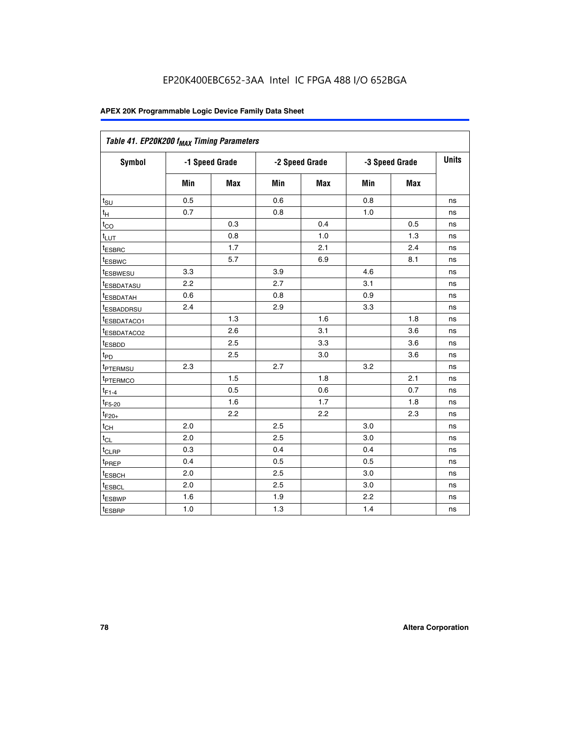| Table 41. EP20K200 f <sub>MAX</sub> Timing Parameters |                |     |     |                |     |                |    |
|-------------------------------------------------------|----------------|-----|-----|----------------|-----|----------------|----|
| <b>Symbol</b>                                         | -1 Speed Grade |     |     | -2 Speed Grade |     | -3 Speed Grade |    |
|                                                       | Min            | Max | Min | <b>Max</b>     | Min | Max            |    |
| $t_{\text{SU}}$                                       | 0.5            |     | 0.6 |                | 0.8 |                | ns |
| $t_H$                                                 | 0.7            |     | 0.8 |                | 1.0 |                | ns |
| $t_{CO}$                                              |                | 0.3 |     | 0.4            |     | 0.5            | ns |
| $t_{LUT}$                                             |                | 0.8 |     | 1.0            |     | 1.3            | ns |
| t <sub>ESBRC</sub>                                    |                | 1.7 |     | 2.1            |     | 2.4            | ns |
| t <sub>ESBWC</sub>                                    |                | 5.7 |     | 6.9            |     | 8.1            | ns |
| t <sub>ESBWESU</sub>                                  | 3.3            |     | 3.9 |                | 4.6 |                | ns |
| t <sub>esbdatasu</sub>                                | 2.2            |     | 2.7 |                | 3.1 |                | ns |
| t <sub>ESBDATAH</sub>                                 | 0.6            |     | 0.8 |                | 0.9 |                | ns |
| t <sub>ESBADDRSU</sub>                                | 2.4            |     | 2.9 |                | 3.3 |                | ns |
| <u>t<sub>ESBDATACO1</sub></u>                         |                | 1.3 |     | 1.6            |     | 1.8            | ns |
| <sup>t</sup> ESBDATACO2                               |                | 2.6 |     | 3.1            |     | 3.6            | ns |
| t <sub>ESBDD</sub>                                    |                | 2.5 |     | 3.3            |     | 3.6            | ns |
| t <sub>PD</sub>                                       |                | 2.5 |     | 3.0            |     | 3.6            | ns |
| t <sub>ptermsu</sub>                                  | 2.3            |     | 2.7 |                | 3.2 |                | ns |
| t <sub>PTERMCO</sub>                                  |                | 1.5 |     | 1.8            |     | 2.1            | ns |
| $t_{F1-4}$                                            |                | 0.5 |     | 0.6            |     | 0.7            | ns |
| $t_{F5-20}$                                           |                | 1.6 |     | 1.7            |     | 1.8            | ns |
| $t_{F20+}$                                            |                | 2.2 |     | 2.2            |     | 2.3            | ns |
| $\textnormal{t}_{\textnormal{CH}}$                    | 2.0            |     | 2.5 |                | 3.0 |                | ns |
| $t_{CL}$                                              | 2.0            |     | 2.5 |                | 3.0 |                | ns |
| t <sub>CLRP</sub>                                     | 0.3            |     | 0.4 |                | 0.4 |                | ns |
| t <sub>PREP</sub>                                     | 0.4            |     | 0.5 |                | 0.5 |                | ns |
| t <sub>ESBCH</sub>                                    | 2.0            |     | 2.5 |                | 3.0 |                | ns |
| t <sub>ESBCL</sub>                                    | 2.0            |     | 2.5 |                | 3.0 |                | ns |
| t <sub>ESBWP</sub>                                    | 1.6            |     | 1.9 |                | 2.2 |                | ns |
| t <sub>ESBRP</sub>                                    | 1.0            |     | 1.3 |                | 1.4 |                | ns |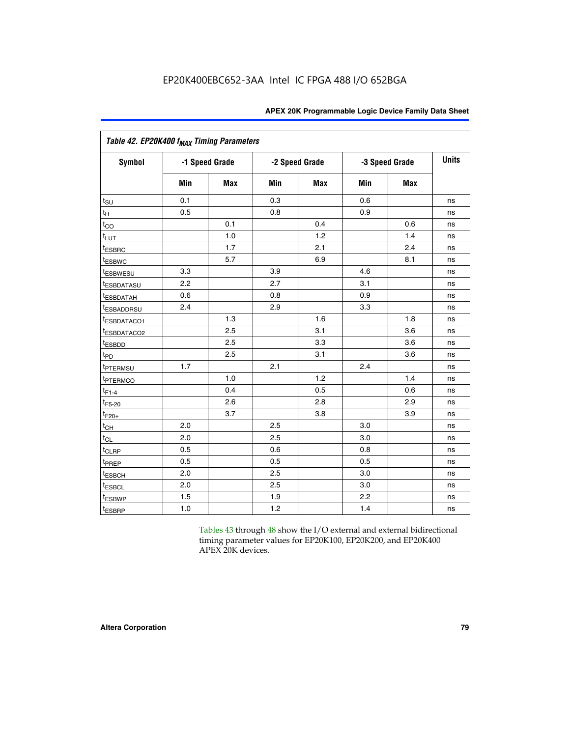| Table 42. EP20K400 f <sub>MAX</sub> Timing Parameters |     |                |     |                |     |                |              |  |  |  |
|-------------------------------------------------------|-----|----------------|-----|----------------|-----|----------------|--------------|--|--|--|
| <b>Symbol</b>                                         |     | -1 Speed Grade |     | -2 Speed Grade |     | -3 Speed Grade | <b>Units</b> |  |  |  |
|                                                       | Min | Max            | Min | <b>Max</b>     | Min | <b>Max</b>     |              |  |  |  |
| $t_{\text{SU}}$                                       | 0.1 |                | 0.3 |                | 0.6 |                | ns           |  |  |  |
| $t_H$                                                 | 0.5 |                | 0.8 |                | 0.9 |                | ns           |  |  |  |
| $t_{CO}$                                              |     | 0.1            |     | 0.4            |     | 0.6            | ns           |  |  |  |
| $t_{LUT}$                                             |     | 1.0            |     | 1.2            |     | 1.4            | ns           |  |  |  |
| t <sub>ESBRC</sub>                                    |     | 1.7            |     | 2.1            |     | 2.4            | ns           |  |  |  |
| t <sub>ESBWC</sub>                                    |     | 5.7            |     | 6.9            |     | 8.1            | ns           |  |  |  |
| <i>t</i> <sub>ESBWESU</sub>                           | 3.3 |                | 3.9 |                | 4.6 |                | ns           |  |  |  |
| <b><i>LESBDATASU</i></b>                              | 2.2 |                | 2.7 |                | 3.1 |                | ns           |  |  |  |
| t <sub>ESBDATAH</sub>                                 | 0.6 |                | 0.8 |                | 0.9 |                | ns           |  |  |  |
| <sup>t</sup> ESBADDRSU                                | 2.4 |                | 2.9 |                | 3.3 |                | ns           |  |  |  |
| t <sub>ESBDATACO1</sub>                               |     | 1.3            |     | 1.6            |     | 1.8            | ns           |  |  |  |
| t <sub>ESBDATACO2</sub>                               |     | 2.5            |     | 3.1            |     | 3.6            | ns           |  |  |  |
| t <sub>ESBDD</sub>                                    |     | 2.5            |     | 3.3            |     | 3.6            | ns           |  |  |  |
| t <sub>PD</sub>                                       |     | 2.5            |     | 3.1            |     | 3.6            | ns           |  |  |  |
| t <sub>PTERMSU</sub>                                  | 1.7 |                | 2.1 |                | 2.4 |                | ns           |  |  |  |
| t <sub>PTERMCO</sub>                                  |     | 1.0            |     | 1.2            |     | 1.4            | ns           |  |  |  |
| $t_{F1-4}$                                            |     | 0.4            |     | 0.5            |     | 0.6            | ns           |  |  |  |
| $t_{F5-20}$                                           |     | 2.6            |     | 2.8            |     | 2.9            | ns           |  |  |  |
| $t_{F20+}$                                            |     | 3.7            |     | 3.8            |     | 3.9            | ns           |  |  |  |
| $t_{CH}$                                              | 2.0 |                | 2.5 |                | 3.0 |                | ns           |  |  |  |
| $t_{CL}$                                              | 2.0 |                | 2.5 |                | 3.0 |                | ns           |  |  |  |
| $t_{CLRP}$                                            | 0.5 |                | 0.6 |                | 0.8 |                | ns           |  |  |  |
| t <sub>PREP</sub>                                     | 0.5 |                | 0.5 |                | 0.5 |                | ns           |  |  |  |
| t <sub>ESBCH</sub>                                    | 2.0 |                | 2.5 |                | 3.0 |                | ns           |  |  |  |
| <b><i>LESBCL</i></b>                                  | 2.0 |                | 2.5 |                | 3.0 |                | ns           |  |  |  |
| t <sub>ESBWP</sub>                                    | 1.5 |                | 1.9 |                | 2.2 |                | ns           |  |  |  |
| t <sub>ESBRP</sub>                                    | 1.0 |                | 1.2 |                | 1.4 |                | ns           |  |  |  |

Tables 43 through 48 show the I/O external and external bidirectional timing parameter values for EP20K100, EP20K200, and EP20K400 APEX 20K devices.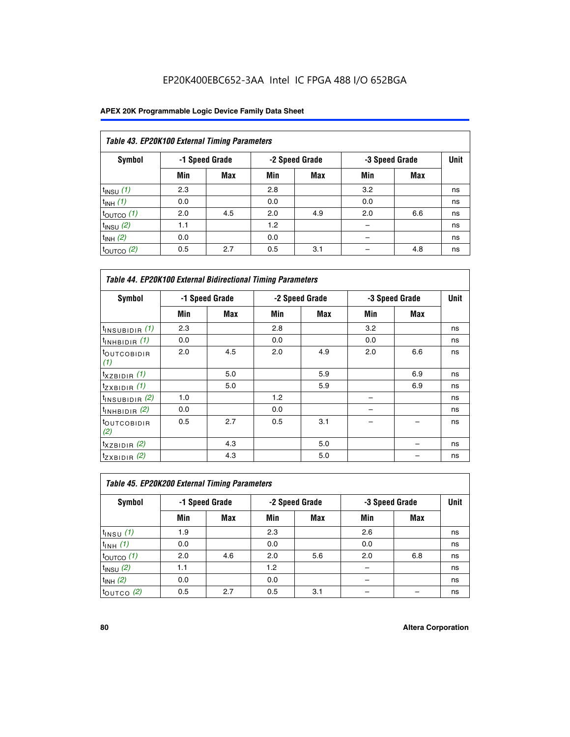## EP20K400EBC652-3AA Intel IC FPGA 488 I/O 652BGA

| Table 43. EP20K100 External Timing Parameters |     |                |     |                |     |                |    |  |  |  |  |
|-----------------------------------------------|-----|----------------|-----|----------------|-----|----------------|----|--|--|--|--|
| Symbol                                        |     | -1 Speed Grade |     | -2 Speed Grade |     | -3 Speed Grade |    |  |  |  |  |
|                                               | Min | Max            | Min | <b>Max</b>     | Min | <b>Max</b>     |    |  |  |  |  |
| $t_{INSU}$ (1)                                | 2.3 |                | 2.8 |                | 3.2 |                | ns |  |  |  |  |
| $t_{INH}$ (1)                                 | 0.0 |                | 0.0 |                | 0.0 |                | ns |  |  |  |  |
| $t_{\text{OUTCO}}(1)$                         | 2.0 | 4.5            | 2.0 | 4.9            | 2.0 | 6.6            | ns |  |  |  |  |
| $t_{INSU}(2)$                                 | 1.1 |                | 1.2 |                |     |                | ns |  |  |  |  |
| $t_{INH}$ (2)                                 | 0.0 |                | 0.0 |                |     |                | ns |  |  |  |  |
| $t_{\text{OUTCO}}$ (2)                        | 0.5 | 2.7            | 0.5 | 3.1            |     | 4.8            | ns |  |  |  |  |

| <b>Table 44. EP20K100 External Bidirectional Timing Parameters</b> |     |                |     |                |     |                |    |  |  |  |
|--------------------------------------------------------------------|-----|----------------|-----|----------------|-----|----------------|----|--|--|--|
| Symbol                                                             |     | -1 Speed Grade |     | -2 Speed Grade |     | -3 Speed Grade |    |  |  |  |
|                                                                    | Min | Max            | Min | Max            | Min | <b>Max</b>     |    |  |  |  |
| $t_{\text{INSUBIDIR}}(1)$                                          | 2.3 |                | 2.8 |                | 3.2 |                | ns |  |  |  |
| $t_{INHBIDIR}$ (1)                                                 | 0.0 |                | 0.0 |                | 0.0 |                | ns |  |  |  |
| <sup>t</sup> OUTCOBIDIR<br>(1)                                     | 2.0 | 4.5            | 2.0 | 4.9            | 2.0 | 6.6            | ns |  |  |  |
| $t_{XZBIDIR}$ (1)                                                  |     | 5.0            |     | 5.9            |     | 6.9            | ns |  |  |  |
| $t_{ZXBIDIR}$ (1)                                                  |     | 5.0            |     | 5.9            |     | 6.9            | ns |  |  |  |
| $t_{INSUBIDIR}$ (2)                                                | 1.0 |                | 1.2 |                |     |                | ns |  |  |  |
| $t_{INHBIDIR}$ (2)                                                 | 0.0 |                | 0.0 |                |     |                | ns |  |  |  |
| <sup>t</sup> OUTCOBIDIR<br>(2)                                     | 0.5 | 2.7            | 0.5 | 3.1            |     |                | ns |  |  |  |
| $t_{XZBIDIR}$ (2)                                                  |     | 4.3            |     | 5.0            |     |                | ns |  |  |  |
| $t_{ZXBIDIR}$ (2)                                                  |     | 4.3            |     | 5.0            |     |                | ns |  |  |  |

| Table 45. EP20K200 External Timing Parameters |                |     |     |                |     |                |      |  |  |  |  |
|-----------------------------------------------|----------------|-----|-----|----------------|-----|----------------|------|--|--|--|--|
| Symbol                                        | -1 Speed Grade |     |     | -2 Speed Grade |     | -3 Speed Grade | Unit |  |  |  |  |
|                                               | Min            | Max | Min | Max            | Min | Max            |      |  |  |  |  |
| $t$ <sub>INSU</sub> $(1)$                     | 1.9            |     | 2.3 |                | 2.6 |                | ns   |  |  |  |  |
| $t_{INH}$ (1)                                 | 0.0            |     | 0.0 |                | 0.0 |                | ns   |  |  |  |  |
| $t_{\text{OUTCO}}(1)$                         | 2.0            | 4.6 | 2.0 | 5.6            | 2.0 | 6.8            | ns   |  |  |  |  |
| $t_{INSU}$ (2)                                | 1.1            |     | 1.2 |                |     |                | ns   |  |  |  |  |
| $t_{INH}$ (2)                                 | 0.0            |     | 0.0 |                |     |                | ns   |  |  |  |  |
| $t_{\text{OUTCO}}$ (2)                        | 0.5            | 2.7 | 0.5 | 3.1            |     |                | ns   |  |  |  |  |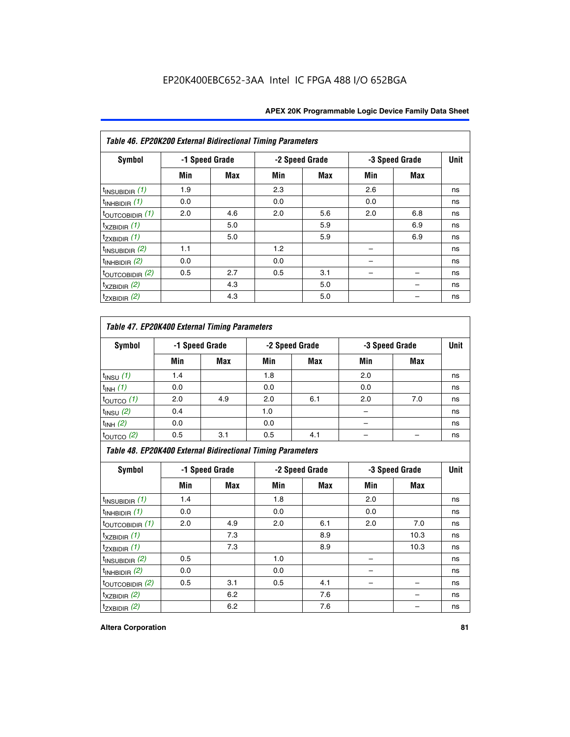| <b>APEX 20K Programmable Logic Device Family Data Sheet</b> |  |  |  |
|-------------------------------------------------------------|--|--|--|
|-------------------------------------------------------------|--|--|--|

| Table 46. EP20K200 External Bidirectional Timing Parameters |     |                |     |                |     |                |    |  |  |  |
|-------------------------------------------------------------|-----|----------------|-----|----------------|-----|----------------|----|--|--|--|
| Symbol                                                      |     | -1 Speed Grade |     | -2 Speed Grade |     | -3 Speed Grade |    |  |  |  |
|                                                             | Min | Max            | Min | Max            | Min | <b>Max</b>     |    |  |  |  |
| $t_{INSUBIDIR}$ (1)                                         | 1.9 |                | 2.3 |                | 2.6 |                | ns |  |  |  |
| $t_{INHBIDIR}$ (1)                                          | 0.0 |                | 0.0 |                | 0.0 |                | ns |  |  |  |
| $t_{\text{OUTCOBIDIR}}(1)$                                  | 2.0 | 4.6            | 2.0 | 5.6            | 2.0 | 6.8            | ns |  |  |  |
| $t_{XZBIDIR}$ (1)                                           |     | 5.0            |     | 5.9            |     | 6.9            | ns |  |  |  |
| $t_{ZXBIDIR}$ (1)                                           |     | 5.0            |     | 5.9            |     | 6.9            | ns |  |  |  |
| $t_{INSUBIDIR}$ (2)                                         | 1.1 |                | 1.2 |                |     |                | ns |  |  |  |
| $t_{INHBIDIR}$ (2)                                          | 0.0 |                | 0.0 |                |     |                | ns |  |  |  |
| $t_{\text{OUTCOBIDIR}}(2)$                                  | 0.5 | 2.7            | 0.5 | 3.1            |     |                | ns |  |  |  |
| $t_{XZBIDIR}$ (2)                                           |     | 4.3            |     | 5.0            |     |                | ns |  |  |  |
| $t_{ZXBIDIR}$ (2)                                           |     | 4.3            |     | 5.0            |     |                | ns |  |  |  |

## *Table 47. EP20K400 External Timing Parameters*

| Symbol                |     | -1 Speed Grade |     | -2 Speed Grade |     | -3 Speed Grade |    |
|-----------------------|-----|----------------|-----|----------------|-----|----------------|----|
|                       | Min | <b>Max</b>     | Min | <b>Max</b>     | Min | <b>Max</b>     |    |
| $t_{INSU}$ (1)        | 1.4 |                | 1.8 |                | 2.0 |                | ns |
| $t_{INH}$ (1)         | 0.0 |                | 0.0 |                | 0.0 |                | ns |
| $t_{\text{OUTCO}}(1)$ | 2.0 | 4.9            | 2.0 | 6.1            | 2.0 | 7.0            | ns |
| $t_{INSU}$ (2)        | 0.4 |                | 1.0 |                |     |                | ns |
| $t_{INH}$ (2)         | 0.0 |                | 0.0 |                |     |                | ns |
| $t_{\text{OUTCO}}(2)$ | 0.5 | 3.1            | 0.5 | 4.1            |     |                | ns |

*Table 48. EP20K400 External Bidirectional Timing Parameters*

| Symbol                      | -1 Speed Grade |     | -2 Speed Grade |     |     | -3 Speed Grade | <b>Unit</b> |
|-----------------------------|----------------|-----|----------------|-----|-----|----------------|-------------|
|                             | Min            | Max | Min            | Max | Min | Max            |             |
| $t_{\text{INSUBIDIR}}(1)$   | 1.4            |     | 1.8            |     | 2.0 |                | ns          |
| $t_{INHBIDIR}$ (1)          | 0.0            |     | 0.0            |     | 0.0 |                | ns          |
| $t_{\text{OUTCOBIDIR}}(1)$  | 2.0            | 4.9 | 2.0            | 6.1 | 2.0 | 7.0            | ns          |
| $t_{XZBIDIR}$ (1)           |                | 7.3 |                | 8.9 |     | 10.3           | ns          |
| $t_{ZXBIDIR}$ (1)           |                | 7.3 |                | 8.9 |     | 10.3           | ns          |
| $t_{\text{INSUBIDIR}}(2)$   | 0.5            |     | 1.0            |     |     |                | ns          |
| $t_{INHBIDIR}$ (2)          | 0.0            |     | 0.0            |     |     |                | ns          |
| $t_{\text{OUTCOBIDIR}}$ (2) | 0.5            | 3.1 | 0.5            | 4.1 |     |                | ns          |
| $t_{XZBIDIR}$ (2)           |                | 6.2 |                | 7.6 |     |                | ns          |
| $t_{ZXBIDIR}$ (2)           |                | 6.2 |                | 7.6 |     |                | ns          |

#### **Altera Corporation 81**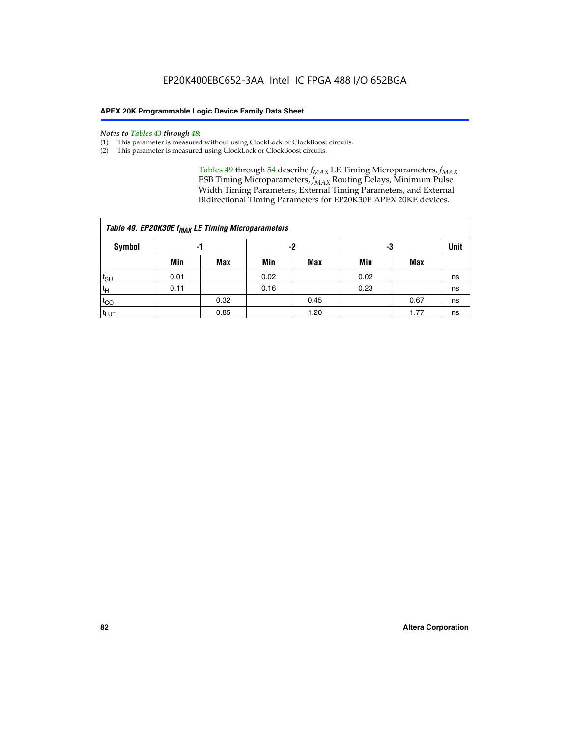#### *Notes to Tables 43 through 48:*

- (1) This parameter is measured without using ClockLock or ClockBoost circuits.
- (2) This parameter is measured using ClockLock or ClockBoost circuits.

Tables 49 through 54 describe  $f_{MAX}$  LE Timing Microparameters,  $f_{MAX}$ ESB Timing Microparameters, *f<sub>MAX</sub>* Routing Delays, Minimum Pulse Width Timing Parameters, External Timing Parameters, and External Bidirectional Timing Parameters for EP20K30E APEX 20KE devices.

| Table 49. EP20K30E f <sub>MAX</sub> LE Timing Microparameters |      |      |      |            |          |      |             |  |  |  |  |
|---------------------------------------------------------------|------|------|------|------------|----------|------|-------------|--|--|--|--|
| <b>Symbol</b>                                                 |      | -1   |      |            | -2<br>-3 |      | <b>Unit</b> |  |  |  |  |
|                                                               | Min  | Max  | Min  | <b>Max</b> | Min      | Max  |             |  |  |  |  |
| t <sub>SU</sub>                                               | 0.01 |      | 0.02 |            | 0.02     |      | ns          |  |  |  |  |
| 't <sub>H</sub>                                               | 0.11 |      | 0.16 |            | 0.23     |      | ns          |  |  |  |  |
| $t_{CO}$                                                      |      | 0.32 |      | 0.45       |          | 0.67 | ns          |  |  |  |  |
| t <sub>LUT</sub>                                              |      | 0.85 |      | 1.20       |          | 1.77 | ns          |  |  |  |  |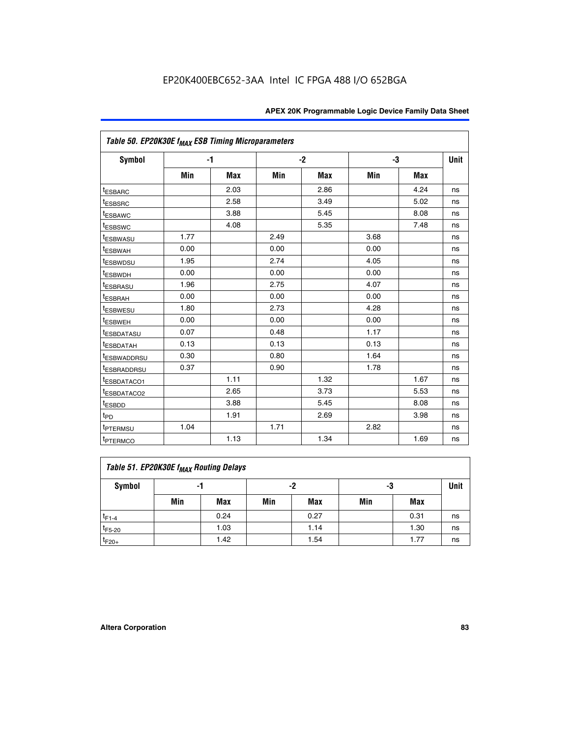|                             | Table 50. EP20K30E f <sub>MAX</sub> ESB Timing Microparameters |            |      |            |      |            |             |  |  |  |  |
|-----------------------------|----------------------------------------------------------------|------------|------|------------|------|------------|-------------|--|--|--|--|
| <b>Symbol</b>               |                                                                | $-1$       |      | $-2$       |      | -3         | <b>Unit</b> |  |  |  |  |
|                             | Min                                                            | <b>Max</b> | Min  | <b>Max</b> | Min  | <b>Max</b> |             |  |  |  |  |
| <sup>t</sup> ESBARC         |                                                                | 2.03       |      | 2.86       |      | 4.24       | ns          |  |  |  |  |
| <sup>t</sup> ESBSRC         |                                                                | 2.58       |      | 3.49       |      | 5.02       | ns          |  |  |  |  |
| <sup>t</sup> ESBAWC         |                                                                | 3.88       |      | 5.45       |      | 8.08       | ns          |  |  |  |  |
| t <sub>ESBSWC</sub>         |                                                                | 4.08       |      | 5.35       |      | 7.48       | ns          |  |  |  |  |
| <sup>t</sup> ESBWASU        | 1.77                                                           |            | 2.49 |            | 3.68 |            | ns          |  |  |  |  |
| <sup>t</sup> ESBWAH         | 0.00                                                           |            | 0.00 |            | 0.00 |            | ns          |  |  |  |  |
| <sup>t</sup> ESBWDSU        | 1.95                                                           |            | 2.74 |            | 4.05 |            | ns          |  |  |  |  |
| <sup>t</sup> ESBWDH         | 0.00                                                           |            | 0.00 |            | 0.00 |            | ns          |  |  |  |  |
| <sup>t</sup> ESBRASU        | 1.96                                                           |            | 2.75 |            | 4.07 |            | ns          |  |  |  |  |
| <sup>t</sup> ESBRAH         | 0.00                                                           |            | 0.00 |            | 0.00 |            | ns          |  |  |  |  |
| <i>t</i> <sub>ESBWESU</sub> | 1.80                                                           |            | 2.73 |            | 4.28 |            | ns          |  |  |  |  |
| <sup>I</sup> ESBWEH         | 0.00                                                           |            | 0.00 |            | 0.00 |            | ns          |  |  |  |  |
| t <sub>ESBDATASU</sub>      | 0.07                                                           |            | 0.48 |            | 1.17 |            | ns          |  |  |  |  |
| <sup>t</sup> ESBDATAH       | 0.13                                                           |            | 0.13 |            | 0.13 |            | ns          |  |  |  |  |
| <sup>t</sup> ESBWADDRSU     | 0.30                                                           |            | 0.80 |            | 1.64 |            | ns          |  |  |  |  |
| <sup>I</sup> ESBRADDRSU     | 0.37                                                           |            | 0.90 |            | 1.78 |            | ns          |  |  |  |  |
| ESBDATACO1                  |                                                                | 1.11       |      | 1.32       |      | 1.67       | ns          |  |  |  |  |
| <sup>t</sup> ESBDATACO2     |                                                                | 2.65       |      | 3.73       |      | 5.53       | ns          |  |  |  |  |
| <sup>t</sup> ESBDD          |                                                                | 3.88       |      | 5.45       |      | 8.08       | ns          |  |  |  |  |
| t <sub>PD</sub>             |                                                                | 1.91       |      | 2.69       |      | 3.98       | ns          |  |  |  |  |
| <sup>t</sup> PTERMSU        | 1.04                                                           |            | 1.71 |            | 2.82 |            | ns          |  |  |  |  |
| t <sub>PTERMCO</sub>        |                                                                | 1.13       |      | 1.34       |      | 1.69       | ns          |  |  |  |  |

## **Table 51. EP20K30E f<sub>MAX</sub> Routing Delays**

| Symbol      | - 1 |            | -2  |            | -3  |      | Unit |
|-------------|-----|------------|-----|------------|-----|------|------|
|             | Min | <b>Max</b> | Min | <b>Max</b> | Min | Max  |      |
| $t_{F1-4}$  |     | 0.24       |     | 0.27       |     | 0.31 | ns   |
| $t_{F5-20}$ |     | 1.03       |     | 1.14       |     | 1.30 | ns   |
| $t_{F20+}$  |     | 1.42       |     | 1.54       |     | 1.77 | ns   |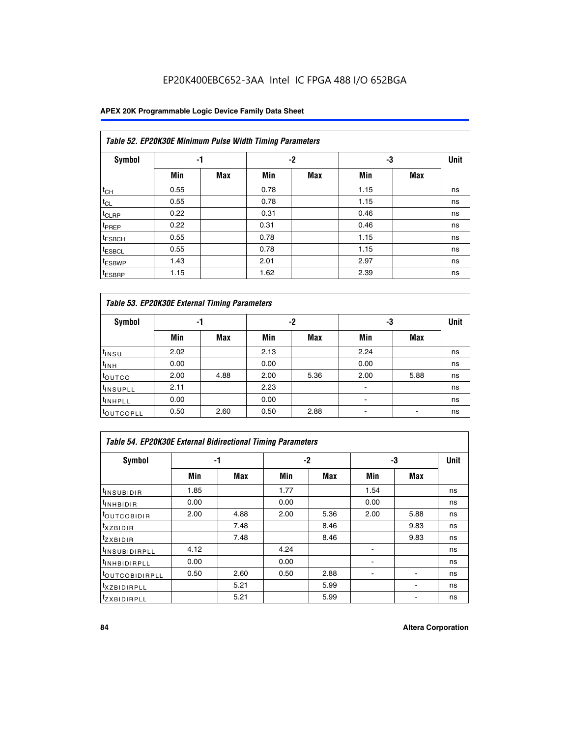## EP20K400EBC652-3AA Intel IC FPGA 488 I/O 652BGA

### **APEX 20K Programmable Logic Device Family Data Sheet**

| Table 52. EP20K30E Minimum Pulse Width Timing Parameters |      |            |      |            |      |            |    |  |  |  |  |
|----------------------------------------------------------|------|------------|------|------------|------|------------|----|--|--|--|--|
| <b>Symbol</b>                                            | -1   |            |      | $-2$       | -3   |            |    |  |  |  |  |
|                                                          | Min  | <b>Max</b> | Min  | <b>Max</b> | Min  | <b>Max</b> |    |  |  |  |  |
| $t_{CH}$                                                 | 0.55 |            | 0.78 |            | 1.15 |            | ns |  |  |  |  |
| $t_{CL}$                                                 | 0.55 |            | 0.78 |            | 1.15 |            | ns |  |  |  |  |
| $t_{CLRP}$                                               | 0.22 |            | 0.31 |            | 0.46 |            | ns |  |  |  |  |
| <sup>t</sup> PREP                                        | 0.22 |            | 0.31 |            | 0.46 |            | ns |  |  |  |  |
| <sup>t</sup> ESBCH                                       | 0.55 |            | 0.78 |            | 1.15 |            | ns |  |  |  |  |
| <sup>t</sup> ESBCL                                       | 0.55 |            | 0.78 |            | 1.15 |            | ns |  |  |  |  |
| <sup>t</sup> ESBWP                                       | 1.43 |            | 2.01 |            | 2.97 |            | ns |  |  |  |  |
| <sup>t</sup> ESBRP                                       | 1.15 |            | 1.62 |            | 2.39 |            | ns |  |  |  |  |

|                      | Table 53. EP20K30E External Timing Parameters |            |      |            |                |            |             |  |  |  |  |  |  |
|----------------------|-----------------------------------------------|------------|------|------------|----------------|------------|-------------|--|--|--|--|--|--|
| <b>Symbol</b>        | -1                                            |            |      | -2         |                | -3         | <b>Unit</b> |  |  |  |  |  |  |
|                      | Min                                           | <b>Max</b> | Min  | <b>Max</b> | Min            | <b>Max</b> |             |  |  |  |  |  |  |
| $t_{INSU}$           | 2.02                                          |            | 2.13 |            | 2.24           |            | ns          |  |  |  |  |  |  |
| $t_{\rm INH}$        | 0.00                                          |            | 0.00 |            | 0.00           |            | ns          |  |  |  |  |  |  |
| <b>t</b> outco       | 2.00                                          | 4.88       | 2.00 | 5.36       | 2.00           | 5.88       | ns          |  |  |  |  |  |  |
| <sup>t</sup> INSUPLL | 2.11                                          |            | 2.23 |            |                |            | ns          |  |  |  |  |  |  |
| <sup>t</sup> INHPLL  | 0.00                                          |            | 0.00 |            | $\blacksquare$ |            | ns          |  |  |  |  |  |  |
| <b>LOUTCOPLL</b>     | 0.50                                          | 2.60       | 0.50 | 2.88       | -              |            | ns          |  |  |  |  |  |  |

| Table 54. EP20K30E External Bidirectional Timing Parameters |      |      |      |      |                          |      |             |  |  |  |  |
|-------------------------------------------------------------|------|------|------|------|--------------------------|------|-------------|--|--|--|--|
| Symbol                                                      |      | -1   |      | $-2$ |                          | -3   | <b>Unit</b> |  |  |  |  |
|                                                             | Min  | Max  | Min  | Max  | Min                      | Max  |             |  |  |  |  |
| <sup>t</sup> INSUBIDIR                                      | 1.85 |      | 1.77 |      | 1.54                     |      | ns          |  |  |  |  |
| <b>INHBIDIR</b>                                             | 0.00 |      | 0.00 |      | 0.00                     |      | ns          |  |  |  |  |
| <b>LOUTCOBIDIR</b>                                          | 2.00 | 4.88 | 2.00 | 5.36 | 2.00                     | 5.88 | ns          |  |  |  |  |
| <sup>T</sup> XZBIDIR                                        |      | 7.48 |      | 8.46 |                          | 9.83 | ns          |  |  |  |  |
| <sup>t</sup> zxbidir                                        |      | 7.48 |      | 8.46 |                          | 9.83 | ns          |  |  |  |  |
| <sup>I</sup> INSUBIDIRPLL                                   | 4.12 |      | 4.24 |      | $\overline{\phantom{0}}$ |      | ns          |  |  |  |  |
| <b>INHBIDIRPLL</b>                                          | 0.00 |      | 0.00 |      |                          |      | ns          |  |  |  |  |
| <b><i>COUTCOBIDIRPLL</i></b>                                | 0.50 | 2.60 | 0.50 | 2.88 |                          |      | ns          |  |  |  |  |
| <sup>I</sup> XZBIDIRPLL                                     |      | 5.21 |      | 5.99 |                          |      | ns          |  |  |  |  |
| <sup>I</sup> ZXBIDIRPLL                                     |      | 5.21 |      | 5.99 |                          |      | ns          |  |  |  |  |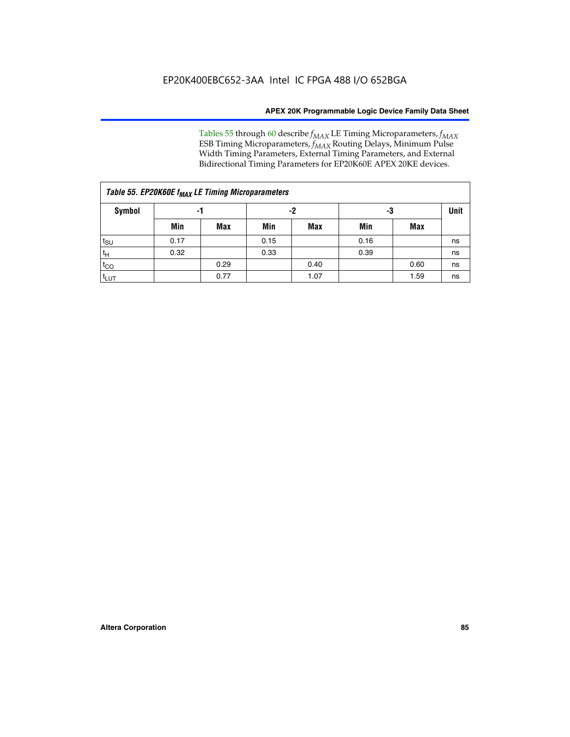Tables 55 through 60 describe *f<sub>MAX</sub>* LE Timing Microparameters, *f<sub>MAX</sub>* ESB Timing Microparameters, *f<sub>MAX</sub>* Routing Delays, Minimum Pulse Width Timing Parameters, External Timing Parameters, and External Bidirectional Timing Parameters for EP20K60E APEX 20KE devices.

| Table 55. EP20K60E f <sub>MAX</sub> LE Timing Microparameters |      |      |      |      |      |      |    |  |  |  |  |
|---------------------------------------------------------------|------|------|------|------|------|------|----|--|--|--|--|
| <b>Symbol</b>                                                 |      | -1   |      | -2   |      | -3   |    |  |  |  |  |
|                                                               | Min  | Max  | Min  | Max  | Min  | Max  |    |  |  |  |  |
| $t_{\text{SU}}$                                               | 0.17 |      | 0.15 |      | 0.16 |      | ns |  |  |  |  |
| $t_H$                                                         | 0.32 |      | 0.33 |      | 0.39 |      | ns |  |  |  |  |
| $t_{CO}$                                                      |      | 0.29 |      | 0.40 |      | 0.60 | ns |  |  |  |  |
| t <sub>lut</sub>                                              |      | 0.77 |      | 1.07 |      | 1.59 | ns |  |  |  |  |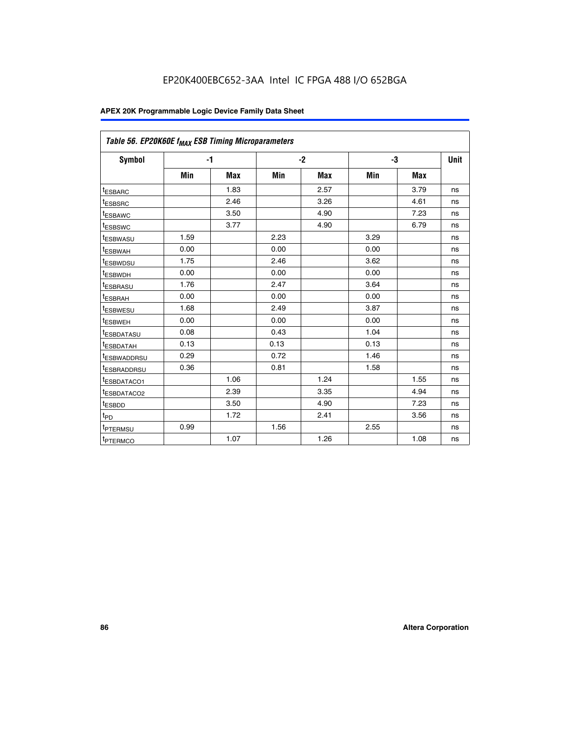| Table 56. EP20K60E f <sub>MAX</sub> ESB Timing Microparameters |      |            |      |            |      |            |             |
|----------------------------------------------------------------|------|------------|------|------------|------|------------|-------------|
| <b>Symbol</b>                                                  |      | $-1$       |      | $-2$       |      | -3         | <b>Unit</b> |
|                                                                | Min  | <b>Max</b> | Min  | <b>Max</b> | Min  | <b>Max</b> |             |
| <sup>t</sup> ESBARC                                            |      | 1.83       |      | 2.57       |      | 3.79       | ns          |
| t <sub>ESBSRC</sub>                                            |      | 2.46       |      | 3.26       |      | 4.61       | ns          |
| <sup>t</sup> ESBAWC                                            |      | 3.50       |      | 4.90       |      | 7.23       | ns          |
| <sup>t</sup> ESBSWC                                            |      | 3.77       |      | 4.90       |      | 6.79       | ns          |
| <sup>t</sup> ESBWASU                                           | 1.59 |            | 2.23 |            | 3.29 |            | ns          |
| <sup>t</sup> ESBWAH                                            | 0.00 |            | 0.00 |            | 0.00 |            | ns          |
| t <sub>ESBWDSU</sub>                                           | 1.75 |            | 2.46 |            | 3.62 |            | ns          |
| t <sub>ESBWDH</sub>                                            | 0.00 |            | 0.00 |            | 0.00 |            | ns          |
| t <sub>ESBRASU</sub>                                           | 1.76 |            | 2.47 |            | 3.64 |            | ns          |
| <sup>t</sup> ESBRAH                                            | 0.00 |            | 0.00 |            | 0.00 |            | ns          |
| t <sub>ESBWESU</sub>                                           | 1.68 |            | 2.49 |            | 3.87 |            | ns          |
| t <sub>ESBWEH</sub>                                            | 0.00 |            | 0.00 |            | 0.00 |            | ns          |
| <sup>t</sup> ESBDATASU                                         | 0.08 |            | 0.43 |            | 1.04 |            | ns          |
| t <sub>ESBDATAH</sub>                                          | 0.13 |            | 0.13 |            | 0.13 |            | ns          |
| <sup>t</sup> ESBWADDRSU                                        | 0.29 |            | 0.72 |            | 1.46 |            | ns          |
| <sup>t</sup> ESBRADDRSU                                        | 0.36 |            | 0.81 |            | 1.58 |            | ns          |
| <sup>t</sup> ESBDATACO1                                        |      | 1.06       |      | 1.24       |      | 1.55       | ns          |
| <sup>t</sup> ESBDATACO2                                        |      | 2.39       |      | 3.35       |      | 4.94       | ns          |
| <sup>t</sup> ESBDD                                             |      | 3.50       |      | 4.90       |      | 7.23       | ns          |
| t <sub>PD</sub>                                                |      | 1.72       |      | 2.41       |      | 3.56       | ns          |
| t <sub>PTERMSU</sub>                                           | 0.99 |            | 1.56 |            | 2.55 |            | ns          |
| t <sub>PTERMCO</sub>                                           |      | 1.07       |      | 1.26       |      | 1.08       | ns          |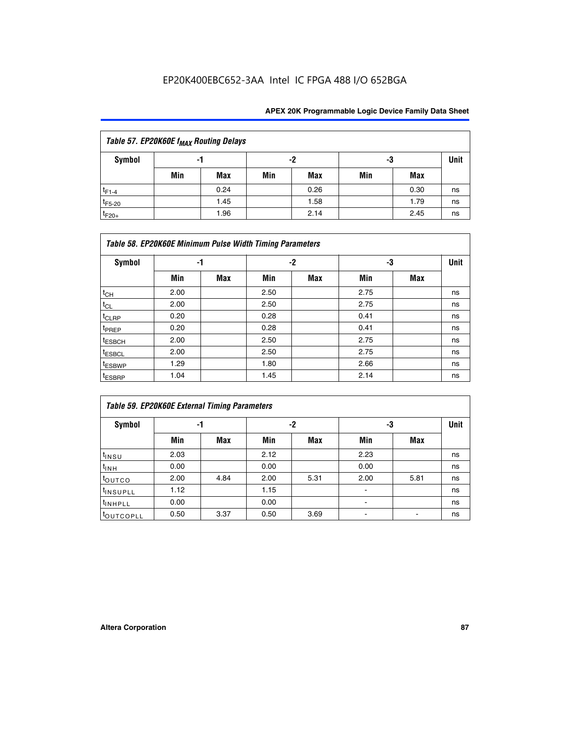## EP20K400EBC652-3AA Intel IC FPGA 488 I/O 652BGA

| Table 57. EP20K60E f <sub>MAX</sub> Routing Delays |     |      |     |      |     |      |             |  |  |  |  |  |
|----------------------------------------------------|-----|------|-----|------|-----|------|-------------|--|--|--|--|--|
| Symbol                                             |     | -1   |     | -2   | -3  |      | <b>Unit</b> |  |  |  |  |  |
|                                                    | Min | Max  | Min | Max  | Min | Max  |             |  |  |  |  |  |
| $t_{F1-4}$                                         |     | 0.24 |     | 0.26 |     | 0.30 | ns          |  |  |  |  |  |
| $t_{F5-20}$                                        |     | 1.45 |     | 1.58 |     | 1.79 | ns          |  |  |  |  |  |
| $t_{F20+}$                                         |     | 1.96 |     | 2.14 |     | 2.45 | ns          |  |  |  |  |  |

|                    | Table 58. EP20K60E Minimum Pulse Width Timing Parameters |            |      |     |      |     |             |  |  |  |  |
|--------------------|----------------------------------------------------------|------------|------|-----|------|-----|-------------|--|--|--|--|
| Symbol             |                                                          | -1         |      | -2  |      | -3  | <b>Unit</b> |  |  |  |  |
|                    | Min                                                      | <b>Max</b> | Min  | Max | Min  | Max |             |  |  |  |  |
| $t_{CH}$           | 2.00                                                     |            | 2.50 |     | 2.75 |     | ns          |  |  |  |  |
| $t_{CL}$           | 2.00                                                     |            | 2.50 |     | 2.75 |     | ns          |  |  |  |  |
| $t_{CLRP}$         | 0.20                                                     |            | 0.28 |     | 0.41 |     | ns          |  |  |  |  |
| t <sub>PREP</sub>  | 0.20                                                     |            | 0.28 |     | 0.41 |     | ns          |  |  |  |  |
| <sup>t</sup> ESBCH | 2.00                                                     |            | 2.50 |     | 2.75 |     | ns          |  |  |  |  |
| <sup>t</sup> ESBCL | 2.00                                                     |            | 2.50 |     | 2.75 |     | ns          |  |  |  |  |
| <sup>t</sup> ESBWP | 1.29                                                     |            | 1.80 |     | 2.66 |     | ns          |  |  |  |  |
| <sup>t</sup> ESBRP | 1.04                                                     |            | 1.45 |     | 2.14 |     | ns          |  |  |  |  |

| Table 59. EP20K60E External Timing Parameters |      |      |      |      |      |      |    |  |  |  |  |
|-----------------------------------------------|------|------|------|------|------|------|----|--|--|--|--|
| Symbol                                        | -1   |      |      | -2   | -3   | Unit |    |  |  |  |  |
|                                               | Min  | Max  | Min  | Max  | Min  | Max  |    |  |  |  |  |
| $t_{INSU}$                                    | 2.03 |      | 2.12 |      | 2.23 |      | ns |  |  |  |  |
| t <sub>INH</sub>                              | 0.00 |      | 0.00 |      | 0.00 |      | ns |  |  |  |  |
| toutco                                        | 2.00 | 4.84 | 2.00 | 5.31 | 2.00 | 5.81 | ns |  |  |  |  |
| <sup>t</sup> INSUPLL                          | 1.12 |      | 1.15 |      |      |      | ns |  |  |  |  |
| <sup>t</sup> INHPLL                           | 0.00 |      | 0.00 |      | ۰    |      | ns |  |  |  |  |
| toutcopll                                     | 0.50 | 3.37 | 0.50 | 3.69 |      |      | ns |  |  |  |  |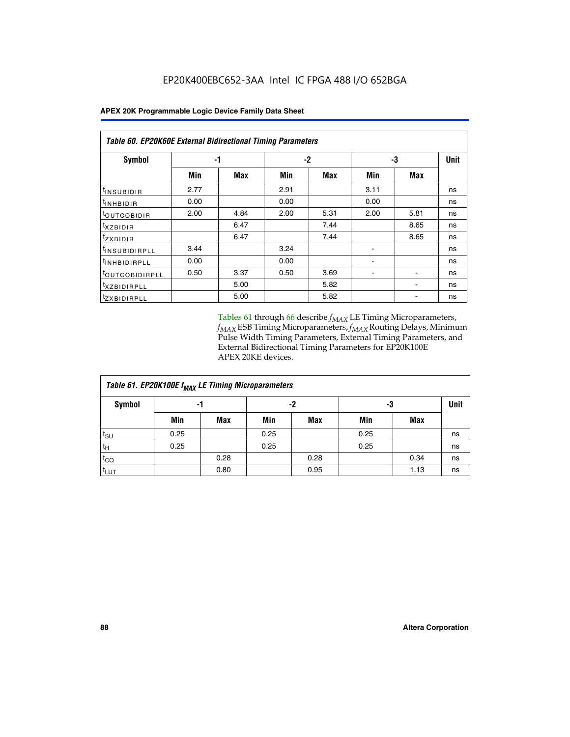| <b>Table 60. EP20K60E External Bidirectional Timing Parameters</b> |      |            |      |      |      |            |    |  |  |  |  |
|--------------------------------------------------------------------|------|------------|------|------|------|------------|----|--|--|--|--|
| Symbol                                                             | -1   |            |      | -2   | -3   | Unit       |    |  |  |  |  |
|                                                                    | Min  | <b>Max</b> | Min  | Max  | Min  | <b>Max</b> |    |  |  |  |  |
| t <sub>INSUBIDIR</sub>                                             | 2.77 |            | 2.91 |      | 3.11 |            | ns |  |  |  |  |
| <sup>t</sup> INHBIDIR                                              | 0.00 |            | 0.00 |      | 0.00 |            | ns |  |  |  |  |
| <sup>t</sup> OUTCOBIDIR                                            | 2.00 | 4.84       | 2.00 | 5.31 | 2.00 | 5.81       | ns |  |  |  |  |
| $t_{XZBIDIR}$                                                      |      | 6.47       |      | 7.44 |      | 8.65       | ns |  |  |  |  |
| <sup>t</sup> zxbidir                                               |      | 6.47       |      | 7.44 |      | 8.65       | ns |  |  |  |  |
| <sup>t</sup> INSUBIDIRPLL                                          | 3.44 |            | 3.24 |      |      |            | ns |  |  |  |  |
| <sup>t</sup> INHBIDIRPLL                                           | 0.00 |            | 0.00 |      | ۰    |            | ns |  |  |  |  |
| <sup>t</sup> OUTCOBIDIRPLL                                         | 0.50 | 3.37       | 0.50 | 3.69 |      |            | ns |  |  |  |  |
| <sup>t</sup> XZBIDIRPLL                                            |      | 5.00       |      | 5.82 |      |            | ns |  |  |  |  |
| <sup>I</sup> ZXBIDIRPLL                                            |      | 5.00       |      | 5.82 |      |            | ns |  |  |  |  |

Tables 61 through 66 describe  $f_{MAX}$  LE Timing Microparameters, *fMAX* ESB Timing Microparameters, *fMAX* Routing Delays, Minimum Pulse Width Timing Parameters, External Timing Parameters, and External Bidirectional Timing Parameters for EP20K100E APEX 20KE devices.

| Table 61. EP20K100E f <sub>MAX</sub> LE Timing Microparameters |      |      |      |            |      |            |             |  |  |  |  |  |
|----------------------------------------------------------------|------|------|------|------------|------|------------|-------------|--|--|--|--|--|
| <b>Symbol</b>                                                  |      | -1   |      | -2         |      | -3         | <b>Unit</b> |  |  |  |  |  |
|                                                                | Min  | Max  | Min  | <b>Max</b> | Min  | <b>Max</b> |             |  |  |  |  |  |
| $t_{\text{SU}}$                                                | 0.25 |      | 0.25 |            | 0.25 |            | ns          |  |  |  |  |  |
| tμ                                                             | 0.25 |      | 0.25 |            | 0.25 |            | ns          |  |  |  |  |  |
| $t_{CO}$                                                       |      | 0.28 |      | 0.28       |      | 0.34       | ns          |  |  |  |  |  |
| t <sub>LUT</sub>                                               |      | 0.80 |      | 0.95       |      | 1.13       | ns          |  |  |  |  |  |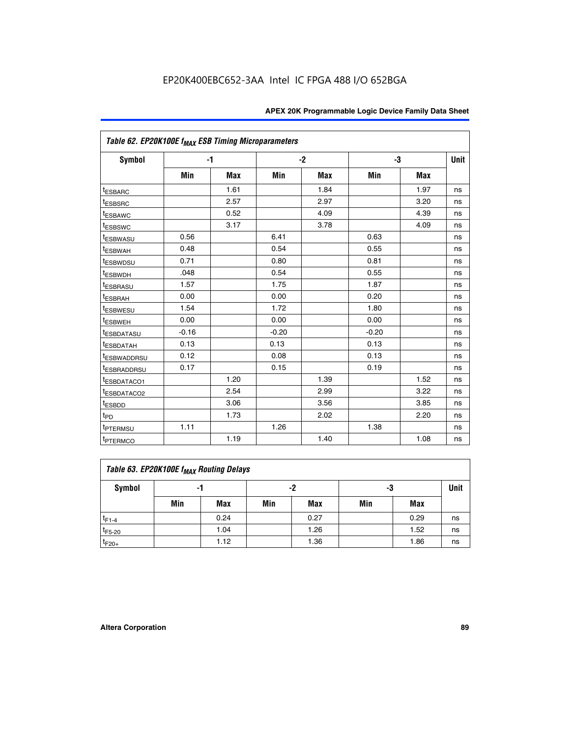| Table 62. EP20K100E f <sub>MAX</sub> ESB Timing Microparameters |         |            |         |            |         |            |             |
|-----------------------------------------------------------------|---------|------------|---------|------------|---------|------------|-------------|
| <b>Symbol</b>                                                   |         | $-1$       |         | $-2$       |         | -3         | <b>Unit</b> |
|                                                                 | Min     | <b>Max</b> | Min     | <b>Max</b> | Min     | <b>Max</b> |             |
| <sup>t</sup> ESBARC                                             |         | 1.61       |         | 1.84       |         | 1.97       | ns          |
| <sup>t</sup> ESBSRC                                             |         | 2.57       |         | 2.97       |         | 3.20       | ns          |
| t <sub>ESBAWC</sub>                                             |         | 0.52       |         | 4.09       |         | 4.39       | ns          |
| <sup>t</sup> ESBSWC                                             |         | 3.17       |         | 3.78       |         | 4.09       | ns          |
| t <sub>ESBWASU</sub>                                            | 0.56    |            | 6.41    |            | 0.63    |            | ns          |
| <sup>t</sup> ESBWAH                                             | 0.48    |            | 0.54    |            | 0.55    |            | ns          |
| <sup>t</sup> ESBWDSU                                            | 0.71    |            | 0.80    |            | 0.81    |            | ns          |
| t <sub>ESBWDH</sub>                                             | .048    |            | 0.54    |            | 0.55    |            | ns          |
| <sup>t</sup> ESBRASU                                            | 1.57    |            | 1.75    |            | 1.87    |            | ns          |
| <sup>t</sup> ESBRAH                                             | 0.00    |            | 0.00    |            | 0.20    |            | ns          |
| t <sub>ESBWESU</sub>                                            | 1.54    |            | 1.72    |            | 1.80    |            | ns          |
| <sup>t</sup> ESBWEH                                             | 0.00    |            | 0.00    |            | 0.00    |            | ns          |
| <sup>t</sup> ESBDATASU                                          | $-0.16$ |            | $-0.20$ |            | $-0.20$ |            | ns          |
| <b>ESBDATAH</b>                                                 | 0.13    |            | 0.13    |            | 0.13    |            | ns          |
| <sup>t</sup> ESBWADDRSU                                         | 0.12    |            | 0.08    |            | 0.13    |            | ns          |
| <sup>t</sup> ESBRADDRSU                                         | 0.17    |            | 0.15    |            | 0.19    |            | ns          |
| ESBDATACO1                                                      |         | 1.20       |         | 1.39       |         | 1.52       | ns          |
| <sup>t</sup> ESBDATACO <sub>2</sub>                             |         | 2.54       |         | 2.99       |         | 3.22       | ns          |
| t <sub>ESBDD</sub>                                              |         | 3.06       |         | 3.56       |         | 3.85       | ns          |
| t <sub>PD</sub>                                                 |         | 1.73       |         | 2.02       |         | 2.20       | ns          |
| <sup>t</sup> PTERMSU                                            | 1.11    |            | 1.26    |            | 1.38    |            | ns          |
| t <sub>PTERMCO</sub>                                            |         | 1.19       |         | 1.40       |         | 1.08       | ns          |

| Table 63. EP20K100E f <sub>MAX</sub> Routing Delays |                |      |     |      |     |      |    |  |  |  |
|-----------------------------------------------------|----------------|------|-----|------|-----|------|----|--|--|--|
| <b>Symbol</b>                                       | -2<br>-3<br>-1 |      |     |      |     |      |    |  |  |  |
|                                                     | Min            | Max  | Min | Max  | Min | Max  |    |  |  |  |
| $t_{F1-4}$                                          |                | 0.24 |     | 0.27 |     | 0.29 | ns |  |  |  |
| $t_{F5-20}$                                         |                | 1.04 |     | 1.26 |     | 1.52 | ns |  |  |  |
| $t_{F20+}$                                          |                | 1.12 |     | 1.36 |     | 1.86 | ns |  |  |  |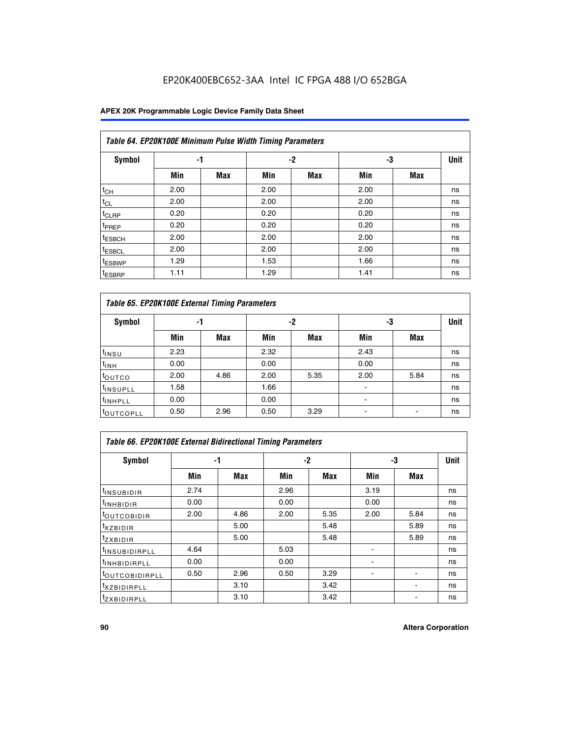## EP20K400EBC652-3AA Intel IC FPGA 488 I/O 652BGA

### **APEX 20K Programmable Logic Device Family Data Sheet**

|                    | Table 64. EP20K100E Minimum Pulse Width Timing Parameters |            |      |            |      |            |             |  |  |  |  |  |
|--------------------|-----------------------------------------------------------|------------|------|------------|------|------------|-------------|--|--|--|--|--|
| <b>Symbol</b>      | -1                                                        |            |      | $-2$       |      | -3         | <b>Unit</b> |  |  |  |  |  |
|                    | Min                                                       | <b>Max</b> | Min  | <b>Max</b> | Min  | <b>Max</b> |             |  |  |  |  |  |
| $t_{CH}$           | 2.00                                                      |            | 2.00 |            | 2.00 |            | ns          |  |  |  |  |  |
| $t_{CL}$           | 2.00                                                      |            | 2.00 |            | 2.00 |            | ns          |  |  |  |  |  |
| t <sub>CLRP</sub>  | 0.20                                                      |            | 0.20 |            | 0.20 |            | ns          |  |  |  |  |  |
| t <sub>PREP</sub>  | 0.20                                                      |            | 0.20 |            | 0.20 |            | ns          |  |  |  |  |  |
| <sup>t</sup> ESBCH | 2.00                                                      |            | 2.00 |            | 2.00 |            | ns          |  |  |  |  |  |
| <sup>t</sup> ESBCL | 2.00                                                      |            | 2.00 |            | 2.00 |            | ns          |  |  |  |  |  |
| <sup>t</sup> ESBWP | 1.29                                                      |            | 1.53 |            | 1.66 |            | ns          |  |  |  |  |  |
| <sup>t</sup> ESBRP | 1.11                                                      |            | 1.29 |            | 1.41 |            | ns          |  |  |  |  |  |

|                      | Table 65. EP20K100E External Timing Parameters |            |      |            |                |            |    |  |  |  |  |  |
|----------------------|------------------------------------------------|------------|------|------------|----------------|------------|----|--|--|--|--|--|
| <b>Symbol</b>        | -1                                             |            |      | -2         |                | -3         |    |  |  |  |  |  |
|                      | Min                                            | <b>Max</b> | Min  | <b>Max</b> | Min            | <b>Max</b> |    |  |  |  |  |  |
| $t_{INSU}$           | 2.23                                           |            | 2.32 |            | 2.43           |            | ns |  |  |  |  |  |
| $t_{\rm INH}$        | 0.00                                           |            | 0.00 |            | 0.00           |            | ns |  |  |  |  |  |
| toutco               | 2.00                                           | 4.86       | 2.00 | 5.35       | 2.00           | 5.84       | ns |  |  |  |  |  |
| <sup>t</sup> INSUPLL | 1.58                                           |            | 1.66 |            |                |            | ns |  |  |  |  |  |
| <sup>t</sup> INHPLL  | 0.00                                           |            | 0.00 |            | $\blacksquare$ |            | ns |  |  |  |  |  |
| <b>LOUTCOPLL</b>     | 0.50                                           | 2.96       | 0.50 | 3.29       | -              |            | ns |  |  |  |  |  |

|                              | <b>Table 66. EP20K100E External Bidirectional Timing Parameters</b> |      |      |      |                |      |      |  |  |  |
|------------------------------|---------------------------------------------------------------------|------|------|------|----------------|------|------|--|--|--|
| Symbol                       |                                                                     | -1   |      | $-2$ |                | -3   | Unit |  |  |  |
|                              | Min                                                                 | Max  | Min  | Max  | Min            | Max  |      |  |  |  |
| <sup>t</sup> INSUBIDIR       | 2.74                                                                |      | 2.96 |      | 3.19           |      | ns   |  |  |  |
| <b>TINHBIDIR</b>             | 0.00                                                                |      | 0.00 |      | 0.00           |      | ns   |  |  |  |
| <b>LOUTCOBIDIR</b>           | 2.00                                                                | 4.86 | 2.00 | 5.35 | 2.00           | 5.84 | ns   |  |  |  |
| <sup>T</sup> XZBIDIR         |                                                                     | 5.00 |      | 5.48 |                | 5.89 | ns   |  |  |  |
| <sup>T</sup> ZXBIDIR         |                                                                     | 5.00 |      | 5.48 |                | 5.89 | ns   |  |  |  |
| <sup>t</sup> INSUBIDIRPLL    | 4.64                                                                |      | 5.03 |      |                |      | ns   |  |  |  |
| <sup>I</sup> INHBIDIRPLL     | 0.00                                                                |      | 0.00 |      | $\blacksquare$ |      | ns   |  |  |  |
| <b><i>LOUTCOBIDIRPLL</i></b> | 0.50                                                                | 2.96 | 0.50 | 3.29 |                |      | ns   |  |  |  |
| <sup>T</sup> XZBIDIRPLL      |                                                                     | 3.10 |      | 3.42 |                |      | ns   |  |  |  |
| <sup>I</sup> ZXBIDIRPLL      |                                                                     | 3.10 |      | 3.42 |                |      | ns   |  |  |  |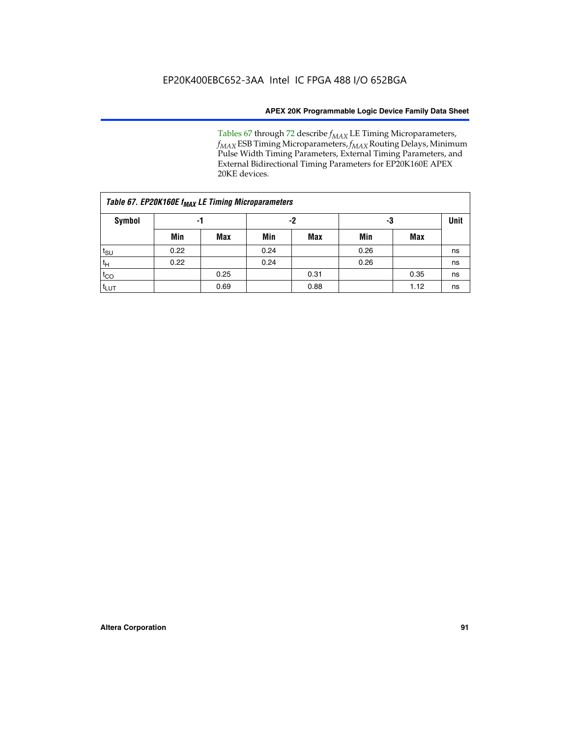Tables 67 through 72 describe *f<sub>MAX</sub>* LE Timing Microparameters, *f<sub>MAX</sub>* ESB Timing Microparameters, *f<sub>MAX</sub>* Routing Delays, Minimum Pulse Width Timing Parameters, External Timing Parameters, and External Bidirectional Timing Parameters for EP20K160E APEX 20KE devices.

|                  | Table 67. EP20K160E f <sub>MAX</sub> LE Timing Microparameters |            |      |            |      |      |             |  |  |  |  |  |
|------------------|----------------------------------------------------------------|------------|------|------------|------|------|-------------|--|--|--|--|--|
| Symbol           | -1                                                             |            |      | -2         |      | -3   | <b>Unit</b> |  |  |  |  |  |
|                  | Min                                                            | <b>Max</b> | Min  | <b>Max</b> | Min  | Max  |             |  |  |  |  |  |
| $t_{\text{SU}}$  | 0.22                                                           |            | 0.24 |            | 0.26 |      | ns          |  |  |  |  |  |
| $t_H$            | 0.22                                                           |            | 0.24 |            | 0.26 |      | ns          |  |  |  |  |  |
| $t_{CO}$         |                                                                | 0.25       |      | 0.31       |      | 0.35 | ns          |  |  |  |  |  |
| t <sub>lut</sub> |                                                                | 0.69       |      | 0.88       |      | 1.12 | ns          |  |  |  |  |  |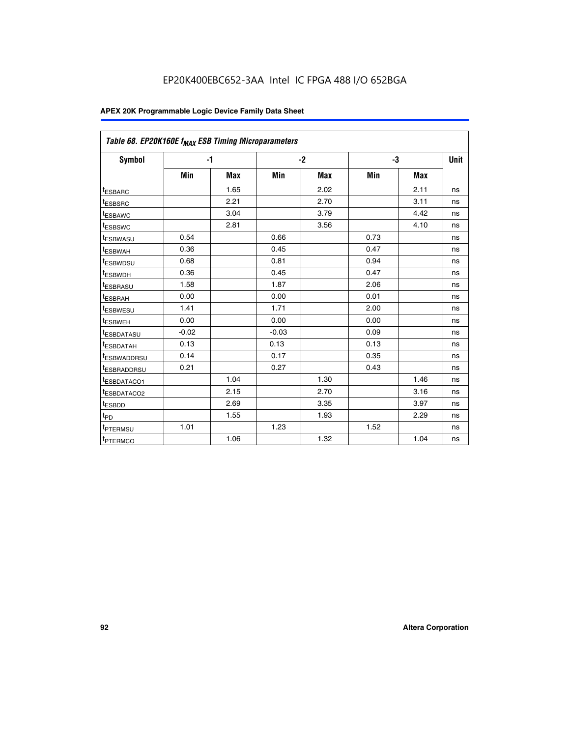| Table 68. EP20K160E f <sub>MAX</sub> ESB Timing Microparameters |         |            |         |            |      |      |      |
|-----------------------------------------------------------------|---------|------------|---------|------------|------|------|------|
| <b>Symbol</b>                                                   |         | $-1$       |         | $-2$       |      | -3   | Unit |
|                                                                 | Min     | <b>Max</b> | Min     | <b>Max</b> | Min  | Max  |      |
| <sup>t</sup> ESBARC                                             |         | 1.65       |         | 2.02       |      | 2.11 | ns   |
| t <sub>ESBSRC</sub>                                             |         | 2.21       |         | 2.70       |      | 3.11 | ns   |
| <sup>t</sup> ESBAWC                                             |         | 3.04       |         | 3.79       |      | 4.42 | ns   |
| t <sub>ESBSWC</sub>                                             |         | 2.81       |         | 3.56       |      | 4.10 | ns   |
| <sup>t</sup> ESBWASU                                            | 0.54    |            | 0.66    |            | 0.73 |      | ns   |
| <sup>t</sup> ESBWAH                                             | 0.36    |            | 0.45    |            | 0.47 |      | ns   |
| t <sub>ESBWDSU</sub>                                            | 0.68    |            | 0.81    |            | 0.94 |      | ns   |
| <sup>t</sup> ESBWDH                                             | 0.36    |            | 0.45    |            | 0.47 |      | ns   |
| t <sub>ESBRASU</sub>                                            | 1.58    |            | 1.87    |            | 2.06 |      | ns   |
| <sup>t</sup> ESBRAH                                             | 0.00    |            | 0.00    |            | 0.01 |      | ns   |
| <sup>t</sup> ESBWESU                                            | 1.41    |            | 1.71    |            | 2.00 |      | ns   |
| t <sub>ESBWEH</sub>                                             | 0.00    |            | 0.00    |            | 0.00 |      | ns   |
| t <sub>ESBDATASU</sub>                                          | $-0.02$ |            | $-0.03$ |            | 0.09 |      | ns   |
| t <sub>ESBDATAH</sub>                                           | 0.13    |            | 0.13    |            | 0.13 |      | ns   |
| t <sub>ESBWADDRSU</sub>                                         | 0.14    |            | 0.17    |            | 0.35 |      | ns   |
| <sup>t</sup> ESBRADDRSU                                         | 0.21    |            | 0.27    |            | 0.43 |      | ns   |
| <sup>I</sup> ESBDATACO1                                         |         | 1.04       |         | 1.30       |      | 1.46 | ns   |
| t <sub>ESBDATACO2</sub>                                         |         | 2.15       |         | 2.70       |      | 3.16 | ns   |
| <sup>t</sup> ESBDD                                              |         | 2.69       |         | 3.35       |      | 3.97 | ns   |
| $t_{\mathsf{PD}}$                                               |         | 1.55       |         | 1.93       |      | 2.29 | ns   |
| t <sub>PTERMSU</sub>                                            | 1.01    |            | 1.23    |            | 1.52 |      | ns   |
| t <sub>PTERMCO</sub>                                            |         | 1.06       |         | 1.32       |      | 1.04 | ns   |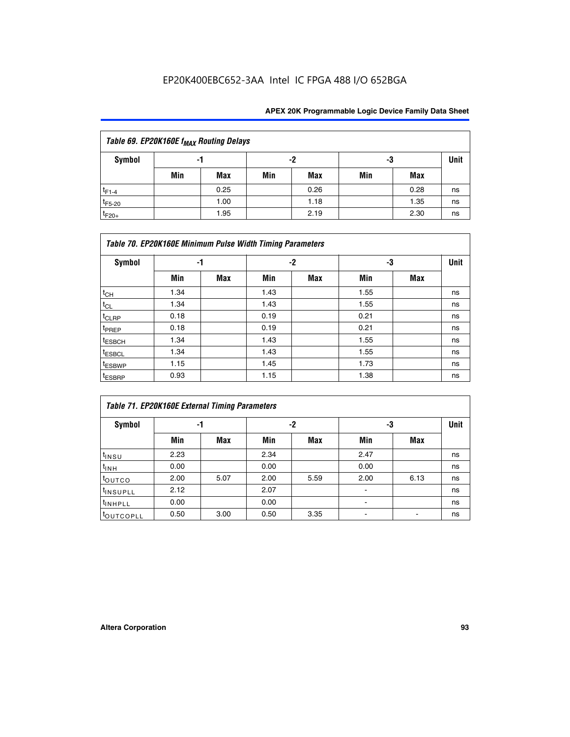## EP20K400EBC652-3AA Intel IC FPGA 488 I/O 652BGA

| Table 69. EP20K160E f <sub>MAX</sub> Routing Delays |     |      |     |      |     |      |    |  |  |  |  |
|-----------------------------------------------------|-----|------|-----|------|-----|------|----|--|--|--|--|
| Symbol                                              | -1  |      |     | -2   |     | -3   |    |  |  |  |  |
|                                                     | Min | Max  | Min | Max  | Min | Max  |    |  |  |  |  |
| $t_{F1-4}$                                          |     | 0.25 |     | 0.26 |     | 0.28 | ns |  |  |  |  |
| $t_{F5-20}$                                         |     | 1.00 |     | 1.18 |     | 1.35 | ns |  |  |  |  |
| $t_{F20+}$                                          |     | 1.95 |     | 2.19 |     | 2.30 | ns |  |  |  |  |

|                    | Table 70. EP20K160E Minimum Pulse Width Timing Parameters |            |      |            |      |     |             |  |  |  |  |  |
|--------------------|-----------------------------------------------------------|------------|------|------------|------|-----|-------------|--|--|--|--|--|
| <b>Symbol</b>      | -1                                                        |            |      | -2         |      | -3  | <b>Unit</b> |  |  |  |  |  |
|                    | Min                                                       | <b>Max</b> | Min  | <b>Max</b> | Min  | Max |             |  |  |  |  |  |
| $t_{CH}$           | 1.34                                                      |            | 1.43 |            | 1.55 |     | ns          |  |  |  |  |  |
| $t_{CL}$           | 1.34                                                      |            | 1.43 |            | 1.55 |     | ns          |  |  |  |  |  |
| $t_{CLRP}$         | 0.18                                                      |            | 0.19 |            | 0.21 |     | ns          |  |  |  |  |  |
| t <sub>PREP</sub>  | 0.18                                                      |            | 0.19 |            | 0.21 |     | ns          |  |  |  |  |  |
| <sup>t</sup> ESBCH | 1.34                                                      |            | 1.43 |            | 1.55 |     | ns          |  |  |  |  |  |
| <sup>t</sup> ESBCL | 1.34                                                      |            | 1.43 |            | 1.55 |     | ns          |  |  |  |  |  |
| t <sub>ESBWP</sub> | 1.15                                                      |            | 1.45 |            | 1.73 |     | ns          |  |  |  |  |  |
| <sup>t</sup> ESBRP | 0.93                                                      |            | 1.15 |            | 1.38 |     | ns          |  |  |  |  |  |

| Table 71. EP20K160E External Timing Parameters |      |      |      |      |                |      |      |  |  |  |  |
|------------------------------------------------|------|------|------|------|----------------|------|------|--|--|--|--|
| Symbol                                         | -1   |      |      | -2   | -3             |      | Unit |  |  |  |  |
|                                                | Min  | Max  | Min  | Max  | Min            | Max  |      |  |  |  |  |
| $t_{INSU}$                                     | 2.23 |      | 2.34 |      | 2.47           |      | ns   |  |  |  |  |
| $t_{INH}$                                      | 0.00 |      | 0.00 |      | 0.00           |      | ns   |  |  |  |  |
| toutco                                         | 2.00 | 5.07 | 2.00 | 5.59 | 2.00           | 6.13 | ns   |  |  |  |  |
| <sup>t</sup> INSUPLL                           | 2.12 |      | 2.07 |      | $\blacksquare$ |      | ns   |  |  |  |  |
| <sup>t</sup> INHPLL                            | 0.00 |      | 0.00 |      | ۰              |      | ns   |  |  |  |  |
| toutcopll                                      | 0.50 | 3.00 | 0.50 | 3.35 |                |      | ns   |  |  |  |  |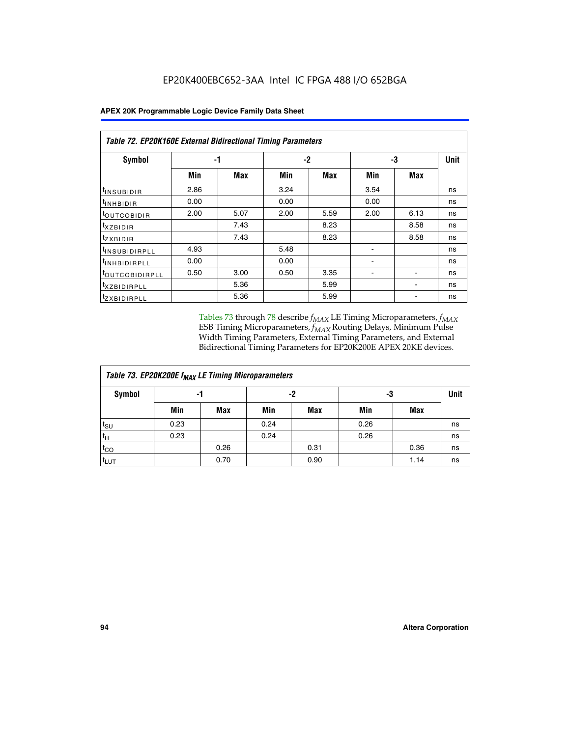|                                | <b>Table 72. EP20K160E External Bidirectional Timing Parameters</b> |            |      |      |      |                          |      |  |  |  |  |
|--------------------------------|---------------------------------------------------------------------|------------|------|------|------|--------------------------|------|--|--|--|--|
| Symbol                         |                                                                     | -1         |      | $-2$ |      | -3                       | Unit |  |  |  |  |
|                                | Min                                                                 | <b>Max</b> | Min  | Max  | Min  | Max                      |      |  |  |  |  |
| <sup>t</sup> INSUB <u>IDIR</u> | 2.86                                                                |            | 3.24 |      | 3.54 |                          | ns   |  |  |  |  |
| <b>UNHBIDIR</b>                | 0.00                                                                |            | 0.00 |      | 0.00 |                          | ns   |  |  |  |  |
| <b>LOUTCOBIDIR</b>             | 2.00                                                                | 5.07       | 2.00 | 5.59 | 2.00 | 6.13                     | ns   |  |  |  |  |
| KZBIDIR                        |                                                                     | 7.43       |      | 8.23 |      | 8.58                     | ns   |  |  |  |  |
| <sup>t</sup> zxbidir           |                                                                     | 7.43       |      | 8.23 |      | 8.58                     | ns   |  |  |  |  |
| <sup>t</sup> INSUBIDIRPLL      | 4.93                                                                |            | 5.48 |      |      |                          | ns   |  |  |  |  |
| <b>INHBIDIRPLL</b>             | 0.00                                                                |            | 0.00 |      | -    |                          | ns   |  |  |  |  |
| <b><i>LOUTCOBIDIRPLL</i></b>   | 0.50                                                                | 3.00       | 0.50 | 3.35 | -    | $\overline{\phantom{a}}$ | ns   |  |  |  |  |
| <sup>T</sup> XZBIDIRPLL        |                                                                     | 5.36       |      | 5.99 |      | $\overline{\phantom{0}}$ | ns   |  |  |  |  |
| <sup>I</sup> ZXBIDIRPLL        |                                                                     | 5.36       |      | 5.99 |      |                          | ns   |  |  |  |  |

Tables 73 through 78 describe  $f_{MAX}$  LE Timing Microparameters,  $f_{MAX}$ ESB Timing Microparameters, *f<sub>MAX</sub>* Routing Delays, Minimum Pulse Width Timing Parameters, External Timing Parameters, and External Bidirectional Timing Parameters for EP20K200E APEX 20KE devices.

| Table 73. EP20K200E f <sub>MAX</sub> LE Timing Microparameters |      |      |      |            |      |      |             |  |  |  |  |
|----------------------------------------------------------------|------|------|------|------------|------|------|-------------|--|--|--|--|
| <b>Symbol</b><br>-1                                            |      |      | -2   |            | -3   |      | <b>Unit</b> |  |  |  |  |
|                                                                | Min  | Max  | Min  | <b>Max</b> | Min  | Max  |             |  |  |  |  |
| $t_{\text{SU}}$                                                | 0.23 |      | 0.24 |            | 0.26 |      | ns          |  |  |  |  |
| $t_H$                                                          | 0.23 |      | 0.24 |            | 0.26 |      | ns          |  |  |  |  |
| $t_{CO}$                                                       |      | 0.26 |      | 0.31       |      | 0.36 | ns          |  |  |  |  |
| <sup>t</sup> LUT                                               |      | 0.70 |      | 0.90       |      | 1.14 | ns          |  |  |  |  |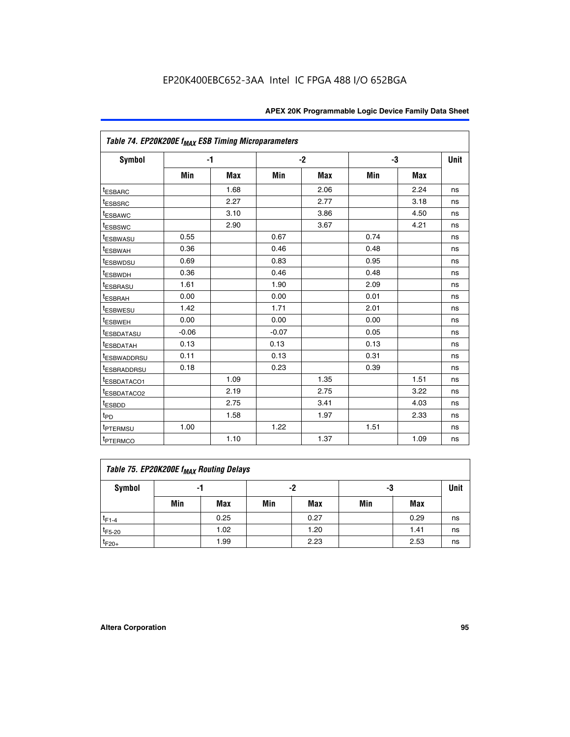| Table 74. EP20K200E f <sub>MAX</sub> ESB Timing Microparameters |         |            |         |      |      |      |    |
|-----------------------------------------------------------------|---------|------------|---------|------|------|------|----|
| Symbol                                                          |         | $-1$       |         | $-2$ |      | -3   |    |
|                                                                 | Min     | <b>Max</b> | Min     | Max  | Min  | Max  |    |
| <sup>t</sup> ESBARC                                             |         | 1.68       |         | 2.06 |      | 2.24 | ns |
| <sup>t</sup> ESBSRC                                             |         | 2.27       |         | 2.77 |      | 3.18 | ns |
| t <sub>ESBAWC</sub>                                             |         | 3.10       |         | 3.86 |      | 4.50 | ns |
| <sup>t</sup> ESBSWC                                             |         | 2.90       |         | 3.67 |      | 4.21 | ns |
| t <sub>ESBWASU</sub>                                            | 0.55    |            | 0.67    |      | 0.74 |      | ns |
| <sup>t</sup> ESBWAH                                             | 0.36    |            | 0.46    |      | 0.48 |      | ns |
| <sup>t</sup> ESBWDSU                                            | 0.69    |            | 0.83    |      | 0.95 |      | ns |
| <sup>t</sup> ESBWDH                                             | 0.36    |            | 0.46    |      | 0.48 |      | ns |
| <sup>t</sup> ESBRASU                                            | 1.61    |            | 1.90    |      | 2.09 |      | ns |
| t <sub>ESBRAH</sub>                                             | 0.00    |            | 0.00    |      | 0.01 |      | ns |
| t <sub>ESBWESU</sub>                                            | 1.42    |            | 1.71    |      | 2.01 |      | ns |
| <sup>I</sup> ESBWEH                                             | 0.00    |            | 0.00    |      | 0.00 |      | ns |
| t <sub>ESBDATASU</sub>                                          | $-0.06$ |            | $-0.07$ |      | 0.05 |      | ns |
| <b>ESBDATAH</b>                                                 | 0.13    |            | 0.13    |      | 0.13 |      | ns |
| t <sub>ESBWADDRSU</sub>                                         | 0.11    |            | 0.13    |      | 0.31 |      | ns |
| <sup>t</sup> ESBRADDRSU                                         | 0.18    |            | 0.23    |      | 0.39 |      | ns |
| ESBDATACO1                                                      |         | 1.09       |         | 1.35 |      | 1.51 | ns |
| <sup>t</sup> ESBDATACO <sub>2</sub>                             |         | 2.19       |         | 2.75 |      | 3.22 | ns |
| t <sub>ESBDD</sub>                                              |         | 2.75       |         | 3.41 |      | 4.03 | ns |
| $t_{PD}$                                                        |         | 1.58       |         | 1.97 |      | 2.33 | ns |
| <sup>t</sup> PTERMSU                                            | 1.00    |            | 1.22    |      | 1.51 |      | ns |
| t <sub>PTERMCO</sub>                                            |         | 1.10       |         | 1.37 |      | 1.09 | ns |

| Table 75. EP20K200E f <sub>MAX</sub> Routing Delays |                |      |     |             |     |      |    |  |  |  |
|-----------------------------------------------------|----------------|------|-----|-------------|-----|------|----|--|--|--|
| Symbol                                              | -2<br>-3<br>-1 |      |     | <b>Unit</b> |     |      |    |  |  |  |
|                                                     | Min            | Max  | Min | <b>Max</b>  | Min | Max  |    |  |  |  |
| $t_{F1-4}$                                          |                | 0.25 |     | 0.27        |     | 0.29 | ns |  |  |  |
| $t_{F5-20}$                                         |                | 1.02 |     | 1.20        |     | 1.41 | ns |  |  |  |
| $t_{F20+}$                                          |                | 1.99 |     | 2.23        |     | 2.53 | ns |  |  |  |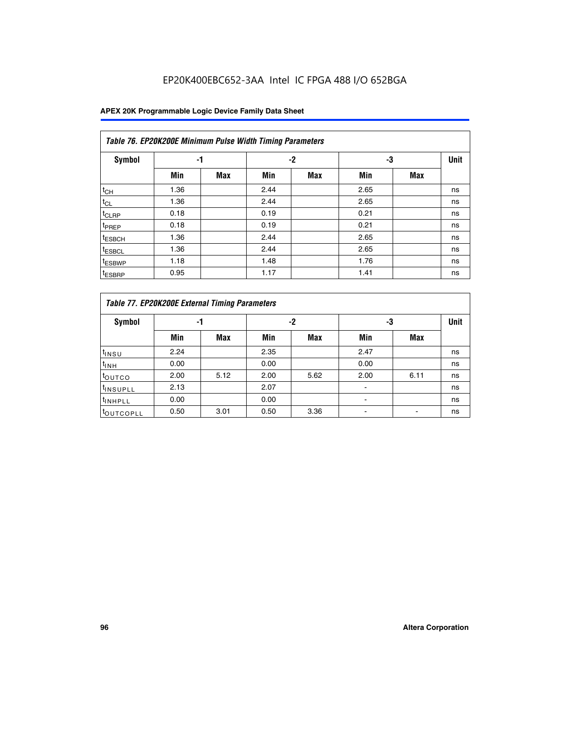## EP20K400EBC652-3AA Intel IC FPGA 488 I/O 652BGA

|                    | Table 76. EP20K200E Minimum Pulse Width Timing Parameters |            |      |      |      |            |             |  |  |  |  |  |
|--------------------|-----------------------------------------------------------|------------|------|------|------|------------|-------------|--|--|--|--|--|
| Symbol             | -1                                                        |            |      | $-2$ | -3   |            | <b>Unit</b> |  |  |  |  |  |
|                    | Min                                                       | <b>Max</b> | Min  | Max  | Min  | <b>Max</b> |             |  |  |  |  |  |
| $t_{CH}$           | 1.36                                                      |            | 2.44 |      | 2.65 |            | ns          |  |  |  |  |  |
| $t_{CL}$           | 1.36                                                      |            | 2.44 |      | 2.65 |            | ns          |  |  |  |  |  |
| $t_{CLRP}$         | 0.18                                                      |            | 0.19 |      | 0.21 |            | ns          |  |  |  |  |  |
| <sup>t</sup> PREP  | 0.18                                                      |            | 0.19 |      | 0.21 |            | ns          |  |  |  |  |  |
| <sup>t</sup> ESBCH | 1.36                                                      |            | 2.44 |      | 2.65 |            | ns          |  |  |  |  |  |
| <sup>t</sup> ESBCL | 1.36                                                      |            | 2.44 |      | 2.65 |            | ns          |  |  |  |  |  |
| <sup>t</sup> ESBWP | 1.18                                                      |            | 1.48 |      | 1.76 |            | ns          |  |  |  |  |  |
| <sup>t</sup> ESBRP | 0.95                                                      |            | 1.17 |      | 1.41 |            | ns          |  |  |  |  |  |

| Table 77. EP20K200E External Timing Parameters |      |            |      |            |      |      |             |  |  |  |  |  |
|------------------------------------------------|------|------------|------|------------|------|------|-------------|--|--|--|--|--|
| <b>Symbol</b>                                  |      | -1         |      | -2         |      | -3   | <b>Unit</b> |  |  |  |  |  |
|                                                | Min  | <b>Max</b> | Min  | <b>Max</b> | Min  | Max  |             |  |  |  |  |  |
| t <sub>INSU</sub>                              | 2.24 |            | 2.35 |            | 2.47 |      | ns          |  |  |  |  |  |
| $t_{\text{INH}}$                               | 0.00 |            | 0.00 |            | 0.00 |      | ns          |  |  |  |  |  |
| toutco                                         | 2.00 | 5.12       | 2.00 | 5.62       | 2.00 | 6.11 | ns          |  |  |  |  |  |
| <sup>t</sup> INSUPLL                           | 2.13 |            | 2.07 |            |      |      | ns          |  |  |  |  |  |
| <sup>t</sup> INHPLL                            | 0.00 |            | 0.00 |            | -    |      | ns          |  |  |  |  |  |
| <sup>I</sup> OUTCOPLL                          | 0.50 | 3.01       | 0.50 | 3.36       |      |      | ns          |  |  |  |  |  |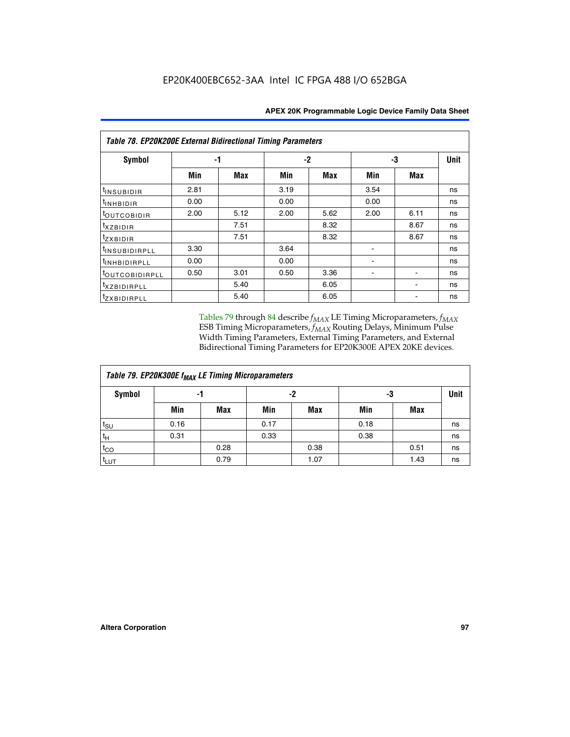| Table 78. EP20K200E External Bidirectional Timing Parameters |      |      |      |      |      |      |             |  |  |  |
|--------------------------------------------------------------|------|------|------|------|------|------|-------------|--|--|--|
| Symbol                                                       | -1   |      | $-2$ |      |      | -3   | <b>Unit</b> |  |  |  |
|                                                              | Min  | Max  | Min  | Max  | Min  | Max  |             |  |  |  |
| $t_{INSUBIDIR}$                                              | 2.81 |      | 3.19 |      | 3.54 |      | ns          |  |  |  |
| $t_{INHBIDIR}$                                               | 0.00 |      | 0.00 |      | 0.00 |      | ns          |  |  |  |
| t <sub>OUTCOBIDIR</sub>                                      | 2.00 | 5.12 | 2.00 | 5.62 | 2.00 | 6.11 | ns          |  |  |  |
| <i>txzbidir</i>                                              |      | 7.51 |      | 8.32 |      | 8.67 | ns          |  |  |  |
| tzxbidir                                                     |      | 7.51 |      | 8.32 |      | 8.67 | ns          |  |  |  |
| <sup>t</sup> INSUBIDIRPLL                                    | 3.30 |      | 3.64 |      |      |      | ns          |  |  |  |
| t <sub>INHBIDIRPLL</sub>                                     | 0.00 |      | 0.00 |      |      |      | ns          |  |  |  |
| <sup>t</sup> OUTCOBIDIRPLL                                   | 0.50 | 3.01 | 0.50 | 3.36 |      |      | ns          |  |  |  |
| <i>txzBIDIRPLL</i>                                           |      | 5.40 |      | 6.05 |      |      | ns          |  |  |  |
| tzxBIDIRPLL                                                  |      | 5.40 |      | 6.05 |      |      | ns          |  |  |  |

Tables 79 through 84 describe  $f_{MAX}$  LE Timing Microparameters,  $f_{MAX}$ ESB Timing Microparameters, *f<sub>MAX</sub>* Routing Delays, Minimum Pulse Width Timing Parameters, External Timing Parameters, and External Bidirectional Timing Parameters for EP20K300E APEX 20KE devices.

| Table 79. EP20K300E f <sub>MAX</sub> LE Timing Microparameters |      |            |      |            |      |            |    |  |  |  |  |
|----------------------------------------------------------------|------|------------|------|------------|------|------------|----|--|--|--|--|
| <b>Symbol</b>                                                  |      | -1         |      | -2         | -3   | Unit       |    |  |  |  |  |
|                                                                | Min  | <b>Max</b> | Min  | <b>Max</b> | Min  | <b>Max</b> |    |  |  |  |  |
| $t_{\text{SU}}$                                                | 0.16 |            | 0.17 |            | 0.18 |            | ns |  |  |  |  |
| $t_H$                                                          | 0.31 |            | 0.33 |            | 0.38 |            | ns |  |  |  |  |
| $t_{CO}$                                                       |      | 0.28       |      | 0.38       |      | 0.51       | ns |  |  |  |  |
| $t_{LUT}$                                                      |      | 0.79       |      | 1.07       |      | 1.43       | ns |  |  |  |  |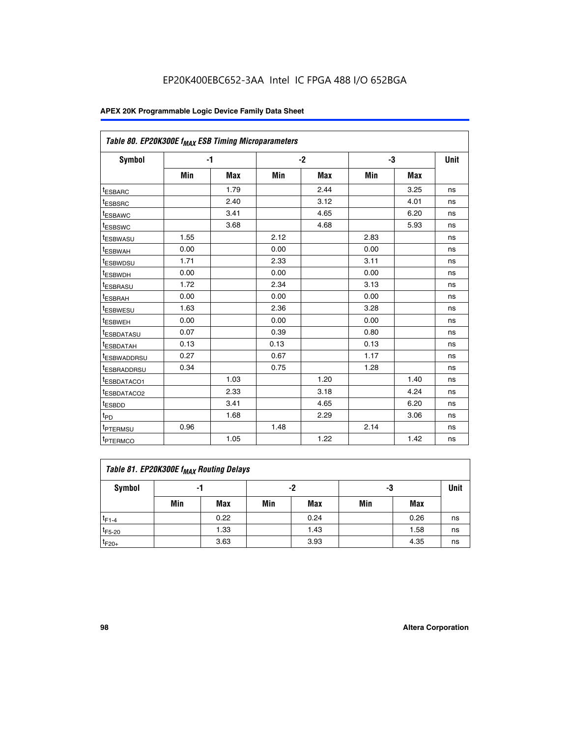| Table 80. EP20K300E f <sub>MAX</sub> ESB Timing Microparameters |      |            |      |            |      |            |      |
|-----------------------------------------------------------------|------|------------|------|------------|------|------------|------|
| <b>Symbol</b>                                                   |      | -1         |      | $-2$       |      | -3         | Unit |
|                                                                 | Min  | <b>Max</b> | Min  | <b>Max</b> | Min  | <b>Max</b> |      |
| t <sub>ESBARC</sub>                                             |      | 1.79       |      | 2.44       |      | 3.25       | ns   |
| t <sub>ESBSRC</sub>                                             |      | 2.40       |      | 3.12       |      | 4.01       | ns   |
| t <sub>ESBAWC</sub>                                             |      | 3.41       |      | 4.65       |      | 6.20       | ns   |
| t <sub>ESBSWC</sub>                                             |      | 3.68       |      | 4.68       |      | 5.93       | ns   |
| <sup>I</sup> ESBWASU                                            | 1.55 |            | 2.12 |            | 2.83 |            | ns   |
| <sup>t</sup> ESBWAH                                             | 0.00 |            | 0.00 |            | 0.00 |            | ns   |
| <sup>I</sup> ESBWDSU                                            | 1.71 |            | 2.33 |            | 3.11 |            | ns   |
| <sup>t</sup> ESBWDH                                             | 0.00 |            | 0.00 |            | 0.00 |            | ns   |
| <sup>t</sup> ESBRASU                                            | 1.72 |            | 2.34 |            | 3.13 |            | ns   |
| t <sub>ESBRAH</sub>                                             | 0.00 |            | 0.00 |            | 0.00 |            | ns   |
| <sup>t</sup> ESBWESU                                            | 1.63 |            | 2.36 |            | 3.28 |            | ns   |
| <sup>t</sup> ESBWEH                                             | 0.00 |            | 0.00 |            | 0.00 |            | ns   |
| t <sub>ESBDATASU</sub>                                          | 0.07 |            | 0.39 |            | 0.80 |            | ns   |
| <sup>t</sup> ESBDATAH                                           | 0.13 |            | 0.13 |            | 0.13 |            | ns   |
| <sup>t</sup> ESBWADDRSU                                         | 0.27 |            | 0.67 |            | 1.17 |            | ns   |
| <sup>t</sup> ESBRADDRSU                                         | 0.34 |            | 0.75 |            | 1.28 |            | ns   |
| <sup>I</sup> ESBDATACO1                                         |      | 1.03       |      | 1.20       |      | 1.40       | ns   |
| <sup>t</sup> ESBDATACO2                                         |      | 2.33       |      | 3.18       |      | 4.24       | ns   |
| <sup>t</sup> ESBDD                                              |      | 3.41       |      | 4.65       |      | 6.20       | ns   |
| t <sub>PD</sub>                                                 |      | 1.68       |      | 2.29       |      | 3.06       | ns   |
| t <sub>PTERMSU</sub>                                            | 0.96 |            | 1.48 |            | 2.14 |            | ns   |
| t <sub>PTERMCO</sub>                                            |      | 1.05       |      | 1.22       |      | 1.42       | ns   |

| Table 81. EP20K300E f <sub>MAX</sub> Routing Delays |                |      |     |      |     |      |    |  |  |  |  |
|-----------------------------------------------------|----------------|------|-----|------|-----|------|----|--|--|--|--|
| Symbol                                              | -2<br>-3<br>-1 |      |     |      |     |      |    |  |  |  |  |
|                                                     | Min            | Max  | Min | Max  | Min | Max  |    |  |  |  |  |
| $t_{F1-4}$                                          |                | 0.22 |     | 0.24 |     | 0.26 | ns |  |  |  |  |
| $t_{F5-20}$                                         |                | 1.33 |     | 1.43 |     | 1.58 | ns |  |  |  |  |
| $t_{F20+}$                                          |                | 3.63 |     | 3.93 |     | 4.35 | ns |  |  |  |  |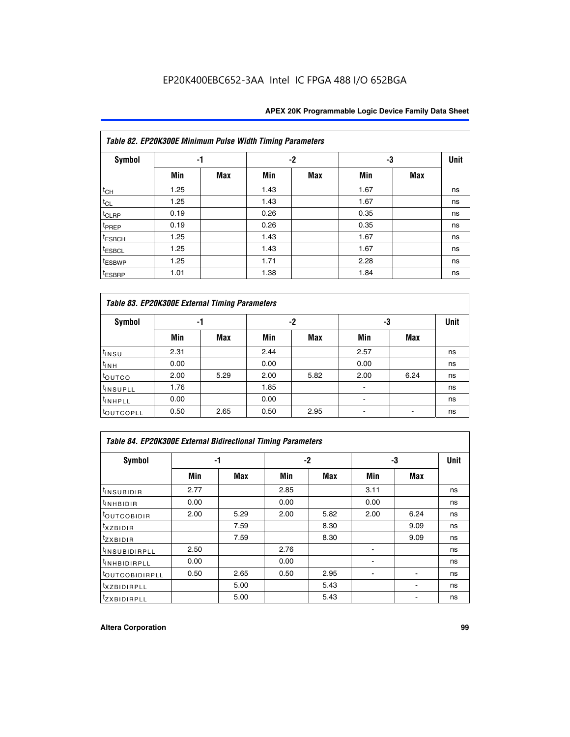|                    | Table 82. EP20K300E Minimum Pulse Width Timing Parameters |            |      |      |      |     |             |  |  |  |  |  |
|--------------------|-----------------------------------------------------------|------------|------|------|------|-----|-------------|--|--|--|--|--|
| <b>Symbol</b>      | -1                                                        |            |      | $-2$ | -3   |     | <b>Unit</b> |  |  |  |  |  |
|                    | Min                                                       | <b>Max</b> | Min  | Max  | Min  | Max |             |  |  |  |  |  |
| $t_{CH}$           | 1.25                                                      |            | 1.43 |      | 1.67 |     | ns          |  |  |  |  |  |
| $t_{CL}$           | 1.25                                                      |            | 1.43 |      | 1.67 |     | ns          |  |  |  |  |  |
| t <sub>CLRP</sub>  | 0.19                                                      |            | 0.26 |      | 0.35 |     | ns          |  |  |  |  |  |
| t <sub>PREP</sub>  | 0.19                                                      |            | 0.26 |      | 0.35 |     | ns          |  |  |  |  |  |
| t <sub>ESBCH</sub> | 1.25                                                      |            | 1.43 |      | 1.67 |     | ns          |  |  |  |  |  |
| <sup>t</sup> ESBCL | 1.25                                                      |            | 1.43 |      | 1.67 |     | ns          |  |  |  |  |  |
| <sup>t</sup> ESBWP | 1.25                                                      |            | 1.71 |      | 2.28 |     | ns          |  |  |  |  |  |
| <sup>t</sup> ESBRP | 1.01                                                      |            | 1.38 |      | 1.84 |     | ns          |  |  |  |  |  |

| Table 83. EP20K300E External Timing Parameters |      |      |      |      |      |            |             |  |  |  |  |  |
|------------------------------------------------|------|------|------|------|------|------------|-------------|--|--|--|--|--|
| Symbol                                         |      | -1   |      | -2   |      | -3         | <b>Unit</b> |  |  |  |  |  |
|                                                | Min  | Max  | Min  | Max  | Min  | <b>Max</b> |             |  |  |  |  |  |
| t <sub>INSU</sub>                              | 2.31 |      | 2.44 |      | 2.57 |            | ns          |  |  |  |  |  |
| $t_{\rm INH}$                                  | 0.00 |      | 0.00 |      | 0.00 |            | ns          |  |  |  |  |  |
| toutco                                         | 2.00 | 5.29 | 2.00 | 5.82 | 2.00 | 6.24       | ns          |  |  |  |  |  |
| <sup>t</sup> INSUPLL                           | 1.76 |      | 1.85 |      |      |            | ns          |  |  |  |  |  |
| <sup>t</sup> INHPLL                            | 0.00 |      | 0.00 |      | -    |            | ns          |  |  |  |  |  |
| <sup>t</sup> OUTCOPLL                          | 0.50 | 2.65 | 0.50 | 2.95 |      |            | ns          |  |  |  |  |  |

| Table 84. EP20K300E External Bidirectional Timing Parameters |      |      |      |      |      |            |             |  |  |  |  |
|--------------------------------------------------------------|------|------|------|------|------|------------|-------------|--|--|--|--|
| Symbol                                                       | -1   |      | $-2$ |      |      | -3         | <b>Unit</b> |  |  |  |  |
|                                                              | Min  | Max  | Min  | Max  | Min  | <b>Max</b> |             |  |  |  |  |
| <sup>t</sup> INSUBIDIR                                       | 2.77 |      | 2.85 |      | 3.11 |            | ns          |  |  |  |  |
| <b>TINHBIDIR</b>                                             | 0.00 |      | 0.00 |      | 0.00 |            | ns          |  |  |  |  |
| <sup>t</sup> OUTCOBIDIR                                      | 2.00 | 5.29 | 2.00 | 5.82 | 2.00 | 6.24       | ns          |  |  |  |  |
| KZBIDIR                                                      |      | 7.59 |      | 8.30 |      | 9.09       | ns          |  |  |  |  |
| $t_{Z}$ <i>x</i> BIDIR                                       |      | 7.59 |      | 8.30 |      | 9.09       | ns          |  |  |  |  |
| <b>INSUBIDIRPLL</b>                                          | 2.50 |      | 2.76 |      |      |            | ns          |  |  |  |  |
| <sup>t</sup> INHBIDIRPLL                                     | 0.00 |      | 0.00 |      |      |            | ns          |  |  |  |  |
| <sup>t</sup> OUTCOBIDIRPLL                                   | 0.50 | 2.65 | 0.50 | 2.95 |      |            | ns          |  |  |  |  |
| <sup>t</sup> XZBIDIRPLL                                      |      | 5.00 |      | 5.43 |      |            | ns          |  |  |  |  |
| <sup>t</sup> ZXBIDIRPLL                                      |      | 5.00 |      | 5.43 |      |            | ns          |  |  |  |  |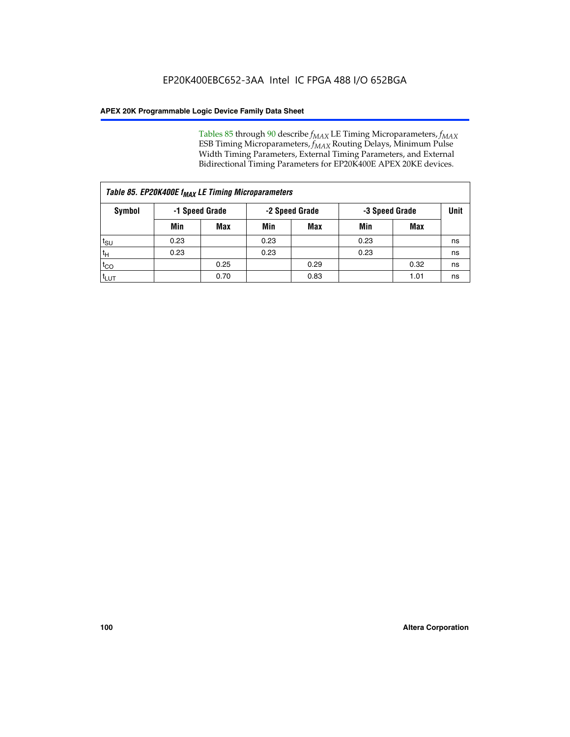Tables 85 through 90 describe  $f_{MAX}$  LE Timing Microparameters,  $f_{MAX}$ ESB Timing Microparameters, *f<sub>MAX</sub>* Routing Delays, Minimum Pulse Width Timing Parameters, External Timing Parameters, and External Bidirectional Timing Parameters for EP20K400E APEX 20KE devices.

| Table 85. EP20K400E f <sub>MAX</sub> LE Timing Microparameters |                |            |                |            |                |      |      |  |  |  |  |
|----------------------------------------------------------------|----------------|------------|----------------|------------|----------------|------|------|--|--|--|--|
| Symbol                                                         | -1 Speed Grade |            | -2 Speed Grade |            | -3 Speed Grade |      | Unit |  |  |  |  |
|                                                                | Min            | <b>Max</b> | Min            | <b>Max</b> | Min            | Max  |      |  |  |  |  |
| $t_{\text{SU}}$                                                | 0.23           |            | 0.23           |            | 0.23           |      | ns   |  |  |  |  |
| $t_H$                                                          | 0.23           |            | 0.23           |            | 0.23           |      | ns   |  |  |  |  |
| $t_{CO}$                                                       |                | 0.25       |                | 0.29       |                | 0.32 | ns   |  |  |  |  |
| ι <sup>t</sup> ιυτ                                             |                | 0.70       |                | 0.83       |                | 1.01 | ns   |  |  |  |  |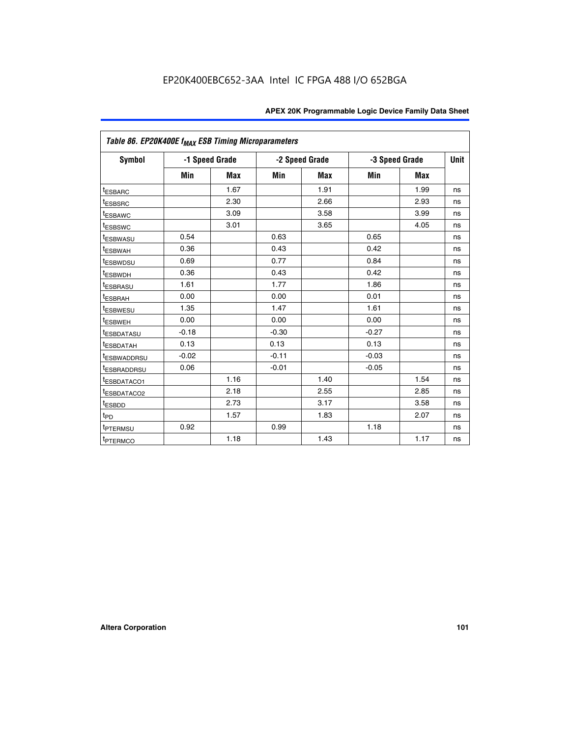| Table 86. EP20K400E f <sub>MAX</sub> ESB Timing Microparameters |         |                |         |                |         |                |             |
|-----------------------------------------------------------------|---------|----------------|---------|----------------|---------|----------------|-------------|
| <b>Symbol</b>                                                   |         | -1 Speed Grade |         | -2 Speed Grade |         | -3 Speed Grade | <b>Unit</b> |
|                                                                 | Min     | <b>Max</b>     | Min     | <b>Max</b>     | Min     | <b>Max</b>     |             |
| <sup>t</sup> ESBARC                                             |         | 1.67           |         | 1.91           |         | 1.99           | ns          |
| <sup>t</sup> ESBSRC                                             |         | 2.30           |         | 2.66           |         | 2.93           | ns          |
| <sup>t</sup> ESBAWC                                             |         | 3.09           |         | 3.58           |         | 3.99           | ns          |
| <sup>t</sup> ESBSWC                                             |         | 3.01           |         | 3.65           |         | 4.05           | ns          |
| <sup>t</sup> ESBWASU                                            | 0.54    |                | 0.63    |                | 0.65    |                | ns          |
| t <sub>ESBWAH</sub>                                             | 0.36    |                | 0.43    |                | 0.42    |                | ns          |
| <sup>t</sup> ESBWDSU                                            | 0.69    |                | 0.77    |                | 0.84    |                | ns          |
| <sup>t</sup> ESBWDH                                             | 0.36    |                | 0.43    |                | 0.42    |                | ns          |
| <sup>t</sup> ESBRASU                                            | 1.61    |                | 1.77    |                | 1.86    |                | ns          |
| <sup>t</sup> ESBRAH                                             | 0.00    |                | 0.00    |                | 0.01    |                | ns          |
| t <sub>ESBWESU</sub>                                            | 1.35    |                | 1.47    |                | 1.61    |                | ns          |
| t <sub>ESBWEH</sub>                                             | 0.00    |                | 0.00    |                | 0.00    |                | ns          |
| <sup>I</sup> ESBDATASU                                          | $-0.18$ |                | $-0.30$ |                | $-0.27$ |                | ns          |
| <b>ESBDATAH</b>                                                 | 0.13    |                | 0.13    |                | 0.13    |                | ns          |
| <sup>t</sup> ESBWADDRSU                                         | $-0.02$ |                | $-0.11$ |                | $-0.03$ |                | ns          |
| t <sub>ESBRADDRSU</sub>                                         | 0.06    |                | $-0.01$ |                | $-0.05$ |                | ns          |
| <sup>t</sup> ESBDATACO1                                         |         | 1.16           |         | 1.40           |         | 1.54           | ns          |
| <sup>I</sup> ESBDATACO2                                         |         | 2.18           |         | 2.55           |         | 2.85           | ns          |
| <sup>t</sup> ESBDD                                              |         | 2.73           |         | 3.17           |         | 3.58           | ns          |
| $t_{\mathsf{PD}}$                                               |         | 1.57           |         | 1.83           |         | 2.07           | ns          |
| t <sub>PTERMSU</sub>                                            | 0.92    |                | 0.99    |                | 1.18    |                | ns          |
| <sup>t</sup> PTERMCO                                            |         | 1.18           |         | 1.43           |         | 1.17           | ns          |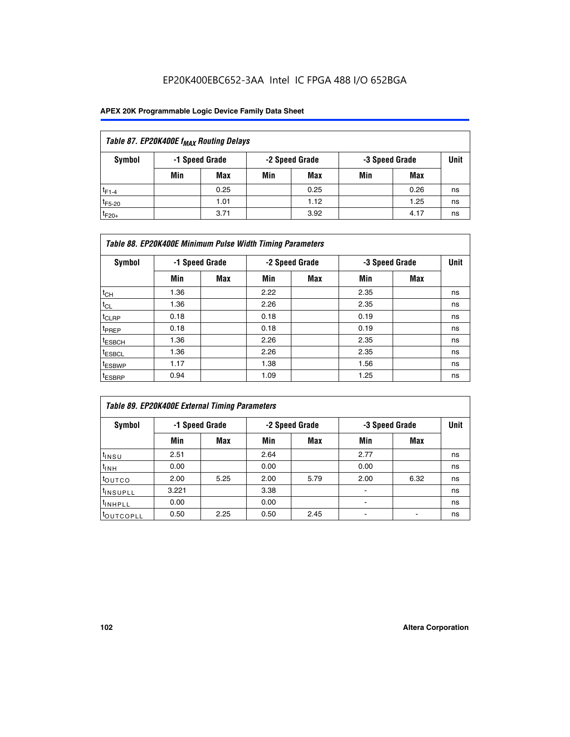## EP20K400EBC652-3AA Intel IC FPGA 488 I/O 652BGA

| Table 87. EP20K400E f <sub>MAX</sub> Routing Delays |     |                |     |                |     |                |      |  |  |  |  |
|-----------------------------------------------------|-----|----------------|-----|----------------|-----|----------------|------|--|--|--|--|
| Symbol                                              |     | -1 Speed Grade |     | -2 Speed Grade |     | -3 Speed Grade | Unit |  |  |  |  |
|                                                     | Min | <b>Max</b>     | Min | Max            | Min | Max            |      |  |  |  |  |
| $t_{F1-4}$                                          |     | 0.25           |     | 0.25           |     | 0.26           | ns   |  |  |  |  |
| $t_{F5-20}$                                         |     | 1.01           |     | 1.12           |     | 1.25           | ns   |  |  |  |  |
| $t_{F20+}$                                          |     | 3.71           |     | 3.92           |     | 4.17           | ns   |  |  |  |  |

| Table 88. EP20K400E Minimum Pulse Width Timing Parameters |      |                |      |                |      |                |      |  |  |  |  |
|-----------------------------------------------------------|------|----------------|------|----------------|------|----------------|------|--|--|--|--|
| Symbol                                                    |      | -1 Speed Grade |      | -2 Speed Grade |      | -3 Speed Grade | Unit |  |  |  |  |
|                                                           | Min  | <b>Max</b>     | Min  | <b>Max</b>     | Min  | Max            |      |  |  |  |  |
| $t_{CH}$                                                  | 1.36 |                | 2.22 |                | 2.35 |                | ns   |  |  |  |  |
| $t_{\rm CL}$                                              | 1.36 |                | 2.26 |                | 2.35 |                | ns   |  |  |  |  |
| $t_{CLRP}$                                                | 0.18 |                | 0.18 |                | 0.19 |                | ns   |  |  |  |  |
| <sup>t</sup> PREP                                         | 0.18 |                | 0.18 |                | 0.19 |                | ns   |  |  |  |  |
| t <sub>ESBCH</sub>                                        | 1.36 |                | 2.26 |                | 2.35 |                | ns   |  |  |  |  |
| <sup>t</sup> ESBCL                                        | 1.36 |                | 2.26 |                | 2.35 |                | ns   |  |  |  |  |
| <sup>t</sup> ESBWP                                        | 1.17 |                | 1.38 |                | 1.56 |                | ns   |  |  |  |  |
| <sup>t</sup> ESBRP                                        | 0.94 |                | 1.09 |                | 1.25 |                | ns   |  |  |  |  |

| Table 89. EP20K400E External Timing Parameters |                |            |      |                |      |                |    |  |  |  |  |
|------------------------------------------------|----------------|------------|------|----------------|------|----------------|----|--|--|--|--|
| Symbol                                         | -1 Speed Grade |            |      | -2 Speed Grade |      | -3 Speed Grade |    |  |  |  |  |
|                                                | Min            | <b>Max</b> | Min  | <b>Max</b>     | Min  | Max            |    |  |  |  |  |
| t <sub>insu</sub>                              | 2.51           |            | 2.64 |                | 2.77 |                | ns |  |  |  |  |
| $t_{INH}$                                      | 0.00           |            | 0.00 |                | 0.00 |                | ns |  |  |  |  |
| toutco                                         | 2.00           | 5.25       | 2.00 | 5.79           | 2.00 | 6.32           | ns |  |  |  |  |
| <sup>t</sup> INSUPLL                           | 3.221          |            | 3.38 |                | -    |                | ns |  |  |  |  |
| I <sup>t</sup> INHPLL                          | 0.00           |            | 0.00 |                | -    |                | ns |  |  |  |  |
| toutcopll                                      | 0.50           | 2.25       | 0.50 | 2.45           |      |                | ns |  |  |  |  |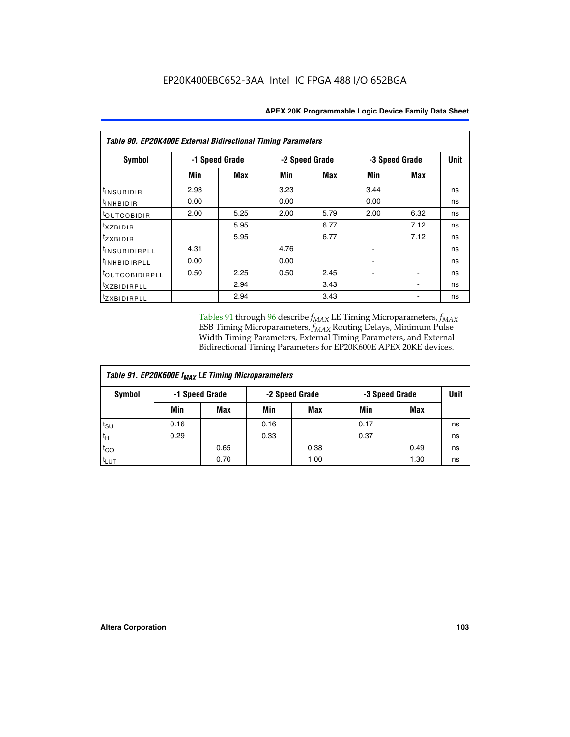| <b>Table 90. EP20K400E External Bidirectional Timing Parameters</b> |                |      |                |            |                |             |    |  |  |  |  |
|---------------------------------------------------------------------|----------------|------|----------------|------------|----------------|-------------|----|--|--|--|--|
| Symbol                                                              | -1 Speed Grade |      | -2 Speed Grade |            | -3 Speed Grade | <b>Unit</b> |    |  |  |  |  |
|                                                                     | Min            | Max  | Min            | <b>Max</b> | Min            | Max         |    |  |  |  |  |
| <sup>t</sup> INSUBIDIR                                              | 2.93           |      | 3.23           |            | 3.44           |             | ns |  |  |  |  |
| $t_{\rm INHBIDIR}$                                                  | 0.00           |      | 0.00           |            | 0.00           |             | ns |  |  |  |  |
| toutcobidir                                                         | 2.00           | 5.25 | 2.00           | 5.79       | 2.00           | 6.32        | ns |  |  |  |  |
| $txz$ BIDIR                                                         |                | 5.95 |                | 6.77       |                | 7.12        | ns |  |  |  |  |
| tzxbidir                                                            |                | 5.95 |                | 6.77       |                | 7.12        | ns |  |  |  |  |
| <sup>t</sup> insubidirpll                                           | 4.31           |      | 4.76           |            |                |             | ns |  |  |  |  |
| <sup>t</sup> inhbidirpll                                            | 0.00           |      | 0.00           |            |                |             | ns |  |  |  |  |
| <sup>t</sup> OUTCOBIDIRPLL                                          | 0.50           | 2.25 | 0.50           | 2.45       |                |             | ns |  |  |  |  |
| <sup>t</sup> XZBIDIRPLL                                             |                | 2.94 |                | 3.43       |                |             | ns |  |  |  |  |
| <sup>t</sup> zxbidirpll                                             |                | 2.94 |                | 3.43       |                |             | ns |  |  |  |  |

Tables 91 through 96 describe  $f_{MAX}$  LE Timing Microparameters,  $f_{MAX}$ ESB Timing Microparameters, *f<sub>MAX</sub>* Routing Delays, Minimum Pulse Width Timing Parameters, External Timing Parameters, and External Bidirectional Timing Parameters for EP20K600E APEX 20KE devices.

| Table 91. EP20K600E f <sub>MAX</sub> LE Timing Microparameters |      |                |      |                |                |      |    |  |  |  |  |
|----------------------------------------------------------------|------|----------------|------|----------------|----------------|------|----|--|--|--|--|
| Symbol                                                         |      | -1 Speed Grade |      | -2 Speed Grade | -3 Speed Grade | Unit |    |  |  |  |  |
|                                                                | Min  | <b>Max</b>     | Min  | <b>Max</b>     | Min            | Max  |    |  |  |  |  |
| $t_{\sf SU}$                                                   | 0.16 |                | 0.16 |                | 0.17           |      | ns |  |  |  |  |
| $t_H$                                                          | 0.29 |                | 0.33 |                | 0.37           |      | ns |  |  |  |  |
| $t_{CO}$                                                       |      | 0.65           |      | 0.38           |                | 0.49 | ns |  |  |  |  |
| t <sub>LUT</sub>                                               |      | 0.70           |      | 1.00           |                | 1.30 | ns |  |  |  |  |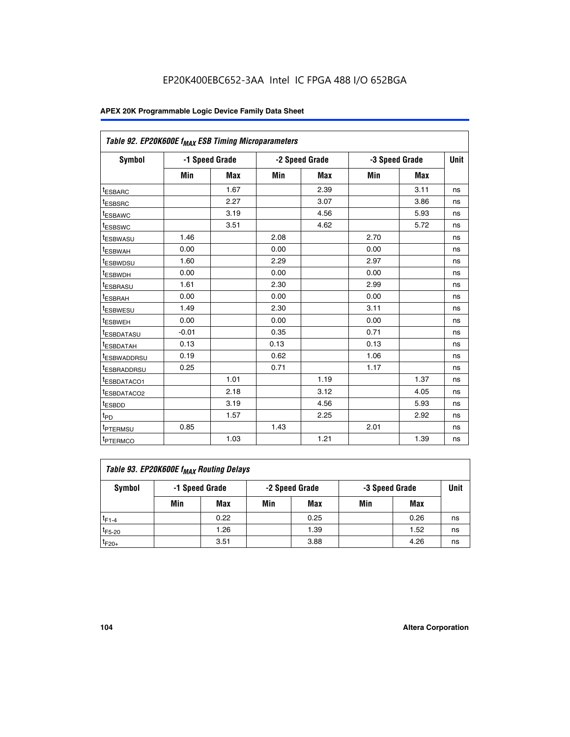| Table 92. EP20K600E f <sub>MAX</sub> ESB Timing Microparameters |         |                |      |                |      |                |             |
|-----------------------------------------------------------------|---------|----------------|------|----------------|------|----------------|-------------|
| <b>Symbol</b>                                                   |         | -1 Speed Grade |      | -2 Speed Grade |      | -3 Speed Grade | <b>Unit</b> |
|                                                                 | Min     | Max            | Min  | Max            | Min  | Max            |             |
| <sup>t</sup> ESBARC                                             |         | 1.67           |      | 2.39           |      | 3.11           | ns          |
| t <sub>ESBSRC</sub>                                             |         | 2.27           |      | 3.07           |      | 3.86           | ns          |
| <sup>t</sup> ESBAWC                                             |         | 3.19           |      | 4.56           |      | 5.93           | ns          |
| <sup>t</sup> ESBSWC                                             |         | 3.51           |      | 4.62           |      | 5.72           | ns          |
| <sup>t</sup> ESBWASU                                            | 1.46    |                | 2.08 |                | 2.70 |                | ns          |
| t <sub>ESBWAH</sub>                                             | 0.00    |                | 0.00 |                | 0.00 |                | ns          |
| t <sub>ESBWDSU</sub>                                            | 1.60    |                | 2.29 |                | 2.97 |                | ns          |
| t <sub>ESBWDH</sub>                                             | 0.00    |                | 0.00 |                | 0.00 |                | ns          |
| <sup>t</sup> ESBRASU                                            | 1.61    |                | 2.30 |                | 2.99 |                | ns          |
| <sup>t</sup> ESBRAH                                             | 0.00    |                | 0.00 |                | 0.00 |                | ns          |
| t <sub>ESBWESU</sub>                                            | 1.49    |                | 2.30 |                | 3.11 |                | ns          |
| t <sub>ESBWEH</sub>                                             | 0.00    |                | 0.00 |                | 0.00 |                | ns          |
| t <sub>ESBDATASU</sub>                                          | $-0.01$ |                | 0.35 |                | 0.71 |                | ns          |
| <sup>t</sup> ESBDATAH                                           | 0.13    |                | 0.13 |                | 0.13 |                | ns          |
| <sup>t</sup> ESBWADDRSU                                         | 0.19    |                | 0.62 |                | 1.06 |                | ns          |
| <sup>t</sup> ESBRADDRSU                                         | 0.25    |                | 0.71 |                | 1.17 |                | ns          |
| <sup>t</sup> ESBDATACO1                                         |         | 1.01           |      | 1.19           |      | 1.37           | ns          |
| <sup>t</sup> ESBDATACO2                                         |         | 2.18           |      | 3.12           |      | 4.05           | ns          |
| <sup>t</sup> ESBDD                                              |         | 3.19           |      | 4.56           |      | 5.93           | ns          |
| t <sub>PD</sub>                                                 |         | 1.57           |      | 2.25           |      | 2.92           | ns          |
| t <sub>PTERMSU</sub>                                            | 0.85    |                | 1.43 |                | 2.01 |                | ns          |
| t <sub>PTERMCO</sub>                                            |         | 1.03           |      | 1.21           |      | 1.39           | ns          |

| Table 93. EP20K600E f <sub>MAX</sub> Routing Delays |                |      |     |                |     |                |      |  |  |  |  |
|-----------------------------------------------------|----------------|------|-----|----------------|-----|----------------|------|--|--|--|--|
| Symbol                                              | -1 Speed Grade |      |     | -2 Speed Grade |     | -3 Speed Grade | Unit |  |  |  |  |
|                                                     | Min            | Max  | Min | Max            | Min | Max            |      |  |  |  |  |
| $t_{F1-4}$                                          |                | 0.22 |     | 0.25           |     | 0.26           | ns   |  |  |  |  |
| $t_{F5-20}$                                         |                | 1.26 |     | 1.39           |     | 1.52           | ns   |  |  |  |  |
| $t_{F20+}$                                          |                | 3.51 |     | 3.88           |     | 4.26           | ns   |  |  |  |  |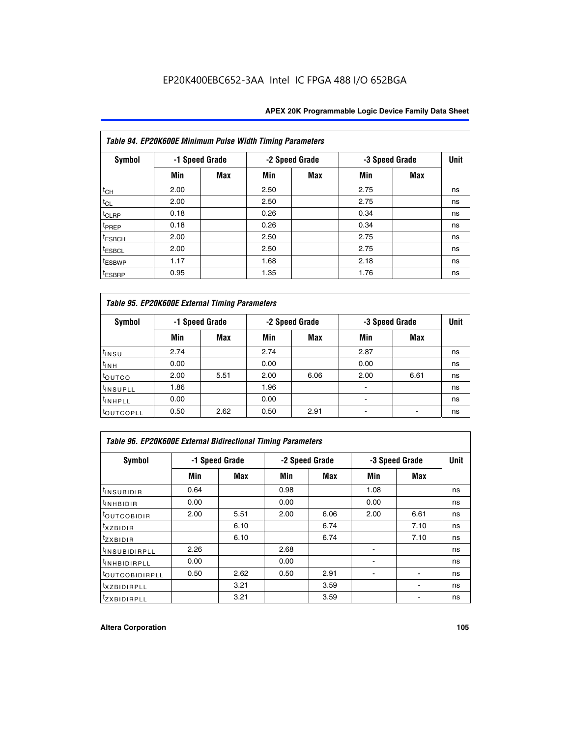|                    | Table 94. EP20K600E Minimum Pulse Width Timing Parameters |                |      |                |      |                |             |  |  |  |  |  |
|--------------------|-----------------------------------------------------------|----------------|------|----------------|------|----------------|-------------|--|--|--|--|--|
| Symbol             |                                                           | -1 Speed Grade |      | -2 Speed Grade |      | -3 Speed Grade | <b>Unit</b> |  |  |  |  |  |
|                    | Min                                                       | Max            | Min  | Max            | Min  | <b>Max</b>     |             |  |  |  |  |  |
| $t_{CH}$           | 2.00                                                      |                | 2.50 |                | 2.75 |                | ns          |  |  |  |  |  |
| $t_{CL}$           | 2.00                                                      |                | 2.50 |                | 2.75 |                | ns          |  |  |  |  |  |
| $t_{CLRP}$         | 0.18                                                      |                | 0.26 |                | 0.34 |                | ns          |  |  |  |  |  |
| t <sub>PREP</sub>  | 0.18                                                      |                | 0.26 |                | 0.34 |                | ns          |  |  |  |  |  |
| <sup>t</sup> ESBCH | 2.00                                                      |                | 2.50 |                | 2.75 |                | ns          |  |  |  |  |  |
| <sup>t</sup> ESBCL | 2.00                                                      |                | 2.50 |                | 2.75 |                | ns          |  |  |  |  |  |
| <sup>t</sup> ESBWP | 1.17                                                      |                | 1.68 |                | 2.18 |                | ns          |  |  |  |  |  |
| <sup>t</sup> ESBRP | 0.95                                                      |                | 1.35 |                | 1.76 |                | ns          |  |  |  |  |  |

|                      | Table 95. EP20K600E External Timing Parameters |                |      |                |                          |                |    |  |  |  |  |  |
|----------------------|------------------------------------------------|----------------|------|----------------|--------------------------|----------------|----|--|--|--|--|--|
| Symbol               |                                                | -1 Speed Grade |      | -2 Speed Grade |                          | -3 Speed Grade |    |  |  |  |  |  |
|                      | Min                                            | Max            | Min  | Max            | Min                      | Max            |    |  |  |  |  |  |
| t <sub>insu</sub>    | 2.74                                           |                | 2.74 |                | 2.87                     |                | ns |  |  |  |  |  |
| $t_{INH}$            | 0.00                                           |                | 0.00 |                | 0.00                     |                | ns |  |  |  |  |  |
| toutco               | 2.00                                           | 5.51           | 2.00 | 6.06           | 2.00                     | 6.61           | ns |  |  |  |  |  |
| <sup>t</sup> INSUPLL | 1.86                                           |                | 1.96 |                |                          |                | ns |  |  |  |  |  |
| <sup>t</sup> INHPLL  | 0.00                                           |                | 0.00 |                | $\overline{\phantom{a}}$ |                | ns |  |  |  |  |  |
| <b>LOUTCOPLL</b>     | 0.50                                           | 2.62           | 0.50 | 2.91           |                          |                | ns |  |  |  |  |  |

| Table 96. EP20K600E External Bidirectional Timing Parameters |                |      |      |                |                |             |    |  |  |  |
|--------------------------------------------------------------|----------------|------|------|----------------|----------------|-------------|----|--|--|--|
| Symbol                                                       | -1 Speed Grade |      |      | -2 Speed Grade | -3 Speed Grade | <b>Unit</b> |    |  |  |  |
|                                                              | Min            | Max  | Min  | Max            | Min            | Max         |    |  |  |  |
| <sup>t</sup> INSUBIDIR                                       | 0.64           |      | 0.98 |                | 1.08           |             | ns |  |  |  |
| $t_{\text{INHBIDIR}}$                                        | 0.00           |      | 0.00 |                | 0.00           |             | ns |  |  |  |
| <sup>t</sup> OUTCOBIDIR                                      | 2.00           | 5.51 | 2.00 | 6.06           | 2.00           | 6.61        | ns |  |  |  |
| txzBIDIR                                                     |                | 6.10 |      | 6.74           |                | 7.10        | ns |  |  |  |
| <sup>t</sup> zxbidir                                         |                | 6.10 |      | 6.74           |                | 7.10        | ns |  |  |  |
| <sup>t</sup> INSUBIDIRPLL                                    | 2.26           |      | 2.68 |                |                |             | ns |  |  |  |
| <sup>t</sup> INHBIDIRPLL                                     | 0.00           |      | 0.00 |                |                |             | ns |  |  |  |
| <b><i>LOUTCOBIDIRPLL</i></b>                                 | 0.50           | 2.62 | 0.50 | 2.91           |                |             | ns |  |  |  |
| <sup>t</sup> xzbidirpll                                      |                | 3.21 |      | 3.59           |                |             | ns |  |  |  |
| <i>t</i> zxBIDIRPLL                                          |                | 3.21 |      | 3.59           |                | ٠           | ns |  |  |  |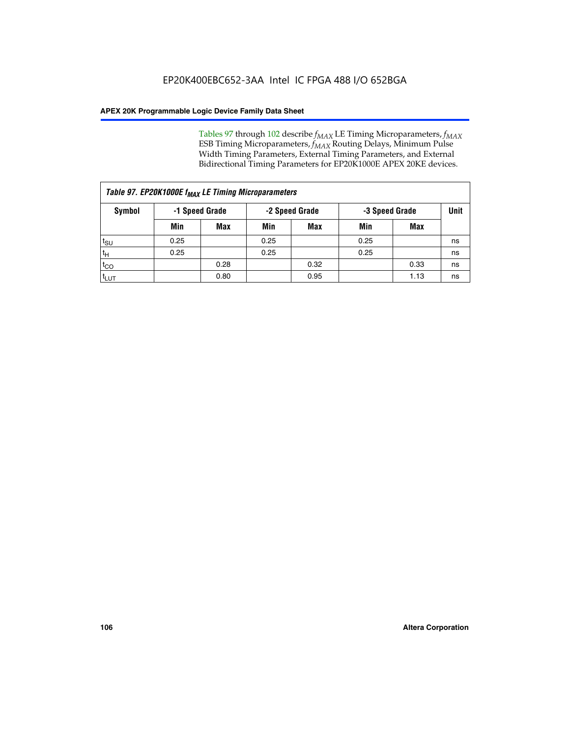Tables 97 through 102 describe  $f_{MAX}$  LE Timing Microparameters,  $f_{MAX}$ ESB Timing Microparameters, *f<sub>MAX</sub>* Routing Delays, Minimum Pulse Width Timing Parameters, External Timing Parameters, and External Bidirectional Timing Parameters for EP20K1000E APEX 20KE devices.

|                  | Table 97. EP20K1000E f <sub>MAX</sub> LE Timing Microparameters |            |                |            |                |      |      |  |  |  |  |  |
|------------------|-----------------------------------------------------------------|------------|----------------|------------|----------------|------|------|--|--|--|--|--|
| Symbol           | -1 Speed Grade                                                  |            | -2 Speed Grade |            | -3 Speed Grade |      | Unit |  |  |  |  |  |
|                  | Min                                                             | <b>Max</b> | Min            | <b>Max</b> | Min            | Max  |      |  |  |  |  |  |
| $t_{\text{SU}}$  | 0.25                                                            |            | 0.25           |            | 0.25           |      | ns   |  |  |  |  |  |
| $t_H$            | 0.25                                                            |            | 0.25           |            | 0.25           |      | ns   |  |  |  |  |  |
| $t_{CO}$         |                                                                 | 0.28       |                | 0.32       |                | 0.33 | ns   |  |  |  |  |  |
| t <sub>LUT</sub> |                                                                 | 0.80       |                | 0.95       |                | 1.13 | ns   |  |  |  |  |  |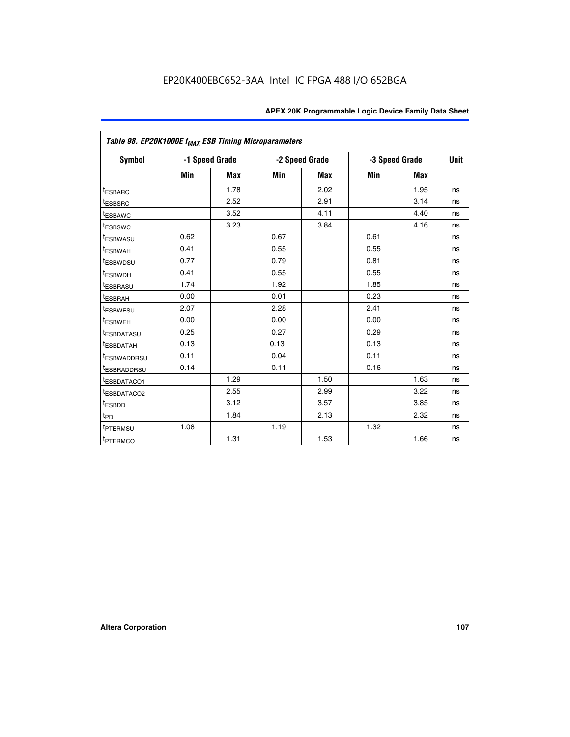|                         | Table 98. EP20K1000E f <sub>MAX</sub> ESB Timing Microparameters |                |      |                |                |            |             |  |  |  |  |
|-------------------------|------------------------------------------------------------------|----------------|------|----------------|----------------|------------|-------------|--|--|--|--|
| <b>Symbol</b>           |                                                                  | -1 Speed Grade |      | -2 Speed Grade | -3 Speed Grade |            | <b>Unit</b> |  |  |  |  |
|                         | Min                                                              | <b>Max</b>     | Min  | Max            | Min            | <b>Max</b> |             |  |  |  |  |
| <b>tESBARC</b>          |                                                                  | 1.78           |      | 2.02           |                | 1.95       | ns          |  |  |  |  |
| <sup>t</sup> ESBSRC     |                                                                  | 2.52           |      | 2.91           |                | 3.14       | ns          |  |  |  |  |
| t <sub>ESBAWC</sub>     |                                                                  | 3.52           |      | 4.11           |                | 4.40       | ns          |  |  |  |  |
| <sup>t</sup> ESBSWC     |                                                                  | 3.23           |      | 3.84           |                | 4.16       | ns          |  |  |  |  |
| <sup>t</sup> ESBWASU    | 0.62                                                             |                | 0.67 |                | 0.61           |            | ns          |  |  |  |  |
| t <sub>ESBWAH</sub>     | 0.41                                                             |                | 0.55 |                | 0.55           |            | ns          |  |  |  |  |
| <sup>t</sup> ESBWDSU    | 0.77                                                             |                | 0.79 |                | 0.81           |            | ns          |  |  |  |  |
| t <sub>ESBWDH</sub>     | 0.41                                                             |                | 0.55 |                | 0.55           |            | ns          |  |  |  |  |
| t <sub>ESBRASU</sub>    | 1.74                                                             |                | 1.92 |                | 1.85           |            | ns          |  |  |  |  |
| t <sub>ESBRAH</sub>     | 0.00                                                             |                | 0.01 |                | 0.23           |            | ns          |  |  |  |  |
| <sup>t</sup> ESBWESU    | 2.07                                                             |                | 2.28 |                | 2.41           |            | ns          |  |  |  |  |
| t <sub>ESBWEH</sub>     | 0.00                                                             |                | 0.00 |                | 0.00           |            | ns          |  |  |  |  |
| <sup>I</sup> ESBDATASU  | 0.25                                                             |                | 0.27 |                | 0.29           |            | ns          |  |  |  |  |
| <b>ESBDATAH</b>         | 0.13                                                             |                | 0.13 |                | 0.13           |            | ns          |  |  |  |  |
| <sup>T</sup> ESBWADDRSU | 0.11                                                             |                | 0.04 |                | 0.11           |            | ns          |  |  |  |  |
| <sup>T</sup> ESBRADDRSU | 0.14                                                             |                | 0.11 |                | 0.16           |            | ns          |  |  |  |  |
| <sup>t</sup> ESBDATACO1 |                                                                  | 1.29           |      | 1.50           |                | 1.63       | ns          |  |  |  |  |
| <sup>t</sup> ESBDATACO2 |                                                                  | 2.55           |      | 2.99           |                | 3.22       | ns          |  |  |  |  |
| <sup>t</sup> ESBDD      |                                                                  | 3.12           |      | 3.57           |                | 3.85       | ns          |  |  |  |  |
| $t_{P\underline{D}}$    |                                                                  | 1.84           |      | 2.13           |                | 2.32       | ns          |  |  |  |  |
| t <sub>PTERMSU</sub>    | 1.08                                                             |                | 1.19 |                | 1.32           |            | ns          |  |  |  |  |
| <sup>t</sup> PTERMCO    |                                                                  | 1.31           |      | 1.53           |                | 1.66       | ns          |  |  |  |  |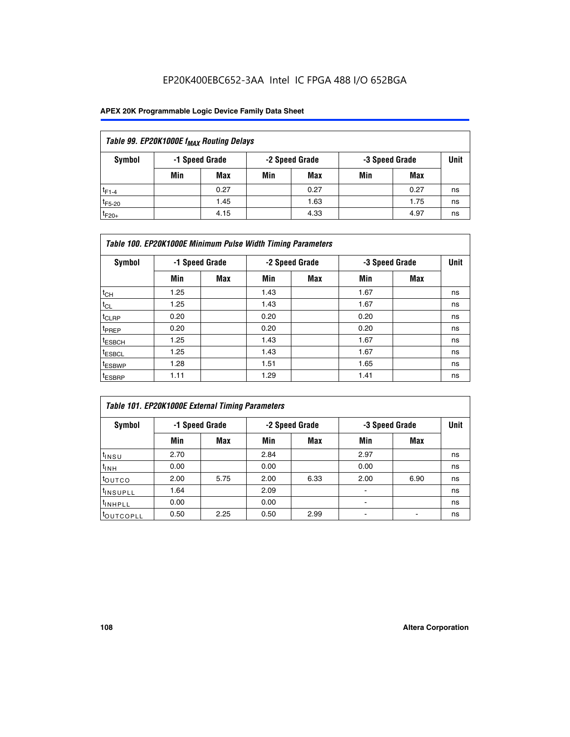## EP20K400EBC652-3AA Intel IC FPGA 488 I/O 652BGA

### **APEX 20K Programmable Logic Device Family Data Sheet**

| Table 99. EP20K1000E f <sub>MAX</sub> Routing Delays |                |            |                |      |     |      |    |  |  |  |  |
|------------------------------------------------------|----------------|------------|----------------|------|-----|------|----|--|--|--|--|
| Symbol                                               | -1 Speed Grade |            | -3 Speed Grade |      |     |      |    |  |  |  |  |
|                                                      | Min            | <b>Max</b> | Min            | Max  | Min | Max  |    |  |  |  |  |
| $t_{F1-4}$                                           |                | 0.27       |                | 0.27 |     | 0.27 | ns |  |  |  |  |
| $t_{F5-20}$                                          |                | 1.45       |                | 1.63 |     | 1.75 | ns |  |  |  |  |
| $t_{F20+}$                                           |                | 4.15       |                | 4.33 |     | 4.97 | ns |  |  |  |  |

|                    | Table 100. EP20K1000E Minimum Pulse Width Timing Parameters |            |      |                |      |                |             |  |  |  |  |  |
|--------------------|-------------------------------------------------------------|------------|------|----------------|------|----------------|-------------|--|--|--|--|--|
| Symbol             | -1 Speed Grade                                              |            |      | -2 Speed Grade |      | -3 Speed Grade | <b>Unit</b> |  |  |  |  |  |
|                    | Min                                                         | <b>Max</b> | Min  | Max            | Min  | Max            |             |  |  |  |  |  |
| $t_{CH}$           | 1.25                                                        |            | 1.43 |                | 1.67 |                | ns          |  |  |  |  |  |
| $t_{CL}$           | 1.25                                                        |            | 1.43 |                | 1.67 |                | ns          |  |  |  |  |  |
| t <sub>CLRP</sub>  | 0.20                                                        |            | 0.20 |                | 0.20 |                | ns          |  |  |  |  |  |
| <sup>t</sup> PREP  | 0.20                                                        |            | 0.20 |                | 0.20 |                | ns          |  |  |  |  |  |
| <sup>t</sup> ESBCH | 1.25                                                        |            | 1.43 |                | 1.67 |                | ns          |  |  |  |  |  |
| <sup>t</sup> ESBCL | 1.25                                                        |            | 1.43 |                | 1.67 |                | ns          |  |  |  |  |  |
| <sup>t</sup> ESBWP | 1.28                                                        |            | 1.51 |                | 1.65 |                | ns          |  |  |  |  |  |
| <sup>t</sup> ESBRP | 1.11                                                        |            | 1.29 |                | 1.41 |                | ns          |  |  |  |  |  |

| Table 101. EP20K1000E External Timing Parameters |      |                |      |                |      |                |             |  |  |  |  |  |
|--------------------------------------------------|------|----------------|------|----------------|------|----------------|-------------|--|--|--|--|--|
| Symbol                                           |      | -1 Speed Grade |      | -2 Speed Grade |      | -3 Speed Grade | <b>Unit</b> |  |  |  |  |  |
|                                                  | Min  | <b>Max</b>     | Min  | <b>Max</b>     | Min  | Max            |             |  |  |  |  |  |
| t <sub>INSU</sub>                                | 2.70 |                | 2.84 |                | 2.97 |                | ns          |  |  |  |  |  |
| $t_{INH}$                                        | 0.00 |                | 0.00 |                | 0.00 |                | ns          |  |  |  |  |  |
| toutco                                           | 2.00 | 5.75           | 2.00 | 6.33           | 2.00 | 6.90           | ns          |  |  |  |  |  |
| tinsupll                                         | 1.64 |                | 2.09 |                |      |                | ns          |  |  |  |  |  |
| <sup>t</sup> INHPLL                              | 0.00 |                | 0.00 |                | -    |                | ns          |  |  |  |  |  |
| toutcopll                                        | 0.50 | 2.25           | 0.50 | 2.99           | -    |                | ns          |  |  |  |  |  |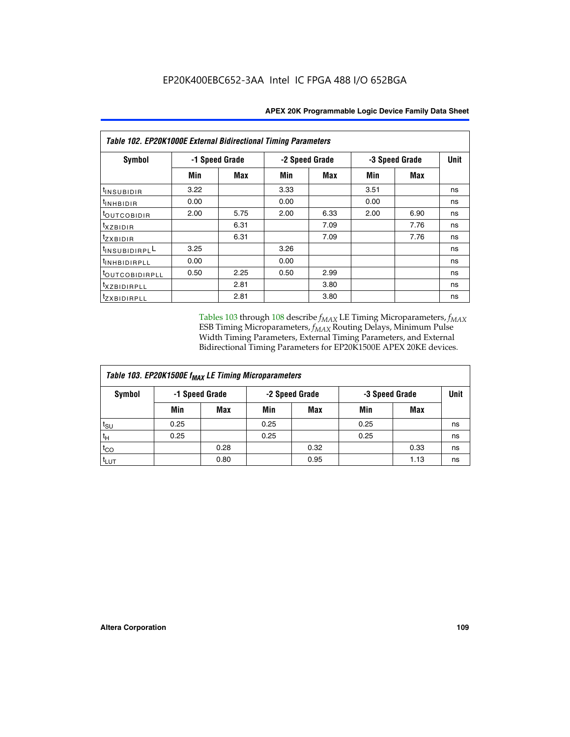| Table 102. EP20K1000E External Bidirectional Timing Parameters |                |      |                |            |                |             |    |  |  |  |
|----------------------------------------------------------------|----------------|------|----------------|------------|----------------|-------------|----|--|--|--|
| Symbol                                                         | -1 Speed Grade |      | -2 Speed Grade |            | -3 Speed Grade | <b>Unit</b> |    |  |  |  |
|                                                                | Min            | Max  | Min            | <b>Max</b> | Min            | <b>Max</b>  |    |  |  |  |
| I <sup>t</sup> INSUB <u>IDIR</u>                               | 3.22           |      | 3.33           |            | 3.51           |             | ns |  |  |  |
| $t_{\rm INHBIDIR}$                                             | 0.00           |      | 0.00           |            | 0.00           |             | ns |  |  |  |
| <sup>t</sup> OUTCOBIDIR                                        | 2.00           | 5.75 | 2.00           | 6.33       | 2.00           | 6.90        | ns |  |  |  |
| $t_{XZBIDIR}$                                                  |                | 6.31 |                | 7.09       |                | 7.76        | ns |  |  |  |
| tzxbidir                                                       |                | 6.31 |                | 7.09       |                | 7.76        | ns |  |  |  |
| <sup>1</sup> INSUBIDIRPL <sup>L</sup>                          | 3.25           |      | 3.26           |            |                |             | ns |  |  |  |
| <sup>t</sup> INHBIDIRPLL                                       | 0.00           |      | 0.00           |            |                |             | ns |  |  |  |
| <sup>t</sup> OUTCOBIDIRPLL                                     | 0.50           | 2.25 | 0.50           | 2.99       |                |             | ns |  |  |  |
| <sup>t</sup> xzBIDIRPLL                                        |                | 2.81 |                | 3.80       |                |             | ns |  |  |  |
| <i>tzxBIDIRPLL</i>                                             |                | 2.81 |                | 3.80       |                |             | ns |  |  |  |

Tables 103 through 108 describe  $f_{MAX}$  LE Timing Microparameters,  $f_{MAX}$ ESB Timing Microparameters, *f<sub>MAX</sub>* Routing Delays, Minimum Pulse Width Timing Parameters, External Timing Parameters, and External Bidirectional Timing Parameters for EP20K1500E APEX 20KE devices.

| Table 103. EP20K1500E f <sub>MAX</sub> LE Timing Microparameters |      |                |      |                |      |                |    |  |  |  |  |
|------------------------------------------------------------------|------|----------------|------|----------------|------|----------------|----|--|--|--|--|
| Symbol                                                           |      | -1 Speed Grade |      | -2 Speed Grade |      | -3 Speed Grade |    |  |  |  |  |
|                                                                  | Min  | <b>Max</b>     | Min  | <b>Max</b>     | Min  | Max            |    |  |  |  |  |
| $t_{\sf SU}$                                                     | 0.25 |                | 0.25 |                | 0.25 |                | ns |  |  |  |  |
| $t_H$                                                            | 0.25 |                | 0.25 |                | 0.25 |                | ns |  |  |  |  |
| $t_{CO}$                                                         |      | 0.28           |      | 0.32           |      | 0.33           | ns |  |  |  |  |
| t <sub>lut</sub>                                                 |      | 0.80           |      | 0.95           |      | 1.13           | ns |  |  |  |  |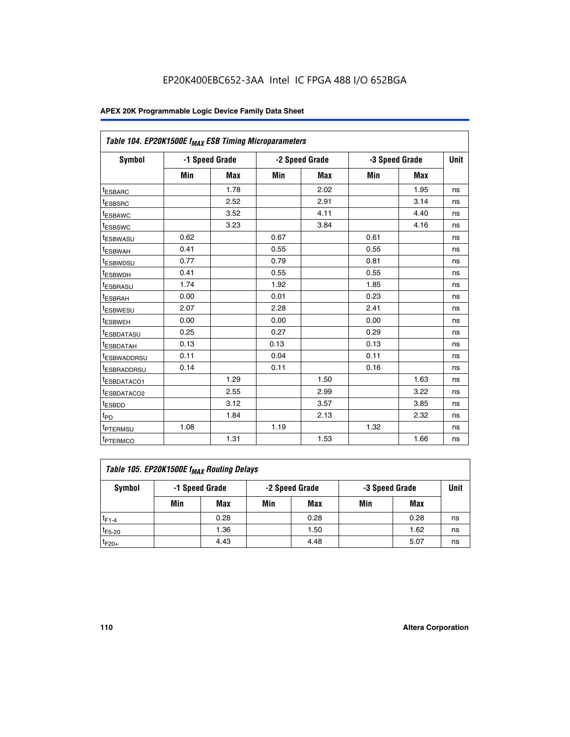|                         | Table 104. EP20K1500E f <sub>MAX</sub> ESB Timing Microparameters |            |      |                |      |                |             |  |  |  |  |
|-------------------------|-------------------------------------------------------------------|------------|------|----------------|------|----------------|-------------|--|--|--|--|
| <b>Symbol</b>           | -1 Speed Grade                                                    |            |      | -2 Speed Grade |      | -3 Speed Grade | <b>Unit</b> |  |  |  |  |
|                         | Min                                                               | <b>Max</b> | Min  | <b>Max</b>     | Min  | <b>Max</b>     |             |  |  |  |  |
| t <sub>ESBARC</sub>     |                                                                   | 1.78       |      | 2.02           |      | 1.95           | ns          |  |  |  |  |
| t <sub>ESBSRC</sub>     |                                                                   | 2.52       |      | 2.91           |      | 3.14           | ns          |  |  |  |  |
| <sup>t</sup> ESBAWC     |                                                                   | 3.52       |      | 4.11           |      | 4.40           | ns          |  |  |  |  |
| t <sub>ESBSWC</sub>     |                                                                   | 3.23       |      | 3.84           |      | 4.16           | ns          |  |  |  |  |
| <sup>t</sup> ESBWASU    | 0.62                                                              |            | 0.67 |                | 0.61 |                | ns          |  |  |  |  |
| t <sub>ESBWAH</sub>     | 0.41                                                              |            | 0.55 |                | 0.55 |                | ns          |  |  |  |  |
| t <sub>ESBWDSU</sub>    | 0.77                                                              |            | 0.79 |                | 0.81 |                | ns          |  |  |  |  |
| t <sub>ESBWDH</sub>     | 0.41                                                              |            | 0.55 |                | 0.55 |                | ns          |  |  |  |  |
| <sup>t</sup> ESBRASU    | 1.74                                                              |            | 1.92 |                | 1.85 |                | ns          |  |  |  |  |
| <sup>t</sup> ESBRAH     | 0.00                                                              |            | 0.01 |                | 0.23 |                | ns          |  |  |  |  |
| <sup>t</sup> ESBWESU    | 2.07                                                              |            | 2.28 |                | 2.41 |                | ns          |  |  |  |  |
| t <sub>ESBWEH</sub>     | 0.00                                                              |            | 0.00 |                | 0.00 |                | ns          |  |  |  |  |
| t <sub>ESBDATASU</sub>  | 0.25                                                              |            | 0.27 |                | 0.29 |                | ns          |  |  |  |  |
| <sup>t</sup> ESBDATAH   | 0.13                                                              |            | 0.13 |                | 0.13 |                | ns          |  |  |  |  |
| <sup>t</sup> ESBWADDRSU | 0.11                                                              |            | 0.04 |                | 0.11 |                | ns          |  |  |  |  |
| <sup>t</sup> ESBRADDRSU | 0.14                                                              |            | 0.11 |                | 0.16 |                | ns          |  |  |  |  |
| t <sub>ESBDATACO1</sub> |                                                                   | 1.29       |      | 1.50           |      | 1.63           | ns          |  |  |  |  |
| <sup>t</sup> ESBDATACO2 |                                                                   | 2.55       |      | 2.99           |      | 3.22           | ns          |  |  |  |  |
| <sup>t</sup> ESBDD      |                                                                   | 3.12       |      | 3.57           |      | 3.85           | ns          |  |  |  |  |
| t <sub>PD</sub>         |                                                                   | 1.84       |      | 2.13           |      | 2.32           | ns          |  |  |  |  |
| t <sub>PTERMSU</sub>    | 1.08                                                              |            | 1.19 |                | 1.32 |                | ns          |  |  |  |  |
| t <sub>PTERMCO</sub>    |                                                                   | 1.31       |      | 1.53           |      | 1.66           | ns          |  |  |  |  |

| Table 105. EP20K1500E f <sub>MAX</sub> Routing Delays |                                                    |      |     |      |     |      |    |  |  |  |
|-------------------------------------------------------|----------------------------------------------------|------|-----|------|-----|------|----|--|--|--|
| Symbol                                                | -1 Speed Grade<br>-2 Speed Grade<br>-3 Speed Grade |      |     |      |     |      |    |  |  |  |
|                                                       | Min                                                | Max  | Min | Max  | Min | Max  |    |  |  |  |
| $t_{F1-4}$                                            |                                                    | 0.28 |     | 0.28 |     | 0.28 | ns |  |  |  |
| $t_{F5-20}$                                           |                                                    | 1.36 |     | 1.50 |     | 1.62 | ns |  |  |  |
| $t_{F20+}$                                            |                                                    | 4.43 |     | 4.48 |     | 5.07 | ns |  |  |  |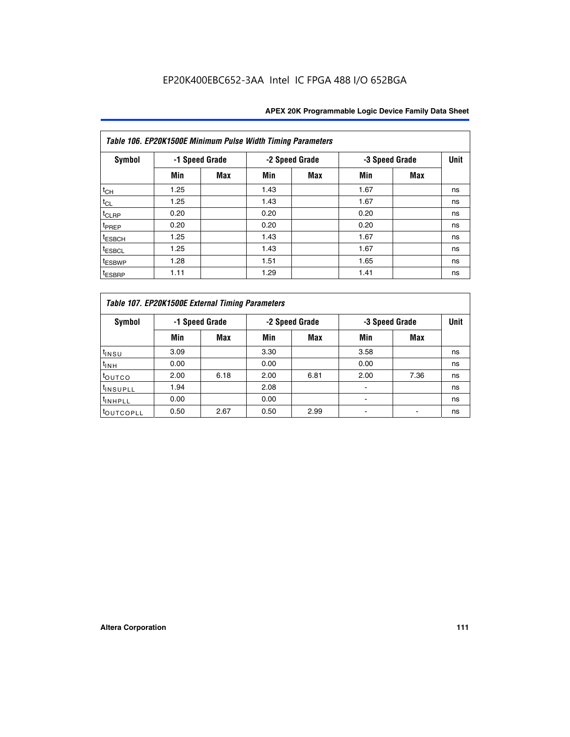|                    | Table 106. EP20K1500E Minimum Pulse Width Timing Parameters |                |      |                |                |            |             |  |  |  |  |  |  |
|--------------------|-------------------------------------------------------------|----------------|------|----------------|----------------|------------|-------------|--|--|--|--|--|--|
| Symbol             |                                                             | -1 Speed Grade |      | -2 Speed Grade | -3 Speed Grade |            | <b>Unit</b> |  |  |  |  |  |  |
|                    | Min                                                         | <b>Max</b>     | Min  | Max            | Min            | <b>Max</b> |             |  |  |  |  |  |  |
| $t_{CH}$           | 1.25                                                        |                | 1.43 |                | 1.67           |            | ns          |  |  |  |  |  |  |
| $t_{CL}$           | 1.25                                                        |                | 1.43 |                | 1.67           |            | ns          |  |  |  |  |  |  |
| t <sub>CLRP</sub>  | 0.20                                                        |                | 0.20 |                | 0.20           |            | ns          |  |  |  |  |  |  |
| <sup>t</sup> PREP  | 0.20                                                        |                | 0.20 |                | 0.20           |            | ns          |  |  |  |  |  |  |
| <sup>t</sup> ESBCH | 1.25                                                        |                | 1.43 |                | 1.67           |            | ns          |  |  |  |  |  |  |
| <sup>t</sup> ESBCL | 1.25                                                        |                | 1.43 |                | 1.67           |            | ns          |  |  |  |  |  |  |
| <sup>t</sup> ESBWP | 1.28                                                        |                | 1.51 |                | 1.65           |            | ns          |  |  |  |  |  |  |
| <sup>t</sup> ESBRP | 1.11                                                        |                | 1.29 |                | 1.41           |            | ns          |  |  |  |  |  |  |

|                       | Table 107. EP20K1500E External Timing Parameters |      |      |                |      |                |             |  |  |  |  |  |  |
|-----------------------|--------------------------------------------------|------|------|----------------|------|----------------|-------------|--|--|--|--|--|--|
| Symbol                | -1 Speed Grade                                   |      |      | -2 Speed Grade |      | -3 Speed Grade | <b>Unit</b> |  |  |  |  |  |  |
|                       | Min                                              | Max  | Min  | Max            | Min  | Max            |             |  |  |  |  |  |  |
| t <sub>insu</sub>     | 3.09                                             |      | 3.30 |                | 3.58 |                | ns          |  |  |  |  |  |  |
| $t_{INH}$             | 0.00                                             |      | 0.00 |                | 0.00 |                | ns          |  |  |  |  |  |  |
| toutco                | 2.00                                             | 6.18 | 2.00 | 6.81           | 2.00 | 7.36           | ns          |  |  |  |  |  |  |
| <sup>t</sup> INSUPLL  | 1.94                                             |      | 2.08 |                |      |                | ns          |  |  |  |  |  |  |
| <sup>t</sup> INHPLL   | 0.00                                             |      | 0.00 |                |      |                | ns          |  |  |  |  |  |  |
| <sup>t</sup> OUTCOPLL | 0.50                                             | 2.67 | 0.50 | 2.99           |      |                | ns          |  |  |  |  |  |  |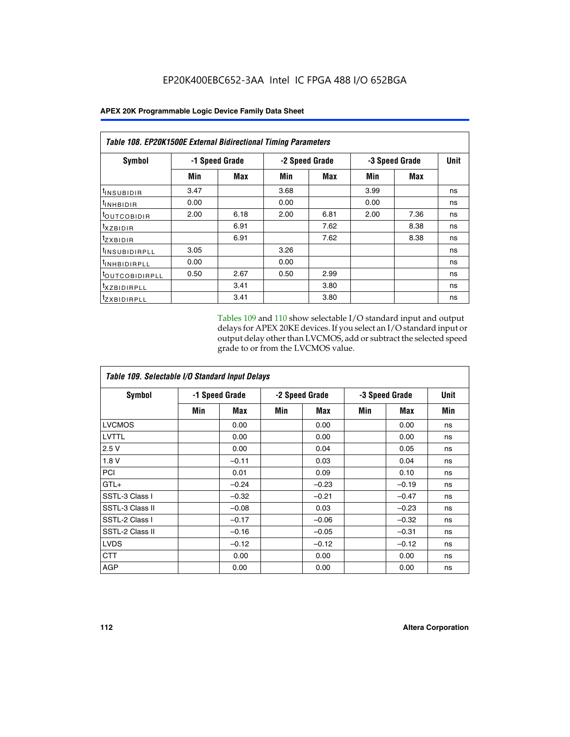|                           | <b>Table 108. EP20K1500E External Bidirectional Timing Parameters</b> |                |      |                |                |             |    |  |  |  |  |
|---------------------------|-----------------------------------------------------------------------|----------------|------|----------------|----------------|-------------|----|--|--|--|--|
| Symbol                    |                                                                       | -1 Speed Grade |      | -2 Speed Grade | -3 Speed Grade | <b>Unit</b> |    |  |  |  |  |
|                           | Min                                                                   | Max            | Min  | Max            | Min            | Max         |    |  |  |  |  |
| <sup>t</sup> INSUBIDIR    | 3.47                                                                  |                | 3.68 |                | 3.99           |             | ns |  |  |  |  |
| <sup>t</sup> INHBIDIR     | 0.00                                                                  |                | 0.00 |                | 0.00           |             | ns |  |  |  |  |
| <b>LOUTCOBIDIR</b>        | 2.00                                                                  | 6.18           | 2.00 | 6.81           | 2.00           | 7.36        | ns |  |  |  |  |
| txzBIDIR                  |                                                                       | 6.91           |      | 7.62           |                | 8.38        | ns |  |  |  |  |
| <sup>t</sup> zxbidir      |                                                                       | 6.91           |      | 7.62           |                | 8.38        | ns |  |  |  |  |
| <sup>t</sup> INSUBIDIRPLL | 3.05                                                                  |                | 3.26 |                |                |             | ns |  |  |  |  |
| <b>INHBIDIRPLL</b>        | 0.00                                                                  |                | 0.00 |                |                |             | ns |  |  |  |  |
| <b>LOUTCOBIDIRPLL</b>     | 0.50                                                                  | 2.67           | 0.50 | 2.99           |                |             | ns |  |  |  |  |
| <sup>T</sup> XZBIDIRPLL   |                                                                       | 3.41           |      | 3.80           |                |             | ns |  |  |  |  |
| <sup>t</sup> ZXBIDIRPLL   |                                                                       | 3.41           |      | 3.80           |                |             | ns |  |  |  |  |

Tables 109 and 110 show selectable I/O standard input and output delays for APEX 20KE devices. If you select an I/O standard input or output delay other than LVCMOS, add or subtract the selected speed grade to or from the LVCMOS value.

| Table 109. Selectable I/O Standard Input Delays |                |         |     |                |     |                |     |  |  |  |
|-------------------------------------------------|----------------|---------|-----|----------------|-----|----------------|-----|--|--|--|
| <b>Symbol</b>                                   | -1 Speed Grade |         |     | -2 Speed Grade |     | -3 Speed Grade |     |  |  |  |
|                                                 | Min            | Max     | Min | Max            | Min | Max            | Min |  |  |  |
| <b>LVCMOS</b>                                   |                | 0.00    |     | 0.00           |     | 0.00           | ns  |  |  |  |
| <b>LVTTL</b>                                    |                | 0.00    |     | 0.00           |     | 0.00           | ns  |  |  |  |
| 2.5V                                            |                | 0.00    |     | 0.04           |     | 0.05           | ns  |  |  |  |
| 1.8V                                            |                | $-0.11$ |     | 0.03           |     | 0.04           | ns  |  |  |  |
| PCI                                             |                | 0.01    |     | 0.09           |     | 0.10           | ns  |  |  |  |
| $GTL+$                                          |                | $-0.24$ |     | $-0.23$        |     | $-0.19$        | ns  |  |  |  |
| SSTL-3 Class I                                  |                | $-0.32$ |     | $-0.21$        |     | $-0.47$        | ns  |  |  |  |
| SSTL-3 Class II                                 |                | $-0.08$ |     | 0.03           |     | $-0.23$        | ns  |  |  |  |
| SSTL-2 Class I                                  |                | $-0.17$ |     | $-0.06$        |     | $-0.32$        | ns  |  |  |  |
| SSTL-2 Class II                                 |                | $-0.16$ |     | $-0.05$        |     | $-0.31$        | ns  |  |  |  |
| <b>LVDS</b>                                     |                | $-0.12$ |     | $-0.12$        |     | $-0.12$        | ns  |  |  |  |
| <b>CTT</b>                                      |                | 0.00    |     | 0.00           |     | 0.00           | ns  |  |  |  |
| <b>AGP</b>                                      |                | 0.00    |     | 0.00           |     | 0.00           | ns  |  |  |  |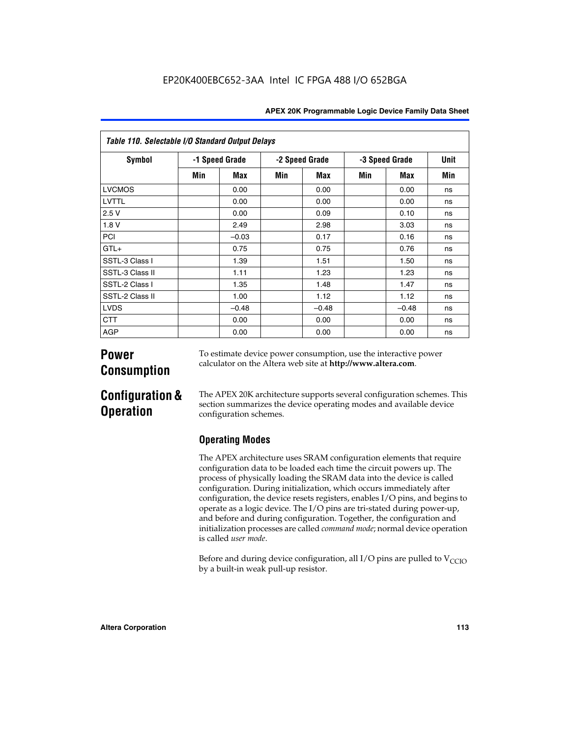| Table 110. Selectable I/O Standard Output Delays |     |                |                |         |     |                |             |  |  |  |  |
|--------------------------------------------------|-----|----------------|----------------|---------|-----|----------------|-------------|--|--|--|--|
| Symbol                                           |     | -1 Speed Grade | -2 Speed Grade |         |     | -3 Speed Grade | <b>Unit</b> |  |  |  |  |
|                                                  | Min | Max            | Min            | Max     | Min | Max            | Min         |  |  |  |  |
| <b>LVCMOS</b>                                    |     | 0.00           |                | 0.00    |     | 0.00           | ns          |  |  |  |  |
| LVTTL                                            |     | 0.00           |                | 0.00    |     | 0.00           | ns          |  |  |  |  |
| 2.5V                                             |     | 0.00           |                | 0.09    |     | 0.10           | ns          |  |  |  |  |
| 1.8 V                                            |     | 2.49           |                | 2.98    |     | 3.03           | ns          |  |  |  |  |
| PCI                                              |     | $-0.03$        |                | 0.17    |     | 0.16           | ns          |  |  |  |  |
| $GTL+$                                           |     | 0.75           |                | 0.75    |     | 0.76           | ns          |  |  |  |  |
| SSTL-3 Class I                                   |     | 1.39           |                | 1.51    |     | 1.50           | ns          |  |  |  |  |
| SSTL-3 Class II                                  |     | 1.11           |                | 1.23    |     | 1.23           | ns          |  |  |  |  |
| SSTL-2 Class I                                   |     | 1.35           |                | 1.48    |     | 1.47           | ns          |  |  |  |  |
| SSTL-2 Class II                                  |     | 1.00           |                | 1.12    |     | 1.12           | ns          |  |  |  |  |
| <b>LVDS</b>                                      |     | $-0.48$        |                | $-0.48$ |     | $-0.48$        | ns          |  |  |  |  |
| <b>CTT</b>                                       |     | 0.00           |                | 0.00    |     | 0.00           | ns          |  |  |  |  |
| <b>AGP</b>                                       |     | 0.00           |                | 0.00    |     | 0.00           | ns          |  |  |  |  |

# **Power Consumption**

To estimate device power consumption, use the interactive power calculator on the Altera web site at **http://www.altera.com**.

# **Configuration & Operation**

The APEX 20K architecture supports several configuration schemes. This section summarizes the device operating modes and available device configuration schemes.

## **Operating Modes**

The APEX architecture uses SRAM configuration elements that require configuration data to be loaded each time the circuit powers up. The process of physically loading the SRAM data into the device is called configuration. During initialization, which occurs immediately after configuration, the device resets registers, enables I/O pins, and begins to operate as a logic device. The I/O pins are tri-stated during power-up, and before and during configuration. Together, the configuration and initialization processes are called *command mode*; normal device operation is called *user mode*.

Before and during device configuration, all I/O pins are pulled to  $V_{\text{CCTO}}$ by a built-in weak pull-up resistor.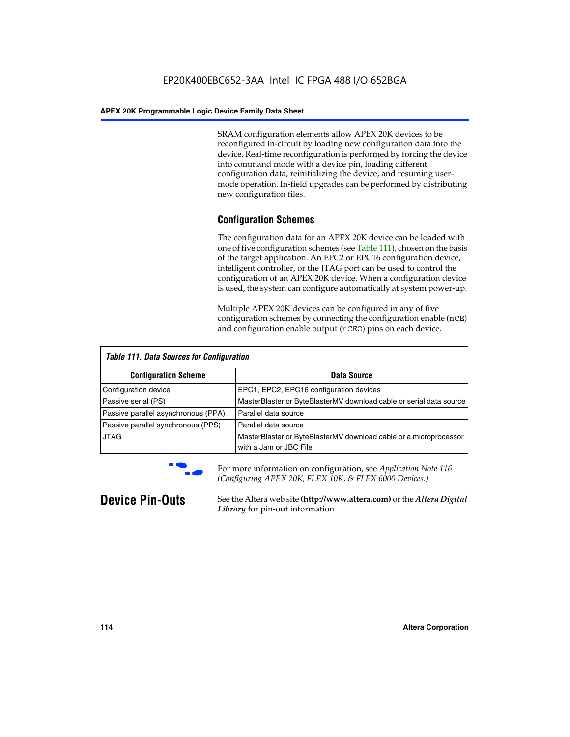SRAM configuration elements allow APEX 20K devices to be reconfigured in-circuit by loading new configuration data into the device. Real-time reconfiguration is performed by forcing the device into command mode with a device pin, loading different configuration data, reinitializing the device, and resuming usermode operation. In-field upgrades can be performed by distributing new configuration files.

## **Configuration Schemes**

The configuration data for an APEX 20K device can be loaded with one of five configuration schemes (see Table 111), chosen on the basis of the target application. An EPC2 or EPC16 configuration device, intelligent controller, or the JTAG port can be used to control the configuration of an APEX 20K device. When a configuration device is used, the system can configure automatically at system power-up.

Multiple APEX 20K devices can be configured in any of five configuration schemes by connecting the configuration enable (nCE) and configuration enable output (nCEO) pins on each device.

| <b>Table 111. Data Sources for Configuration</b> |                                                                                             |
|--------------------------------------------------|---------------------------------------------------------------------------------------------|
| <b>Configuration Scheme</b>                      | Data Source                                                                                 |
| Configuration device                             | EPC1, EPC2, EPC16 configuration devices                                                     |
| Passive serial (PS)                              | MasterBlaster or ByteBlasterMV download cable or serial data source                         |
| Passive parallel asynchronous (PPA)              | Parallel data source                                                                        |
| Passive parallel synchronous (PPS)               | Parallel data source                                                                        |
| <b>JTAG</b>                                      | MasterBlaster or ByteBlasterMV download cable or a microprocessor<br>with a Jam or JBC File |



**For more information on configuration, see Application Note 116** *(Configuring APEX 20K, FLEX 10K, & FLEX 6000 Devices.)*

**Device Pin-Outs** See the Altera web site **(http://www.altera.com)** or the *Altera Digital Library* for pin-out information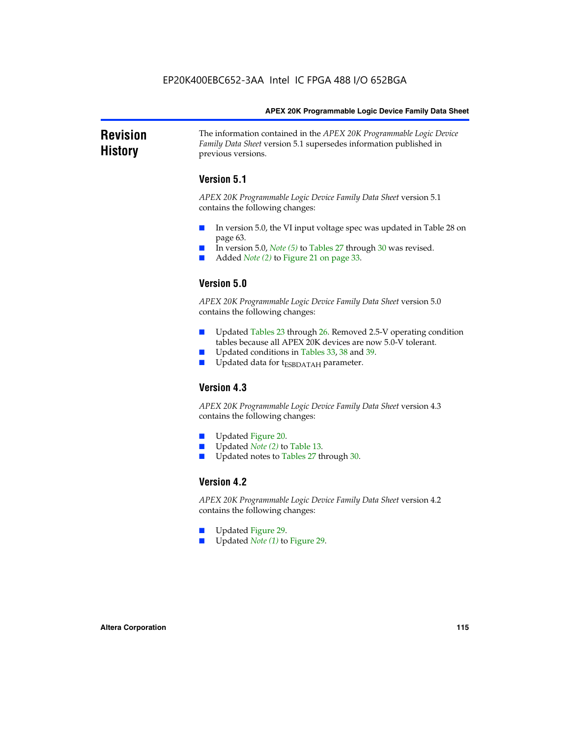### **Revision History** The information contained in the *APEX 20K Programmable Logic Device Family Data Sheet* version 5.1 supersedes information published in previous versions.

## **Version 5.1**

*APEX 20K Programmable Logic Device Family Data Sheet* version 5.1 contains the following changes:

- In version 5.0, the VI input voltage spec was updated in Table 28 on page 63.
- In version 5.0, *Note* (5) to Tables 27 through 30 was revised.
- Added *Note* (2) to Figure 21 on page 33.

## **Version 5.0**

*APEX 20K Programmable Logic Device Family Data Sheet* version 5.0 contains the following changes:

- Updated Tables 23 through 26. Removed 2.5-V operating condition tables because all APEX 20K devices are now 5.0-V tolerant.
- Updated conditions in Tables 33, 38 and 39.
- Updated data for t<sub>ESBDATAH</sub> parameter.

## **Version 4.3**

*APEX 20K Programmable Logic Device Family Data Sheet* version 4.3 contains the following changes:

- Updated Figure 20.
- Updated *Note (2)* to Table 13.
- Updated notes to Tables 27 through 30.

## **Version 4.2**

*APEX 20K Programmable Logic Device Family Data Sheet* version 4.2 contains the following changes:

- Updated Figure 29.
- Updated *Note (1)* to Figure 29.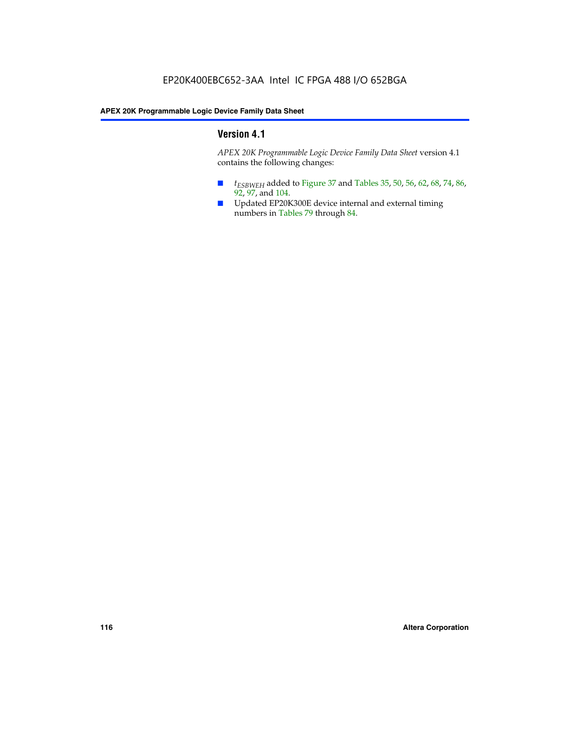## **Version 4.1**

*APEX 20K Programmable Logic Device Family Data Sheet* version 4.1 contains the following changes:

- *t<sub>ESBWEH</sub>* added to Figure 37 and Tables 35, 50, 56, 62, 68, 74, 86, 92, 97, and 104.
- Updated EP20K300E device internal and external timing numbers in Tables 79 through 84.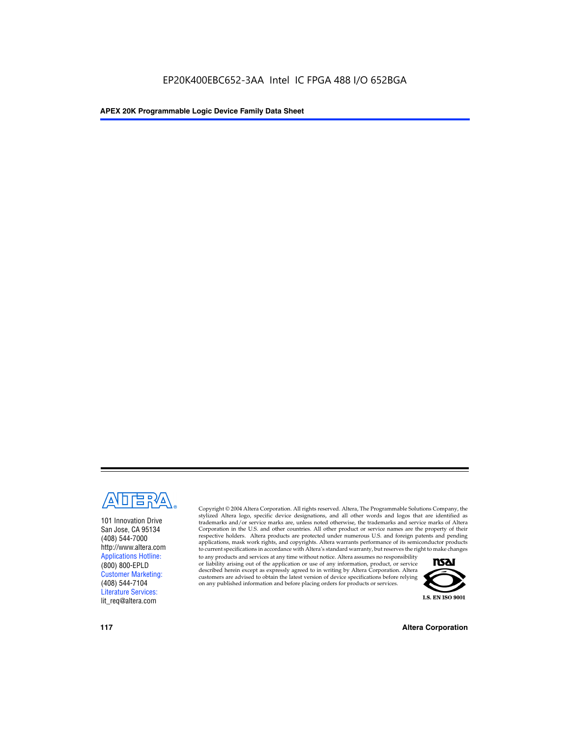

101 Innovation Drive San Jose, CA 95134 (408) 544-7000 http://www.altera.com Applications Hotline: (800) 800-EPLD Customer Marketing: (408) 544-7104 Literature Services: lit\_req@altera.com

Copyright © 2004 Altera Corporation. All rights reserved. Altera, The Programmable Solutions Company, the stylized Altera logo, specific device designations, and all other words and logos that are identified as trademarks and/or service marks are, unless noted otherwise, the trademarks and service marks of Altera Corporation in the U.S. and other countries. All other product or service names are the property of their respective holders. Altera products are protected under numerous U.S. and foreign patents and pending applications, mask work rights, and copyrights. Altera warrants performance of its semiconductor products to current specifications in accordance with Altera's standard warranty, but reserves the right to make changes

to any products and services at any time without notice. Altera assumes no responsibility or liability arising out of the application or use of any information, product, or service described herein except as expressly agreed to in writing by Altera Corporation. Altera customers are advised to obtain the latest version of device specifications before relying on any published information and before placing orders for products or services.



**117 Altera Corporation**